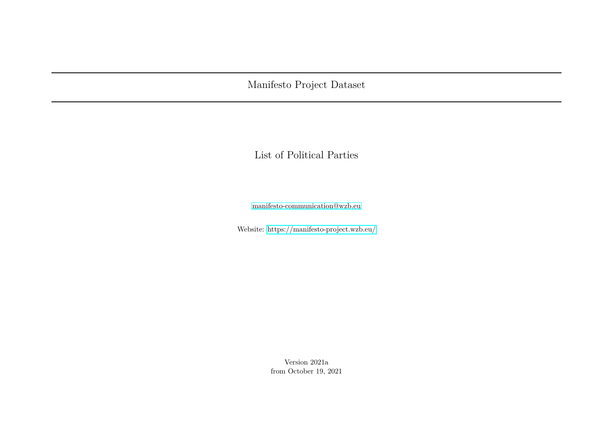Manifesto Project Dataset

List of Political Parties

[manifesto-communication@wzb.eu](mailto:manifesto-communication@wzb.eu)

Website:<https://manifesto-project.wzb.eu/>

Version 2021a from October 19, 2021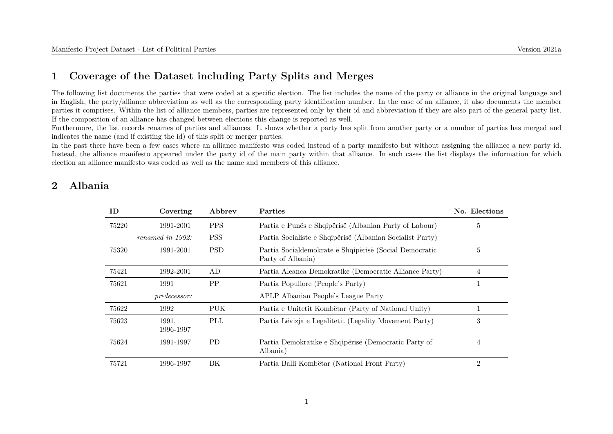#### **1 Coverage of the Dataset including Party Splits and Merges**

The following list documents the parties that were coded at a specific election. The list includes the name of the party or alliance in the original language and in English, the party/alliance abbreviation as well as the corresponding party identification number. In the case of an alliance, it also documents the member parties it comprises. Within the list of alliance members, parties are represented only by their id and abbreviation if they are also part of the general party list. If the composition of an alliance has changed between elections this change is reported as well.

Furthermore, the list records renames of parties and alliances. It shows whether a party has split from another party or a number of parties has merged and indicates the name (and if existing the id) of this split or merger parties.

In the past there have been a few cases where an alliance manifesto was coded instead of a party manifesto but without assigning the alliance a new party id. Instead, the alliance manifesto appeared under the party id of the main party within that alliance. In such cases the list displays the information for which election an alliance manifesto was coded as well as the name and members of this alliance.

#### **2 Albania**

| ID    | Covering            | Abbrev     | <b>Parties</b>                                                              | No. Elections  |
|-------|---------------------|------------|-----------------------------------------------------------------------------|----------------|
| 75220 | 1991-2001           | <b>PPS</b> | Partia e Punës e Shqipërisë (Albanian Party of Labour)                      | 5              |
|       | renamed in 1992:    | <b>PSS</b> | Partia Socialiste e Shqipërisë (Albanian Socialist Party)                   |                |
| 75320 | 1991-2001           | <b>PSD</b> | Partia Socialdemokrate ë Shqipërisë (Social Democratic<br>Party of Albania) | 5              |
| 75421 | 1992-2001           | AD         | Partia Aleanca Demokratike (Democratic Alliance Party)                      | 4              |
| 75621 | 1991                | PP         | Partia Popullore (People's Party)                                           | T              |
|       | <i>predecessor:</i> |            | APLP Albanian People's League Party                                         |                |
| 75622 | 1992                | PUK        | Partia e Unitetit Kombëtar (Party of National Unity)                        |                |
| 75623 | 1991,<br>1996-1997  | PLL        | Partia Lëvizja e Legalitetit (Legality Movement Party)                      | 3              |
| 75624 | 1991-1997           | <b>PD</b>  | Partia Demokratike e Shqipërisë (Democratic Party of<br>Albania)            | 4              |
| 75721 | 1996-1997           | ΒK         | Partia Balli Kombëtar (National Front Party)                                | $\overline{2}$ |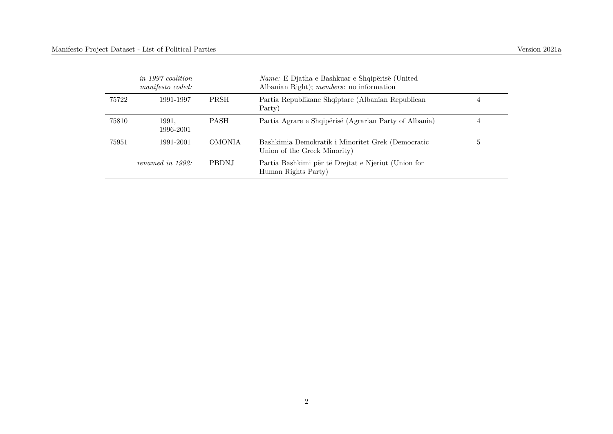|       | <i>in 1997 coalition</i><br>manifesto coded: |               | Name: E Djatha e Bashkuar e Shqipërisë (United<br>Albanian Right); <i>members:</i> no information |   |
|-------|----------------------------------------------|---------------|---------------------------------------------------------------------------------------------------|---|
| 75722 | 1991-1997                                    | <b>PRSH</b>   | Partia Republikane Shqiptare (Albanian Republican<br>Party)                                       | 4 |
| 75810 | 1991.<br>1996-2001                           | <b>PASH</b>   | Partia Agrare e Shqipërisë (Agrarian Party of Albania)                                            | 4 |
| 75951 | 1991-2001                                    | <b>OMONIA</b> | Bashkimia Demokratik i Minoritet Grek (Democratic<br>Union of the Greek Minority)                 | Ð |
|       | renamed in 1992:                             | <b>PBDNJ</b>  | Partia Bashkimi për të Drejtat e Njeriut (Union for<br>Human Rights Party)                        |   |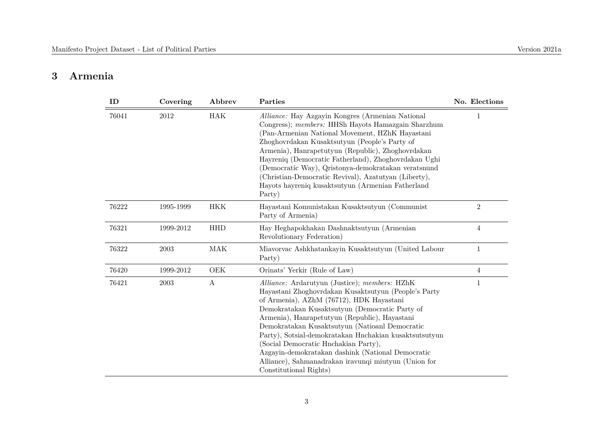#### **3 Armenia**

| ID    | Covering  | Abbrev     | Parties                                                                                                                                                                                                                                                                                                                                                                                                                                                                                                                                         | No. Elections  |
|-------|-----------|------------|-------------------------------------------------------------------------------------------------------------------------------------------------------------------------------------------------------------------------------------------------------------------------------------------------------------------------------------------------------------------------------------------------------------------------------------------------------------------------------------------------------------------------------------------------|----------------|
| 76041 | $2012\,$  | <b>HAK</b> | Alliance: Hay Azgayin Kongres (Armenian National<br>Congress); members: HHSh Hayots Hamazgain Sharzhum<br>(Pan-Armenian National Movement, HZhK Hayastani<br>Zhoghovrdakan Kusaktsutyun (People's Party of<br>Armenia), Hanrapetutyun (Republic), Zhoghovrdakan<br>Hayreniq (Democratic Fatherland), Zhoghovrdakan Ughi<br>(Democratic Way), Qristonya-demokratakan veratsnund<br>(Christian-Democratic Revival), Azatutyan (Liberty),<br>Hayots hayreniq kusaktsutyun (Armenian Fatherland<br>Party)                                           |                |
| 76222 | 1995-1999 | <b>HKK</b> | Hayastani Komunistakan Kusaktsutyun (Communist<br>Party of Armenia)                                                                                                                                                                                                                                                                                                                                                                                                                                                                             | $\overline{2}$ |
| 76321 | 1999-2012 | <b>HHD</b> | Hay Heghapokhakan Dashnaktsutyun (Armenian<br>Revolutionary Federation)                                                                                                                                                                                                                                                                                                                                                                                                                                                                         | $\overline{4}$ |
| 76322 | 2003      | <b>MAK</b> | Miavorvac Ashkhatankayin Kusaktsutyun (United Labour<br>Party)                                                                                                                                                                                                                                                                                                                                                                                                                                                                                  | $\mathbf{1}$   |
| 76420 | 1999-2012 | OEK        | Orinats' Yerkir (Rule of Law)                                                                                                                                                                                                                                                                                                                                                                                                                                                                                                                   | 4              |
| 76421 | 2003      | A          | Alliance: Ardarutyun (Justice); members: HZhK<br>Hayastani Zhoghovrdakan Kusaktsutyun (People's Party<br>of Armenia), AZhM (76712), HDK Hayastani<br>Demokratakan Kusaktsutyun (Democratic Party of<br>Armenia), Hanrapetutyun (Republic), Hayastani<br>Demokratakan Kusaktsutyun (Natioanl Democratic<br>Party), Sotsial-demokratakan Hnchakian kusaktsutsutyun<br>(Social Democratic Hnchakian Party),<br>Azgayin-demokratakan dashink (National Democratic<br>Alliance), Sahmanadrakan iravungi miutyun (Union for<br>Constitutional Rights) | 1              |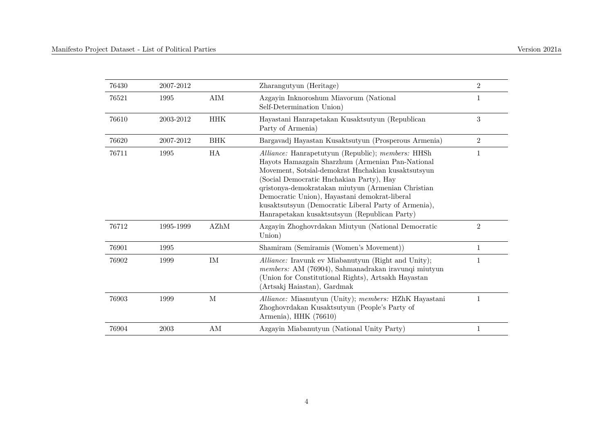| 76430 | 2007-2012 |             | Zharangutyun (Heritage)                                                                                                                                                                                                                                                                                                                                                                                                 | $\overline{2}$ |
|-------|-----------|-------------|-------------------------------------------------------------------------------------------------------------------------------------------------------------------------------------------------------------------------------------------------------------------------------------------------------------------------------------------------------------------------------------------------------------------------|----------------|
| 76521 | 1995      | $\rm{AIM}$  | Azgayin Inknoroshum Miavorum (National<br>Self-Determination Union)                                                                                                                                                                                                                                                                                                                                                     | 1              |
| 76610 | 2003-2012 | <b>HHK</b>  | Hayastani Hanrapetakan Kusaktsutyun (Republican<br>Party of Armenia)                                                                                                                                                                                                                                                                                                                                                    | 3              |
| 76620 | 2007-2012 | <b>BHK</b>  | Bargavadj Hayastan Kusaktsutyun (Prosperous Armenia)                                                                                                                                                                                                                                                                                                                                                                    | $\overline{2}$ |
| 76711 | 1995      | <b>HA</b>   | Alliance: Hanrapetutyun (Republic); members: HHSh<br>Hayots Hamazgain Sharzhum (Armenian Pan-National<br>Movement, Sotsial-demokrat Hnchakian kusaktsutsyun<br>(Social Democratic Hnchakian Party), Hay<br>qristonya-demokratakan miutyun (Armenian Christian<br>Democratic Union), Hayastani demokrat-liberal<br>kusaktsutsyun (Democratic Liberal Party of Armenia),<br>Hanrapetakan kusaktsutsyun (Republican Party) | 1              |
| 76712 | 1995-1999 | AZhM        | Azgayin Zhoghovrdakan Miutyun (National Democratic<br>Union)                                                                                                                                                                                                                                                                                                                                                            | $\overline{2}$ |
| 76901 | 1995      |             | Shamiram (Semiramis (Women's Movement))                                                                                                                                                                                                                                                                                                                                                                                 | 1              |
| 76902 | 1999      | <b>IM</b>   | Alliance: Iravunk ev Miabanutyun (Right and Unity);<br>members: AM (76904), Sahmanadrakan iravunqi miutyun<br>(Union for Constitutional Rights), Artsakh Hayastan<br>(Artsakj Haiastan), Gardmak                                                                                                                                                                                                                        |                |
| 76903 | 1999      | $\mathbf M$ | Alliance: Miasnutyun (Unity); members: HZhK Hayastani<br>Zhoghovrdakan Kusaktsutyun (People's Party of<br>Armenia), HHK (76610)                                                                                                                                                                                                                                                                                         | $\mathbf{1}$   |
| 76904 | 2003      | AM          | Azgayin Miabanutyun (National Unity Party)                                                                                                                                                                                                                                                                                                                                                                              |                |
|       |           |             |                                                                                                                                                                                                                                                                                                                                                                                                                         |                |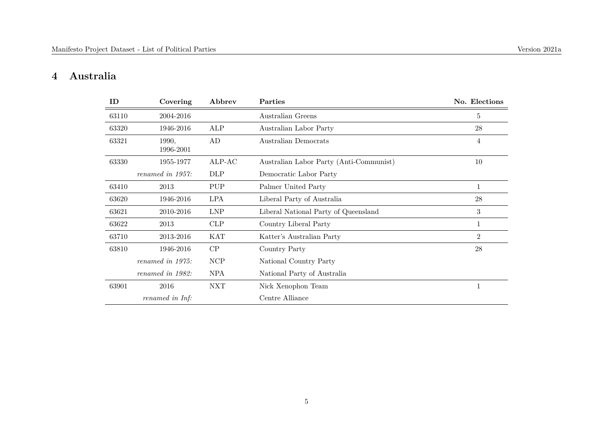#### **4 Australia**

| ID    | Covering           | Abbrev     | Parties                                 | No. Elections  |
|-------|--------------------|------------|-----------------------------------------|----------------|
| 63110 | 2004-2016          |            | Australian Greens                       | 5              |
| 63320 | 1946-2016          | ALP        | Australian Labor Party                  | 28             |
| 63321 | 1990,<br>1996-2001 | AD         | Australian Democrats                    | 4              |
| 63330 | 1955-1977          | $ALP-AC$   | Australian Labor Party (Anti-Communist) | 10             |
|       | renamed in 1957:   | <b>DLP</b> | Democratic Labor Party                  |                |
| 63410 | 2013               | <b>PUP</b> | Palmer United Party                     | $\mathbf{1}$   |
| 63620 | 1946-2016          | <b>LPA</b> | Liberal Party of Australia              | 28             |
| 63621 | 2010-2016          | <b>LNP</b> | Liberal National Party of Queensland    | 3              |
| 63622 | 2013               | CLP        | Country Liberal Party                   | 1              |
| 63710 | 2013-2016          | <b>KAT</b> | Katter's Australian Party               | $\overline{2}$ |
| 63810 | 1946-2016          | CP         | Country Party                           | 28             |
|       | renamed in 1975:   | NCP        | National Country Party                  |                |
|       | renamed in 1982:   | <b>NPA</b> | National Party of Australia             |                |
| 63901 | 2016               | <b>NXT</b> | Nick Xenophon Team                      | $\mathbf{1}$   |
|       | renamed in Inf:    |            | Centre Alliance                         |                |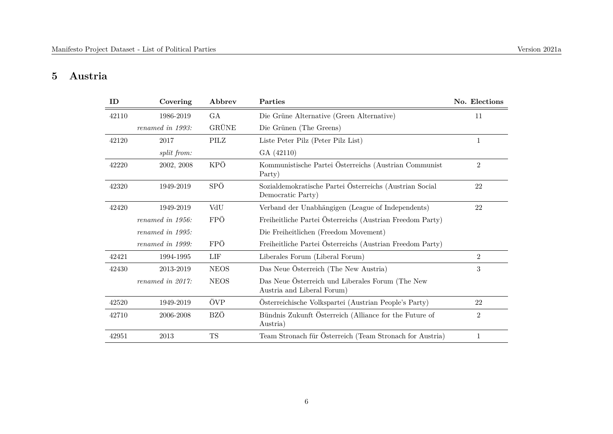#### **5 Austria**

| ID    | Covering           | Abbrev       | Parties                                                                        | No. Elections  |
|-------|--------------------|--------------|--------------------------------------------------------------------------------|----------------|
| 42110 | 1986-2019          | GA           | Die Grüne Alternative (Green Alternative)                                      | 11             |
|       | renamed in 1993:   | <b>GRÜNE</b> | Die Grünen (The Greens)                                                        |                |
| 42120 | 2017               | PILZ         | Liste Peter Pilz (Peter Pilz List)                                             | 1              |
|       | <i>split from:</i> |              | GA (42110)                                                                     |                |
| 42220 | 2002, 2008         | KPÖ          | Kommunistische Partei Österreichs (Austrian Communist<br>Party)                | $\overline{2}$ |
| 42320 | 1949-2019          | SPÖ          | Sozialdemokratische Partei Österreichs (Austrian Social<br>Democratic Party)   | 22             |
| 42420 | 1949-2019          | VdU          | Verband der Unabhängigen (League of Independents)                              | 22             |
|       | renamed in 1956:   | FPÖ          | Freiheitliche Partei Österreichs (Austrian Freedom Party)                      |                |
|       | renamed in 1995:   |              | Die Freiheitlichen (Freedom Movement)                                          |                |
|       | renamed in 1999:   | FPÖ          | Freiheitliche Partei Österreichs (Austrian Freedom Party)                      |                |
| 42421 | 1994-1995          | LIF          | Liberales Forum (Liberal Forum)                                                | $\overline{2}$ |
| 42430 | 2013-2019          | <b>NEOS</b>  | Das Neue Österreich (The New Austria)                                          | 3              |
|       | renamed in 2017:   | <b>NEOS</b>  | Das Neue Österreich und Liberales Forum (The New<br>Austria and Liberal Forum) |                |
| 42520 | 1949-2019          | ÖVP          | Österreichische Volkspartei (Austrian People's Party)                          | 22             |
| 42710 | 2006-2008          | BZÖ          | Bündnis Zukunft Österreich (Alliance for the Future of<br>Austria)             | $\overline{2}$ |
| 42951 | 2013               | <b>TS</b>    | Team Stronach für Österreich (Team Stronach for Austria)                       | 1              |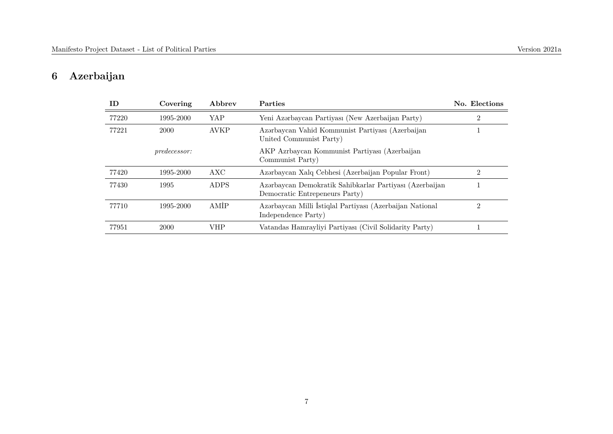# **6 Azerbaijan**

| ID    | Covering            | Abbrev      | <b>Parties</b>                                                                            | No. Elections |
|-------|---------------------|-------------|-------------------------------------------------------------------------------------------|---------------|
| 77220 | 1995-2000           | YAP         | Yeni Azərbaycan Partiyası (New Azerbaijan Party)                                          |               |
| 77221 | 2000                | <b>AVKP</b> | Azərbaycan Vahid Kommunist Partiyası (Azerbaijan<br>United Communist Party)               |               |
|       | <i>predecessor:</i> |             | AKP Azrbaycan Kommunist Partiyası (Azerbaijan<br>Communist Party)                         |               |
| 77420 | 1995-2000           | AXC         | Azərbaycan Xalq Cebhesi (Azerbaijan Popular Front)                                        | 2             |
| 77430 | 1995                | ADPS        | Azərbaycan Demokratik Sahibkarlar Partiyası (Azerbaijan<br>Democratic Entrepeneurs Party) |               |
| 77710 | 1995-2000           | AMİP        | Azərbaycan Milli İstiqlal Partiyası (Azerbaijan National<br>Independence Party)           | 2             |
| 77951 | 2000                | VHP         | Vatandas Hamrayliyi Partiyası (Civil Solidarity Party)                                    |               |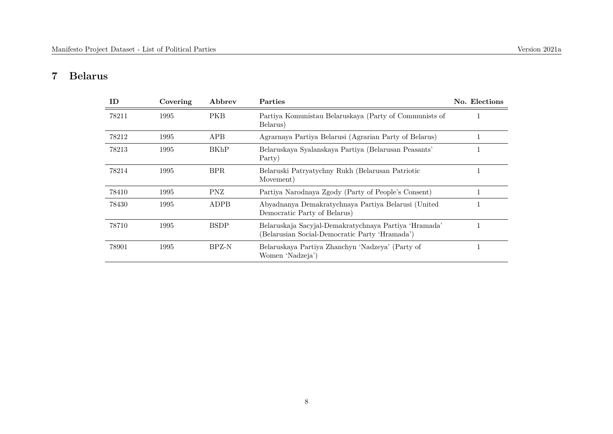#### **7 Belarus**

| ID    | Covering | Abbrev      | Parties                                                                                                 | No. Elections |
|-------|----------|-------------|---------------------------------------------------------------------------------------------------------|---------------|
| 78211 | 1995     | <b>PKB</b>  | Partiya Komunistau Belaruskaya (Party of Communists of<br>Belarus)                                      |               |
| 78212 | 1995     | APB         | Agramaya Partiya Belarusi (Agraman Party of Belarus)                                                    |               |
| 78213 | 1995     | <b>BKhP</b> | Belaruskaya Syalanskaya Partiya (Belarusan Peasants'<br>Party)                                          |               |
| 78214 | 1995     | BPR.        | Belaruski Patryatychny Rukh (Belarusan Patriotic<br>Movement)                                           | T             |
| 78410 | 1995     | PNZ         | Partiya Narodnaya Zgody (Party of People's Consent)                                                     |               |
| 78430 | 1995     | ADPB        | Abyadnanya Demakratychnaya Partiya Belarusi (United<br>Democratic Party of Belarus)                     |               |
| 78710 | 1995     | <b>BSDP</b> | Belaruskaja Sacyjal-Demakratychnaya Partiya 'Hramada'<br>(Belarusian Social-Democratic Party 'Hramada') |               |
| 78901 | 1995     | BPZ-N       | Belaruskaya Partiya Zhanchyn 'Nadzeya' (Party of<br>Women 'Nadzeja')                                    |               |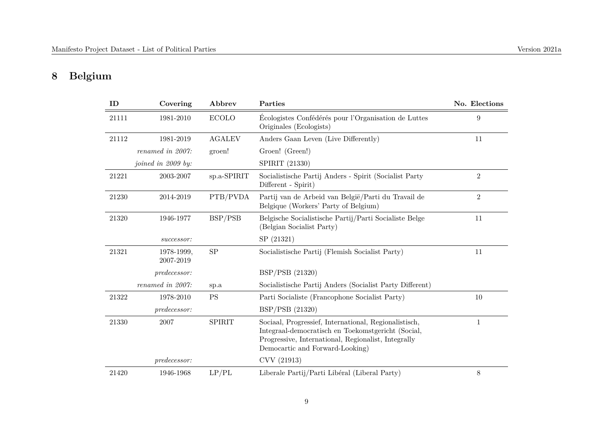## **8 Belgium**

| ID    | Covering                | Abbrev        | Parties                                                                                                                                                                                               | No. Elections  |
|-------|-------------------------|---------------|-------------------------------------------------------------------------------------------------------------------------------------------------------------------------------------------------------|----------------|
| 21111 | 1981-2010               | <b>ECOLO</b>  | Écologistes Confédérés pour l'Organisation de Luttes<br>Originales (Ecologists)                                                                                                                       | 9              |
| 21112 | 1981-2019               | <b>AGALEV</b> | Anders Gaan Leven (Live Differently)                                                                                                                                                                  | 11             |
|       | renamed in 2007:        | groen!        | Groen! (Green!)                                                                                                                                                                                       |                |
|       | joined in 2009 by:      |               | SPIRIT (21330)                                                                                                                                                                                        |                |
| 21221 | 2003-2007               | sp.a-SPIRIT   | Socialistische Partij Anders - Spirit (Socialist Party<br>Different - Spirit)                                                                                                                         | $\overline{2}$ |
| 21230 | 2014-2019               | PTB/PVDA      | Partij van de Arbeid van België/Parti du Travail de<br>Belgique (Workers' Party of Belgium)                                                                                                           | $\overline{2}$ |
| 21320 | 1946-1977               | BSP/PSB       | Belgische Socialistische Partij/Parti Socialiste Belge<br>(Belgian Socialist Party)                                                                                                                   | 11             |
|       | successor:              |               | SP (21321)                                                                                                                                                                                            |                |
| 21321 | 1978-1999,<br>2007-2019 | <b>SP</b>     | Socialistische Partij (Flemish Socialist Party)                                                                                                                                                       | 11             |
|       | <i>predecessor:</i>     |               | BSP/PSB (21320)                                                                                                                                                                                       |                |
|       | renamed in 2007:        | sp.a          | Socialistische Partij Anders (Socialist Party Different)                                                                                                                                              |                |
| 21322 | 1978-2010               | <b>PS</b>     | Parti Socialiste (Francophone Socialist Party)                                                                                                                                                        | 10             |
|       | <i>predecessor:</i>     |               | BSP/PSB (21320)                                                                                                                                                                                       |                |
| 21330 | 2007                    | <b>SPIRIT</b> | Sociaal, Progressief, International, Regionalistisch,<br>Integraal-democratisch en Toekomstgericht (Social,<br>Progressive, International, Regionalist, Integrally<br>Democartic and Forward-Looking) | 1              |
|       | predecessor:            |               | CVV (21913)                                                                                                                                                                                           |                |
| 21420 | 1946-1968               | LP/PL         | Liberale Partij/Parti Libéral (Liberal Party)                                                                                                                                                         | $8\,$          |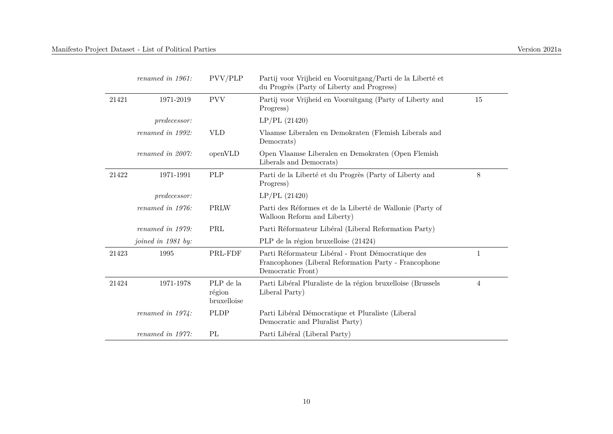|       | renamed in 1961:    | PVV/PLP                            | Partij voor Vrijheid en Vooruitgang/Parti de la Liberté et<br>du Progrès (Party of Liberty and Progress)                         |                |
|-------|---------------------|------------------------------------|----------------------------------------------------------------------------------------------------------------------------------|----------------|
| 21421 | 1971-2019           | <b>PVV</b>                         | Partij voor Vrijheid en Vooruitgang (Party of Liberty and<br>Progress)                                                           | 15             |
|       | <i>predecessor:</i> |                                    | LP/PL(21420)                                                                                                                     |                |
|       | renamed in 1992:    | <b>VLD</b>                         | Vlaamse Liberalen en Demokraten (Flemish Liberals and<br>Democrats)                                                              |                |
|       | renamed in 2007:    | openVLD                            | Open Vlaamse Liberalen en Demokraten (Open Flemish<br>Liberals and Democrats)                                                    |                |
| 21422 | 1971-1991           | PLP                                | Parti de la Liberté et du Progrès (Party of Liberty and<br>Progress)                                                             | 8              |
|       | <i>predecessor:</i> |                                    | LP/PL(21420)                                                                                                                     |                |
|       | renamed in 1976:    | PRLW                               | Parti des Réformes et de la Liberté de Wallonie (Party of<br>Walloon Reform and Liberty)                                         |                |
|       | renamed in 1979:    | PRL                                | Parti Réformateur Libéral (Liberal Reformation Party)                                                                            |                |
|       | joined in 1981 by:  |                                    | PLP de la région bruxelloise (21424)                                                                                             |                |
| 21423 | 1995                | PRL-FDF                            | Parti Réformateur Libéral - Front Démocratique des<br>Francophones (Liberal Reformation Party - Francophone<br>Democratic Front) | 1              |
| 21424 | 1971-1978           | PLP de la<br>région<br>bruxelloise | Parti Libéral Pluraliste de la région bruxelloise (Brussels<br>Liberal Party)                                                    | $\overline{4}$ |
|       | renamed in $1974$ : | <b>PLDP</b>                        | Parti Libéral Démocratique et Pluraliste (Liberal<br>Democratic and Pluralist Party)                                             |                |
|       | renamed in 1977:    | PL                                 | Parti Libéral (Liberal Party)                                                                                                    |                |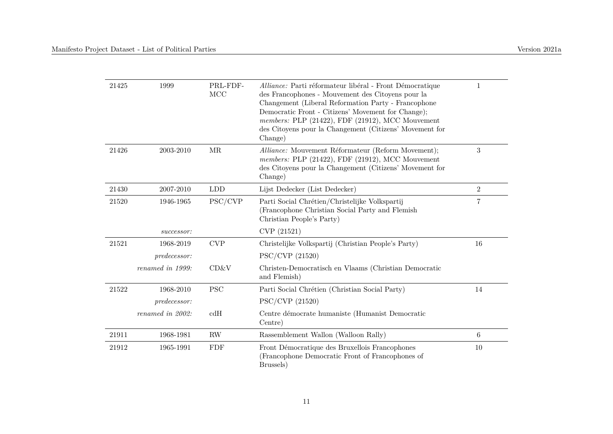| 21425 | 1999             | PRL-FDF-<br>MCC | Alliance: Parti réformateur libéral - Front Démocratique<br>des Francophones - Mouvement des Citoyens pour la<br>Changement (Liberal Reformation Party - Francophone<br>Democratic Front - Citizens' Movement for Change);<br>members: PLP (21422), FDF (21912), MCC Mouvement<br>des Citoyens pour la Changement (Citizens' Movement for | 1              |
|-------|------------------|-----------------|-------------------------------------------------------------------------------------------------------------------------------------------------------------------------------------------------------------------------------------------------------------------------------------------------------------------------------------------|----------------|
| 21426 | 2003-2010        | MR              | Change)<br>Alliance: Mouvement Réformateur (Reform Movement);<br>members: PLP (21422), FDF (21912), MCC Mouvement<br>des Citoyens pour la Changement (Citizens' Movement for<br>Change)                                                                                                                                                   | 3              |
| 21430 | 2007-2010        | <b>LDD</b>      | Lijst Dedecker (List Dedecker)                                                                                                                                                                                                                                                                                                            | $\overline{2}$ |
| 21520 | 1946-1965        | PSC/CVP         | Parti Social Chrétien/Christelijke Volkspartij<br>Francophone Christian Social Party and Flemish<br>Christian People's Party)                                                                                                                                                                                                             | $\overline{7}$ |
|       | successor:       |                 | CVP (21521)                                                                                                                                                                                                                                                                                                                               |                |
| 21521 | 1968-2019        | <b>CVP</b>      | Christelijke Volkspartij (Christian People's Party)                                                                                                                                                                                                                                                                                       | 16             |
|       | predecessor:     |                 | $PSC/CVP$ (21520)                                                                                                                                                                                                                                                                                                                         |                |
|       | renamed in 1999: | CD&V            | Christen-Democratisch en Vlaams (Christian Democratic<br>and Flemish)                                                                                                                                                                                                                                                                     |                |
| 21522 | 1968-2010        | <b>PSC</b>      | Parti Social Chrétien (Christian Social Party)                                                                                                                                                                                                                                                                                            | 14             |
|       | predecessor:     |                 | PSC/CVP (21520)                                                                                                                                                                                                                                                                                                                           |                |
|       | renamed in 2002: | cdH             | Centre démocrate humaniste (Humanist Democratic<br>Centre)                                                                                                                                                                                                                                                                                |                |
| 21911 | 1968-1981        | <b>RW</b>       | Rassemblement Wallon (Walloon Rally)                                                                                                                                                                                                                                                                                                      | $\,6\,$        |
| 21912 | 1965-1991        | <b>FDF</b>      | Front Démocratique des Bruxellois Francophones<br>(Francophone Democratic Front of Francophones of<br>Brussels)                                                                                                                                                                                                                           | $10\,$         |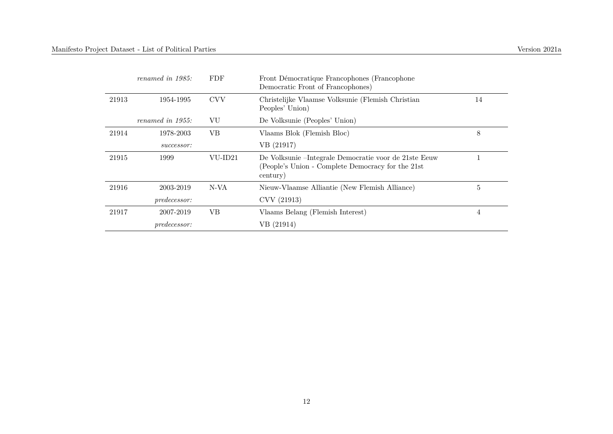|       | renamed in $1985$ : | FDF        | Front Démocratique Francophones (Francophone<br>Democratic Front of Francophones)                                       |    |
|-------|---------------------|------------|-------------------------------------------------------------------------------------------------------------------------|----|
| 21913 | 1954-1995           | <b>CVV</b> | Christelijke Vlaamse Volksunie (Flemish Christian<br>Peoples' Union)                                                    | 14 |
|       | renamed in 1955:    | VU         | De Volksunie (Peoples' Union)                                                                                           |    |
| 21914 | 1978-2003           | VВ         | Vlaams Blok (Flemish Bloc)                                                                                              | 8  |
|       | successor:          |            | VB (21917)                                                                                                              |    |
| 21915 | 1999                | VU-ID21    | De Volksunie – Integrale Democratie voor de 21ste Eeuw<br>(People's Union - Complete Democracy for the 21st<br>century) |    |
| 21916 | 2003-2019           | N-VA       | Nieuw-Vlaamse Alliantie (New Flemish Alliance)                                                                          | 5  |
|       | <i>predecessor:</i> |            | CVV (21913)                                                                                                             |    |
| 21917 | 2007-2019           | VВ         | Vlaams Belang (Flemish Interest)                                                                                        | 4  |
|       | <i>predecessor:</i> |            | VB (21914)                                                                                                              |    |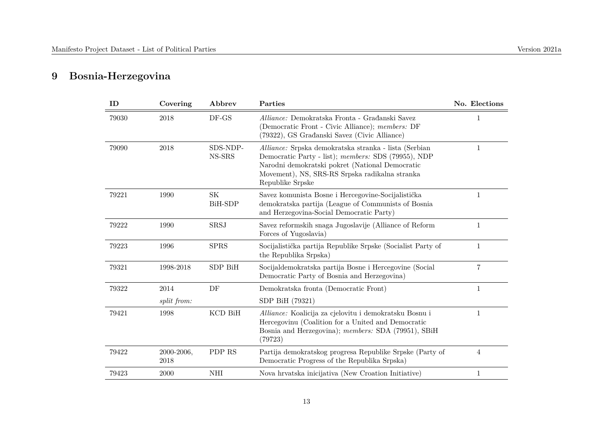## **9 Bosnia-Herzegovina**

| ID    | Covering           | Abbrev                     | Parties                                                                                                                                                                                                                               | No. Elections  |
|-------|--------------------|----------------------------|---------------------------------------------------------------------------------------------------------------------------------------------------------------------------------------------------------------------------------------|----------------|
| 79030 | 2018               | $DF$ -GS                   | Alliance: Demokratska Fronta - Građanski Savez<br>(Democratic Front - Civic Alliance); members: DF<br>(79322), GS Građanski Savez (Civic Alliance)                                                                                    | 1              |
| 79090 | 2018               | SDS-NDP-<br>NS-SRS         | Alliance: Srpska demokratska stranka - lista (Serbian<br>Democratic Party - list); members: SDS (79955), NDP<br>Narodni demokratski pokret (National Democratic<br>Movement), NS, SRS-RS Srpska radikalna stranka<br>Republike Srpske | 1              |
| 79221 | 1990               | $\rm SK$<br><b>BiH-SDP</b> | Savez komunista Bosne i Hercegovine-Socijalistička<br>demokratska partija (League of Communists of Bosnia<br>and Herzegovina-Social Democratic Party)                                                                                 | $\mathbf{1}$   |
| 79222 | 1990               | SRSJ                       | Savez reformskih snaga Jugoslavije (Alliance of Reform<br>Forces of Yugoslavia)                                                                                                                                                       | $\mathbf{1}$   |
| 79223 | 1996               | <b>SPRS</b>                | Socijalistička partija Republike Srpske (Socialist Party of<br>the Republika Srpska)                                                                                                                                                  | $\mathbf 1$    |
| 79321 | 1998-2018          | SDP BiH                    | Socijaldemokratska partija Bosne i Hercegovine (Social<br>Democratic Party of Bosnia and Herzegovina)                                                                                                                                 | $\overline{7}$ |
| 79322 | 2014               | DF                         | Demokratska fronta (Democratic Front)                                                                                                                                                                                                 | $\mathbf 1$    |
|       | <i>split from:</i> |                            | SDP BiH (79321)                                                                                                                                                                                                                       |                |
| 79421 | 1998               | KCD BiH                    | Alliance: Koalicija za cjelovitu i demokratsku Bosnu i<br>Hercegovinu (Coalition for a United and Democratic<br>Bosnia and Herzegovina); members: SDA (79951), SBiH<br>(79723)                                                        | $\mathbf 1$    |
| 79422 | 2000-2006,<br>2018 | PDP RS                     | Partija demokratskog progresa Republike Srpske (Party of<br>Democratic Progress of the Republika Srpska)                                                                                                                              | $\overline{4}$ |
| 79423 | 2000               | NHI                        | Nova hrvatska inicijativa (New Croation Initiative)                                                                                                                                                                                   | 1              |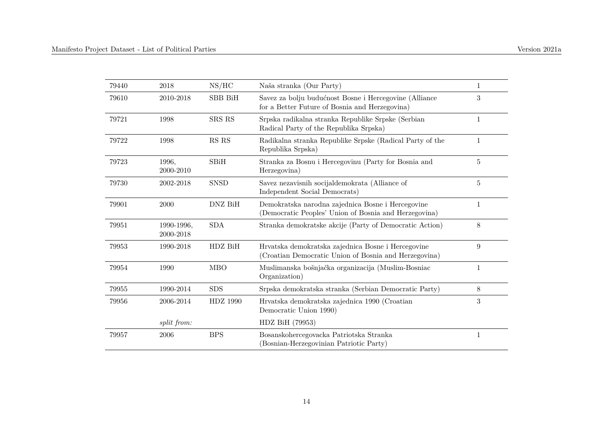| 79440 | 2018                    | NS/HC          | Naša stranka (Our Party)                                                                                    | 1            |
|-------|-------------------------|----------------|-------------------------------------------------------------------------------------------------------------|--------------|
| 79610 | 2010-2018               | <b>SBB BiH</b> | Savez za bolju budućnost Bosne i Hercegovine (Alliance<br>for a Better Future of Bosnia and Herzegovina)    | 3            |
| 79721 | 1998                    | SRS RS         | Srpska radikalna stranka Republike Srpske (Serbian<br>Radical Party of the Republika Srpska)                | $\mathbf{1}$ |
| 79722 | 1998                    | RS RS          | Radikalna stranka Republike Srpske (Radical Party of the<br>Republika Srpska)                               | 1            |
| 79723 | 1996,<br>2000-2010      | SBiH           | Stranka za Bosnu i Hercegovinu (Party for Bosnia and<br>Herzegovina)                                        | 5            |
| 79730 | 2002-2018               | <b>SNSD</b>    | Savez nezavisnih socijaldemokrata (Alliance of<br>Independent Social Democrats)                             | 5            |
| 79901 | 2000                    | DNZ BiH        | Demokratska narodna zajednica Bosne i Hercegovine<br>(Democratic Peoples' Union of Bosnia and Herzegovina)  | $\mathbf{1}$ |
| 79951 | 1990-1996,<br>2000-2018 | <b>SDA</b>     | Stranka demokratske akcije (Party of Democratic Action)                                                     | 8            |
| 79953 | 1990-2018               | HDZ BiH        | Hrvatska demokratska zajednica Bosne i Hercegovine<br>(Croatian Democratic Union of Bosnia and Herzegovina) | 9            |
| 79954 | 1990                    | <b>MBO</b>     | Muslimanska bošnjačka organizacija (Muslim-Bosniac<br>Organization)                                         | 1            |
| 79955 | 1990-2014               | <b>SDS</b>     | Srpska demokratska stranka (Serbian Democratic Party)                                                       | $8\,$        |
| 79956 | 2006-2014               | HDZ 1990       | Hrvatska demokratska zajednica 1990 (Croatian<br>Democratic Union 1990)                                     | 3            |
|       | split from:             |                | HDZ BiH (79953)                                                                                             |              |
| 79957 | 2006                    | <b>BPS</b>     | Bosanskohercegovacka Patriotska Stranka<br>(Bosnian-Herzegovinian Patriotic Party)                          | 1            |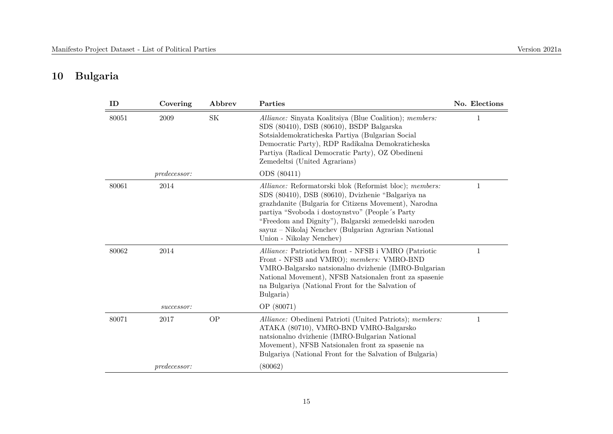#### **10 Bulgaria**

| ID    | Covering            | Abbrev    | Parties                                                                                                                                                                                                                                                                                                                                                              | No. Elections |
|-------|---------------------|-----------|----------------------------------------------------------------------------------------------------------------------------------------------------------------------------------------------------------------------------------------------------------------------------------------------------------------------------------------------------------------------|---------------|
| 80051 | 2009                | <b>SK</b> | Alliance: Sinyata Koalitsiya (Blue Coalition); members:<br>SDS (80410), DSB (80610), BSDP Balgarska<br>Sotsialdemokraticheska Partiya (Bulgarian Social<br>Democratic Party), RDP Radikalna Demokraticheska<br>Partiya (Radical Democratic Party), OZ Obedineni<br>Zemedeltsi (United Agrarians)                                                                     | 1             |
|       | predecessor:        |           | ODS (80411)                                                                                                                                                                                                                                                                                                                                                          |               |
| 80061 | 2014                |           | Alliance: Reformatorski blok (Reformist bloc); members:<br>SDS (80410), DSB (80610), Dvizhenie "Balgariya na<br>grazhdanite (Bulgaria for Citizens Movement), Narodna<br>partiya "Svoboda i dostoynstvo" (People's Party<br>"Freedom and Dignity"), Balgarski zemedelski naroden<br>sayuz – Nikolaj Nenchev (Bulgarian Agrarian National<br>Union - Nikolay Nenchev) | 1             |
| 80062 | 2014                |           | Alliance: Patriotichen front - NFSB i VMRO (Patriotic<br>Front - NFSB and VMRO); members: VMRO-BND<br>VMRO-Balgarsko natsionalno dvizhenie (IMRO-Bulgarian<br>National Movement), NFSB Natsionalen front za spasenie<br>na Bulgariya (National Front for the Salvation of<br>Bulgaria)                                                                               | 1             |
|       | successor:          |           | OP (80071)                                                                                                                                                                                                                                                                                                                                                           |               |
| 80071 | 2017                | <b>OP</b> | Alliance: Obedineni Patrioti (United Patriots); members:<br>ATAKA (80710), VMRO-BND VMRO-Balgarsko<br>natsionalno dvizhenie (IMRO-Bulgarian National<br>Movement), NFSB Natsionalen front za spasenie na<br>Bulgariya (National Front for the Salvation of Bulgaria)                                                                                                 | 1             |
|       | <i>predecessor:</i> |           | (80062)                                                                                                                                                                                                                                                                                                                                                              |               |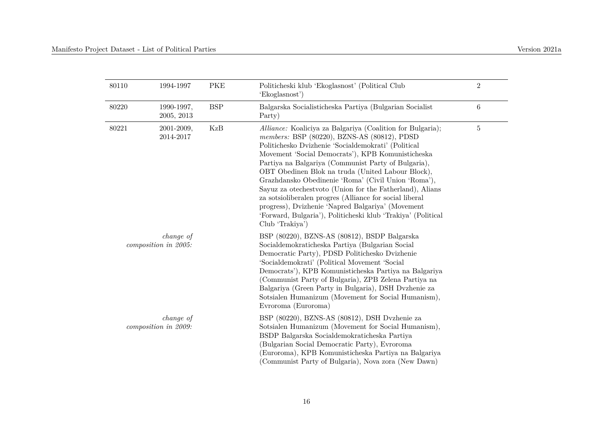| 80110 | 1994-1997                         | <b>PKE</b>    | Politicheski klub 'Ekoglasnost' (Political Club<br>'Ekoglasnost')                                                                                                                                                                                                                                                                                                                                                                                                                                                                                                                                                                                       | $\overline{2}$ |
|-------|-----------------------------------|---------------|---------------------------------------------------------------------------------------------------------------------------------------------------------------------------------------------------------------------------------------------------------------------------------------------------------------------------------------------------------------------------------------------------------------------------------------------------------------------------------------------------------------------------------------------------------------------------------------------------------------------------------------------------------|----------------|
| 80220 | 1990-1997,<br>2005, 2013          | $_{\rm{BSP}}$ | Balgarska Socialisticheska Partiya (Bulgarian Socialist<br>Party)                                                                                                                                                                                                                                                                                                                                                                                                                                                                                                                                                                                       | $\,6\,$        |
| 80221 | 2001-2009,<br>2014-2017           | KzB           | Alliance: Koaliciya za Balgariya (Coalition for Bulgaria);<br>members: BSP (80220), BZNS-AS (80812), PDSD<br>Politichesko Dvizhenie 'Socialdemokrati' (Political<br>Movement 'Social Democrats'), KPB Komunisticheska<br>Partiya na Balgariya (Communist Party of Bulgaria),<br>OBT Obedinen Blok na truda (United Labour Block),<br>Grazhdansko Obedinenie 'Roma' (Civil Union 'Roma'),<br>Sayuz za otechestvoto (Union for the Fatherland), Alians<br>za sotsioliberalen progres (Alliance for social liberal<br>progress), Dvizhenie 'Napred Balgariya' (Movement<br>'Forward, Bulgaria'), Politicheski klub 'Trakiya' (Political<br>Club 'Trakiya') | $\overline{5}$ |
|       | change of<br>composition in 2005: |               | BSP (80220), BZNS-AS (80812), BSDP Balgarska<br>Socialdemokraticheska Partiya (Bulgarian Social<br>Democratic Party), PDSD Politichesko Dvizhenie<br>'Socialdemokrati' (Political Movement 'Social<br>Democrats'), KPB Komunisticheska Partiya na Balgariya<br>(Communist Party of Bulgaria), ZPB Zelena Partiya na<br>Balgariya (Green Party in Bulgaria), DSH Dvzhenie za<br>Sotsialen Humanizum (Movement for Social Humanism),<br>Evroroma (Euroroma)                                                                                                                                                                                               |                |
|       | change of<br>composition in 2009: |               | BSP (80220), BZNS-AS (80812), DSH Dyzhenie za<br>Sotsialen Humanizum (Movement for Social Humanism),<br>BSDP Balgarska Socialdemokraticheska Partiya<br>(Bulgarian Social Democratic Party), Evroroma<br>Euroroma), KPB Komunisticheska Partiya na Balgariya<br>(Communist Party of Bulgaria), Nova zora (New Dawn)                                                                                                                                                                                                                                                                                                                                     |                |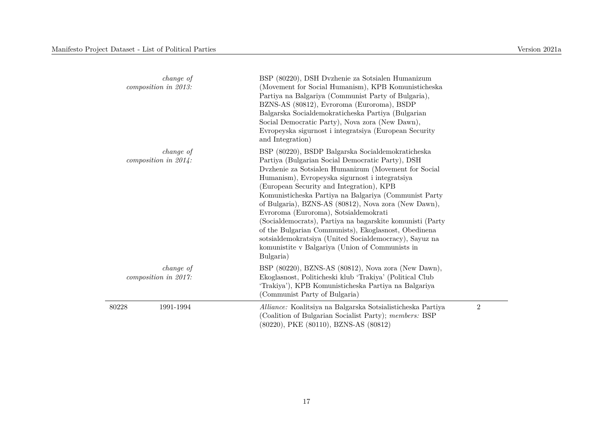| change of<br>composition in 2013:    | BSP (80220), DSH Dyzhenie za Sotsialen Humanizum<br>(Movement for Social Humanism), KPB Komunisticheska<br>Partiya na Balgariya (Communist Party of Bulgaria),<br>BZNS-AS (80812), Evroroma (Euroroma), BSDP<br>Balgarska Socialdemokraticheska Partiya (Bulgarian<br>Social Democratic Party), Nova zora (New Dawn),<br>Evropeyska sigurnost i integratsiya (European Security<br>and Integration)                                                                                                                                                                                                                                                                  |                |
|--------------------------------------|----------------------------------------------------------------------------------------------------------------------------------------------------------------------------------------------------------------------------------------------------------------------------------------------------------------------------------------------------------------------------------------------------------------------------------------------------------------------------------------------------------------------------------------------------------------------------------------------------------------------------------------------------------------------|----------------|
| change of<br>composition in $2014$ : | BSP (80220), BSDP Balgarska Socialdemokraticheska<br>Partiya (Bulgarian Social Democratic Party), DSH<br>Dvzhenie za Sotsialen Humanizum (Movement for Social<br>Humanism), Evropeyska sigurnost i integratsiya<br>(European Security and Integration), KPB<br>Komunisticheska Partiya na Balgariya (Communist Party<br>of Bulgaria), BZNS-AS (80812), Nova zora (New Dawn),<br>Evroroma (Euroroma), Sotsialdemokrati<br>(Socialdemocrats), Partiya na bagarskite komunisti (Party<br>of the Bulgarian Communists), Ekoglasnost, Obedinena<br>sotsialdemokratsiya (United Socialdemocracy), Sayuz na<br>komunistite v Balgariya (Union of Communists in<br>Bulgaria) |                |
| change of<br>composition in 2017:    | BSP (80220), BZNS-AS (80812), Nova zora (New Dawn),<br>Ekoglasnost, Politicheski klub 'Trakiya' (Political Club<br>'Trakiya'), KPB Komunisticheska Partiya na Balgariya<br>(Communist Party of Bulgaria)                                                                                                                                                                                                                                                                                                                                                                                                                                                             |                |
| 80228<br>1991-1994                   | Alliance: Koalitsiya na Balgarska Sotsialisticheska Partiya<br>(Coalition of Bulgarian Socialist Party); members: BSP<br>(80220), PKE (80110), BZNS-AS (80812)                                                                                                                                                                                                                                                                                                                                                                                                                                                                                                       | $\overline{2}$ |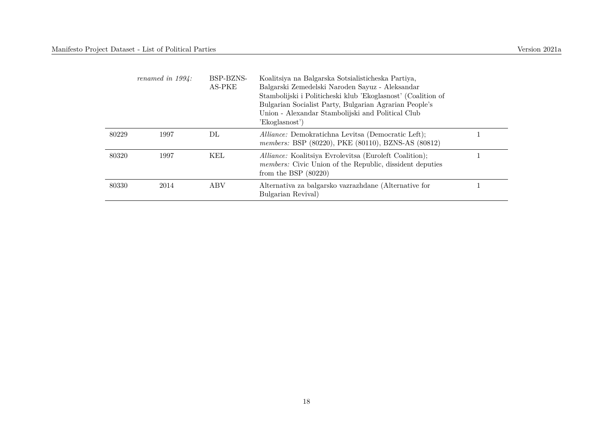|       | renamed in $1994$ : | BSP-BZNS-<br>AS-PKE | Koalitsiya na Balgarska Sotsialisticheska Partiya,<br>Balgarski Zemedelski Naroden Sayuz - Aleksandar<br>Stambolijski i Politicheski klub 'Ekoglasnost' (Coalition of<br>Bulgarian Socialist Party, Bulgarian Agrarian People's<br>Union - Alexandar Stambolijski and Political Club<br>'Ekoglasnost') |  |
|-------|---------------------|---------------------|--------------------------------------------------------------------------------------------------------------------------------------------------------------------------------------------------------------------------------------------------------------------------------------------------------|--|
| 80229 | 1997                | $\rm DL$            | <i>Alliance:</i> Demokratichna Levitsa (Democratic Left);<br>members: BSP (80220), PKE (80110), BZNS-AS (80812)                                                                                                                                                                                        |  |
| 80320 | 1997                | KEL                 | Alliance: Koalitsiya Evrolevitsa (Euroleft Coalition);<br><i>members:</i> Civic Union of the Republic, dissident deputies<br>from the BSP $(80220)$                                                                                                                                                    |  |
| 80330 | 2014                | ABV                 | Alternativa za balgarsko vazrazhdane (Alternative for<br>Bulgarian Revival)                                                                                                                                                                                                                            |  |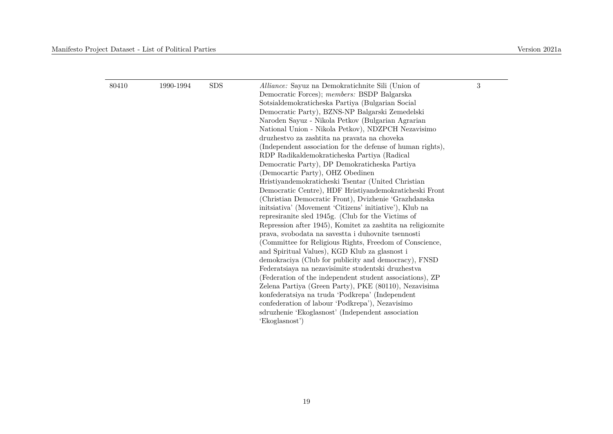#### Manifesto Project Dataset - List of Political Parties Version 2021a

| 80410 | 1990-1994 | <b>SDS</b> | Alliance: Sayuz na Demokratichnite Sili (Union of           | 3 |
|-------|-----------|------------|-------------------------------------------------------------|---|
|       |           |            | Democratic Forces); members: BSDP Balgarska                 |   |
|       |           |            | Sotsialdemokraticheska Partiya (Bulgarian Social            |   |
|       |           |            | Democratic Party), BZNS-NP Balgarski Zemedelski             |   |
|       |           |            | Naroden Sayuz - Nikola Petkov (Bulgarian Agrarian           |   |
|       |           |            | National Union - Nikola Petkov), NDZPCH Nezavisimo          |   |
|       |           |            | druzhestvo za zashtita na pravata na choveka                |   |
|       |           |            | (Independent association for the defense of human rights),  |   |
|       |           |            | RDP Radikaldemokraticheska Partiya (Radical                 |   |
|       |           |            | Democratic Party), DP Demokraticheska Partiya               |   |
|       |           |            | (Democartic Party), OHZ Obedinen                            |   |
|       |           |            | Hristiyandemokraticheski Tsentar (United Christian          |   |
|       |           |            | Democratic Centre), HDF Hristiyandemokraticheski Front      |   |
|       |           |            | (Christian Democratic Front), Dvizhenie 'Grazhdanska        |   |
|       |           |            | initiativa' (Movement 'Citizens' initiative'), Klub na      |   |
|       |           |            | represiranite sled 1945g. (Club for the Victims of          |   |
|       |           |            | Repression after 1945), Komitet za zashtita na religioznite |   |
|       |           |            | prava, svobodata na savestia i duhovnite isennosti          |   |
|       |           |            | (Committee for Religious Rights, Freedom of Conscience,     |   |
|       |           |            | and Spiritual Values), KGD Klub za glasnost i               |   |
|       |           |            | demokraciya (Club for publicity and democracy), FNSD        |   |
|       |           |            | Federatsiaya na nezavisimite studentski druzhestva          |   |
|       |           |            | (Federation of the independent student associations), ZP    |   |
|       |           |            | Zelena Partiya (Green Party), PKE (80110), Nezavisima       |   |
|       |           |            | konfederatsiya na truda 'Podkrepa' (Independent             |   |
|       |           |            | confederation of labour 'Podkrepa'), Nezavisimo             |   |
|       |           |            | sdruzhenie 'Ekoglasnost' (Independent association           |   |
|       |           |            | 'Ekoglasnost')                                              |   |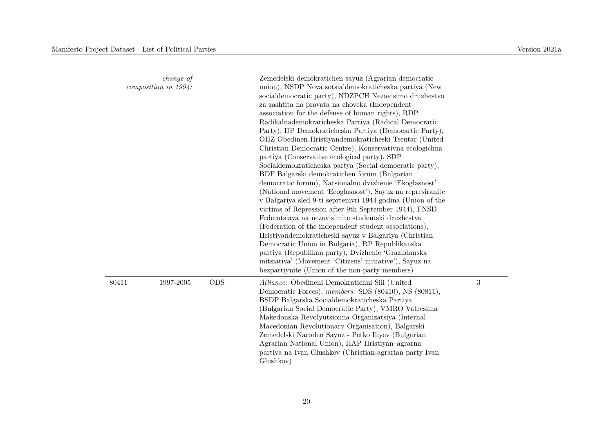|       | <i>change of</i><br>composition in $1994$ : |            | Zemedelski demokratichen sayuz (Agrarian democratic<br>union), NSDP Nova sotsialdemokraticheska partiya (New<br>socialdemocratic party), NDZPCH Nezavisimo druzhestvo<br>za zashtita na pravata na choveka (Independent<br>association for the defense of human rights), RDP<br>Radikalnademokraticheska Partiya (Radical Democratic<br>Party), DP Demokraticheska Partiya (Democartic Party),<br>OHZ Obedinen Hristiyandemokraticheski Tsentar (United<br>Christian Democratic Centre), Konservativna ecologichna<br>partiya (Conservative ecological party), SDP<br>Socialdemokraticheska partya (Social democratic party),<br>BDF Balgarski demokratichen forum (Bulgarian<br>democratic forum), Natsionalno dvizhenie 'Ekoglasnost'<br>(National movement 'Ecoglasnost'), Sayuz na represiranite<br>v Balgariya sled 9-ti seprtemvri 1944 godina (Union of the<br>victims of Repression after 9th September 1944), FNSD<br>Federatsiaya na nezavisimite studentski druzhestva<br>(Federation of the independent student associations),<br>Hristiyandemokraticheski sayuz v Balgariya (Christian<br>Democratic Union in Bulgaria), RP Republikanska<br>partiya (Republikan party), Dvizhenie 'Grazhdanska<br>initiativa' (Movement 'Citizens' initiative'), Sayuz na<br>bezpartiynite (Union of the non-party members) |   |
|-------|---------------------------------------------|------------|---------------------------------------------------------------------------------------------------------------------------------------------------------------------------------------------------------------------------------------------------------------------------------------------------------------------------------------------------------------------------------------------------------------------------------------------------------------------------------------------------------------------------------------------------------------------------------------------------------------------------------------------------------------------------------------------------------------------------------------------------------------------------------------------------------------------------------------------------------------------------------------------------------------------------------------------------------------------------------------------------------------------------------------------------------------------------------------------------------------------------------------------------------------------------------------------------------------------------------------------------------------------------------------------------------------------------|---|
| 80411 | 1997-2005                                   | <b>ODS</b> | Alliance: Obedineni Demokratichni Sili (United<br>Democratic Forces); members: SDS (80410), NS (80811),<br>BSDP Balgarska Socialdemokraticheska Partiya<br>(Bulgarian Social Democratic Party), VMRO Vatreshna<br>Makedonska Revolyutsionna Organizatsiya (Internal<br>Macedonian Revolutionary Organisation), Balgarski<br>Zemedelski Naroden Sayuz - Petko Iliyev (Bulgarian<br>Agrarian National Union), HAP Hristiyan-agrarna<br>partiya na Ivan Glushkov (Christian-agrarian party Ivan<br>Glushkov)                                                                                                                                                                                                                                                                                                                                                                                                                                                                                                                                                                                                                                                                                                                                                                                                                 | 3 |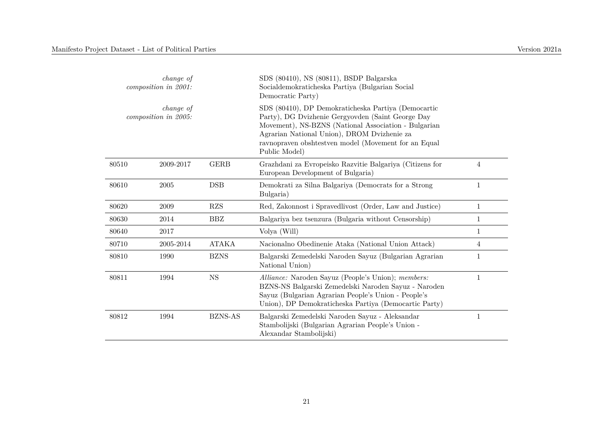| change of<br>composition in 2001: |                                          |              | SDS (80410), NS (80811), BSDP Balgarska<br>Socialdemokraticheska Partiya (Bulgarian Social<br>Democratic Party)                                                                                                                                                                          |              |
|-----------------------------------|------------------------------------------|--------------|------------------------------------------------------------------------------------------------------------------------------------------------------------------------------------------------------------------------------------------------------------------------------------------|--------------|
|                                   | <i>change of</i><br>composition in 2005: |              | SDS (80410), DP Demokraticheska Partiya (Democartic<br>Party), DG Dvizhenie Gergyovden (Saint George Day<br>Movement), NS-BZNS (National Association - Bulgarian<br>Agrarian National Union), DROM Dvizhenie za<br>ravnopraven obshtestven model (Movement for an Equal<br>Public Model) |              |
| 80510                             | 2009-2017                                | <b>GERB</b>  | Grazhdani za Evropeisko Razvitie Balgariya (Citizens for<br>European Development of Bulgaria)                                                                                                                                                                                            | 4            |
| 80610                             | 2005                                     | <b>DSB</b>   | Demokrati za Silna Balgariya (Democrats for a Strong<br>Bulgaria)                                                                                                                                                                                                                        | 1            |
| 80620                             | 2009                                     | RZS          | Red, Zakonnost i Spravedlivost (Order, Law and Justice)                                                                                                                                                                                                                                  | $\mathbf 1$  |
| 80630                             | 2014                                     | <b>BBZ</b>   | Balgariya bez tsenzura (Bulgaria without Censorship)                                                                                                                                                                                                                                     | $\mathbf{1}$ |
| 80640                             | 2017                                     |              | Volya (Will)                                                                                                                                                                                                                                                                             | 1            |
| 80710                             | 2005-2014                                | <b>ATAKA</b> | Nacionalno Obedinenie Ataka (National Union Attack)                                                                                                                                                                                                                                      | 4            |
| 80810                             | 1990                                     | <b>BZNS</b>  | Balgarski Zemedelski Naroden Sayuz (Bulgarian Agrarian<br>National Union)                                                                                                                                                                                                                | 1            |
| 80811                             | 1994                                     | $_{\rm NS}$  | Alliance: Naroden Sayuz (People's Union); members:<br>BZNS-NS Balgarski Zemedelski Naroden Sayuz - Naroden<br>Sayuz (Bulgarian Agrarian People's Union - People's<br>Union), DP Demokraticheska Partiya (Democartic Party)                                                               | 1            |
| 80812                             | 1994                                     | BZNS-AS      | Balgarski Zemedelski Naroden Sayuz - Aleksandar<br>Stambolijski (Bulgarian Agrarian People's Union -<br>Alexandar Stambolijski)                                                                                                                                                          | 1            |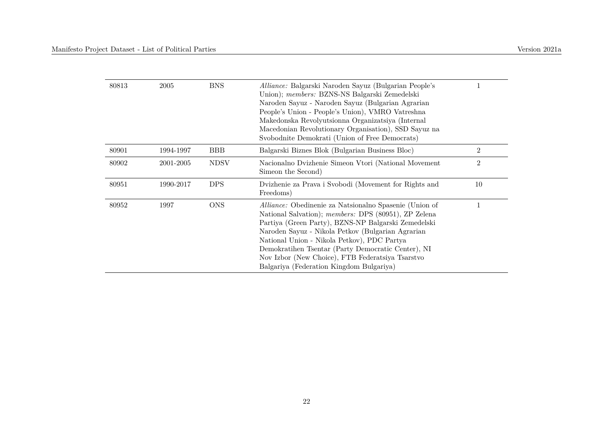| 80813 | 2005      | <b>BNS</b>  | Alliance: Balgarski Naroden Sayuz (Bulgarian People's<br>Union); <i>members:</i> BZNS-NS Balgarski Zemedelski<br>Naroden Sayuz - Naroden Sayuz (Bulgarian Agrarian<br>People's Union - People's Union), VMRO Vatreshna<br>Makedonska Revolyutsionna Organizatsiya (Internal<br>Macedonian Revolutionary Organisation), SSD Sayuz na<br>Svobodnite Demokrati (Union of Free Democrats)                                                  |                |
|-------|-----------|-------------|----------------------------------------------------------------------------------------------------------------------------------------------------------------------------------------------------------------------------------------------------------------------------------------------------------------------------------------------------------------------------------------------------------------------------------------|----------------|
| 80901 | 1994-1997 | <b>BBB</b>  | Balgarski Biznes Blok (Bulgarian Business Bloc)                                                                                                                                                                                                                                                                                                                                                                                        | $\overline{2}$ |
| 80902 | 2001-2005 | <b>NDSV</b> | Nacionalno Dvizhenie Simeon Vtori (National Movement<br>Simeon the Second)                                                                                                                                                                                                                                                                                                                                                             | $\overline{2}$ |
| 80951 | 1990-2017 | <b>DPS</b>  | Dvizhenie za Prava i Svobodi (Movement for Rights and<br>Freedoms)                                                                                                                                                                                                                                                                                                                                                                     | 10             |
| 80952 | 1997      | <b>ONS</b>  | <i>Alliance:</i> Obedinenie za Natsionalno Spasenie (Union of<br>National Salvation); members: DPS (80951), ZP Zelena<br>Partiya (Green Party), BZNS-NP Balgarski Zemedelski<br>Naroden Sayuz - Nikola Petkov (Bulgarian Agrarian<br>National Union - Nikola Petkov), PDC Partya<br>Demokratihen Tsentar (Party Democratic Center), NI<br>Nov Izbor (New Choice), FTB Federatsiya Tsarstvo<br>Balgariya (Federation Kingdom Bulgariya) |                |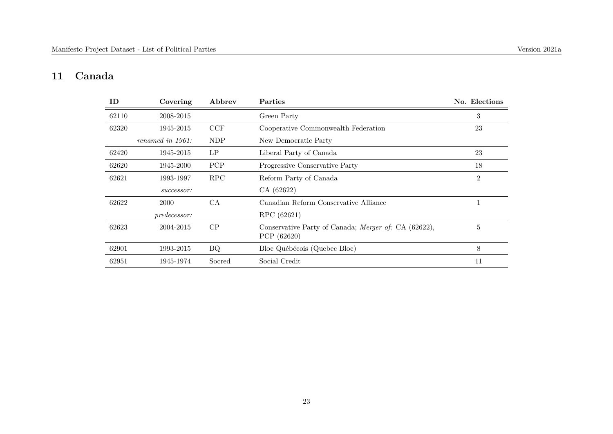#### **11 Canada**

| ID    | Covering            | Abbrev     | Parties                                                             | No. Elections |
|-------|---------------------|------------|---------------------------------------------------------------------|---------------|
| 62110 | 2008-2015           |            | Green Party                                                         | 3             |
| 62320 | 1945-2015           | CCF        | Cooperative Commonwealth Federation                                 | 23            |
|       | renamed in 1961:    | <b>NDP</b> | New Democratic Party                                                |               |
| 62420 | 1945-2015           | LP         | Liberal Party of Canada                                             | 23            |
| 62620 | 1945-2000           | <b>PCP</b> | Progressive Conservative Party                                      | 18            |
| 62621 | 1993-1997           | RPC        | Reform Party of Canada                                              | 2             |
|       | successor:          |            | CA (62622)                                                          |               |
| 62622 | 2000                | <b>CA</b>  | Canadian Reform Conservative Alliance                               |               |
|       | <i>predecessor:</i> |            | RPC (62621)                                                         |               |
| 62623 | 2004-2015           | CP         | Conservative Party of Canada; Merger of: CA (62622),<br>PCP (62620) | 5             |
| 62901 | 1993-2015           | BQ         | Bloc Québécois (Quebec Bloc)                                        | 8             |
| 62951 | 1945-1974           | Socred     | Social Credit                                                       | 11            |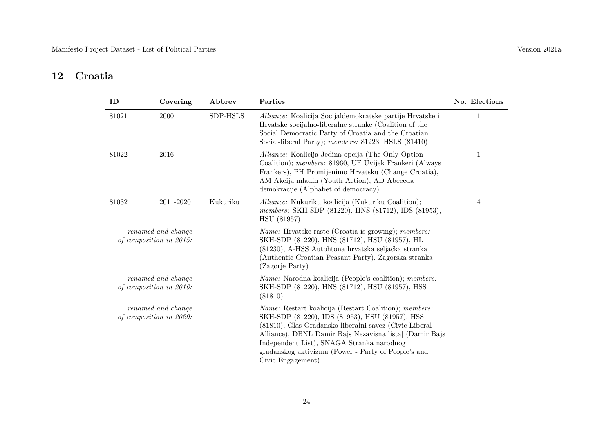#### **12 Croatia**

| ID    | Covering                                      | Abbrev   | Parties                                                                                                                                                                                                                                                                                                                                                 | No. Elections |
|-------|-----------------------------------------------|----------|---------------------------------------------------------------------------------------------------------------------------------------------------------------------------------------------------------------------------------------------------------------------------------------------------------------------------------------------------------|---------------|
| 81021 | 2000                                          | SDP-HSLS | Alliance: Koalicija Socijaldemokratske partije Hrvatske i<br>Hrvatske socijalno-liberalne stranke (Coalition of the<br>Social Democratic Party of Croatia and the Croatian<br>Social-liberal Party); members: 81223, HSLS (81410)                                                                                                                       | $\mathbf{1}$  |
| 81022 | 2016                                          |          | Alliance: Koalicija Jedina opcija (The Only Option<br>Coalition); members: 81960, UF Uvijek Frankeri (Always<br>Frankers), PH Promijenimo Hrvatsku (Change Croatia),<br>AM Akcija mladih (Youth Action), AD Abeceda<br>demokracije (Alphabet of democracy)                                                                                              | $\mathbf 1$   |
| 81032 | 2011-2020                                     | Kukuriku | Alliance: Kukuriku koalicija (Kukuriku Coalition);<br>members: SKH-SDP (81220), HNS (81712), IDS (81953),<br>HSU (81957)                                                                                                                                                                                                                                | 4             |
|       | renamed and change<br>of composition in 2015: |          | <i>Name:</i> Hrvatske raste (Croatia is growing); <i>members:</i><br>SKH-SDP (81220), HNS (81712), HSU (81957), HL<br>(81230), A-HSS Autohtona hrvatska seljačka stranka<br>(Authentic Croatian Peasant Party), Zagorska stranka<br>(Zagorje Party)                                                                                                     |               |
|       | renamed and change<br>of composition in 2016: |          | <i>Name:</i> Narodna koalicija (People's coalition); <i>members:</i><br>SKH-SDP (81220), HNS (81712), HSU (81957), HSS<br>(81810)                                                                                                                                                                                                                       |               |
|       | renamed and change<br>of composition in 2020: |          | Name: Restart koalicija (Restart Coalition); members:<br>SKH-SDP (81220), IDS (81953), HSU (81957), HSS<br>(81810), Glas Građansko-liberalni savez (Civic Liberal<br>Alliance), DBNL Damir Bajs Nezavisna lista [(Damir Bajs<br>Independent List), SNAGA Stranka narodnog i<br>građanskog aktivizma (Power - Party of People's and<br>Civic Engagement) |               |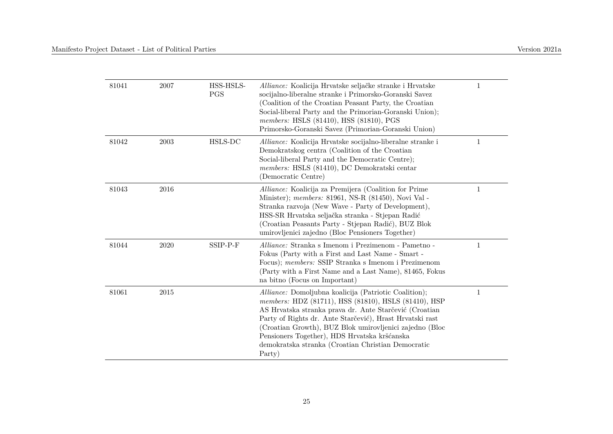| 81041 | 2007 | HSS-HSLS-<br><b>PGS</b> | Alliance: Koalicija Hrvatske seljačke stranke i Hrvatske<br>socijalno-liberalne stranke i Primorsko-Goranski Savez<br>(Coalition of the Croatian Peasant Party, the Croatian<br>Social-liberal Party and the Primorian-Goranski Union);<br><i>members:</i> HSLS (81410), HSS (81810), PGS<br>Primorsko-Goranski Savez (Primorian-Goranski Union)                                                               | $\mathbf{1}$ |
|-------|------|-------------------------|----------------------------------------------------------------------------------------------------------------------------------------------------------------------------------------------------------------------------------------------------------------------------------------------------------------------------------------------------------------------------------------------------------------|--------------|
| 81042 | 2003 | HSLS-DC                 | Alliance: Koalicija Hrvatske socijalno-liberalne stranke i<br>Demokratskog centra (Coalition of the Croatian<br>Social-liberal Party and the Democratic Centre);<br>members: HSLS (81410), DC Demokratski centar<br>(Democratic Centre)                                                                                                                                                                        | 1            |
| 81043 | 2016 |                         | Alliance: Koalicija za Premijera (Coalition for Prime<br>Minister); members: 81961, NS-R (81450), Novi Val -<br>Stranka razvoja (New Wave - Party of Development),<br>HSS-SR Hrvatska seljačka stranka - Stjepan Radić<br>(Croatian Peasants Party - Stjepan Radić), BUZ Blok<br>umirovljenici zajedno (Bloc Pensioners Together)                                                                              | 1            |
| 81044 | 2020 | SSIP-P-F                | <i>Alliance:</i> Stranka s Imenom i Prezimenom - Pametno -<br>Fokus (Party with a First and Last Name - Smart -<br>Focus); members: SSIP Stranka s Imenom i Prezimenom<br>(Party with a First Name and a Last Name), 81465, Fokus<br>na bitno (Focus on Important)                                                                                                                                             | $\mathbf{1}$ |
| 81061 | 2015 |                         | Alliance: Domoljubna koalicija (Patriotic Coalition);<br>members: HDZ (81711), HSS (81810), HSLS (81410), HSP<br>AS Hrvatska stranka prava dr. Ante Starčević (Croatian<br>Party of Rights dr. Ante Starčević), Hrast Hrvatski rast<br>(Croatian Growth), BUZ Blok umirovljenici zajedno (Bloc<br>Pensioners Together), HDS Hrvatska kršćanska<br>demokratska stranka (Croatian Christian Democratic<br>Party) | $\mathbf{1}$ |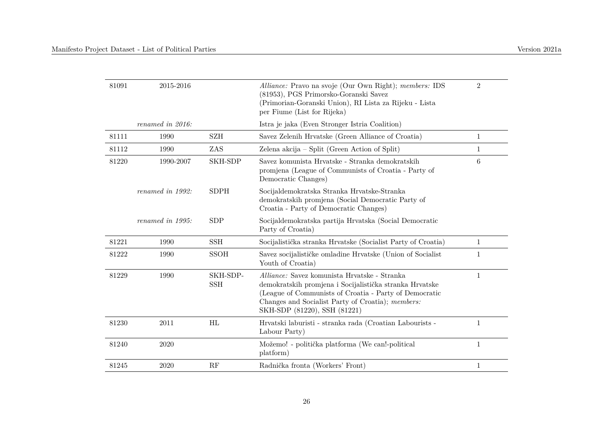| 81091 | 2015-2016        |                        | Alliance: Pravo na svoje (Our Own Right); members: IDS<br>(81953), PGS Primorsko-Goranski Savez<br>(Primorian-Goranski Union), RI Lista za Rijeku - Lista<br>per Fiume (List for Rijeka)                                                               | $\overline{2}$  |
|-------|------------------|------------------------|--------------------------------------------------------------------------------------------------------------------------------------------------------------------------------------------------------------------------------------------------------|-----------------|
|       | renamed in 2016: |                        | Istra je jaka (Even Stronger Istria Coalition)                                                                                                                                                                                                         |                 |
| 81111 | 1990             | <b>SZH</b>             | Savez Zelenih Hrvatske (Green Alliance of Croatia)                                                                                                                                                                                                     | $\mathbf{1}$    |
| 81112 | 1990             | ZAS                    | Zelena akcija – Split (Green Action of Split)                                                                                                                                                                                                          | 1               |
| 81220 | 1990-2007        | SKH-SDP                | Savez komunista Hrvatske - Stranka demokratskih<br>promjena (League of Communists of Croatia - Party of<br>Democratic Changes)                                                                                                                         | $6\phantom{.}6$ |
|       | renamed in 1992: | <b>SDPH</b>            | Socijaldemokratska Stranka Hrvatske-Stranka<br>demokratskih promjena (Social Democratic Party of<br>Croatia - Party of Democratic Changes)                                                                                                             |                 |
|       | renamed in 1995: | <b>SDP</b>             | Socijaldemokratska partija Hrvatska (Social Democratic<br>Party of Croatia)                                                                                                                                                                            |                 |
| 81221 | 1990             | <b>SSH</b>             | Socijalistička stranka Hrvatske (Socialist Party of Croatia)                                                                                                                                                                                           | $\mathbf{1}$    |
| 81222 | 1990             | <b>SSOH</b>            | Savez socijalističke omladine Hrvatske (Union of Socialist<br>Youth of Croatia)                                                                                                                                                                        | $\mathbf{1}$    |
| 81229 | 1990             | SKH-SDP-<br><b>SSH</b> | Alliance: Savez komunista Hrvatske - Stranka<br>demokratskih promjena i Socijalistička stranka Hrvatske<br>(League of Communists of Croatia - Party of Democratic<br>Changes and Socialist Party of Croatia); members:<br>SKH-SDP (81220), SSH (81221) | $\mathbf{1}$    |
| 81230 | 2011             | HL                     | Hrvatski laburisti - stranka rada (Croatian Labourists -<br>Labour Party)                                                                                                                                                                              | $\mathbf{1}$    |
| 81240 | 2020             |                        | Možemo! - politička platforma (We can!-political<br>platform)                                                                                                                                                                                          | $\mathbf{1}$    |
| 81245 | 2020             | RF                     | Radnička fronta (Workers' Front)                                                                                                                                                                                                                       | $\mathbf{1}$    |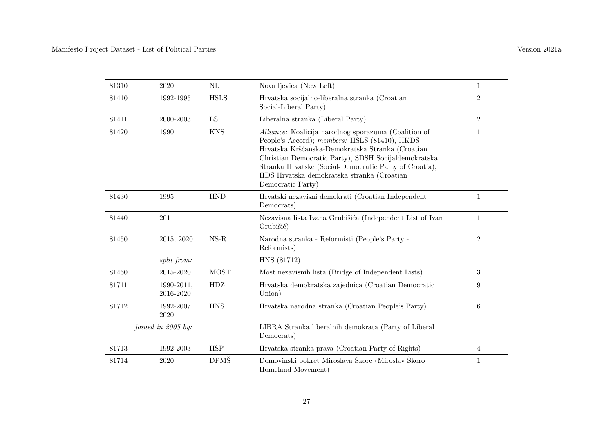| 81310 | 2020                    | $\rm NL$      | Nova ljevica (New Left)                                                                                                                                                                                                                                                                                                                        | $\mathbf{1}$   |
|-------|-------------------------|---------------|------------------------------------------------------------------------------------------------------------------------------------------------------------------------------------------------------------------------------------------------------------------------------------------------------------------------------------------------|----------------|
| 81410 | 1992-1995               | <b>HSLS</b>   | Hrvatska socijalno-liberalna stranka (Croatian<br>Social-Liberal Party)                                                                                                                                                                                                                                                                        | $\overline{2}$ |
| 81411 | 2000-2003               | ${\rm LS}$    | Liberalna stranka (Liberal Party)                                                                                                                                                                                                                                                                                                              | $\overline{2}$ |
| 81420 | 1990                    | <b>KNS</b>    | Alliance: Koalicija narodnog sporazuma (Coalition of<br>People's Accord); members: HSLS (81410), HKDS<br>Hrvatska Kršćanska-Demokratska Stranka (Croatian<br>Christian Democratic Party), SDSH Socijaldemokratska<br>Stranka Hrvatske (Social-Democratic Party of Croatia),<br>HDS Hrvatska demokratska stranka (Croatian<br>Democratic Party) | $\mathbf{1}$   |
| 81430 | 1995                    | <b>HND</b>    | Hrvatski nezavisni demokrati (Croatian Independent<br>Democrats)                                                                                                                                                                                                                                                                               | $\mathbf{1}$   |
| 81440 | 2011                    |               | Nezavisna lista Ivana Grubišića (Independent List of Ivan<br>Grubišić)                                                                                                                                                                                                                                                                         | $\mathbf{1}$   |
| 81450 | 2015, 2020              | $_{\rm NS-R}$ | Narodna stranka - Reformisti (People's Party -<br>Reformists)                                                                                                                                                                                                                                                                                  | $\overline{2}$ |
|       | split from:             |               | HNS (81712)                                                                                                                                                                                                                                                                                                                                    |                |
| 81460 | 2015-2020               | <b>MOST</b>   | Most nezavisnih lista (Bridge of Independent Lists)                                                                                                                                                                                                                                                                                            | 3              |
| 81711 | 1990-2011,<br>2016-2020 | HDZ           | Hrvatska demokratska zajednica (Croatian Democratic<br>Union)                                                                                                                                                                                                                                                                                  | 9              |
| 81712 | 1992-2007,<br>2020      | <b>HNS</b>    | Hrvatska narodna stranka (Croatian People's Party)                                                                                                                                                                                                                                                                                             | $\,6$          |
|       | joined in 2005 by:      |               | LIBRA Stranka liberalnih demokrata (Party of Liberal<br>Democrats)                                                                                                                                                                                                                                                                             |                |
| 81713 | 1992-2003               | <b>HSP</b>    | Hrvatska stranka prava (Croatian Party of Rights)                                                                                                                                                                                                                                                                                              | 4              |
| 81714 | 2020                    | <b>DPMŠ</b>   | Domovinski pokret Miroslava Škore (Miroslav Škoro<br>Homeland Movement)                                                                                                                                                                                                                                                                        | $\mathbf{1}$   |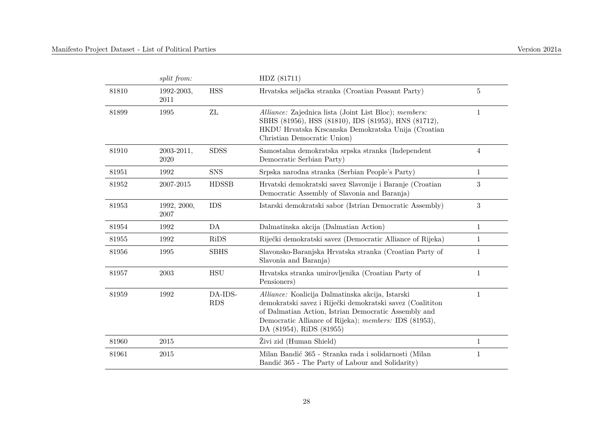|       | split from:         |                       | HDZ (81711)                                                                                                                                                                                                                                                |                  |
|-------|---------------------|-----------------------|------------------------------------------------------------------------------------------------------------------------------------------------------------------------------------------------------------------------------------------------------------|------------------|
| 81810 | 1992-2003,<br>2011  | <b>HSS</b>            | Hrvatska seljačka stranka (Croatian Peasant Party)                                                                                                                                                                                                         | 5                |
| 81899 | 1995                | ZL                    | Alliance: Zajednica lista (Joint List Bloc); members:<br>SBHS (81956), HSS (81810), IDS (81953), HNS (81712),<br>HKDU Hrvatska Krscanska Demokratska Unija (Croatian<br>Christian Democratic Union)                                                        | 1                |
| 81910 | 2003-2011,<br>2020  | <b>SDSS</b>           | Samostalna demokratska srpska stranka (Independent<br>Democratic Serbian Party)                                                                                                                                                                            | 4                |
| 81951 | 1992                | <b>SNS</b>            | Srpska narodna stranka (Serbian People's Party)                                                                                                                                                                                                            | $\mathbf{1}$     |
| 81952 | 2007-2015           | <b>HDSSB</b>          | Hrvatski demokratski savez Slavonije i Baranje (Croatian<br>Democratic Assembly of Slavonia and Baranja)                                                                                                                                                   | 3                |
| 81953 | 1992, 2000,<br>2007 | <b>IDS</b>            | Istarski demokratski sabor (Istrian Democratic Assembly)                                                                                                                                                                                                   | $\boldsymbol{3}$ |
| 81954 | 1992                | DA                    | Dalmatinska akcija (Dalmatian Action)                                                                                                                                                                                                                      | $\mathbf{1}$     |
| 81955 | 1992                | RiDS                  | Riječki demokratski savez (Democratic Alliance of Rijeka)                                                                                                                                                                                                  | 1                |
| 81956 | 1995                | <b>SBHS</b>           | Slavonsko-Baranjska Hrvatska stranka (Croatian Party of<br>Slavonia and Baranja)                                                                                                                                                                           | $\mathbf{1}$     |
| 81957 | 2003                | <b>HSU</b>            | Hrvatska stranka umirovljenika (Croatian Party of<br>Pensioners)                                                                                                                                                                                           | $\mathbf{1}$     |
| 81959 | 1992                | DA-IDS-<br><b>RDS</b> | Alliance: Koalicija Dalmatinska akcija, Istarski<br>demokratski savez i Riječki demokratski savez (Coalititon<br>of Dalmatian Action, Istrian Democratic Assembly and<br>Democratic Alliance of Rijeka); members: IDS (81953),<br>DA (81954), RiDS (81955) | $\mathbf{1}$     |
| 81960 | 2015                |                       | Živi zid (Human Shield)                                                                                                                                                                                                                                    | $\mathbf{1}$     |
| 81961 | 2015                |                       | Milan Bandić 365 - Stranka rada i solidarnosti (Milan<br>Bandić 365 - The Party of Labour and Solidarity)                                                                                                                                                  | $\mathbf{1}$     |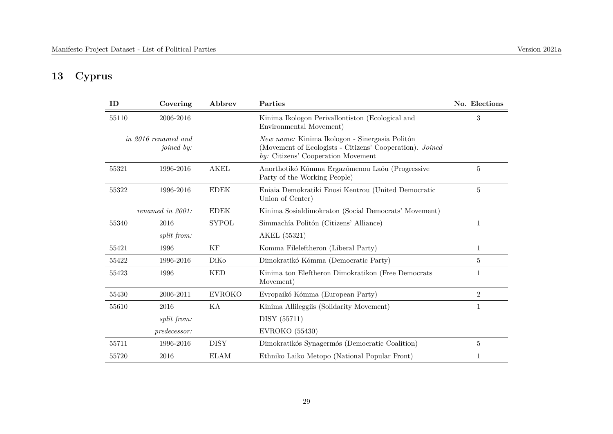#### **13 Cyprus**

| ID    | Covering                                 | Abbrev        | Parties                                                                                                                                          | No. Elections  |
|-------|------------------------------------------|---------------|--------------------------------------------------------------------------------------------------------------------------------------------------|----------------|
| 55110 | 2006-2016                                |               | Kinima Ikologon Perivallontiston (Ecological and<br>Environmental Movement)                                                                      | 3              |
|       | in 2016 renamed and<br><i>joined</i> by: |               | New name: Kinima Ikologon - Sinergasia Politón<br>(Movement of Ecologists - Citizens' Cooperation). Joined<br>by: Citizens' Cooperation Movement |                |
| 55321 | 1996-2016                                | <b>AKEL</b>   | Anorthotikó Kómma Ergazómenou Laóu (Progressive<br>Party of the Working People)                                                                  | 5              |
| 55322 | 1996-2016                                | <b>EDEK</b>   | Eniaia Demokratiki Enosi Kentrou (United Democratic<br>Union of Center)                                                                          | 5              |
|       | renamed in 2001:                         | <b>EDEK</b>   | Kinima Sosialdimokraton (Social Democrats' Movement)                                                                                             |                |
| 55340 | 2016                                     | <b>SYPOL</b>  | Simmachía Politón (Citizens' Alliance)                                                                                                           | 1              |
|       | <i>split from:</i>                       |               | AKEL (55321)                                                                                                                                     |                |
| 55421 | 1996                                     | ΚF            | Komma Fileleftheron (Liberal Party)                                                                                                              | $\mathbf{1}$   |
| 55422 | 1996-2016                                | DiKo          | Dimokratikó Kómma (Democratic Party)                                                                                                             | 5              |
| 55423 | 1996                                     | <b>KED</b>    | Kinima ton Eleftheron Dimokratikon (Free Democrats<br>Movement)                                                                                  | 1              |
| 55430 | 2006-2011                                | <b>EVROKO</b> | Evropaikó Kómma (European Party)                                                                                                                 | $\overline{2}$ |
| 55610 | 2016                                     | KA            | Kinima Allileggiis (Solidarity Movement)                                                                                                         | 1              |
|       | split from:                              |               | DISY (55711)                                                                                                                                     |                |
|       | <i>predecessor:</i>                      |               | <b>EVROKO</b> (55430)                                                                                                                            |                |
| 55711 | 1996-2016                                | <b>DISY</b>   | Dimokratikós Synagermós (Democratic Coalition)                                                                                                   | 5              |
| 55720 | 2016                                     | <b>ELAM</b>   | Ethniko Laiko Metopo (National Popular Front)                                                                                                    | 1              |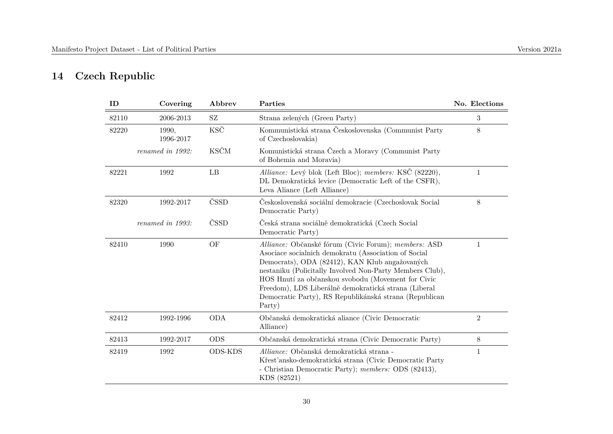## **14 Czech Republic**

| ID    | Covering           | Abbrev         | Parties                                                                                                                                                                                                                                                                                                                                                                                                      | No. Elections  |
|-------|--------------------|----------------|--------------------------------------------------------------------------------------------------------------------------------------------------------------------------------------------------------------------------------------------------------------------------------------------------------------------------------------------------------------------------------------------------------------|----------------|
| 82110 | 2006-2013          | SZ             | Strana zelených (Green Party)                                                                                                                                                                                                                                                                                                                                                                                | 3              |
| 82220 | 1990,<br>1996-2017 | KSČ            | Kommunistická strana Československa (Communist Party<br>of Czechoslovakia)                                                                                                                                                                                                                                                                                                                                   | 8              |
|       | renamed in 1992:   | <b>KSČM</b>    | Komunistická strana Čzech a Moravy (Communist Party<br>of Bohemia and Moravia)                                                                                                                                                                                                                                                                                                                               |                |
| 82221 | 1992               | LB             | Alliance: Levý blok (Left Bloc); members: KSČ (82220),<br>DL Demokratická levice (Democratic Left of the CSFR),<br>Leva Aliance (Left Alliance)                                                                                                                                                                                                                                                              | $\mathbf{1}$   |
| 82320 | 1992-2017          | ČSSD           | Československá sociální demokracie (Czechoslovak Social<br>Democratic Party)                                                                                                                                                                                                                                                                                                                                 | 8              |
|       | renamed in 1993:   | ČSSD           | Česká strana sociálně demokratická (Czech Social<br>Democratic Party)                                                                                                                                                                                                                                                                                                                                        |                |
| 82410 | 1990               | OF             | Alliance: Občanské fórum (Civic Forum); members: ASD<br>Asociace socialnich demokratu (Association of Social<br>Democrats), ODA (82412), KAN Klub angažovaných<br>nestaniku (Policitally Involved Non-Party Members Club),<br>HOS Hnutí za obĉanskou svobodu (Movement for Civic<br>Freedom), LDS Liberálně demokratická strana (Liberal<br>Democratic Party), RS Republikánská strana (Republican<br>Party) | 1              |
| 82412 | 1992-1996          | <b>ODA</b>     | Občanská demokratická aliance (Civic Democratic<br>Alliance)                                                                                                                                                                                                                                                                                                                                                 | $\overline{2}$ |
| 82413 | 1992-2017          | <b>ODS</b>     | Občanská demokratická strana (Civic Democratic Party)                                                                                                                                                                                                                                                                                                                                                        | 8              |
| 82419 | 1992               | <b>ODS-KDS</b> | Alliance: Občanská demokratická strana -<br>Křesťansko-demokratická strana (Civic Democratic Party<br>- Christian Democratic Party); members: ODS (82413),<br>KDS (82521)                                                                                                                                                                                                                                    | $\mathbf{1}$   |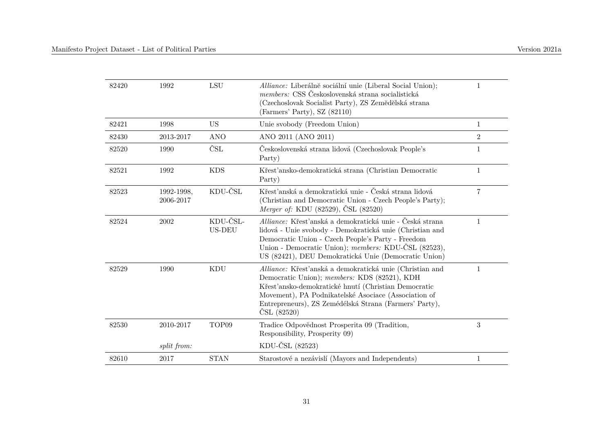| 82420 | 1992                    | <b>LSU</b>                | Alliance: Liberálně sociální unie (Liberal Social Union);<br>members: CSS Československá strana socialistická<br>(Czechoslovak Socialist Party), ZS Zemědělská strana<br>(Farmers' Party), SZ (82110)                                                                                                     | 1              |
|-------|-------------------------|---------------------------|-----------------------------------------------------------------------------------------------------------------------------------------------------------------------------------------------------------------------------------------------------------------------------------------------------------|----------------|
| 82421 | 1998                    | <b>US</b>                 | Unie svobody (Freedom Union)                                                                                                                                                                                                                                                                              | $\mathbf{1}$   |
| 82430 | 2013-2017               | <b>ANO</b>                | ANO 2011 (ANO 2011)                                                                                                                                                                                                                                                                                       | $\overline{2}$ |
| 82520 | 1990                    | ČSL                       | Československá strana lidová (Czechoslovak People's<br>Party)                                                                                                                                                                                                                                             | $\mathbf{1}$   |
| 82521 | 1992                    | <b>KDS</b>                | Křesťansko-demokratická strana (Christian Democratic<br>Party)                                                                                                                                                                                                                                            | $\mathbf{1}$   |
| 82523 | 1992-1998,<br>2006-2017 | KDU-ČSL                   | Křesťanská a demokratická unie - Česká strana lidová<br>(Christian and Democratic Union - Czech People's Party);<br><i>Merger of:</i> KDU (82529), ČSL (82520)                                                                                                                                            | 7              |
| 82524 | 2002                    | KDU-ČSL-<br><b>US-DEU</b> | Alliance: Křesťanská a demokratická unie - Česká strana<br>lidová - Unie svobody - Demokratická unie (Christian and<br>Democratic Union - Czech People's Party - Freedom<br>Union - Democratic Union); members: KDU-ČSL (82523),<br>US (82421), DEU Demokratická Unie (Democratic Union)                  | $\mathbf{1}$   |
| 82529 | 1990                    | KDU                       | Alliance: Křesťanská a demokratická unie (Christian and<br>Democratic Union); members: KDS (82521), KDH<br>Křesť'ansko-demokratické hnutí (Christian Democratic<br>Movement), PA Podnikatelské Asociace (Association of<br>Entrepreneurs), ZS Zemédélská Strana (Farmers' Party),<br>$\text{CSL} (82520)$ | $\mathbf{1}$   |
| 82530 | 2010-2017               | TOP09                     | Tradice Odpovědnost Prosperita 09 (Tradition,<br>Responsibility, Prosperity 09)                                                                                                                                                                                                                           | $\sqrt{3}$     |
|       | split from:             |                           | KDU-ČSL (82523)                                                                                                                                                                                                                                                                                           |                |
| 82610 | 2017                    | <b>STAN</b>               | Starostové a nezávislí (Mayors and Independents)                                                                                                                                                                                                                                                          | $\mathbf{1}$   |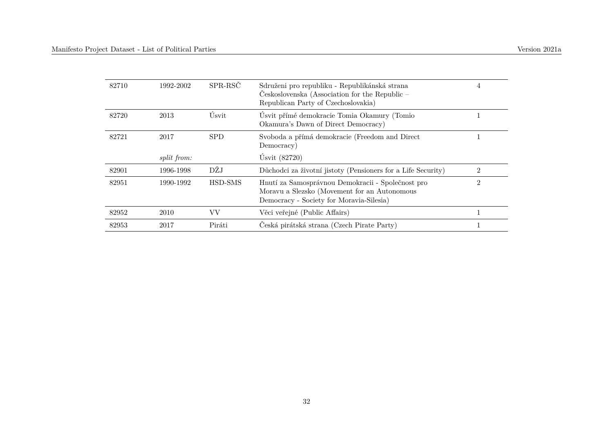| 82710 | 1992-2002          | SPR-RSČ    | Sdruženi pro republiku - Republikánská strana<br>Československa (Association for the Republic $-$<br>Republican Party of Czechoslovakia)      | 4              |
|-------|--------------------|------------|-----------------------------------------------------------------------------------------------------------------------------------------------|----------------|
| 82720 | 2013               | Úsvit      | Úsvit přímé demokracie Tomia Okamury (Tomio<br>Okamura's Dawn of Direct Democracy)                                                            |                |
| 82721 | 2017               | <b>SPD</b> | Svoboda a přímá demokracie (Freedom and Direct<br>Democracy)                                                                                  |                |
|       | <i>split from:</i> |            | Úsvit $(82720)$                                                                                                                               |                |
| 82901 | 1996-1998          | DŽJ        | Důchodci za životní jistoty (Pensioners for a Life Security)                                                                                  | $\mathfrak{D}$ |
| 82951 | 1990-1992          | HSD-SMS    | Hnutí za Samosprávnou Demokracii - Společnost pro<br>Moravu a Slezsko (Movement for an Autonomous<br>Democracy - Society for Moravia-Silesia) | $\overline{2}$ |
| 82952 | 2010               | VV         | Věci veřejné (Public Affairs)                                                                                                                 |                |
| 82953 | 2017               | Piráti     | Česká pirátská strana (Czech Pirate Party)                                                                                                    |                |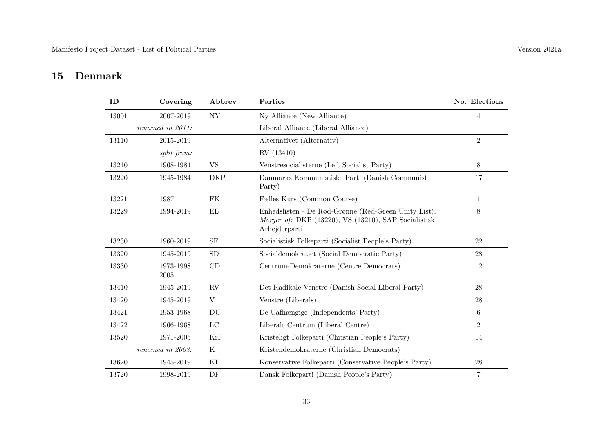#### **15 Denmark**

| ID    | Covering           | Abbrev                 | Parties                                                                                                                       | No. Elections  |
|-------|--------------------|------------------------|-------------------------------------------------------------------------------------------------------------------------------|----------------|
| 13001 | 2007-2019          | <b>NY</b>              | Ny Alliance (New Alliance)                                                                                                    | $\overline{4}$ |
|       | renamed in 2011:   |                        | Liberal Alliance (Liberal Alliance)                                                                                           |                |
| 13110 | 2015-2019          |                        | Alternativet (Alternativ)                                                                                                     | $\overline{2}$ |
|       | split from:        |                        | RV (13410)                                                                                                                    |                |
| 13210 | 1968-1984          | <b>VS</b>              | Venstresocialisterne (Left Socialist Party)                                                                                   | 8              |
| 13220 | 1945-1984          | <b>DKP</b>             | Danmarks Kommunistiske Parti (Danish Communist<br>Party)                                                                      | 17             |
| 13221 | 1987               | FK                     | Fælles Kurs (Common Course)                                                                                                   | $\mathbf{1}$   |
| 13229 | 1994-2019          | EL                     | Enhedslisten - De Rød-Grønne (Red-Green Unity List);<br>Merger of: DKP (13220), VS (13210), SAP Socialistisk<br>Arbejderparti | 8              |
| 13230 | 1960-2019          | <b>SF</b>              | Socialistisk Folkeparti (Socialist People's Party)                                                                            | 22             |
| 13320 | 1945-2019          | ${\rm SD}$             | Socialdemokratiet (Social Democratic Party)                                                                                   | 28             |
| 13330 | 1973-1998,<br>2005 | CD                     | Centrum-Demokraterne (Centre Democrats)                                                                                       | 12             |
| 13410 | 1945-2019          | $\mathbf{R}\mathbf{V}$ | Det Radikale Venstre (Danish Social-Liberal Party)                                                                            | 28             |
| 13420 | 1945-2019          | V                      | Venstre (Liberals)                                                                                                            | 28             |
| 13421 | 1953-1968          | DU                     | De Uafhængige (Independents' Party)                                                                                           | $\,6\,$        |
| 13422 | 1966-1968          | $_{\rm LC}$            | Liberalt Centrum (Liberal Centre)                                                                                             | $\overline{2}$ |
| 13520 | 1971-2005          | KrF                    | Kristeligt Folkeparti (Christian People's Party)                                                                              | 14             |
|       | renamed in 2003:   | $\rm K$                | Kristendemokraterne (Christian Democrats)                                                                                     |                |
| 13620 | 1945-2019          | KF                     | Konservative Folkeparti (Conservative People's Party)                                                                         | $\rm 28$       |
| 13720 | 1998-2019          | DF                     | Dansk Folkeparti (Danish People's Party)                                                                                      | 7              |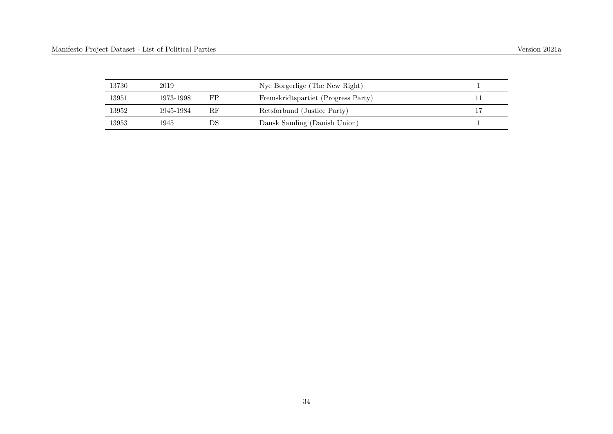| 13730 | 2019      |    | Nye Borgerlige (The New Right)      |  |
|-------|-----------|----|-------------------------------------|--|
| 13951 | 1973-1998 | FP | Fremskridtspartiet (Progress Party) |  |
| 13952 | 1945-1984 | RF | Retsforbund (Justice Party)         |  |
| 13953 | 1945      | DS | Dansk Samling (Danish Union)        |  |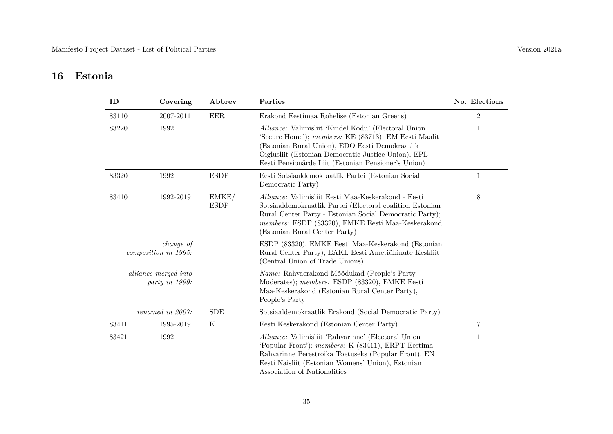#### **16 Estonia**

| ID    | Covering                               | Abbrev               | Parties                                                                                                                                                                                                                                                                      | No. Elections  |
|-------|----------------------------------------|----------------------|------------------------------------------------------------------------------------------------------------------------------------------------------------------------------------------------------------------------------------------------------------------------------|----------------|
| 83110 | 2007-2011                              | EER                  | Erakond Eestimaa Rohelise (Estonian Greens)                                                                                                                                                                                                                                  | $\overline{2}$ |
| 83220 | 1992                                   |                      | Alliance: Valimisliit 'Kindel Kodu' (Electoral Union<br>'Secure Home'); members: KE (83713), EM Eesti Maalit<br>(Estonian Rural Union), EDO Eesti Demokraatlik<br>Õiglusliit (Estonian Democratic Justice Union), EPL<br>Eesti Pensionärde Liit (Estonian Pensioner's Union) | 1              |
| 83320 | 1992                                   | <b>ESDP</b>          | Eesti Sotsiaaldemokraatlik Partei (Estonian Social<br>Democratic Party)                                                                                                                                                                                                      | $\mathbf{1}$   |
| 83410 | 1992-2019                              | EMKE/<br><b>ESDP</b> | Alliance: Valimisliit Eesti Maa-Keskerakond - Eesti<br>Sotsiaaldemokraatlik Partei (Electoral coalition Estonian<br>Rural Center Party - Estonian Social Democratic Party);<br>members: ESDP (83320), EMKE Eesti Maa-Keskerakond<br>(Estonian Rural Center Party)            | $8\,$          |
|       | change of<br>composition in 1995:      |                      | ESDP (83320), EMKE Eesti Maa-Keskerakond (Estonian<br>Rural Center Party), EAKL Eesti Ametiühinute Keskliit<br>(Central Union of Trade Unions)                                                                                                                               |                |
|       | alliance merged into<br>party in 1999: |                      | Name: Rahvaerakond Mõõdukad (People's Party<br>Moderates); members: ESDP (83320), EMKE Eesti<br>Maa-Keskerakond (Estonian Rural Center Party),<br>People's Party                                                                                                             |                |
|       | renamed in 2007:                       | <b>SDE</b>           | Sotsiaaldemokraatlik Erakond (Social Democratic Party)                                                                                                                                                                                                                       |                |
| 83411 | 1995-2019                              | $\mathbf K$          | Eesti Keskerakond (Estonian Center Party)                                                                                                                                                                                                                                    | 7              |
| 83421 | 1992                                   |                      | Alliance: Valimisliit 'Rahvarinne' (Electoral Union<br>'Popular Front'); members: K (83411), ERPT Eestima<br>Rahvarinne Perestroika Toetuseks (Popular Front), EN<br>Eesti Naisliit (Estonian Womens' Union), Estonian<br>Association of Nationalities                       | 1              |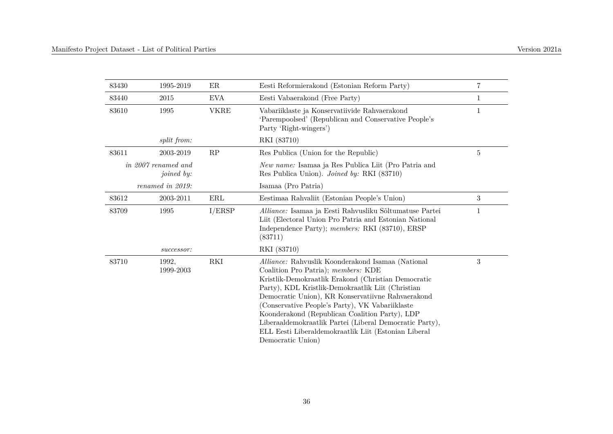| 83430 | 1995-2019                         | ER          | Eesti Reformierakond (Estonian Reform Party)                                                                                                                                                                                                                                                                                                                                                                                                                                                           | $\overline{7}$   |
|-------|-----------------------------------|-------------|--------------------------------------------------------------------------------------------------------------------------------------------------------------------------------------------------------------------------------------------------------------------------------------------------------------------------------------------------------------------------------------------------------------------------------------------------------------------------------------------------------|------------------|
| 83440 | 2015                              | <b>EVA</b>  | Eesti Vabaerakond (Free Party)                                                                                                                                                                                                                                                                                                                                                                                                                                                                         | 1                |
| 83610 | 1995                              | <b>VKRE</b> | Vabariiklaste ja Konservatiivide Rahvaerakond<br>'Parempoolsed' (Republican and Conservative People's<br>Party 'Right-wingers')                                                                                                                                                                                                                                                                                                                                                                        | 1                |
|       | split from:                       |             | RKI (83710)                                                                                                                                                                                                                                                                                                                                                                                                                                                                                            |                  |
| 83611 | 2003-2019                         | RP          | Res Publica (Union for the Republic)                                                                                                                                                                                                                                                                                                                                                                                                                                                                   | 5                |
|       | in 2007 renamed and<br>joined by: |             | New name: Isamaa ja Res Publica Liit (Pro Patria and<br>Res Publica Union). <i>Joined by:</i> RKI (83710)                                                                                                                                                                                                                                                                                                                                                                                              |                  |
|       | renamed in 2019:                  |             | Isamaa (Pro Patria)                                                                                                                                                                                                                                                                                                                                                                                                                                                                                    |                  |
| 83612 | 2003-2011                         | ERL         | Eestimaa Rahvaliit (Estonian People's Union)                                                                                                                                                                                                                                                                                                                                                                                                                                                           | $\boldsymbol{3}$ |
| 83709 | 1995                              | I/ERSP      | Alliance: Isamaa ja Eesti Rahvusliku Sõltumatuse Partei<br>Liit (Electoral Union Pro Patria and Estonian National<br>Independence Party); members: RKI (83710), ERSP<br>(83711)                                                                                                                                                                                                                                                                                                                        | 1                |
|       | successor:                        |             | RKI (83710)                                                                                                                                                                                                                                                                                                                                                                                                                                                                                            |                  |
| 83710 | 1992,<br>1999-2003                | RKI         | Alliance: Rahvuslik Koonderakond Isamaa (National<br>Coalition Pro Patria); members: KDE<br>Kristlik-Demokraatlik Erakond (Christian Democratic<br>Party), KDL Kristlik-Demokraatlik Liit (Christian<br>Democratic Union), KR Konservatiivne Rahvaerakond<br>(Conservative People's Party), VK Vabariiklaste<br>Koonderakond (Republican Coalition Party), LDP<br>Liberaaldemokraatlik Partei (Liberal Democratic Party),<br>ELL Eesti Liberaldemokraatlik Liit (Estonian Liberal<br>Democratic Union) | 3                |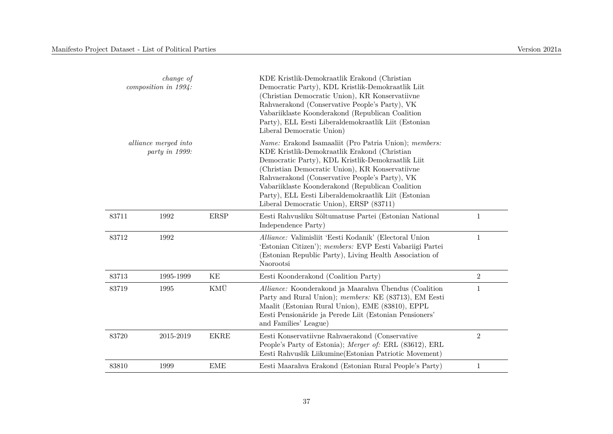|                                        | change of<br>composition in 1994: |             | KDE Kristlik-Demokraatlik Erakond (Christian<br>Democratic Party), KDL Kristlik-Demokraatlik Liit<br>(Christian Democratic Union), KR Konservatiivne<br>Rahvaerakond (Conservative People's Party), VK<br>Vabariiklaste Koonderakond (Republican Coalition<br>Party), ELL Eesti Liberaldemokraatlik Liit (Estonian<br>Liberal Democratic Union)                                                                                      |                |
|----------------------------------------|-----------------------------------|-------------|--------------------------------------------------------------------------------------------------------------------------------------------------------------------------------------------------------------------------------------------------------------------------------------------------------------------------------------------------------------------------------------------------------------------------------------|----------------|
| alliance merged into<br>party in 1999: |                                   |             | <i>Name:</i> Erakond Isamaaliit (Pro Patria Union); <i>members:</i><br>KDE Kristlik-Demokraatlik Erakond (Christian<br>Democratic Party), KDL Kristlik-Demokraatlik Liit<br>(Christian Democratic Union), KR Konservatiivne<br>Rahvaerakond (Conservative People's Party), VK<br>Vabariiklaste Koonderakond (Republican Coalition<br>Party), ELL Eesti Liberaldemokraatlik Liit (Estonian<br>Liberal Democratic Union), ERSP (83711) |                |
| 83711                                  | 1992                              | <b>ERSP</b> | Eesti Rahvusliku Sõltumatuse Partei (Estonian National<br>Independence Party)                                                                                                                                                                                                                                                                                                                                                        | $\mathbf{1}$   |
| 83712                                  | 1992                              |             | Alliance: Valimisliit 'Eesti Kodanik' (Electoral Union<br>'Estonian Citizen'); members: EVP Eesti Vabariigi Partei<br>(Estonian Republic Party), Living Health Association of<br>Naorootsi                                                                                                                                                                                                                                           | $\mathbf{1}$   |
| 83713                                  | 1995-1999                         | KE          | Eesti Koonderakond (Coalition Party)                                                                                                                                                                                                                                                                                                                                                                                                 | $\overline{2}$ |
| 83719                                  | 1995                              | KMÜ         | Alliance: Koonderakond ja Maarahva Ühendus (Coalition<br>Party and Rural Union); members: KE (83713), EM Eesti<br>Maalit (Estonian Rural Union), EME (83810), EPPL<br>Eesti Pensionäride ja Perede Liit (Estonian Pensioners'<br>and Families' League)                                                                                                                                                                               | $\mathbf{1}$   |
| 83720                                  | 2015-2019                         | <b>EKRE</b> | Eesti Konservatiivne Rahvaerakond (Conservative<br>People's Party of Estonia); Merger of: ERL (83612), ERL<br>Eesti Rahvuslik Liikumine (Estonian Patriotic Movement)                                                                                                                                                                                                                                                                | $\overline{2}$ |
| 83810                                  | 1999                              | <b>EME</b>  | Eesti Maarahva Erakond (Estonian Rural People's Party)                                                                                                                                                                                                                                                                                                                                                                               | 1              |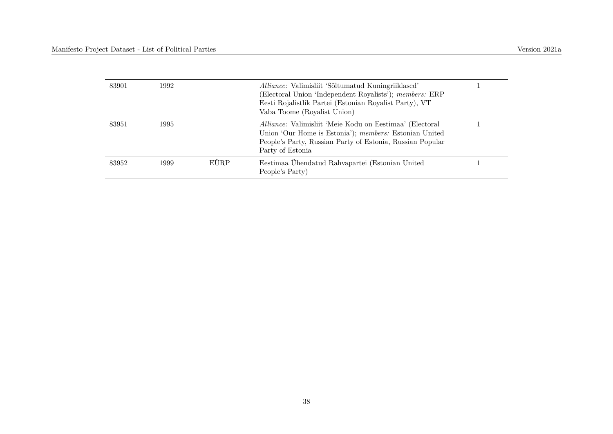| 83901 | 1992 |      | Alliance: Valimisliit 'Sõltumatud Kuningriiklased'<br>(Electoral Union 'Independent Royalists'); members: ERP<br>Eesti Rojalistlik Partei (Estonian Royalist Party), VT<br>Vaba Toome (Royalist Union) |  |
|-------|------|------|--------------------------------------------------------------------------------------------------------------------------------------------------------------------------------------------------------|--|
| 83951 | 1995 |      | Alliance: Valimisliit 'Meie Kodu on Eestimaa' (Electoral<br>Union 'Our Home is Estonia'); members: Estonian United<br>People's Party, Russian Party of Estonia, Russian Popular<br>Party of Estonia    |  |
| 83952 | 1999 | EÜRP | Eestimaa Ühendatud Rahvapartei (Estonian United<br>People's Party)                                                                                                                                     |  |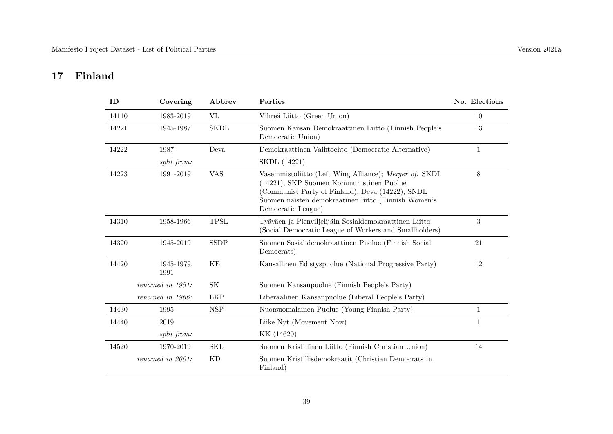## **17 Finland**

| ID    | Covering           | Abbrev      | Parties                                                                                                                                                                                                                              | No. Elections |
|-------|--------------------|-------------|--------------------------------------------------------------------------------------------------------------------------------------------------------------------------------------------------------------------------------------|---------------|
| 14110 | 1983-2019          | VL          | Vihreä Liitto (Green Union)                                                                                                                                                                                                          | 10            |
| 14221 | 1945-1987          | <b>SKDL</b> | Suomen Kansan Demokraattinen Liitto (Finnish People's<br>Democratic Union)                                                                                                                                                           | 13            |
| 14222 | 1987               | Deva        | Demokraattinen Vaihtoehto (Democratic Alternative)                                                                                                                                                                                   | $\mathbf{1}$  |
|       | split from:        |             | SKDL (14221)                                                                                                                                                                                                                         |               |
| 14223 | 1991-2019          | <b>VAS</b>  | Vasemmistoliitto (Left Wing Alliance); Merger of: SKDL<br>(14221), SKP Suomen Kommunistinen Puolue<br>(Communist Party of Finland), Deva (14222), SNDL<br>Suomen naisten demokraatinen liitto (Finnish Women's<br>Democratic League) | 8             |
| 14310 | 1958-1966          | <b>TPSL</b> | Tyäväen ja Pienviljelijäin Sosialdemokraattinen Liitto<br>(Social Democratic League of Workers and Smallholders)                                                                                                                     | 3             |
| 14320 | 1945-2019          | <b>SSDP</b> | Suomen Sosialidemokraattinen Puolue (Finnish Social<br>Democrats)                                                                                                                                                                    | 21            |
| 14420 | 1945-1979,<br>1991 | KE          | Kansallinen Edistyspuolue (National Progressive Party)                                                                                                                                                                               | 12            |
|       | renamed in 1951:   | <b>SK</b>   | Suomen Kansanpuolue (Finnish People's Party)                                                                                                                                                                                         |               |
|       | renamed in 1966:   | <b>LKP</b>  | Liberaalinen Kansanpuolue (Liberal People's Party)                                                                                                                                                                                   |               |
| 14430 | 1995               | <b>NSP</b>  | Nuorsuomalainen Puolue (Young Finnish Party)                                                                                                                                                                                         | $\mathbf{1}$  |
| 14440 | 2019               |             | Liike Nyt (Movement Now)                                                                                                                                                                                                             | $\mathbf{1}$  |
|       | split from:        |             | KK (14620)                                                                                                                                                                                                                           |               |
| 14520 | 1970-2019          | <b>SKL</b>  | Suomen Kristillinen Liitto (Finnish Christian Union)                                                                                                                                                                                 | 14            |
|       | renamed in 2001:   | <b>KD</b>   | Suomen Kristillisdemokraatit (Christian Democrats in<br>Finland)                                                                                                                                                                     |               |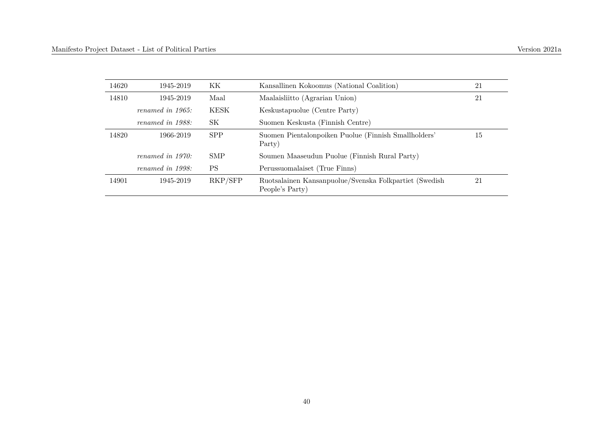| 14620 | 1945-2019           | KК          | Kansallinen Kokoomus (National Coalition)                                 | 21 |
|-------|---------------------|-------------|---------------------------------------------------------------------------|----|
| 14810 | 1945-2019           | Maal        | Maalaisliitto (Agrarian Union)                                            | 21 |
|       | renamed in $1965$ : | <b>KESK</b> | Keskustapuolue (Centre Party)                                             |    |
|       | renamed in 1988:    | SК          | Suomen Keskusta (Finnish Centre)                                          |    |
| 14820 | 1966-2019           | <b>SPP</b>  | Suomen Pientalonpoiken Puolue (Finnish Smallholders'<br>Party)            | 15 |
|       | renamed in $1970$ : | <b>SMP</b>  | Soumen Maaseudun Puolue (Finnish Rural Party)                             |    |
|       | renamed in 1998:    | <b>PS</b>   | Perussuomalaiset (True Finns)                                             |    |
| 14901 | 1945-2019           | RKP/SFP     | Ruotsalainen Kansanpuolue/Svenska Folkpartiet (Swedish<br>People's Party) | 21 |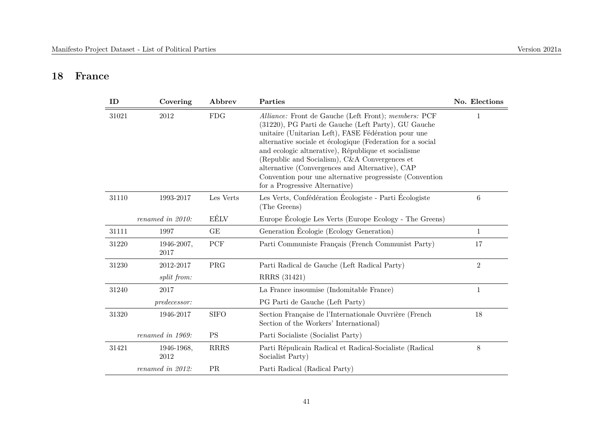#### **18 France**

| ID    | Covering            | Abbrev         | Parties                                                                                                                                                                                                                                                                                                                                                                                                                                                                                   | No. Elections  |
|-------|---------------------|----------------|-------------------------------------------------------------------------------------------------------------------------------------------------------------------------------------------------------------------------------------------------------------------------------------------------------------------------------------------------------------------------------------------------------------------------------------------------------------------------------------------|----------------|
| 31021 | 2012                | <b>FDG</b>     | Alliance: Front de Gauche (Left Front); members: PCF<br>(31220), PG Parti de Gauche (Left Party), GU Gauche<br>unitaire (Unitarian Left), FASE Fédération pour une<br>alternative sociale et écologique (Federation for a social<br>and ecologic altherative), République et socialisme<br>(Republic and Socialism), C&A Convergences et<br>alternative (Convergences and Alternative), CAP<br>Convention pour une alternative progressiste (Convention<br>for a Progressive Alternative) | 1              |
| 31110 | 1993-2017           | Les Verts      | Les Verts, Confédération Écologiste - Parti Écologiste<br>(The Greens)                                                                                                                                                                                                                                                                                                                                                                                                                    | $\,6$          |
|       | renamed in 2010:    | EÉLV           | Europe Écologie Les Verts (Europe Ecology - The Greens)                                                                                                                                                                                                                                                                                                                                                                                                                                   |                |
| 31111 | 1997                | GE             | Generation Écologie (Ecology Generation)                                                                                                                                                                                                                                                                                                                                                                                                                                                  | $\mathbf{1}$   |
| 31220 | 1946-2007,<br>2017  | ${\mbox{PCF}}$ | Parti Communiste Français (French Communist Party)                                                                                                                                                                                                                                                                                                                                                                                                                                        | 17             |
| 31230 | 2012-2017           | PRG            | Parti Radical de Gauche (Left Radical Party)                                                                                                                                                                                                                                                                                                                                                                                                                                              | $\overline{2}$ |
|       | split from:         |                | RRRS (31421)                                                                                                                                                                                                                                                                                                                                                                                                                                                                              |                |
| 31240 | 2017                |                | La France insoumise (Indomitable France)                                                                                                                                                                                                                                                                                                                                                                                                                                                  | $\mathbf{1}$   |
|       | <i>predecessor:</i> |                | PG Parti de Gauche (Left Party)                                                                                                                                                                                                                                                                                                                                                                                                                                                           |                |
| 31320 | 1946-2017           | <b>SIFO</b>    | Section Française de l'Internationale Ouvrière (French<br>Section of the Workers' International)                                                                                                                                                                                                                                                                                                                                                                                          | 18             |
|       | renamed in 1969:    | <b>PS</b>      | Parti Socialiste (Socialist Party)                                                                                                                                                                                                                                                                                                                                                                                                                                                        |                |
| 31421 | 1946-1968,<br>2012  | <b>RRRS</b>    | Parti Répulicain Radical et Radical-Socialiste (Radical<br>Socialist Party)                                                                                                                                                                                                                                                                                                                                                                                                               | $8\,$          |
|       | renamed in 2012:    | PR             | Parti Radical (Radical Party)                                                                                                                                                                                                                                                                                                                                                                                                                                                             |                |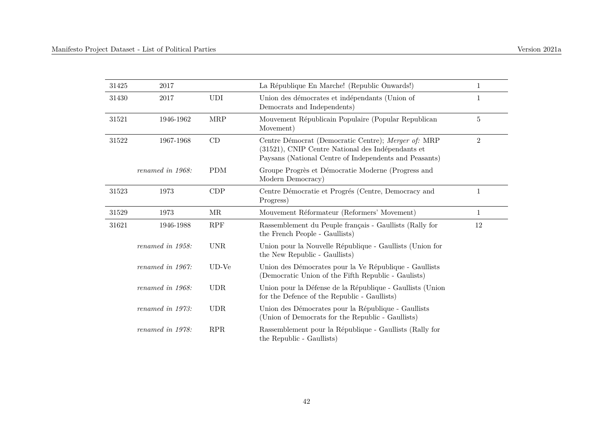| 31425 | 2017             |                     | La République En Marche! (Republic Onwards!)                                                                                                                       | $\mathbf{1}$   |
|-------|------------------|---------------------|--------------------------------------------------------------------------------------------------------------------------------------------------------------------|----------------|
| 31430 | 2017             | <b>UDI</b>          | Union des démocrates et indépendants (Union of<br>Democrats and Independents)                                                                                      | $\mathbf{1}$   |
| 31521 | 1946-1962        | <b>MRP</b>          | Mouvement Républicain Populaire (Popular Republican<br>Movement)                                                                                                   | $\overline{5}$ |
| 31522 | 1967-1968        | CD                  | Centre Démocrat (Democratic Centre); Merger of: MRP<br>(31521), CNIP Centre National des Indépendants et<br>Paysans (National Centre of Independents and Peasants) | $\overline{2}$ |
|       | renamed in 1968: | <b>PDM</b>          | Groupe Progrès et Démocratie Moderne (Progress and<br>Modern Democracy)                                                                                            |                |
| 31523 | 1973             | CDP                 | Centre Démocratie et Progrés (Centre, Democracy and<br>Progress)                                                                                                   | $\mathbf{1}$   |
| 31529 | 1973             | $\operatorname{MR}$ | Mouvement Réformateur (Reformers' Movement)                                                                                                                        | $\mathbf{1}$   |
| 31621 | 1946-1988        | RPF                 | Rassemblement du Peuple français - Gaullists (Rally for<br>the French People - Gaullists)                                                                          | 12             |
|       | renamed in 1958: | <b>UNR</b>          | Union pour la Nouvelle République - Gaullists (Union for<br>the New Republic - Gaullists)                                                                          |                |
|       | renamed in 1967: | $UD-Ve$             | Union des Démocrates pour la Ve République - Gaullists<br>(Democratic Union of the Fifth Republic - Gaulists)                                                      |                |
|       | renamed in 1968: | <b>UDR</b>          | Union pour la Défense de la République - Gaullists (Union<br>for the Defence of the Republic - Gaullists)                                                          |                |
|       | renamed in 1973: | <b>UDR</b>          | Union des Démocrates pour la République - Gaullists<br>(Union of Democrats for the Republic - Gaullists)                                                           |                |
|       | renamed in 1978: | RPR                 | Rassemblement pour la République - Gaullists (Rally for<br>the Republic - Gaullists)                                                                               |                |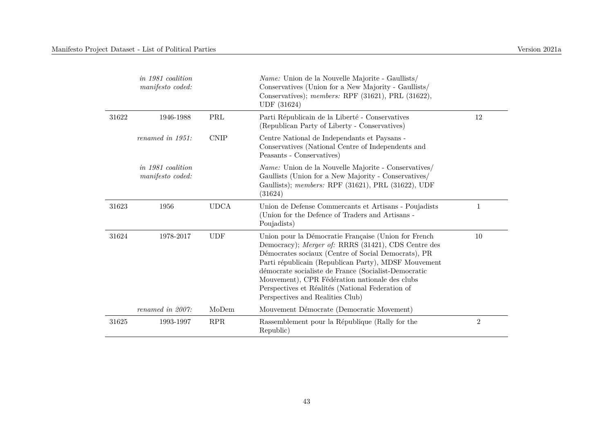|       | in 1981 coalition<br>manifesto coded: |                      | <i>Name:</i> Union de la Nouvelle Majorite - Gaullists/<br>Conservatives (Union for a New Majority - Gaullists/<br>Conservatives); members: RPF (31621), PRL (31622),<br>UDF (31624)                                                                                                                                                                                                                                         |                |
|-------|---------------------------------------|----------------------|------------------------------------------------------------------------------------------------------------------------------------------------------------------------------------------------------------------------------------------------------------------------------------------------------------------------------------------------------------------------------------------------------------------------------|----------------|
| 31622 | 1946-1988                             | $\operatorname{PRL}$ | Parti Républicain de la Liberté - Conservatives<br>(Republican Party of Liberty - Conservatives)                                                                                                                                                                                                                                                                                                                             | 12             |
|       | renamed in 1951:                      | <b>CNIP</b>          | Centre National de Independants et Paysans -<br>Conservatives (National Centre of Independents and<br>Peasants - Conservatives)                                                                                                                                                                                                                                                                                              |                |
|       | in 1981 coalition<br>manifesto coded: |                      | <i>Name:</i> Union de la Nouvelle Majorite - Conservatives/<br>Gaullists (Union for a New Majority - Conservatives/<br>Gaullists); members: RPF (31621), PRL (31622), UDF<br>(31624)                                                                                                                                                                                                                                         |                |
| 31623 | 1956                                  | <b>UDCA</b>          | Union de Defense Commercants et Artisans - Poujadists<br>(Union for the Defence of Traders and Artisans -<br>Poujadists)                                                                                                                                                                                                                                                                                                     | 1              |
| 31624 | 1978-2017                             | <b>UDF</b>           | Union pour la Démocratie Française (Union for French<br>Democracy); Merger of: RRRS (31421), CDS Centre des<br>Démocrates sociaux (Centre of Social Democrats), PR<br>Parti républicain (Republican Party), MDSF Mouvement<br>démocrate socialiste de France (Socialist-Democratic<br>Mouvement), CPR Fédération nationale des clubs<br>Perspectives et Réalités (National Federation of<br>Perspectives and Realities Club) | 10             |
|       | renamed in 2007:                      | MoDem                | Mouvement Démocrate (Democratic Movement)                                                                                                                                                                                                                                                                                                                                                                                    |                |
| 31625 | 1993-1997                             | <b>RPR</b>           | Rassemblement pour la République (Rally for the<br>Republic)                                                                                                                                                                                                                                                                                                                                                                 | $\overline{2}$ |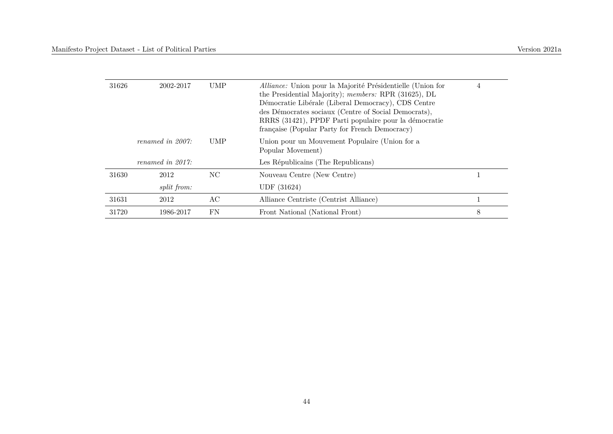| 31626 | 2002-2017           | <b>UMP</b> | Alliance: Union pour la Majorité Présidentielle (Union for<br>the Presidential Majority); members: RPR (31625), DL<br>Démocratie Libérale (Liberal Democracy), CDS Centre<br>des Démocrates sociaux (Centre of Social Democrats),<br>RRRS (31421), PPDF Parti populaire pour la démocratie<br>française (Popular Party for French Democracy) | 4 |
|-------|---------------------|------------|----------------------------------------------------------------------------------------------------------------------------------------------------------------------------------------------------------------------------------------------------------------------------------------------------------------------------------------------|---|
|       | renamed in $2007$ : | UMP        | Union pour un Mouvement Populaire (Union for a<br>Popular Movement)                                                                                                                                                                                                                                                                          |   |
|       | renamed in $2017$ : |            | Les Républicains (The Republicans)                                                                                                                                                                                                                                                                                                           |   |
| 31630 | 2012                | NC         | Nouveau Centre (New Centre)                                                                                                                                                                                                                                                                                                                  |   |
|       | split from:         |            | UDF (31624)                                                                                                                                                                                                                                                                                                                                  |   |
| 31631 | 2012                | AС         | Alliance Centriste (Centrist Alliance)                                                                                                                                                                                                                                                                                                       |   |
| 31720 | 1986-2017           | FN         | Front National (National Front)                                                                                                                                                                                                                                                                                                              | 8 |
|       |                     |            |                                                                                                                                                                                                                                                                                                                                              |   |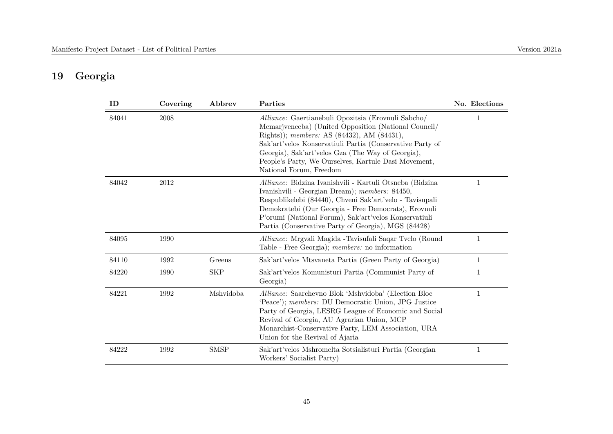# **19 Georgia**

| ID    | Covering | Abbrev      | Parties                                                                                                                                                                                                                                                                                                                                                        | No. Elections |
|-------|----------|-------------|----------------------------------------------------------------------------------------------------------------------------------------------------------------------------------------------------------------------------------------------------------------------------------------------------------------------------------------------------------------|---------------|
| 84041 | 2008     |             | Alliance: Gaertianebuli Opozitsia (Erovnuli Sabcho/<br>Memarjyeneeba) (United Opposition (National Council/<br>Rights)); members: AS (84432), AM (84431),<br>Sak'art'velos Konservatiuli Partia (Conservative Party of<br>Georgia), Sak'art'velos Gza (The Way of Georgia),<br>People's Party, We Ourselves, Kartule Dasi Movement,<br>National Forum, Freedom |               |
| 84042 | 2012     |             | Alliance: Bidzina Ivanishvili - Kartuli Otsneba (Bidzina<br>Ivanishvili - Georgian Dream); members: 84450,<br>Respublikelebi (84440), Chveni Sak'art'velo - Tavisupali<br>Demokratebi (Our Georgia - Free Democrats), Erovnuli<br>P'orumi (National Forum), Sak'art'velos Konservatiuli<br>Partia (Conservative Party of Georgia), MGS (84428)                 | 1             |
| 84095 | 1990     |             | Alliance: Mrgvali Magida - Tavisufali Saqar Tvelo (Round<br>Table - Free Georgia); members: no information                                                                                                                                                                                                                                                     | 1             |
| 84110 | 1992     | Greens      | Sak'art'velos Mtsvaneta Partia (Green Party of Georgia)                                                                                                                                                                                                                                                                                                        | 1             |
| 84220 | 1990     | <b>SKP</b>  | Sak'art'velos Komunisturi Partia (Communist Party of<br>Georgia)                                                                                                                                                                                                                                                                                               | 1             |
| 84221 | 1992     | Mshvidoba   | Alliance: Saarchevno Blok 'Mshvidoba' (Election Bloc<br>'Peace'); members: DU Democratic Union, JPG Justice<br>Party of Georgia, LESRG League of Economic and Social<br>Revival of Georgia, AU Agrarian Union, MCP<br>Monarchist-Conservative Party, LEM Association, URA<br>Union for the Revival of Ajaria                                                   | 1             |
| 84222 | 1992     | <b>SMSP</b> | Sak'art'velos Mshromelta Sotsialisturi Partia (Georgian<br>Workers' Socialist Party)                                                                                                                                                                                                                                                                           | $\mathbf 1$   |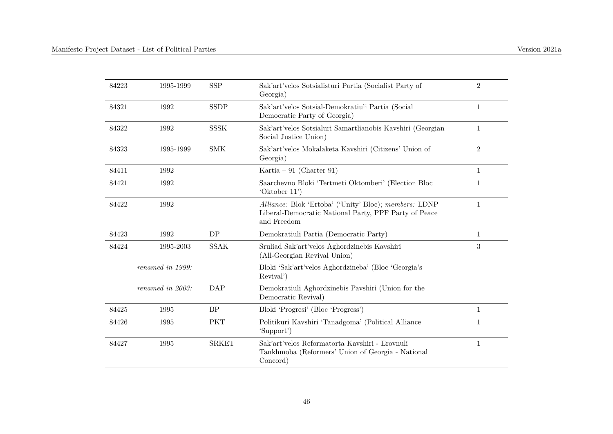| 84223 | 1995-1999        | <b>SSP</b>   | Sak'art'velos Sotsialisturi Partia (Socialist Party of<br>Georgia)                                                            | $\overline{2}$   |
|-------|------------------|--------------|-------------------------------------------------------------------------------------------------------------------------------|------------------|
| 84321 | 1992             | <b>SSDP</b>  | Sak'art'velos Sotsial-Demokratiuli Partia (Social<br>Democratic Party of Georgia)                                             | $\mathbf{1}$     |
| 84322 | 1992             | <b>SSSK</b>  | Sak'art'velos Sotsialuri Samartlianobis Kavshiri (Georgian<br>Social Justice Union)                                           | 1                |
| 84323 | 1995-1999        | <b>SMK</b>   | Sak'art'velos Mokalaketa Kavshiri (Citizens' Union of<br>Georgia)                                                             | $\boldsymbol{2}$ |
| 84411 | 1992             |              | Kartia – 91 (Charter 91)                                                                                                      | $\mathbf 1$      |
| 84421 | 1992             |              | Saarchevno Bloki 'Tertmeti Oktomberi' (Election Bloc<br>'Oktober 11')                                                         | $\mathbf{1}$     |
| 84422 | 1992             |              | Alliance: Blok 'Ertoba' ('Unity' Bloc); members: LDNP<br>Liberal-Democratic National Party, PPF Party of Peace<br>and Freedom | $\mathbf 1$      |
| 84423 | 1992             | DP           | Demokratiuli Partia (Democratic Party)                                                                                        | $\mathbf{1}$     |
| 84424 | 1995-2003        | <b>SSAK</b>  | Sruliad Sak'art'velos Aghordzinebis Kavshiri<br>(All-Georgian Revival Union)                                                  | 3                |
|       | renamed in 1999: |              | Bloki 'Sak'art'velos Aghordzineba' (Bloc 'Georgia's<br>Revival')                                                              |                  |
|       | renamed in 2003: | DAP          | Demokratiuli Aghordzinebis Pavshiri (Union for the<br>Democratic Revival)                                                     |                  |
| 84425 | 1995             | BP           | Bloki 'Progresi' (Bloc 'Progress')                                                                                            | $\mathbf{1}$     |
| 84426 | 1995             | <b>PKT</b>   | Politikuri Kavshiri 'Tanadgoma' (Political Alliance<br>'Support')                                                             | 1                |
| 84427 | 1995             | <b>SRKET</b> | Sak'art'velos Reformatorta Kavshiri - Erovnuli<br>Tankhmoba (Reformers' Union of Georgia - National<br>Concord)               | 1                |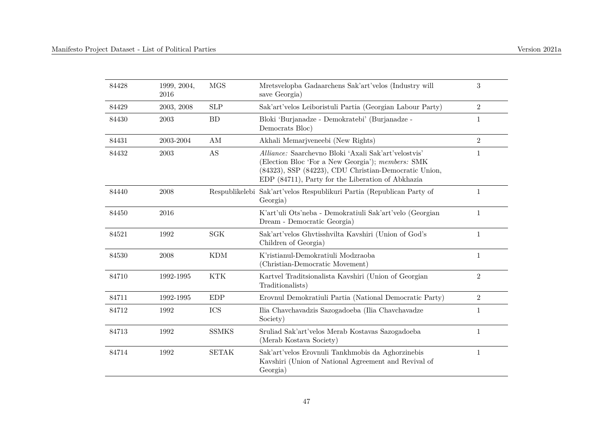| 84428 | 1999, 2004,<br>2016 | <b>MGS</b>    | Mretsvelopba Gadaarchens Sak'art'velos (Industry will<br>save Georgia)                                                                                                                                                  | 3              |
|-------|---------------------|---------------|-------------------------------------------------------------------------------------------------------------------------------------------------------------------------------------------------------------------------|----------------|
| 84429 | 2003, 2008          | <b>SLP</b>    | Sak'art'velos Leiboristuli Partia (Georgian Labour Party)                                                                                                                                                               | $\overline{2}$ |
| 84430 | 2003                | <b>BD</b>     | Bloki 'Burjanadze - Demokratebi' (Burjanadze -<br>Democrats Bloc)                                                                                                                                                       | 1              |
| 84431 | 2003-2004           | $\mathrm{AM}$ | Akhali Memarjyeneebi (New Rights)                                                                                                                                                                                       | $\overline{2}$ |
| 84432 | 2003                | AS            | Alliance: Saarchevno Bloki 'Axali Sak'art'velostvis'<br>(Election Bloc 'For a New Georgia'); members: SMK<br>(84323), SSP (84223), CDU Christian-Democratic Union,<br>EDP (84711), Party for the Liberation of Abkhazia | 1              |
| 84440 | 2008                |               | Respublikelebi Sak'art'velos Respublikuri Partia (Republican Party of<br>Georgia)                                                                                                                                       | $\mathbf{1}$   |
| 84450 | 2016                |               | K'art'uli Ots'neba - Demokratiuli Sak'art'velo (Georgian<br>Dream - Democratic Georgia)                                                                                                                                 | $\mathbf{1}$   |
| 84521 | 1992                | <b>SGK</b>    | Sak'art'velos Ghytisshvilta Kavshiri (Union of God's<br>Children of Georgia)                                                                                                                                            | $\mathbf{1}$   |
| 84530 | 2008                | <b>KDM</b>    | K'ristianul-Demokratiuli Modzraoba<br>(Christian-Democratic Movement)                                                                                                                                                   | $\mathbf{1}$   |
| 84710 | 1992-1995           | <b>KTK</b>    | Kartvel Traditsionalista Kavshiri (Union of Georgian<br>Traditionalists)                                                                                                                                                | $\overline{2}$ |
| 84711 | 1992-1995           | EDP           | Erovnul Demokratiuli Partia (National Democratic Party)                                                                                                                                                                 | $\mathbf{2}$   |
| 84712 | 1992                | ICS           | Ilia Chavchavadzis Sazogadoeba (Ilia Chavchavadze<br>Society)                                                                                                                                                           | $\mathbf{1}$   |
| 84713 | 1992                | <b>SSMKS</b>  | Sruliad Sak'art'velos Merab Kostavas Sazogadoeba<br>(Merab Kostava Society)                                                                                                                                             | $\mathbf{1}$   |
| 84714 | 1992                | <b>SETAK</b>  | Sak'art'velos Erovnuli Tankhmobis da Aghorzinebis<br>Kavshiri (Union of National Agreement and Revival of<br>Georgia)                                                                                                   | 1              |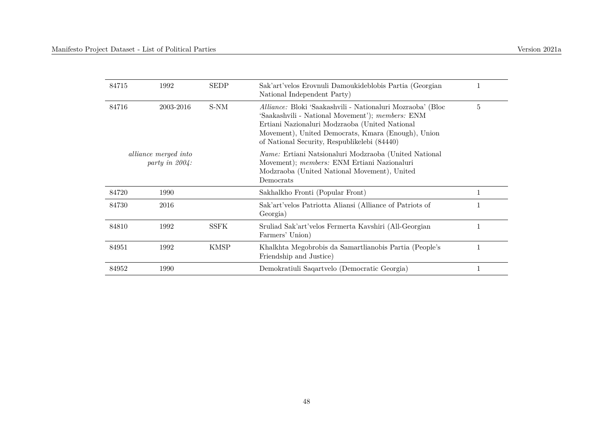| 84715 | 1992                                          | <b>SEDP</b> | Sak'art'velos Erovnuli Damoukideblobis Partia (Georgian<br>National Independent Party)                                                                                                                                                                                 |                |
|-------|-----------------------------------------------|-------------|------------------------------------------------------------------------------------------------------------------------------------------------------------------------------------------------------------------------------------------------------------------------|----------------|
| 84716 | 2003-2016                                     | S-NM        | Alliance: Bloki 'Saakashvili - Nationaluri Mozraoba' (Bloc<br>'Saakashvili - National Movement'); members: ENM<br>Ertiani Nazionaluri Modzraoba (United National<br>Movement), United Democrats, Kmara (Enough), Union<br>of National Security, Respublikelebi (84440) | $\overline{5}$ |
|       | <i>alliance merged into</i><br>party in 2004: |             | <i>Name:</i> Ertiani Natsionaluri Modzraoba (United National<br>Movement); members: ENM Ertiani Nazionaluri<br>Modzraoba (United National Movement), United<br>Democrats                                                                                               |                |
| 84720 | 1990                                          |             | Sakhalkho Fronti (Popular Front)                                                                                                                                                                                                                                       |                |
| 84730 | 2016                                          |             | Sak'art'velos Patriotta Aliansi (Alliance of Patriots of<br>Georgia)                                                                                                                                                                                                   | 1              |
| 84810 | 1992                                          | <b>SSFK</b> | Sruliad Sak'art'velos Fermerta Kavshiri (All-Georgian<br>Farmers' Union)                                                                                                                                                                                               | 1              |
| 84951 | 1992                                          | <b>KMSP</b> | Khalkhta Megobrobis da Samartlianobis Partia (People's<br>Friendship and Justice)                                                                                                                                                                                      | 1              |
| 84952 | 1990                                          |             | Demokratiuli Saqartvelo (Democratic Georgia)                                                                                                                                                                                                                           |                |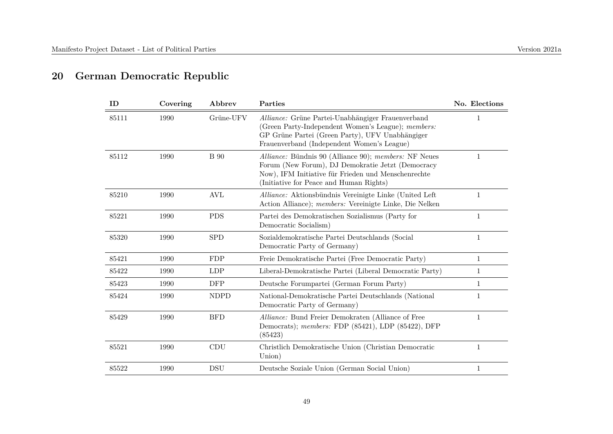## **20 German Democratic Republic**

| ID    | Covering | Abbrev      | Parties                                                                                                                                                                                                      | No. Elections |
|-------|----------|-------------|--------------------------------------------------------------------------------------------------------------------------------------------------------------------------------------------------------------|---------------|
| 85111 | 1990     | Grüne-UFV   | Alliance: Grüne Partei-Unabhängiger Frauenverband<br>(Green Party-Independent Women's League); members:<br>GP Grüne Partei (Green Party), UFV Unabhängiger<br>Frauenverband (Independent Women's League)     |               |
| 85112 | 1990     | <b>B</b> 90 | Alliance: Bündnis 90 (Alliance 90); members: NF Neues<br>Forum (New Forum), DJ Demokratie Jetzt (Democracy<br>Now), IFM Initiative für Frieden und Menschenrechte<br>(Initiative for Peace and Human Rights) | 1             |
| 85210 | 1990     | AVL         | Alliance: Aktionsbündnis Vereinigte Linke (United Left)<br>Action Alliance); <i>members:</i> Vereinigte Linke, Die Nelken                                                                                    | 1             |
| 85221 | 1990     | <b>PDS</b>  | Partei des Demokratischen Sozialismus (Party for<br>Democratic Socialism)                                                                                                                                    | 1             |
| 85320 | 1990     | <b>SPD</b>  | Sozialdemokratische Partei Deutschlands (Social<br>Democratic Party of Germany)                                                                                                                              | 1             |
| 85421 | 1990     | <b>FDP</b>  | Freie Demokratische Partei (Free Democratic Party)                                                                                                                                                           | 1             |
| 85422 | 1990     | <b>LDP</b>  | Liberal-Demokratische Partei (Liberal Democratic Party)                                                                                                                                                      | 1             |
| 85423 | 1990     | DFP         | Deutsche Forumpartei (German Forum Party)                                                                                                                                                                    | $\mathbf{1}$  |
| 85424 | 1990     | <b>NDPD</b> | National-Demokratische Partei Deutschlands (National<br>Democratic Party of Germany)                                                                                                                         | 1             |
| 85429 | 1990     | <b>BFD</b>  | Alliance: Bund Freier Demokraten (Alliance of Free<br>Democrats); members: FDP $(85421)$ , LDP $(85422)$ , DFP<br>(85423)                                                                                    | 1             |
| 85521 | 1990     | CDU         | Christlich Demokratische Union (Christian Democratic<br>Union)                                                                                                                                               | 1             |
| 85522 | 1990     | <b>DSU</b>  | Deutsche Soziale Union (German Social Union)                                                                                                                                                                 | 1             |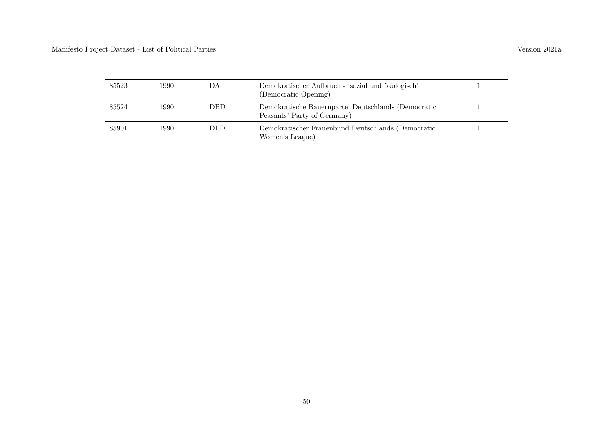| 85523 | 1990- | DA         | Demokratischer Aufbruch - 'sozial und ökologisch'<br>(Democratic Opening)          |  |
|-------|-------|------------|------------------------------------------------------------------------------------|--|
| 85524 | 1990- | <b>DBD</b> | Demokratische Bauernpartei Deutschlands (Democratic<br>Peasants' Party of Germany) |  |
| 85901 | 1990- | <b>DFD</b> | Demokratischer Frauenbund Deutschlands (Democratic<br>Women's League)              |  |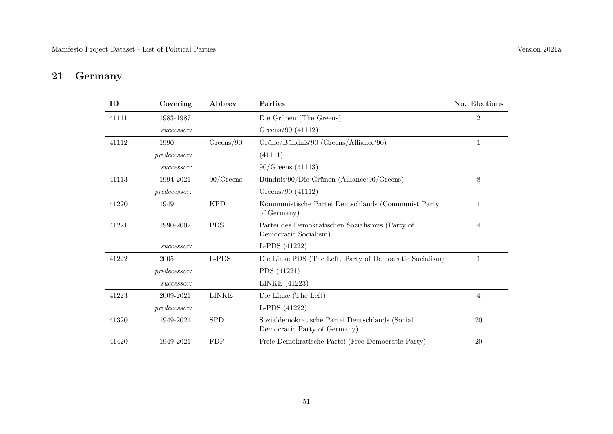## **21 Germany**

| ID    | Covering     | Abbrev       | Parties                                                                         | No. Elections  |
|-------|--------------|--------------|---------------------------------------------------------------------------------|----------------|
| 41111 | 1983-1987    |              | Die Grünen (The Greens)                                                         | $\overline{2}$ |
|       | successor:   |              | Greens/90 (41112)                                                               |                |
| 41112 | 1990         | Greens/90    | Grüne/Bündnis'90 (Greens/Alliance'90)                                           | $\mathbf{1}$   |
|       | predecessor: |              | (41111)                                                                         |                |
|       | successor:   |              | $90/G$ reens (41113)                                                            |                |
| 41113 | 1994-2021    | $90/G$ reens | Bündnis'90/Die Grünen (Alliance'90/Greens)                                      | 8              |
|       | predecessor: |              | Greens/90 (41112)                                                               |                |
| 41220 | 1949         | <b>KPD</b>   | Kommunistische Partei Deutschlands (Communist Party<br>of Germany)              | 1              |
| 41221 | 1990-2002    | <b>PDS</b>   | Partei des Demokratischen Sozialismus (Party of<br>Democratic Socialism)        | $\overline{4}$ |
|       | successor:   |              | L-PDS (41222)                                                                   |                |
| 41222 | 2005         | L-PDS        | Die Linke.PDS (The Left. Party of Democratic Socialism)                         | $\mathbf{1}$   |
|       | predecessor: |              | PDS (41221)                                                                     |                |
|       | successor:   |              | LINKE (41223)                                                                   |                |
| 41223 | 2009-2021    | <b>LINKE</b> | Die Linke (The Left)                                                            | 4              |
|       | predecessor: |              | L-PDS (41222)                                                                   |                |
| 41320 | 1949-2021    | <b>SPD</b>   | Sozialdemokratische Partei Deutschlands (Social<br>Democratic Party of Germany) | 20             |
| 41420 | 1949-2021    | <b>FDP</b>   | Freie Demokratische Partei (Free Democratic Party)                              | 20             |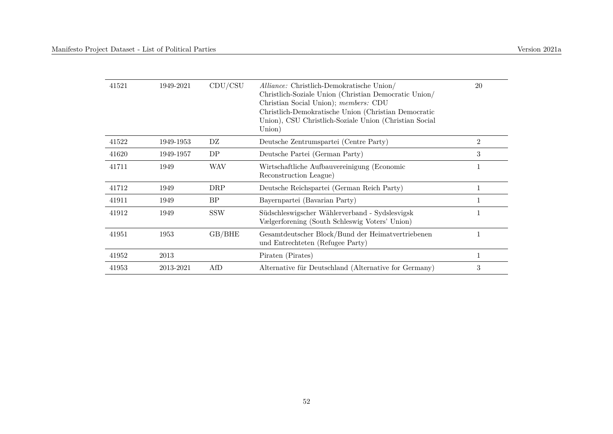| 41521 | 1949-2021 | CDU/CSU    | <i>Alliance:</i> Christlich-Demokratische Union/<br>Christlich-Soziale Union (Christian Democratic Union/<br>Christian Social Union); members: CDU<br>Christlich-Demokratische Union (Christian Democratic<br>Union), CSU Christlich-Soziale Union (Christian Social<br>Union) | 20             |
|-------|-----------|------------|--------------------------------------------------------------------------------------------------------------------------------------------------------------------------------------------------------------------------------------------------------------------------------|----------------|
| 41522 | 1949-1953 | DZ         | Deutsche Zentrumspartei (Centre Party)                                                                                                                                                                                                                                         | $\overline{2}$ |
| 41620 | 1949-1957 | DP         | Deutsche Partei (German Party)                                                                                                                                                                                                                                                 | 3              |
| 41711 | 1949      | <b>WAV</b> | Wirtschaftliche Aufbauvereinigung (Economic<br>Reconstruction League)                                                                                                                                                                                                          | 1              |
| 41712 | 1949      | DRP        | Deutsche Reichspartei (German Reich Party)                                                                                                                                                                                                                                     | $\mathbf{1}$   |
| 41911 | 1949      | BP         | Bayernpartei (Bavarian Party)                                                                                                                                                                                                                                                  |                |
| 41912 | 1949      | <b>SSW</b> | Südschleswigscher Wählerverband - Sydslesvigsk<br>Vælgerforening (South Schleswig Voters' Union)                                                                                                                                                                               |                |
| 41951 | 1953      | GB/BHE     | Gesamtdeutscher Block/Bund der Heimatvertriebenen<br>und Entrechteten (Refugee Party)                                                                                                                                                                                          |                |
| 41952 | 2013      |            | Piraten (Pirates)                                                                                                                                                                                                                                                              | $\mathbf{1}$   |
| 41953 | 2013-2021 | AfD        | Alternative für Deutschland (Alternative for Germany)                                                                                                                                                                                                                          | 3              |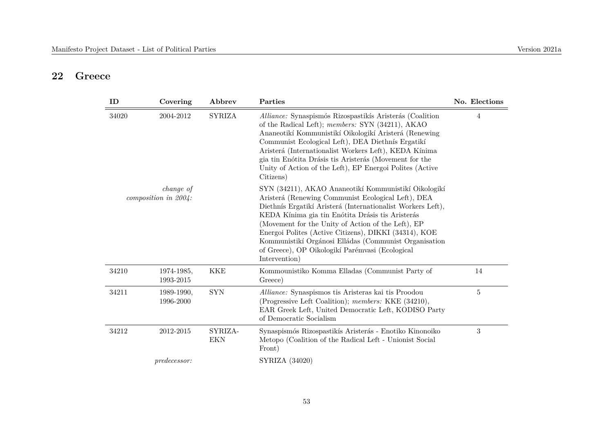#### **22 Greece**

| ID    | Covering                                 | Abbrev         | Parties                                                                                                                                                                                                                                                                                                                                                                                                                                                                   | No. Elections  |
|-------|------------------------------------------|----------------|---------------------------------------------------------------------------------------------------------------------------------------------------------------------------------------------------------------------------------------------------------------------------------------------------------------------------------------------------------------------------------------------------------------------------------------------------------------------------|----------------|
| 34020 | 2004-2012                                | <b>SYRIZA</b>  | Alliance: Synaspismós Rizospastikís Aristerás (Coalition<br>of the Radical Left); members: SYN (34211), AKAO<br>Ananeotikí Kommunistikí Oikologikí Aristerá (Renewing<br>Communist Ecological Left), DEA Diethnís Ergatikí<br>Aristerá (Internationalist Workers Left), KEDA Kínima<br>gia tin Enótita Drásis tis Aristerás (Movement for the<br>Unity of Action of the Left), EP Energoi Polites (Active<br>Citizens)                                                    | 4              |
|       | <i>change of</i><br>composition in 2004: |                | SYN (34211), AKAO Ananeotikí Kommunistikí Oikologikí<br>Aristerá (Renewing Communist Ecological Left), DEA<br>Diethnís Ergatikí Aristerá (Internationalist Workers Left),<br>KEDA Kínima gia tin Enótita Drásis tis Aristerás<br>(Movement for the Unity of Action of the Left), EP<br>Energoi Polites (Active Citizens), DIKKI (34314), KOE<br>Kommunistikí Orgánosi Elládas (Communist Organisation<br>of Greece), OP Oikologikí Parémyasi (Ecological<br>Intervention) |                |
| 34210 | 1974-1985,<br>1993-2015                  | <b>KKE</b>     | Kommounistiko Komma Elladas (Communist Party of<br>Greece)                                                                                                                                                                                                                                                                                                                                                                                                                | 14             |
| 34211 | 1989-1990,<br>1996-2000                  | <b>SYN</b>     | Alliance: Synaspismos tis Aristeras kai tis Proodou<br>(Progressive Left Coalition); members: KKE (34210),<br>EAR Greek Left, United Democratic Left, KODISO Party<br>of Democratic Socialism                                                                                                                                                                                                                                                                             | $\overline{5}$ |
| 34212 | 2012-2015                                | SYRIZA-<br>EKN | Synaspismós Rizospastikís Aristerás - Enotiko Kinonoiko<br>Metopo (Coalition of the Radical Left - Unionist Social<br>Front)                                                                                                                                                                                                                                                                                                                                              | 3              |
|       | <i>predecessor:</i>                      |                | SYRIZA (34020)                                                                                                                                                                                                                                                                                                                                                                                                                                                            |                |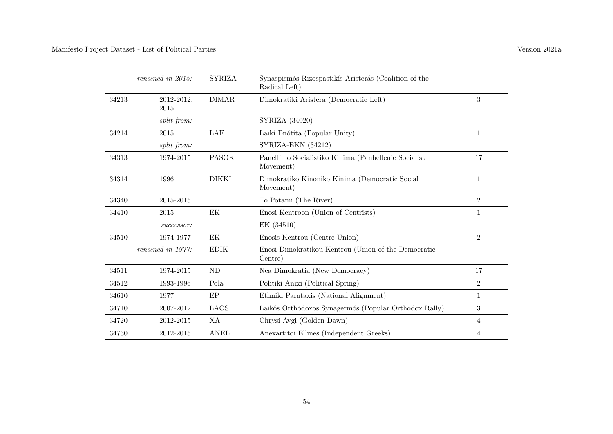|       | renamed in 2015:   | <b>SYRIZA</b> | Synaspismós Rizospastikís Aristerás (Coalition of the<br>Radical Left) |                |
|-------|--------------------|---------------|------------------------------------------------------------------------|----------------|
| 34213 | 2012-2012,<br>2015 | <b>DIMAR</b>  | Dimokratiki Aristera (Democratic Left)                                 | 3              |
|       | split from:        |               | SYRIZA (34020)                                                         |                |
| 34214 | 2015               | LAE           | Laīkí Enótita (Popular Unity)                                          | 1              |
|       | split from:        |               | SYRIZA-EKN (34212)                                                     |                |
| 34313 | 1974-2015          | <b>PASOK</b>  | Panellinio Socialistiko Kinima (Panhellenic Socialist<br>Movement)     | 17             |
| 34314 | 1996               | <b>DIKKI</b>  | Dimokratiko Kinoniko Kinima (Democratic Social<br>Movement)            | 1              |
| 34340 | 2015-2015          |               | To Potami (The River)                                                  | $\overline{2}$ |
| 34410 | 2015               | EК            | Enosi Kentroon (Union of Centrists)                                    | 1              |
|       | successor:         |               | EK (34510)                                                             |                |
| 34510 | 1974-1977          | EK            | Enosis Kentrou (Centre Union)                                          | $\overline{2}$ |
|       | renamed in 1977:   | <b>EDIK</b>   | Enosi Dimokratikou Kentrou (Union of the Democratic<br>Centre)         |                |
| 34511 | 1974-2015          | <b>ND</b>     | Nea Dimokratia (New Democracy)                                         | 17             |
| 34512 | 1993-1996          | Pola          | Politiki Anixi (Political Spring)                                      | $\overline{2}$ |
| 34610 | 1977               | EP            | Ethniki Parataxis (National Alignment)                                 | $\mathbf{1}$   |
| 34710 | 2007-2012          | <b>LAOS</b>   | Laikós Orthódoxos Synagermós (Popular Orthodox Rally)                  | 3              |
| 34720 | 2012-2015          | XA            | Chrysi Avgi (Golden Dawn)                                              | 4              |
| 34730 | 2012-2015          | <b>ANEL</b>   | Anexartitoi Ellines (Independent Greeks)                               | 4              |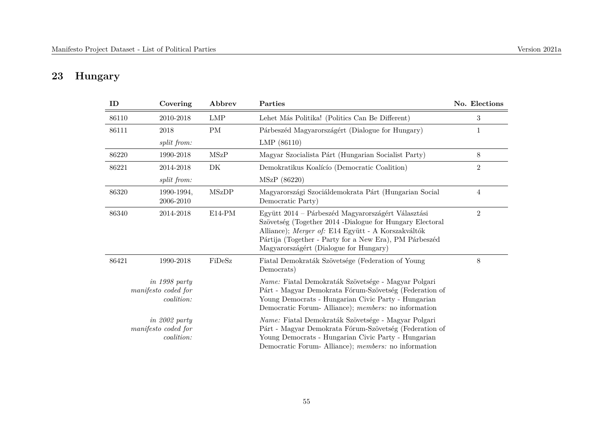## **23 Hungary**

| ID    | Covering                                           | Abbrev       | Parties                                                                                                                                                                                                                                                                  | No. Elections  |
|-------|----------------------------------------------------|--------------|--------------------------------------------------------------------------------------------------------------------------------------------------------------------------------------------------------------------------------------------------------------------------|----------------|
| 86110 | 2010-2018                                          | <b>LMP</b>   | Lehet Más Politika! (Politics Can Be Different)                                                                                                                                                                                                                          | 3              |
| 86111 | 2018                                               | PM           | Párbeszéd Magyarországért (Dialogue for Hungary)                                                                                                                                                                                                                         | 1              |
|       | split from:                                        |              | LMP (86110)                                                                                                                                                                                                                                                              |                |
| 86220 | 1990-2018                                          | <b>MSzP</b>  | Magyar Szocialista Párt (Hungarian Socialist Party)                                                                                                                                                                                                                      | 8              |
| 86221 | 2014-2018                                          | DK           | Demokratikus Koalícío (Democratic Coalition)                                                                                                                                                                                                                             | $\overline{2}$ |
|       | split from:                                        |              | MSzP (86220)                                                                                                                                                                                                                                                             |                |
| 86320 | 1990-1994,<br>2006-2010                            | <b>MSzDP</b> | Magyarországi Szociáldemokrata Párt (Hungarian Social<br>Democratic Party)                                                                                                                                                                                               | 4              |
| 86340 | 2014-2018                                          | $E14-PM$     | Együtt 2014 – Párbeszéd Magyarországért Választási<br>Szövetség (Together 2014 -Dialogue for Hungary Electoral<br>Alliance); Merger of: E14 Együtt - A Korszakváltók<br>Pártija (Together - Party for a New Era), PM Párbeszéd<br>Magyarországért (Dialogue for Hungary) | $\overline{2}$ |
| 86421 | 1990-2018                                          | FiDeSz       | Fiatal Demokraták Szövetsége (Federation of Young<br>Democrats)                                                                                                                                                                                                          | 8              |
|       | in 1998 party<br>manifesto coded for<br>coalition: |              | Name: Fiatal Demokraták Szövetsége - Magyar Polgari<br>Párt - Magyar Demokrata Fórum-Szövetség (Federation of<br>Young Democrats - Hungarian Civic Party - Hungarian<br>Democratic Forum-Alliance); members: no information                                              |                |
|       | in 2002 party<br>manifesto coded for<br>coalition: |              | Name: Fiatal Demokraták Szövetsége - Magyar Polgari<br>Párt - Magyar Demokrata Fórum-Szövetség (Federation of<br>Young Democrats - Hungarian Civic Party - Hungarian<br>Democratic Forum-Alliance); members: no information                                              |                |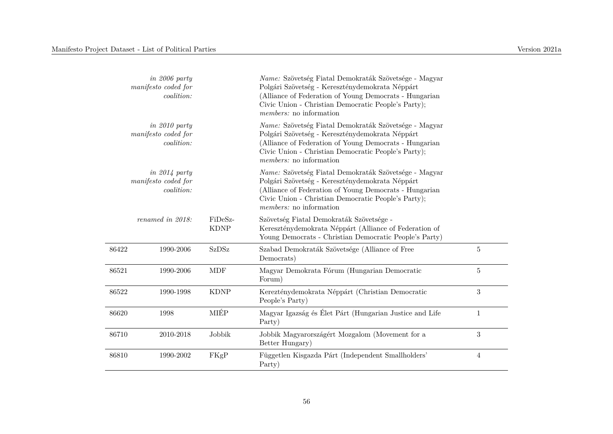|       | $in 2006$ party<br>manifesto coded for<br>coalition: |                        | Name: Szövetség Fiatal Demokraták Szövetsége - Magyar<br>Polgári Szövetség - Kereszténydemokrata Néppárt<br>(Alliance of Federation of Young Democrats - Hungarian<br>Civic Union - Christian Democratic People's Party);<br><i>members:</i> no information |                |
|-------|------------------------------------------------------|------------------------|-------------------------------------------------------------------------------------------------------------------------------------------------------------------------------------------------------------------------------------------------------------|----------------|
|       | $in 2010$ party<br>manifesto coded for<br>coalition: |                        | Name: Szövetség Fiatal Demokraták Szövetsége - Magyar<br>Polgári Szövetség - Kereszténydemokrata Néppárt<br>(Alliance of Federation of Young Democrats - Hungarian<br>Civic Union - Christian Democratic People's Party);<br><i>members:</i> no information |                |
|       | $in$ 2014 party<br>manifesto coded for<br>coalition: |                        | Name: Szövetség Fiatal Demokraták Szövetsége - Magyar<br>Polgári Szövetség - Kereszténydemokrata Néppárt<br>(Alliance of Federation of Young Democrats - Hungarian<br>Civic Union - Christian Democratic People's Party);<br>members: no information        |                |
|       | renamed in 2018:                                     | FiDeSz-<br><b>KDNP</b> | Szövetség Fiatal Demokraták Szövetsége -<br>Kereszténydemokrata Néppárt (Alliance of Federation of<br>Young Democrats - Christian Democratic People's Party)                                                                                                |                |
| 86422 | 1990-2006                                            | <b>SzDSz</b>           | Szabad Demokraták Szövetsége (Alliance of Free<br>Democrats)                                                                                                                                                                                                | $\overline{5}$ |
| 86521 | 1990-2006                                            | <b>MDF</b>             | Magyar Demokrata Fórum (Hungarian Democratic<br>Forum)                                                                                                                                                                                                      | $\overline{5}$ |
| 86522 | 1990-1998                                            | <b>KDNP</b>            | Kerezténydemokrata Néppárt (Christian Democratic<br>People's Party)                                                                                                                                                                                         | 3              |
| 86620 | 1998                                                 | MIÉP                   | Magyar Igazság és Élet Párt (Hungarian Justice and Life<br>Party)                                                                                                                                                                                           | $\mathbf{1}$   |
| 86710 | 2010-2018                                            | Jobbik                 | Jobbik Magyarországért Mozgalom (Movement for a<br>Better Hungary)                                                                                                                                                                                          | 3              |
| 86810 | 1990-2002                                            | FKgP                   | Független Kisgazda Párt (Independent Smallholders'<br>Party)                                                                                                                                                                                                | $\overline{4}$ |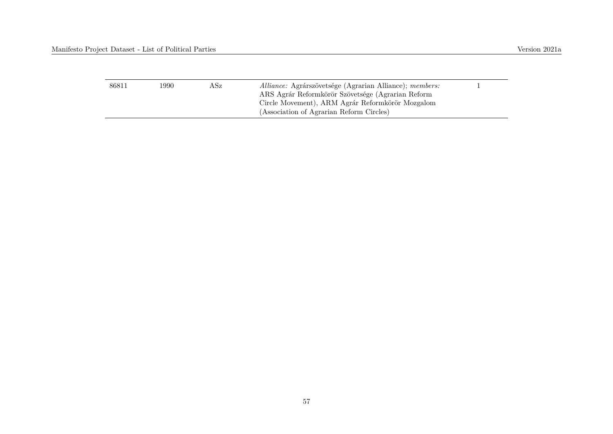| 86811 | 1990. | ASz. | Alliance: Agrárszövetsége (Agrarian Alliance); members:<br>ARS Agrár Reformkörör Szövetsége (Agrarian Reform |  |
|-------|-------|------|--------------------------------------------------------------------------------------------------------------|--|
|       |       |      | Circle Movement), ARM Agrár Reformkörör Mozgalom<br>(Association of Agrarian Reform Circles)                 |  |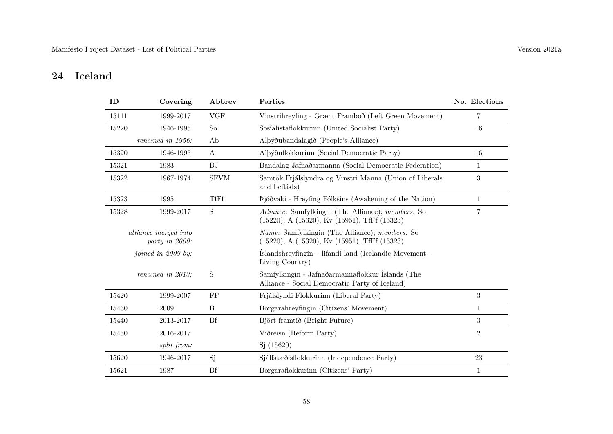## **24 Iceland**

| ID    | Covering                               | Abbrev           | Parties                                                                                                                 | No. Elections    |
|-------|----------------------------------------|------------------|-------------------------------------------------------------------------------------------------------------------------|------------------|
| 15111 | 1999-2017                              | <b>VGF</b>       | Vinstrihreyfing - Grænt Framboð (Left Green Movement)                                                                   | 7                |
| 15220 | 1946-1995                              | S <sub>o</sub>   | Sósíalistaflokkurinn (United Socialist Party)                                                                           | 16               |
|       | renamed in 1956:                       | Ab               | Alþýðubandalagið (People's Alliance)                                                                                    |                  |
| 15320 | 1946-1995                              | $\boldsymbol{A}$ | Alþýðuflokkurinn (Social Democratic Party)                                                                              | 16               |
| 15321 | 1983                                   | <b>BJ</b>        | Bandalag Jafnaðarmanna (Social Democratic Federation)                                                                   | $\mathbf{1}$     |
| 15322 | 1967-1974                              | <b>SFVM</b>      | Samtök Frjálslyndra og Vinstri Manna (Union of Liberals<br>and Leftists)                                                | $\boldsymbol{3}$ |
| 15323 | 1995                                   | TfFf             | Þjóðvaki - Hreyfing Fólksins (Awakening of the Nation)                                                                  | $\mathbf{1}$     |
| 15328 | 1999-2017                              | S                | Alliance: Samfylkingin (The Alliance); members: So<br>$(15220)$ , A $(15320)$ , Kv $(15951)$ , TfFf $(15323)$           | $\overline{7}$   |
|       | alliance merged into<br>party in 2000: |                  | <i>Name:</i> Samfylkingin (The Alliance); <i>members:</i> So<br>$(15220)$ , A $(15320)$ , Kv $(15951)$ , TfFf $(15323)$ |                  |
|       | joined in 2009 by:                     |                  | Íslandshreyfingin - lifandi land (Icelandic Movement -<br>Living Country)                                               |                  |
|       | renamed in 2013:                       | S                | Samfylkingin - Jafnaðarmannaflokkur Íslands (The<br>Alliance - Social Democratic Party of Iceland)                      |                  |
| 15420 | 1999-2007                              | FF               | Frjálslyndi Flokkurinn (Liberal Party)                                                                                  | $\overline{3}$   |
| 15430 | 2009                                   | B                | Borgarahreyfingin (Citizens' Movement)                                                                                  | $\mathbf{1}$     |
| 15440 | 2013-2017                              | Bf               | Björt framtið (Bright Future)                                                                                           | $\overline{3}$   |
| 15450 | 2016-2017                              |                  | Viðreisn (Reform Party)                                                                                                 | $\overline{2}$   |
|       | split from:                            |                  | Sj(15620)                                                                                                               |                  |
| 15620 | 1946-2017                              | Sj               | Sjálfstæðisflokkurinn (Independence Party)                                                                              | 23               |
| 15621 | 1987                                   | <b>Bf</b>        | Borgaraflokkurinn (Citizens' Party)                                                                                     | $\mathbf{1}$     |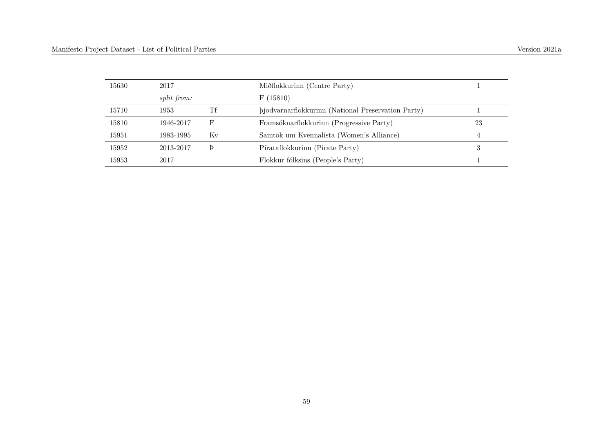| 15630 | 2017               |    | Miðflokkurinn (Centre Party)                       |    |
|-------|--------------------|----|----------------------------------------------------|----|
|       | <i>split from:</i> |    | F(15810)                                           |    |
| 15710 | 1953               | Тf | bjodvarnarflokkurinn (National Preservation Party) |    |
| 15810 | 1946-2017          | F  | Framsóknarflokkurinn (Progressive Party)           | 23 |
| 15951 | 1983-1995          | Κv | Samtök um Kvennalista (Women's Alliance)           |    |
| 15952 | 2013-2017          |    | Pírataflokkurinn (Pirate Party)                    |    |
| 15953 | 2017               |    | Flokkur fólksins (People's Party)                  |    |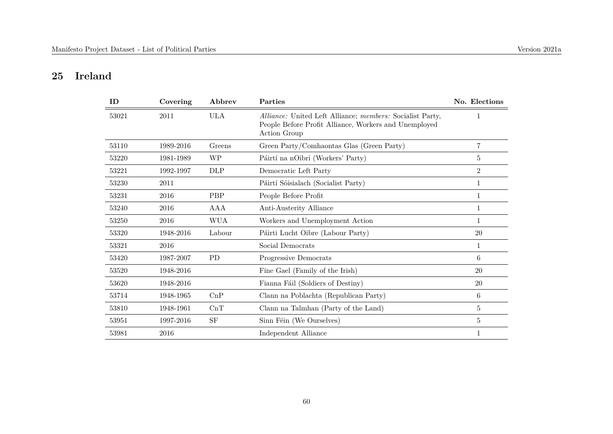#### **25 Ireland**

| ID    | Covering  | Abbrev       | Parties                                                                                                                            | No. Elections  |
|-------|-----------|--------------|------------------------------------------------------------------------------------------------------------------------------------|----------------|
| 53021 | 2011      | <b>ULA</b>   | Alliance: United Left Alliance; members: Socialist Party,<br>People Before Profit Alliance, Workers and Unemployed<br>Action Group | 1              |
| 53110 | 1989-2016 | Greens       | Green Party/Comhaontas Glas (Green Party)                                                                                          | $\overline{7}$ |
| 53220 | 1981-1989 | WP           | Páirtí na nOibri (Workers' Party)                                                                                                  | 5              |
| 53221 | 1992-1997 | $_{\rm DLP}$ | Democratic Left Party                                                                                                              | $\overline{2}$ |
| 53230 | 2011      |              | Páirtí Sóisialach (Socialist Party)                                                                                                | 1              |
| 53231 | 2016      | PBP          | People Before Profit                                                                                                               | 1              |
| 53240 | 2016      | AAA          | Anti-Austerity Alliance                                                                                                            | 1              |
| 53250 | 2016      | <b>WUA</b>   | Workers and Unemployment Action                                                                                                    | $\mathbf 1$    |
| 53320 | 1948-2016 | Labour       | Páirti Lucht Oibre (Labour Party)                                                                                                  | 20             |
| 53321 | 2016      |              | Social Democrats                                                                                                                   | 1              |
| 53420 | 1987-2007 | <b>PD</b>    | Progressive Democrats                                                                                                              | 6              |
| 53520 | 1948-2016 |              | Fine Gael (Family of the Irish)                                                                                                    | 20             |
| 53620 | 1948-2016 |              | Fianna Fáil (Soldiers of Destiny)                                                                                                  | $20\,$         |
| 53714 | 1948-1965 | CnP          | Clann na Poblachta (Republican Party)                                                                                              | 6              |
| 53810 | 1948-1961 | CnT          | Clann na Talmhan (Party of the Land)                                                                                               | $\bf 5$        |
| 53951 | 1997-2016 | <b>SF</b>    | Sinn Féin (We Ourselves)                                                                                                           | 5              |
| 53981 | 2016      |              | Independent Alliance                                                                                                               | 1              |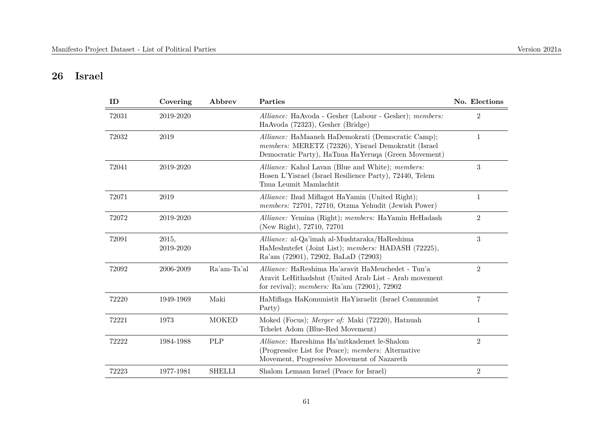#### **26 Israel**

| ID    | Covering           | Abbrev        | Parties                                                                                                                                                             | No. Elections  |
|-------|--------------------|---------------|---------------------------------------------------------------------------------------------------------------------------------------------------------------------|----------------|
| 72031 | 2019-2020          |               | Alliance: HaAvoda - Gesher (Labour - Gesher); members:<br>HaAvoda (72323), Gesher (Bridge)                                                                          | $\overline{2}$ |
| 72032 | 2019               |               | Alliance: HaMaaneh HaDemokrati (Democratic Camp);<br>members: MERETZ (72326), Yisrael Demokratit (Israel<br>Democratic Party), HaTnua HaYeruqa (Green Movement)     | $\mathbf{1}$   |
| 72041 | 2019-2020          |               | Alliance: Kahol Lavan (Blue and White); members:<br>Hosen L'Yisrael (Israel Resilience Party), 72440, Telem<br>Thua Leumit Mamlachtit                               | $\sqrt{3}$     |
| 72071 | 2019               |               | Alliance: Ihud Miflagot HaYamin (United Right);<br>members: 72701, 72710, Otzma Yehudit (Jewish Power)                                                              | 1              |
| 72072 | 2019-2020          |               | Alliance: Yemina (Right); members: HaYamin HeHadash<br>(New Right), 72710, 72701                                                                                    | $\overline{2}$ |
| 72091 | 2015,<br>2019-2020 |               | Alliance: al-Qa'imah al-Mushtaraka/HaReshima<br>HaMeshutefet (Joint List); members: HADASH (72225),<br>Ra'am (72901), 72902, BaLaD (72903)                          | 3              |
| 72092 | 2006-2009          | Ra'am-Ta'al   | <i>Alliance:</i> HaReshima Ha'aravit HaMeuchedet - Tun'a<br>Aravit LeHithadshut (United Arab List - Arab movement<br>for revival); members: Ra'am $(72901)$ , 72902 | $\overline{2}$ |
| 72220 | 1949-1969          | Maki          | HaMiflaga HaKomunistit HaYisraelit (Israel Communist)<br>Party)                                                                                                     | $\overline{7}$ |
| 72221 | 1973               | <b>MOKED</b>  | Moked (Focus); Merger of: Maki (72220), Hatnuah<br>Tchelet Adom (Blue-Red Movement)                                                                                 | 1              |
| 72222 | 1984-1988          | PLP           | <i>Alliance:</i> Hareshima Ha'mitkademet le-Shalom<br>(Progressive List for Peace); members: Alternative<br>Movement, Progressive Movement of Nazareth              | $\overline{2}$ |
| 72223 | 1977-1981          | <b>SHELLI</b> | Shalom Lemaan Israel (Peace for Israel)                                                                                                                             | $\overline{2}$ |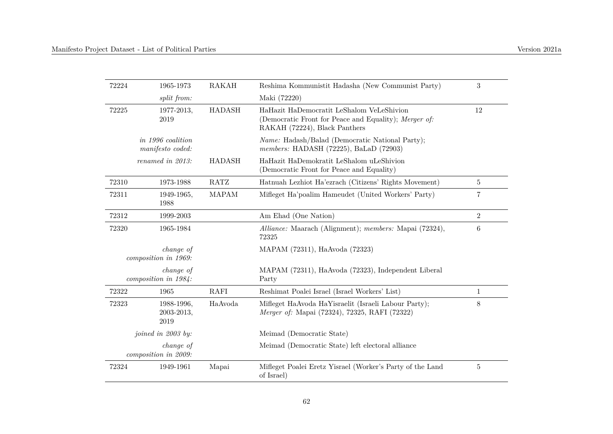| 72224 | 1965-1973                                    | RAKAH         | Reshima Kommunistit Hadasha (New Communist Party)                                                                                   | 3              |
|-------|----------------------------------------------|---------------|-------------------------------------------------------------------------------------------------------------------------------------|----------------|
|       | split from:                                  |               | Maki (72220)                                                                                                                        |                |
| 72225 | 1977-2013,<br>2019                           | <b>HADASH</b> | HaHazit HaDemocratit LeShalom VeLeShivion<br>(Democratic Front for Peace and Equality); Merger of:<br>RAKAH (72224), Black Panthers | 12             |
|       | <i>in 1996 coalition</i><br>manifesto coded: |               | <i>Name:</i> Hadash/Balad (Democratic National Party);<br>members: HADASH (72225), BaLaD (72903)                                    |                |
|       | renamed in 2013:                             | <b>HADASH</b> | HaHazit HaDemokratit LeShalom uLeShivion<br>(Democratic Front for Peace and Equality)                                               |                |
| 72310 | 1973-1988                                    | RATZ          | Hatnuah Lezhiot Ha'ezrach (Citizens' Rights Movement)                                                                               | 5              |
| 72311 | 1949-1965,<br>1988                           | <b>MAPAM</b>  | Mifleget Ha'poalim Hameudet (United Workers' Party)                                                                                 | 7              |
| 72312 | 1999-2003                                    |               | Am Ehad (One Nation)                                                                                                                | $\overline{2}$ |
| 72320 | 1965-1984                                    |               | Alliance: Maarach (Alignment); members: Mapai (72324),<br>72325                                                                     | 6              |
|       | <i>change of</i><br>composition in 1969:     |               | MAPAM (72311), HaAvoda (72323)                                                                                                      |                |
|       | change of<br>composition in 1984:            |               | MAPAM (72311), HaAvoda (72323), Independent Liberal<br>Party                                                                        |                |
| 72322 | 1965                                         | <b>RAFI</b>   | Reshimat Poalei Israel (Israel Workers' List)                                                                                       | $\mathbf{1}$   |
| 72323 | 1988-1996,<br>2003-2013,<br>2019             | HaAvoda       | Mifleget HaAvoda HaYisraelit (Israeli Labour Party);<br>Merger of: Mapai (72324), 72325, RAFI (72322)                               | 8              |
|       | joined in 2003 by:                           |               | Meimad (Democratic State)                                                                                                           |                |
|       | <i>change of</i><br>composition in 2009:     |               | Meimad (Democratic State) left electoral alliance                                                                                   |                |
| 72324 | 1949-1961                                    | Mapai         | Mifleget Poalei Eretz Yisrael (Worker's Party of the Land<br>of Israel)                                                             | 5              |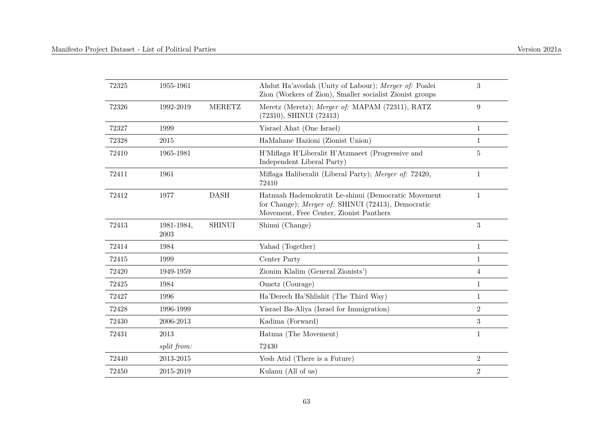| 72325 | 1955-1961          |               | Ahdut Ha'avodah (Unity of Labour); Merger of: Poalei<br>Zion (Workers of Zion), Smaller socialist Zionist groups                                     | 3              |
|-------|--------------------|---------------|------------------------------------------------------------------------------------------------------------------------------------------------------|----------------|
| 72326 | 1992-2019          | <b>MERETZ</b> | Meretz (Meretz); Merger of: MAPAM (72311), RATZ<br>(72310), SHINUI (72413)                                                                           | 9              |
| 72327 | 1999               |               | Yisrael Ahat (One Israel)                                                                                                                            | $1\,$          |
| 72328 | $\,2015$           |               | HaMahane Hazioni (Zionist Union)                                                                                                                     | $\mathbf{1}$   |
| 72410 | 1965-1981          |               | H'Miflaga H'Liberalit H'Atzmaeet (Progressive and<br>Independent Liberal Party)                                                                      | 5              |
| 72411 | 1961               |               | Miflaga Haliberalit (Liberal Party); Merger of: 72420,<br>72410                                                                                      | $\mathbf{1}$   |
| 72412 | 1977               | <b>DASH</b>   | Hatnuah Hademokratit Le-shinui (Democratic Movement<br>for Change); Merger of: SHINUI (72413), Democratic<br>Movement, Free Center, Zionist Panthers | $\mathbf{1}$   |
| 72413 | 1981-1984,<br>2003 | <b>SHINUI</b> | Shinui (Change)                                                                                                                                      | 3              |
| 72414 | 1984               |               | Yahad (Together)                                                                                                                                     | $\mathbf{1}$   |
| 72415 | 1999               |               | Center Party                                                                                                                                         | 1              |
| 72420 | 1949-1959          |               | Zionim Klalim (General Zionists')                                                                                                                    | 4              |
| 72425 | 1984               |               | Ometz (Courage)                                                                                                                                      | 1              |
| 72427 | 1996               |               | Ha'Derech Ha'Shlishit (The Third Way)                                                                                                                | 1              |
| 72428 | 1996-1999          |               | Yisrael Ba-Aliya (Israel for Immigration)                                                                                                            | $\overline{2}$ |
| 72430 | 2006-2013          |               | Kadima (Forward)                                                                                                                                     | 3              |
| 72431 | 2013               |               | Hatnua (The Movement)                                                                                                                                | $\mathbf{1}$   |
|       | split from:        |               | 72430                                                                                                                                                |                |
| 72440 | 2013-2015          |               | Yesh Atid (There is a Future)                                                                                                                        | $\overline{2}$ |
| 72450 | 2015-2019          |               | Kulanu (All of us)                                                                                                                                   | $\overline{2}$ |
|       |                    |               |                                                                                                                                                      |                |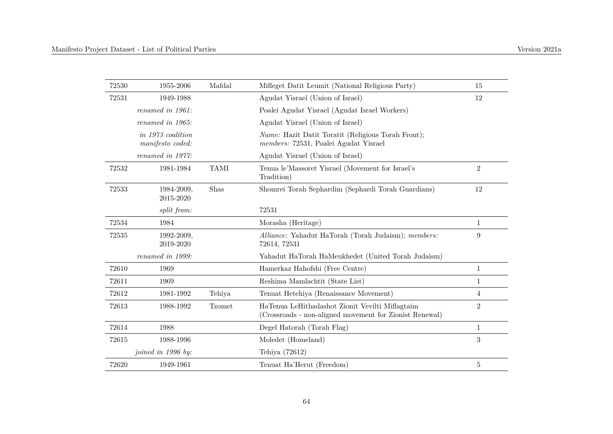| 72530 | 1955-2006                             | Mafdal        | Mifleget Datit Leumit (National Religious Party)                                                           | 15             |
|-------|---------------------------------------|---------------|------------------------------------------------------------------------------------------------------------|----------------|
| 72531 | 1949-1988                             |               | Agudat Yisrael (Union of Israel)                                                                           | 12             |
|       | renamed in 1961:                      |               | Poalei Agudat Yisrael (Agudat Israel Workers)                                                              |                |
|       | renamed in 1965:                      |               | Agudat Yisrael (Union of Israel)                                                                           |                |
|       | in 1973 coalition<br>manifesto coded: |               | <i>Name:</i> Hazit Datit Toratit (Religious Torah Front);<br>members: 72531, Poalei Agudat Yisrael         |                |
|       | renamed in 1977:                      |               | Agudat Yisrael (Union of Israel)                                                                           |                |
| 72532 | 1981-1984                             | <b>TAMI</b>   | Tenua le'Massoret Yisrael (Movement for Israel's<br>Tradition)                                             | $\overline{2}$ |
| 72533 | 1984-2009,<br>2015-2020               | Shas          | Shomrei Torah Sephardim (Sephardi Torah Guardians)                                                         | 12             |
|       | split from:                           |               | 72531                                                                                                      |                |
| 72534 | 1984                                  |               | Morasha (Heritage)                                                                                         | $\mathbf 1$    |
| 72535 | 1992-2009,<br>2019-2020               |               | Alliance: Yahadut HaTorah (Torah Judaism); members:<br>72614, 72531                                        | 9              |
|       | renamed in 1999:                      |               | Yahadut HaTorah HaMeukhedet (United Torah Judaism)                                                         |                |
| 72610 | 1969                                  |               | Hamerkaz Hahofshi (Free Centre)                                                                            | $\mathbf{1}$   |
| 72611 | 1969                                  |               | Reshima Mamlachtit (State List)                                                                            | $\mathbf{1}$   |
| 72612 | 1981-1992                             | Tehiya        | Tenuat Hetehiya (Renaissance Movement)                                                                     | 4              |
| 72613 | 1988-1992                             | <b>Tzomet</b> | HaTenua LeHithadashot Zionit Vevilti Miflagtaim<br>(Crossroads - non-aligned movement for Zionist Renewal) | $\overline{2}$ |
| 72614 | 1988                                  |               | Degel Hatorah (Torah Flag)                                                                                 | $\mathbf{1}$   |
| 72615 | 1988-1996                             |               | Moledet (Homeland)                                                                                         | 3              |
|       | joined in 1996 by:                    |               | Tehiya (72612)                                                                                             |                |
| 72620 | 1949-1961                             |               | Tenuat Ha'Herut (Freedom)                                                                                  | $\mathbf 5$    |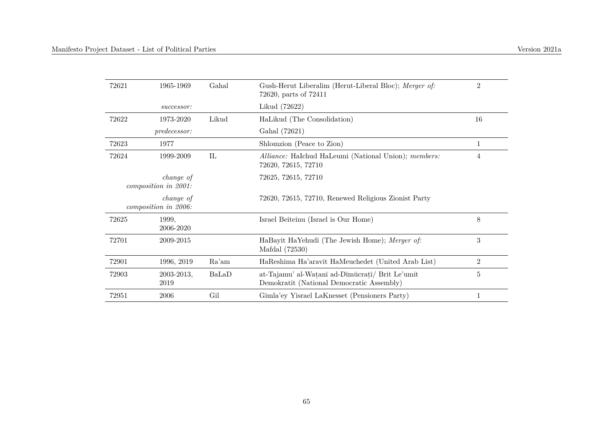| 72621 | 1965-1969                         | Gahal | Gush-Herut Liberalim (Herut-Liberal Bloc); Merger of:<br>72620, parts of 72411               | $\overline{2}$ |
|-------|-----------------------------------|-------|----------------------------------------------------------------------------------------------|----------------|
|       | successor:                        |       | Likud (72622)                                                                                |                |
| 72622 | 1973-2020                         | Likud | HaLikud (The Consolidation)                                                                  | 16             |
|       | predecessor:                      |       | Gahal (72621)                                                                                |                |
| 72623 | 1977                              |       | Shlomzion (Peace to Zion)                                                                    | 1              |
| 72624 | 1999-2009                         | IL    | Alliance: HaIchud HaLeumi (National Union); members:<br>72620, 72615, 72710                  | 4              |
|       | change of<br>composition in 2001: |       | 72625, 72615, 72710                                                                          |                |
|       | change of<br>composition in 2006: |       | 72620, 72615, 72710, Renewed Religious Zionist Party                                         |                |
| 72625 | 1999,<br>2006-2020                |       | Israel Beiteinu (Israel is Our Home)                                                         | 8              |
| 72701 | 2009-2015                         |       | HaBayit HaYehudi (The Jewish Home); Merger of:<br>Mafdal (72530)                             | 3              |
| 72901 | 1996, 2019                        | Ra'am | HaReshima Ha'aravit HaMeuchedet (United Arab List)                                           | 2              |
| 72903 | 2003-2013,<br>2019                | BaLaD | at-Tajamu' al-Watanī ad-Dīmūcratī/ Brit Le'umit<br>Demokratit (National Democratic Assembly) | $\bf 5$        |
| 72951 | 2006                              | Gil   | Gimla'ey Yisrael LaKnesset (Pensioners Party)                                                |                |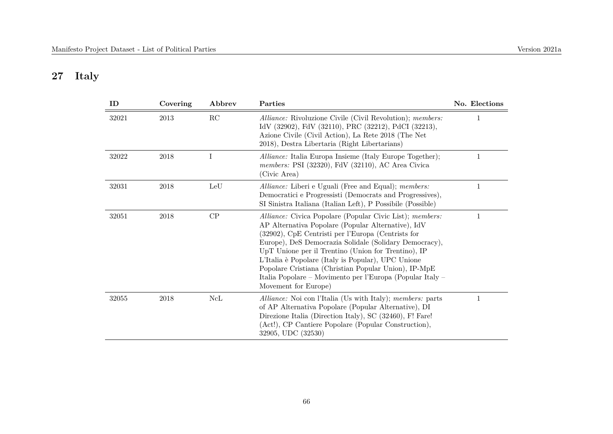## **27 Italy**

| ID    | Covering | Abbrev      | Parties                                                                                                                                                                                                                                                                                                                                                                                                                                                                                  | No. Elections |
|-------|----------|-------------|------------------------------------------------------------------------------------------------------------------------------------------------------------------------------------------------------------------------------------------------------------------------------------------------------------------------------------------------------------------------------------------------------------------------------------------------------------------------------------------|---------------|
| 32021 | 2013     | RC          | Alliance: Rivoluzione Civile (Civil Revolution); members:<br>IdV (32902), FdV (32110), PRC (32212), PdCI (32213),<br>Azione Civile (Civil Action), La Rete 2018 (The Net<br>2018), Destra Libertaria (Right Libertarians)                                                                                                                                                                                                                                                                |               |
| 32022 | 2018     | Ι           | Alliance: Italia Europa Insieme (Italy Europe Together);<br>members: PSI (32320), FdV (32110), AC Area Civica<br>(Civic Area)                                                                                                                                                                                                                                                                                                                                                            |               |
| 32031 | 2018     | LeU         | Alliance: Liberi e Uguali (Free and Equal); members:<br>Democratici e Progressisti (Democrats and Progressives),<br>SI Sinistra Italiana (Italian Left), P Possibile (Possible)                                                                                                                                                                                                                                                                                                          | 1             |
| 32051 | $\,2018$ | ${\cal CP}$ | Alliance: Civica Popolare (Popular Civic List); members:<br>AP Alternativa Popolare (Popular Alternative), IdV<br>(32902), CpE Centristi per l'Europa (Centrists for<br>Europe), DeS Democrazia Solidale (Solidary Democracy),<br>UpT Unione per il Trentino (Union for Trentino), IP<br>L'Italia è Popolare (Italy is Popular), UPC Unione<br>Popolare Cristiana (Christian Popular Union), IP-MpE<br>Italia Popolare – Movimento per l'Europa (Popular Italy –<br>Movement for Europe) | 1             |
| 32055 | $\,2018$ | NcL         | Alliance: Noi con l'Italia (Us with Italy); members: parts<br>of AP Alternativa Popolare (Popular Alternative), DI<br>Direzione Italia (Direction Italy), SC (32460), F! Fare!<br>(Act!), CP Cantiere Popolare (Popular Construction),<br>32905, UDC (32530)                                                                                                                                                                                                                             | 1             |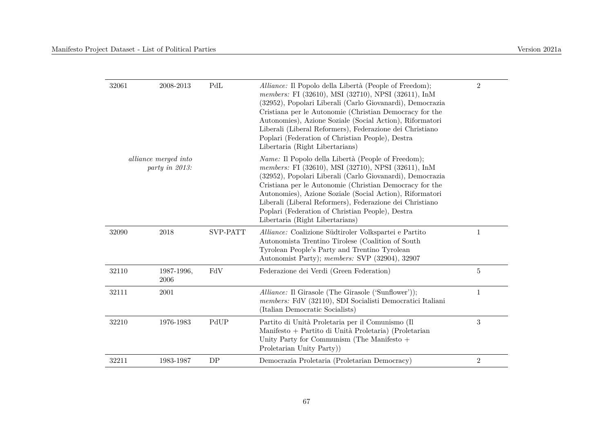| 32061 | 2008-2013                              | PdL             | Alliance: Il Popolo della Libertà (People of Freedom);<br>members: FI (32610), MSI (32710), NPSI (32611), InM<br>(32952), Popolari Liberali (Carlo Giovanardi), Democrazia<br>Cristiana per le Autonomie (Christian Democracy for the<br>Autonomies), Azione Soziale (Social Action), Riformatori<br>Liberali (Liberal Reformers), Federazione dei Christiano<br>Poplari (Federation of Christian People), Destra<br>Libertaria (Right Libertarians) | $\overline{2}$   |
|-------|----------------------------------------|-----------------|------------------------------------------------------------------------------------------------------------------------------------------------------------------------------------------------------------------------------------------------------------------------------------------------------------------------------------------------------------------------------------------------------------------------------------------------------|------------------|
|       | alliance merged into<br>party in 2013: |                 | Name: Il Popolo della Libertà (People of Freedom);<br>members: FI (32610), MSI (32710), NPSI (32611), InM<br>(32952), Popolari Liberali (Carlo Giovanardi), Democrazia<br>Cristiana per le Autonomie (Christian Democracy for the<br>Autonomies), Azione Soziale (Social Action), Riformatori<br>Liberali (Liberal Reformers), Federazione dei Christiano<br>Poplari (Federation of Christian People), Destra<br>Libertaria (Right Libertarians)     |                  |
| 32090 | 2018                                   | <b>SVP-PATT</b> | Alliance: Coalizione Südtiroler Volkspartei e Partito<br>Autonomista Trentino Tirolese (Coalition of South<br>Tyrolean People's Party and Trentino Tyrolean<br>Autonomist Party); members: SVP (32904), 32907                                                                                                                                                                                                                                        | $\mathbf{1}$     |
| 32110 | 1987-1996,<br>2006                     | FdV             | Federazione dei Verdi (Green Federation)                                                                                                                                                                                                                                                                                                                                                                                                             | $\overline{5}$   |
| 32111 | 2001                                   |                 | Alliance: Il Girasole (The Girasole ('Sunflower'));<br>members: FdV (32110), SDI Socialisti Democratici Italiani<br>(Italian Democratic Socialists)                                                                                                                                                                                                                                                                                                  | $\mathbf{1}$     |
| 32210 | 1976-1983                              | PdUP            | Partito di Unità Proletaria per il Comunismo (Il<br>Manifesto + Partito di Unità Proletaria) (Proletarian<br>Unity Party for Communism (The Manifesto $+$<br>Proletarian Unity Party)                                                                                                                                                                                                                                                                | $\boldsymbol{3}$ |
| 32211 | 1983-1987                              | DP              | Democrazia Proletaria (Proletarian Democracy)                                                                                                                                                                                                                                                                                                                                                                                                        | $\boldsymbol{2}$ |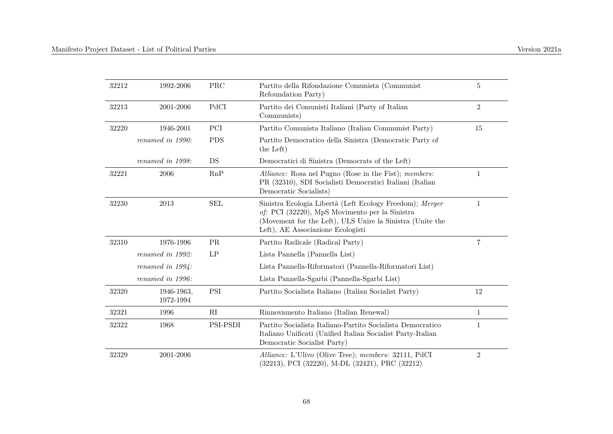| 32212 | 1992-2006               | <b>PRC</b> | Partito della Rifondazione Comunista (Communist<br>Refoundation Party)                                                                                                                                       | 5              |
|-------|-------------------------|------------|--------------------------------------------------------------------------------------------------------------------------------------------------------------------------------------------------------------|----------------|
| 32213 | 2001-2006               | PdCI       | Partito dei Comunisti Italiani (Party of Italian<br>Communists)                                                                                                                                              | $\overline{2}$ |
| 32220 | 1946-2001               | PCI        | Partito Comunista Italiano (Italian Communist Party)                                                                                                                                                         | 15             |
|       | renamed in 1990:        | <b>PDS</b> | Partito Democratico della Sinistra (Democratic Party of<br>the Left)                                                                                                                                         |                |
|       | renamed in 1998:        | DS         | Democratici di Sinistra (Democrats of the Left)                                                                                                                                                              |                |
| 32221 | 2006                    | RnP        | Alliance: Rosa nel Pugno (Rose in the Fist); members:<br>PR (32310), SDI Socialisti Democratici Italiani (Italian<br>Democratic Socialists)                                                                  | 1              |
| 32230 | 2013                    | <b>SEL</b> | Sinistra Ecologia Libertà (Left Ecology Freedom); Merger<br>of: PCI (32220), MpS Movimento per la Sinistra<br>(Movement for the Left), ULS Unire la Sinistra (Unite the<br>Left), AE Associazione Ecologisti | 1              |
| 32310 | 1976-1996               | PR         | Partito Radicale (Radical Party)                                                                                                                                                                             | $\overline{7}$ |
|       | renamed in 1992:        | LP         | Lista Pannella (Pannella List)                                                                                                                                                                               |                |
|       | renamed in $1994$ :     |            | Lista Pannella-Riformatori (Pannella-Riformatori List)                                                                                                                                                       |                |
|       | renamed in 1996:        |            | Lista Pannella-Sgarbi (Pannella-Sgarbi List)                                                                                                                                                                 |                |
| 32320 | 1946-1963,<br>1972-1994 | PSI        | Partito Socialista Italiano (Italian Socialist Party)                                                                                                                                                        | 12             |
| 32321 | 1996                    | RI         | Rinnovamento Italiano (Italian Renewal)                                                                                                                                                                      | 1              |
| 32322 | 1968                    | PSI-PSDI   | Partito Socialista Italiano-Partito Socialista Democratico<br>Italiano Unificati (Unified Italian Socialist Party-Italian<br>Democratic Socialist Party)                                                     | 1              |
| 32329 | 2001-2006               |            | Alliance: L'Ulivo (Olive Tree); members: 32111, PdCI<br>(32213), PCI (32220), M-DL (32421), PRC (32212)                                                                                                      | $\overline{2}$ |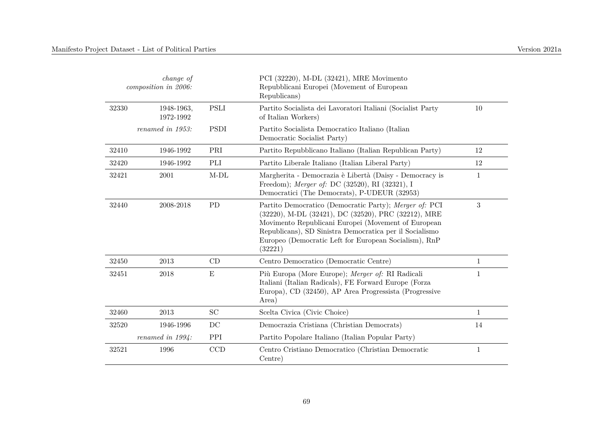|           | <i>change of</i><br>composition in 2006: |             | PCI (32220), M-DL (32421), MRE Movimento<br>Repubblicani Europei (Movement of European<br>Republicans)                                                                                                                                                                                              |              |
|-----------|------------------------------------------|-------------|-----------------------------------------------------------------------------------------------------------------------------------------------------------------------------------------------------------------------------------------------------------------------------------------------------|--------------|
| 32330     | 1948-1963,<br>1972-1992                  | <b>PSLI</b> | Partito Socialista dei Lavoratori Italiani (Socialist Party<br>of Italian Workers)                                                                                                                                                                                                                  | 10           |
|           | renamed in $1953$ :                      | <b>PSDI</b> | Partito Socialista Democratico Italiano (Italian<br>Democratic Socialist Party)                                                                                                                                                                                                                     |              |
| 32410     | 1946-1992                                | PRI         | Partito Repubblicano Italiano (Italian Republican Party)                                                                                                                                                                                                                                            | 12           |
| 32420     | 1946-1992                                | PLI         | Partito Liberale Italiano (Italian Liberal Party)                                                                                                                                                                                                                                                   | 12           |
| 32421     | 2001                                     | $M-DL$      | Margherita - Democrazia è Libertà (Daisy - Democracy is<br>Freedom); Merger of: DC (32520), RI (32321), I<br>Democratici (The Democrats), P-UDEUR (32953)                                                                                                                                           | $\mathbf{1}$ |
| 32440     | 2008-2018                                | <b>PD</b>   | Partito Democratico (Democratic Party); Merger of: PCI<br>(32220), M-DL (32421), DC (32520), PRC (32212), MRE<br>Movimento Republicani Europei (Movement of European<br>Republicans), SD Sinistra Democratica per il Socialismo<br>Europeo (Democratic Left for European Socialism), RnP<br>(32221) | 3            |
| $32450\,$ | 2013                                     | CD          | Centro Democratico (Democratic Centre)                                                                                                                                                                                                                                                              | $\mathbf{1}$ |
| 32451     | 2018                                     | E           | Più Europa (More Europe); Merger of: RI Radicali<br>Italiani (Italian Radicals), FE Forward Europe (Forza<br>Europa), CD (32450), AP Area Progressista (Progressive<br>Area)                                                                                                                        | $\mathbf{1}$ |
| 32460     | 2013                                     | SC          | Scelta Civica (Civic Choice)                                                                                                                                                                                                                                                                        | $\mathbf{1}$ |
| 32520     | 1946-1996                                | DC          | Democrazia Cristiana (Christian Democrats)                                                                                                                                                                                                                                                          | 14           |
|           | renamed in $1994$ :                      | PPI         | Partito Popolare Italiano (Italian Popular Party)                                                                                                                                                                                                                                                   |              |

1

32521 1996 CCD Centro Cristiano Democratico (Christian Democratic Centre)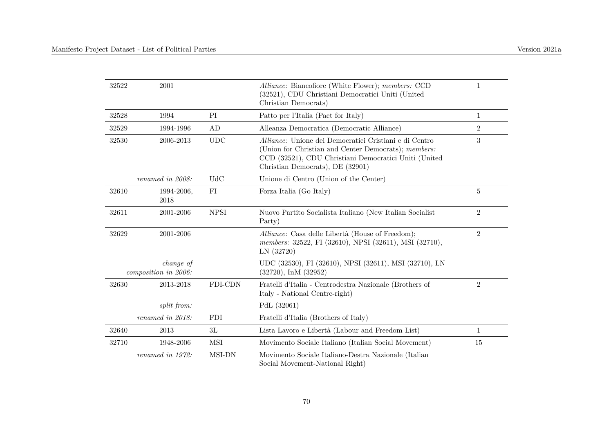| 32522 | 2001                              |             | Alliance: Biancofiore (White Flower); members: CCD<br>(32521), CDU Christiani Democratici Uniti (United<br>Christian Democrats)                                                                             | 1              |
|-------|-----------------------------------|-------------|-------------------------------------------------------------------------------------------------------------------------------------------------------------------------------------------------------------|----------------|
| 32528 | 1994                              | PI          | Patto per l'Italia (Pact for Italy)                                                                                                                                                                         | $\mathbf 1$    |
| 32529 | 1994-1996                         | AD          | Alleanza Democratica (Democratic Alliance)                                                                                                                                                                  | $\overline{2}$ |
| 32530 | 2006-2013                         | <b>UDC</b>  | Alliance: Unione dei Democratici Cristiani e di Centro<br>(Union for Christian and Center Democrats); members:<br>CCD (32521), CDU Christiani Democratici Uniti (United<br>Christian Democrats), DE (32901) | 3              |
|       | renamed in 2008:                  | <b>UdC</b>  | Unione di Centro (Union of the Center)                                                                                                                                                                      |                |
| 32610 | 1994-2006,<br>2018                | FI          | Forza Italia (Go Italy)                                                                                                                                                                                     | 5              |
| 32611 | 2001-2006                         | <b>NPSI</b> | Nuovo Partito Socialista Italiano (New Italian Socialist<br>Party)                                                                                                                                          | 2              |
| 32629 | 2001-2006                         |             | Alliance: Casa delle Libertà (House of Freedom);<br>members: 32522, FI (32610), NPSI (32611), MSI (32710),<br>LN(32720)                                                                                     | $\overline{2}$ |
|       | change of<br>composition in 2006: |             | UDC (32530), FI (32610), NPSI (32611), MSI (32710), LN<br>$(32720)$ , InM $(32952)$                                                                                                                         |                |
| 32630 | 2013-2018                         | FDI-CDN     | Fratelli d'Italia - Centrodestra Nazionale (Brothers of<br>Italy - National Centre-right)                                                                                                                   | 2              |
|       | split from:                       |             | PdL (32061)                                                                                                                                                                                                 |                |
|       | renamed in 2018:                  | <b>FDI</b>  | Fratelli d'Italia (Brothers of Italy)                                                                                                                                                                       |                |
| 32640 | 2013                              | 3L          | Lista Lavoro e Libertà (Labour and Freedom List)                                                                                                                                                            | $\mathbf{1}$   |
| 32710 | 1948-2006                         | <b>MSI</b>  | Movimento Sociale Italiano (Italian Social Movement)                                                                                                                                                        | 15             |
|       | renamed in 1972:                  | MSI-DN      | Movimento Sociale Italiano-Destra Nazionale (Italian<br>Social Movement-National Right)                                                                                                                     |                |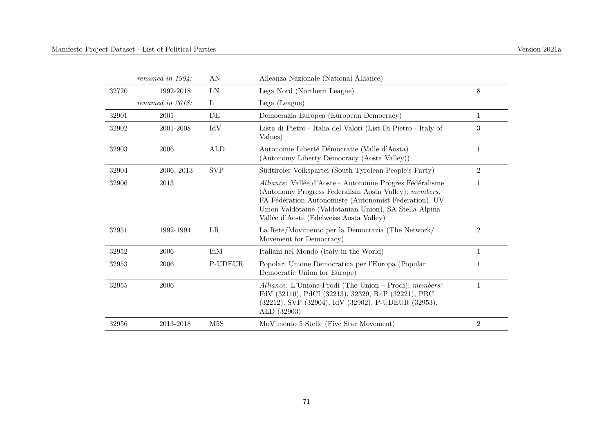|       | renamed in $1994$ : | AN         | Alleanza Nazionale (National Alliance)                                                                                                                                                                                                                                          |                |
|-------|---------------------|------------|---------------------------------------------------------------------------------------------------------------------------------------------------------------------------------------------------------------------------------------------------------------------------------|----------------|
| 32720 | 1992-2018           | $\rm LN$   | Lega Nord (Northern League)                                                                                                                                                                                                                                                     | 8              |
|       | renamed in 2018:    | L          | Lega (League)                                                                                                                                                                                                                                                                   |                |
| 32901 | 2001                | DE         | Democrazia Europea (European Democracy)                                                                                                                                                                                                                                         | 1              |
| 32902 | 2001-2008           | IdV        | Lista di Pietro - Italia del Valori (List Di Pietro - Italy of<br>Values)                                                                                                                                                                                                       | 3              |
| 32903 | 2006                | ALD        | Autonomie Liberté Démocratie (Valle d'Aosta)<br>(Autonomy Liberty Democracy (Aosta Valley))                                                                                                                                                                                     | 1              |
| 32904 | 2006, 2013          | <b>SVP</b> | Südtiroler Volkspartei (South Tyrolean People's Party)                                                                                                                                                                                                                          | $\overline{2}$ |
| 32906 | 2013                |            | Alliance: Vallée d'Aoste - Autonomie Prògres Fédéralisme<br>(Autonomy Progress Federalism Aosta Valley); members:<br>FA Fédération Autonomiste (Autonomist Federation), UV<br>Union Valdôtaine (Valdotanian Union), SA Stella Alpina<br>Vallée d'Aoste (Edelweiss Aosta Valley) | 1              |
| 32951 | 1992-1994           | LR         | La Rete/Movimento per la Democrazia (The Network/<br>Movement for Democracy)                                                                                                                                                                                                    | $\overline{2}$ |
| 32952 | 2006                | InM        | Italiani nel Mondo (Italy in the World)                                                                                                                                                                                                                                         | 1              |
| 32953 | 2006                | P-UDEUR    | Popolari Unione Democratica per l'Europa (Popular<br>Democratic Union for Europe)                                                                                                                                                                                               | 1              |
| 32955 | 2006                |            | Alliance: L'Unione-Prodi (The Union – Prodi); members:<br>FdV (32110), PdCI (32213), 32329, RnP (32221), PRC<br>(32212), SVP (32904), IdV (32902), P-UDEUR (32953),<br>ALD (32903)                                                                                              | 1              |
| 32956 | 2013-2018           | M5S        | MoVimento 5 Stelle (Five Star Movement)                                                                                                                                                                                                                                         | $\overline{2}$ |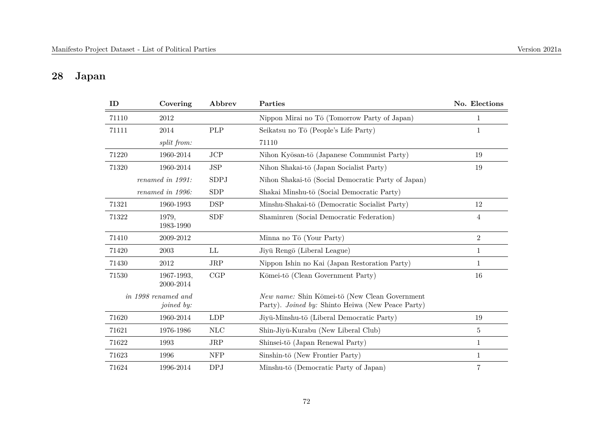# **28 Japan**

| ID    | Covering                          | Abbrev      | Parties                                                                                            | No. Elections  |
|-------|-----------------------------------|-------------|----------------------------------------------------------------------------------------------------|----------------|
| 71110 | 2012                              |             | Nippon Mirai no Tō (Tomorrow Party of Japan)                                                       | $\mathbf{1}$   |
| 71111 | 2014                              | PLP         | Seikatsu no Tō (People's Life Party)                                                               | $\mathbf{1}$   |
|       | split from:                       |             | 71110                                                                                              |                |
| 71220 | 1960-2014                         | JCP         | Nihon Kyōsan-tō (Japanese Communist Party)                                                         | 19             |
| 71320 | 1960-2014                         | <b>JSP</b>  | Nihon Shakai-tō (Japan Socialist Party)                                                            | 19             |
|       | renamed in 1991:                  | <b>SDPJ</b> | Nihon Shakai-tō (Social Democratic Party of Japan)                                                 |                |
|       | renamed in 1996:                  | <b>SDP</b>  | Shakai Minshu-tō (Social Democratic Party)                                                         |                |
| 71321 | 1960-1993                         | <b>DSP</b>  | Minshu-Shakai-tō (Democratic Socialist Party)                                                      | 12             |
| 71322 | 1979,<br>1983-1990                | <b>SDF</b>  | Shaminren (Social Democratic Federation)                                                           | $\overline{4}$ |
| 71410 | 2009-2012                         |             | Minna no Tō (Your Party)                                                                           | $\overline{2}$ |
| 71420 | 2003                              | LL          | Jiyū Rengō (Liberal League)                                                                        | $\mathbf 1$    |
| 71430 | 2012                              | <b>JRP</b>  | Nippon Ishin no Kai (Japan Restoration Party)                                                      | $\mathbf{1}$   |
| 71530 | 1967-1993,<br>2000-2014           | CGP         | Kōmei-tō (Clean Government Party)                                                                  | 16             |
|       | in 1998 renamed and<br>joined by: |             | New name: Shin Kōmei-tō (New Clean Government<br>Party). Joined by: Shinto Heiwa (New Peace Party) |                |
| 71620 | 1960-2014                         | <b>LDP</b>  | Jiyū-Minshu-tō (Liberal Democratic Party)                                                          | 19             |
| 71621 | 1976-1986                         | $\rm NLC$   | Shin-Jiyū-Kurabu (New Liberal Club)                                                                | $5\,$          |
| 71622 | 1993                              | JRP         | Shinsei-tō (Japan Renewal Party)                                                                   | $\mathbf{1}$   |
| 71623 | 1996                              | <b>NFP</b>  | Sinshin-to (New Frontier Party)                                                                    | $\mathbf{1}$   |
| 71624 | 1996-2014                         | <b>DPJ</b>  | Minshu-tō (Democratic Party of Japan)                                                              | $\,7$          |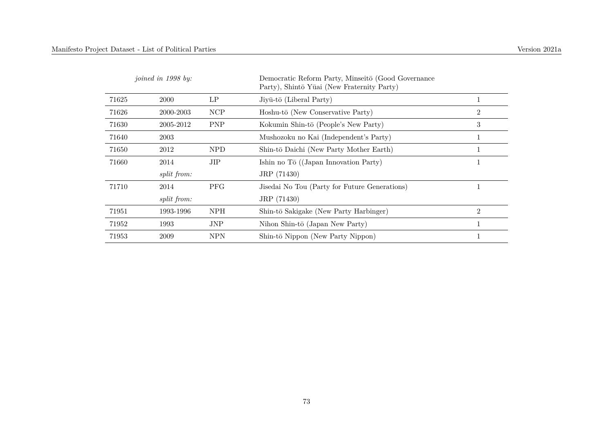|       | joined in 1998 by: |            | Democratic Reform Party, Minseitō (Good Governance<br>Party), Shintō Yūai (New Fraternity Party) |                |
|-------|--------------------|------------|--------------------------------------------------------------------------------------------------|----------------|
| 71625 | <b>2000</b>        | LP         | $Jiy\bar{u}$ -tō (Liberal Party)                                                                 | 1              |
| 71626 | 2000-2003          | <b>NCP</b> | Hoshu-tō (New Conservative Party)                                                                | $\overline{2}$ |
| 71630 | 2005-2012          | <b>PNP</b> | Kokumin Shin-tō (People's New Party)                                                             | 3              |
| 71640 | 2003               |            | Mushozoku no Kai (Independent's Party)                                                           | 1              |
| 71650 | 2012               | <b>NPD</b> | Shin-tō Daichi (New Party Mother Earth)                                                          | 1              |
| 71660 | 2014               | JIP        | Ishin no Tō $((Japan Innovation Party)$                                                          | 1              |
|       | split from:        |            | JRP (71430)                                                                                      |                |
| 71710 | 2014               | <b>PFG</b> | Jisedai No Tou (Party for Future Generations)                                                    | 1              |
|       | <i>split from:</i> |            | JRP (71430)                                                                                      |                |
| 71951 | 1993-1996          | <b>NPH</b> | Shin-tō Sakigake (New Party Harbinger)                                                           | $\overline{2}$ |
| 71952 | 1993               | JNP        | Nihon Shin-tō (Japan New Party)                                                                  | 1              |
| 71953 | 2009               | <b>NPN</b> | Shin-tō Nippon (New Party Nippon)                                                                |                |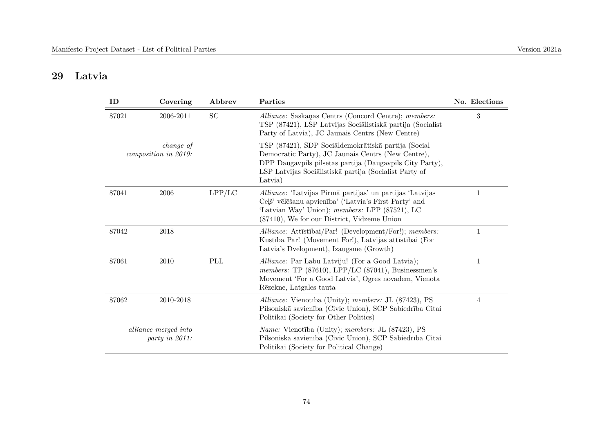## **29 Latvia**

| ID    | Covering                               | Abbrev    | Parties                                                                                                                                                                                                                                    | No. Elections |
|-------|----------------------------------------|-----------|--------------------------------------------------------------------------------------------------------------------------------------------------------------------------------------------------------------------------------------------|---------------|
| 87021 | 2006-2011                              | <b>SC</b> | Alliance: Saskanas Centrs (Concord Centre); members:<br>TSP (87421), LSP Latvijas Sociālistiskā partija (Socialist<br>Party of Latvia), JC Jaunais Centrs (New Centre)                                                                     | 3             |
|       | change of<br>composition in 2010:      |           | TSP (87421), SDP Socialdemokrātiskā partija (Social<br>Democratic Party), JC Jaunais Centrs (New Centre),<br>DPP Daugavpils pilsētas partija (Daugavpils City Party),<br>LSP Latvijas Sociālistiskā partija (Socialist Party of<br>Latvia) |               |
| 87041 | 2006                                   | LPP/LC    | Alliance: 'Latvijas Pirmā partijas' un partijas 'Latvijas<br>Ceļš' vēlēšanu apvienība' ('Latvia's First Party' and<br>'Latvian Way' Union); members: LPP (87521), LC<br>(87410), We for our District, Vidzeme Union                        | 1             |
| 87042 | 2018                                   |           | Alliance: Attīstībai/Par! (Development/For!); members:<br>Kustība Par! (Movement For!), Latvijas attīstībai (For<br>Latvia's Dvelopment), Izaugsme (Growth)                                                                                | 1             |
| 87061 | 2010                                   | PLL       | Alliance: Par Labu Latviju! (For a Good Latvia);<br>members: TP $(87610)$ , LPP/LC $(87041)$ , Businessmen's<br>Movement 'For a Good Latvia', Ogres novadem, Vienota<br>Rēzekne, Latgales tauta                                            | 1             |
| 87062 | 2010-2018                              |           | Alliance: Vienotība (Unity); members: JL (87423), PS<br>Pilsoniskā savienība (Civic Union), SCP Sabiedrība Citai<br>Politikai (Society for Other Politics)                                                                                 | 4             |
|       | alliance merged into<br>party in 2011: |           | <i>Name:</i> Vienotība (Unity); <i>members:</i> JL (87423), PS<br>Pilsoniskā savienība (Civic Union), SCP Sabiedrība Citai<br>Politikai (Society for Political Change)                                                                     |               |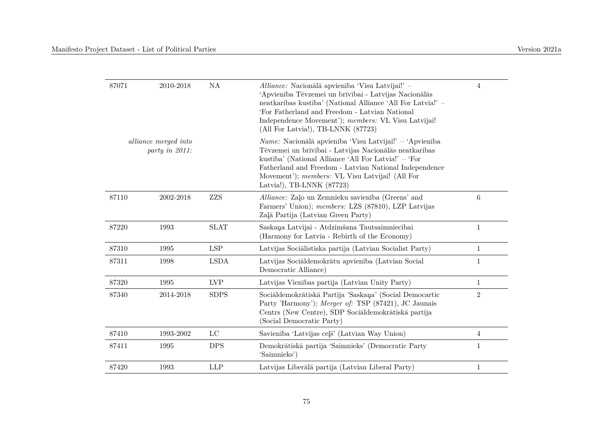| 87071 | 2010-2018                              | NA          | Alliance: Nacionālā apvienība 'Visu Latvijai!' -<br>'Apvienība Tēvzemei un brīvībai - Latvijas Nacionālās<br>neatkaribas kustība' (National Alliance 'All For Latvia!' -<br>'For Fatherland and Freedom - Latvian National<br>Independence Movement'); members: VL Visu Latvijai!<br>(All For Latvia!), TB-LNNK (87723)      | $\overline{4}$ |
|-------|----------------------------------------|-------------|------------------------------------------------------------------------------------------------------------------------------------------------------------------------------------------------------------------------------------------------------------------------------------------------------------------------------|----------------|
|       | alliance merged into<br>party in 2011: |             | <i>Name:</i> Nacionālā apvienība 'Visu Latvijai!' $-$ 'Apvienība<br>Tēvzemei un brīvībai - Latvijas Nacionālās neatkaribas<br>kustība' (National Alliance 'All For Latvia!' – 'For<br>Fatherland and Freedom - Latvian National Independence<br>Movement'); members: VL Visu Latvijai! (All For<br>Latvia!), TB-LNNK (87723) |                |
| 87110 | 2002-2018                              | ZZS         | Alliance: Zalo un Zemnieku savienība (Greens' and<br>Farmers' Union); members: LZS (87810), LZP Latvijas<br>Zaļā Partija (Latvian Green Party)                                                                                                                                                                               | $\,6\,$        |
| 87220 | 1993                                   | <b>SLAT</b> | Saskaņa Latvijai - Atdzimšana Tautsaimniecībai<br>(Harmony for Latvia - Rebirth of the Economy)                                                                                                                                                                                                                              | $\mathbf{1}$   |
| 87310 | 1995                                   | <b>LSP</b>  | Latvijas Sociālistiska partija (Latvian Socialist Party)                                                                                                                                                                                                                                                                     | $\mathbf{1}$   |
| 87311 | 1998                                   | <b>LSDA</b> | Latvijas Sociāldemokrātu apvienība (Latvian Social<br>Democratic Alliance)                                                                                                                                                                                                                                                   | 1              |
| 87320 | 1995                                   | ${\rm LVP}$ | Latvijas Vienības partija (Latvian Unity Party)                                                                                                                                                                                                                                                                              | $\mathbf{1}$   |
| 87340 | 2014-2018                              | <b>SDPS</b> | Sociāldemokrātiskā Partija 'Saskaņa' (Social Democartic<br>Party 'Harmony'); Merger of: TSP (87421), JC Jaunais<br>Centrs (New Centre), SDP Socialdemokrātiskā partija<br>(Social Democratic Party)                                                                                                                          | $\overline{2}$ |
| 87410 | 1993-2002                              | $_{\rm LC}$ | Savienība 'Latvijas ceļš' (Latvian Way Union)                                                                                                                                                                                                                                                                                | $\overline{4}$ |
| 87411 | 1995                                   | <b>DPS</b>  | Demokrātiskā partija 'Saimnieks' (Democratic Party<br>'Saimnieks')                                                                                                                                                                                                                                                           | $\mathbf{1}$   |
| 87420 | 1993                                   | <b>LLP</b>  | Latvijas Liberālā partija (Latvian Liberal Party)                                                                                                                                                                                                                                                                            | $\mathbf{1}$   |
|       |                                        |             |                                                                                                                                                                                                                                                                                                                              |                |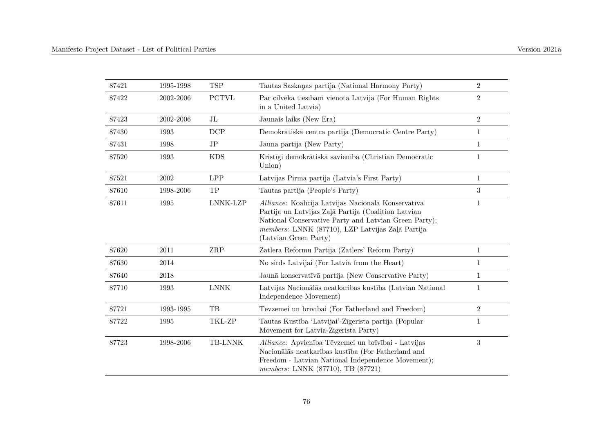| 87421 | 1995-1998 | <b>TSP</b>           | Tautas Saskaņas partija (National Harmony Party)                                                                                                                                                                                                 | $\sqrt{2}$       |
|-------|-----------|----------------------|--------------------------------------------------------------------------------------------------------------------------------------------------------------------------------------------------------------------------------------------------|------------------|
| 87422 | 2002-2006 | <b>PCTVL</b>         | Par cilvēka tiesībām vienotā Latvijā (For Human Rights<br>in a United Latvia)                                                                                                                                                                    | $\overline{2}$   |
| 87423 | 2002-2006 | $J\mathbf{L}$        | Jaunais laiks (New Era)                                                                                                                                                                                                                          | $\overline{2}$   |
| 87430 | 1993      | DCP                  | Demokrātiskā centra partija (Democratic Centre Party)                                                                                                                                                                                            | $\mathbf{1}$     |
| 87431 | 1998      | JP                   | Jauna partija (New Party)                                                                                                                                                                                                                        | $\mathbf{1}$     |
| 87520 | 1993      | <b>KDS</b>           | Kristīgi demokrātiskā savienība (Christian Democratic<br>Union)                                                                                                                                                                                  | $\mathbf{1}$     |
| 87521 | 2002      | <b>LPP</b>           | Latvijas Pirmā partija (Latvia's First Party)                                                                                                                                                                                                    | $\mathbf{1}$     |
| 87610 | 1998-2006 | TP                   | Tautas partija (People's Party)                                                                                                                                                                                                                  | $\boldsymbol{3}$ |
| 87611 | 1995      | LNNK-LZP             | Alliance: Koalīcija Latvijas Nacionālā Konservatīvā<br>Partija un Latvijas Zaļā Partija (Coalition Latvian<br>National Conservative Party and Latvian Green Party);<br>members: LNNK (87710), LZP Latvijas Zaļā Partija<br>(Latvian Green Party) | 1                |
| 87620 | 2011      | $\operatorname{ZRP}$ | Zatlera Reformu Partija (Zatlers' Reform Party)                                                                                                                                                                                                  | $\mathbf{1}$     |
| 87630 | 2014      |                      | No sirds Latvijai (For Latvia from the Heart)                                                                                                                                                                                                    | $\mathbf{1}$     |
| 87640 | 2018      |                      | Jaunā konservatīvā partija (New Conservative Party)                                                                                                                                                                                              | $\mathbf{1}$     |
| 87710 | 1993      | <b>LNNK</b>          | Latvijas Nacionālās neatkarības kustība (Latvian National<br>Independence Movement)                                                                                                                                                              | $\mathbf{1}$     |
| 87721 | 1993-1995 | TB                   | Tēvzemei un brīvībai (For Fatherland and Freedom)                                                                                                                                                                                                | $\sqrt{2}$       |
| 87722 | 1995      | TKL-ZP               | Tautas Kustība 'Latvijai'-Zīgerista partija (Popular<br>Movement for Latvia-Zigerista Party)                                                                                                                                                     | $\mathbf{1}$     |
| 87723 | 1998-2006 | TB-LNNK              | Alliance: Apvienība Tēvzemei un brīvībai - Latvijas<br>Nacionālās neatkaribas kustība (For Fatherland and<br>Freedom - Latvian National Independence Movement);<br>members: LNNK (87710), TB (87721)                                             | $\sqrt{3}$       |
|       |           |                      |                                                                                                                                                                                                                                                  |                  |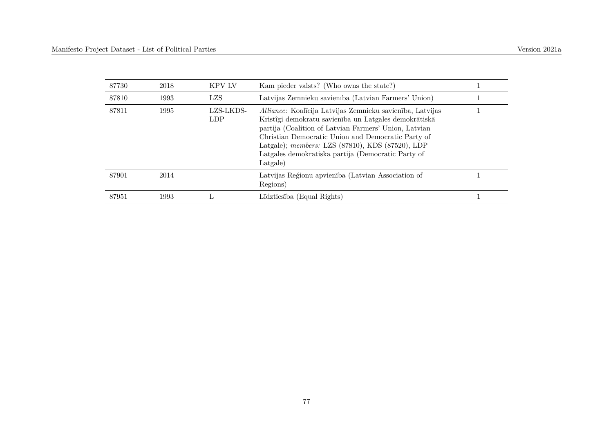| 87730 | 2018 | KPV LV                  | Kam pieder valsts? (Who owns the state?)                                                                                                                                                                                                                                                                                                                       |  |
|-------|------|-------------------------|----------------------------------------------------------------------------------------------------------------------------------------------------------------------------------------------------------------------------------------------------------------------------------------------------------------------------------------------------------------|--|
| 87810 | 1993 | LZS                     | Latvijas Zemnieku savienība (Latvian Farmers' Union)                                                                                                                                                                                                                                                                                                           |  |
| 87811 | 1995 | LZS-LKDS-<br><b>LDP</b> | <i>Alliance:</i> Koalīcija Latvijas Zemnieku savienība, Latvijas<br>Kristîgi demokratu savienība un Latgales demokrātiskā<br>partija (Coalition of Latvian Farmers' Union, Latvian<br>Christian Democratic Union and Democratic Party of<br>Latgale); members: LZS (87810), KDS (87520), LDP<br>Latgales demokrātiskā partija (Democratic Party of<br>Latgale) |  |
| 87901 | 2014 |                         | Latvijas Reģionu apvienība (Latvian Association of<br>Regions)                                                                                                                                                                                                                                                                                                 |  |
| 87951 | 1993 |                         | Līdztiesība (Equal Rights)                                                                                                                                                                                                                                                                                                                                     |  |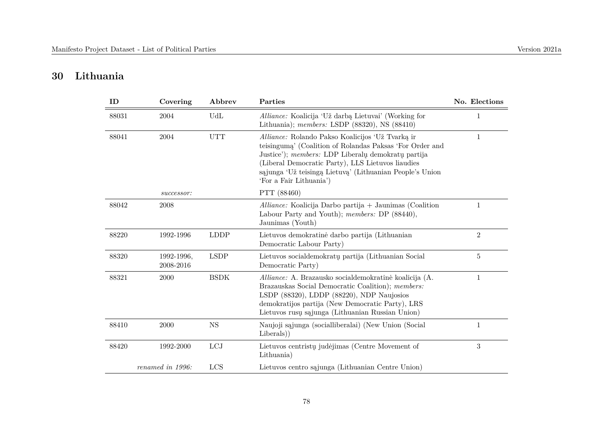## **30 Lithuania**

| ID    | Covering                | Abbrev      | Parties                                                                                                                                                                                                                                                                                                        | No. Elections  |
|-------|-------------------------|-------------|----------------------------------------------------------------------------------------------------------------------------------------------------------------------------------------------------------------------------------------------------------------------------------------------------------------|----------------|
| 88031 | 2004                    | UdL         | Alliance: Koalicija 'Už darbą Lietuvai' (Working for<br>Lithuania); members: LSDP $(88320)$ , NS $(88410)$                                                                                                                                                                                                     | 1              |
| 88041 | 2004                    | <b>UTT</b>  | Alliance: Rolando Pakso Koalicijos 'Už Tvarką ir<br>teisinguma' (Coalition of Rolandas Paksas 'For Order and<br>Justice'); members: LDP Liberalų demokratų partija<br>(Liberal Democratic Party), LLS Lietuvos liaudies<br>sąjunga 'Už teisingą Lietuvą' (Lithuanian People's Union<br>'For a Fair Lithuania') | 1              |
|       | successor:              |             | PTT (88460)                                                                                                                                                                                                                                                                                                    |                |
| 88042 | 2008                    |             | Alliance: Koalicija Darbo partija + Jaunimas (Coalition<br>Labour Party and Youth); members: DP (88440),<br>Jaunimas (Youth)                                                                                                                                                                                   |                |
| 88220 | 1992-1996               | <b>LDDP</b> | Lietuvos demokratinė darbo partija (Lithuanian<br>Democratic Labour Party)                                                                                                                                                                                                                                     | $\overline{2}$ |
| 88320 | 1992-1996,<br>2008-2016 | <b>LSDP</b> | Lietuvos socialdemokratų partija (Lithuanian Social<br>Democratic Party)                                                                                                                                                                                                                                       | 5              |
| 88321 | 2000                    | <b>BSDK</b> | Alliance: A. Brazausko socialdemokratinė koalicija (A.<br>Brazauskas Social Democratic Coalition); members:<br>LSDP (88320), LDDP (88220), NDP Naujosios<br>demokratijos partija (New Democratic Party), LRS<br>Lietuvos rusų sąjunga (Lithuanian Russian Union)                                               | 1              |
| 88410 | 2000                    | <b>NS</b>   | Naujoji sąjunga (socialliberalai) (New Union (Social<br>Liberals)                                                                                                                                                                                                                                              | 1              |
| 88420 | 1992-2000               | LCJ         | Lietuvos centristų judėjimas (Centre Movement of<br>Lithuania)                                                                                                                                                                                                                                                 | 3              |
|       | renamed in 1996:        | LCS         | Lietuvos centro sąjunga (Lithuanian Centre Union)                                                                                                                                                                                                                                                              |                |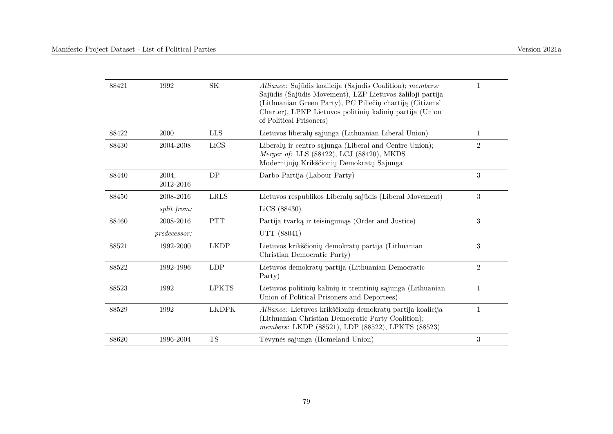| 88421 | 1992               | <b>SK</b>    | Alliance: Sajūdis koalicija (Sajudis Coalition); members:<br>Sajūdis (Sajūdis Movement), LZP Lietuvos žaliloji partija<br>(Lithuanian Green Party), PC Piliečių chartiją (Citizens' | 1              |
|-------|--------------------|--------------|-------------------------------------------------------------------------------------------------------------------------------------------------------------------------------------|----------------|
|       |                    |              | Charter), LPKP Lietuvos politinių kalinių partija (Union<br>of Political Prisoners)                                                                                                 |                |
| 88422 | 2000               | <b>LLS</b>   | Lietuvos liberalų sąjunga (Lithuanian Liberal Union)                                                                                                                                | 1              |
| 88430 | 2004-2008          | LiCS         | Liberalu ir centro sąjunga (Liberal and Centre Union);<br>Merger of: LLS (88422), LCJ (88420), MKDS<br>Modernijujų Krikščionių Demokratų Sajunga                                    | $\overline{2}$ |
| 88440 | 2004,<br>2012-2016 | DP           | Darbo Partija (Labour Party)                                                                                                                                                        | 3              |
| 88450 | 2008-2016          | <b>LRLS</b>  | Lietuvos respublikos Liberalų sąjūdis (Liberal Movement)                                                                                                                            | 3              |
|       | split from:        |              | LiCS (88430)                                                                                                                                                                        |                |
| 88460 | 2008-2016          | <b>PTT</b>   | Partija tvarką ir teisingumąs (Order and Justice)                                                                                                                                   | 3              |
|       | predecessor:       |              | UTT (88041)                                                                                                                                                                         |                |
| 88521 | 1992-2000          | <b>LKDP</b>  | Lietuvos krikščionių demokratų partija (Lithuanian<br>Christian Democratic Party)                                                                                                   | 3              |
| 88522 | 1992-1996          | <b>LDP</b>   | Lietuvos demokratų partija (Lithuanian Democratic<br>Party)                                                                                                                         | $\overline{2}$ |
| 88523 | 1992               | <b>LPKTS</b> | Lietuvos politinių kalinių ir tremtinių sąjunga (Lithuanian<br>Union of Political Prisoners and Deportees)                                                                          | $\mathbf{1}$   |
| 88529 | 1992               | <b>LKDPK</b> | Alliance: Lietuvos krikščionių demokratų partija koalicija<br>(Lithuanian Christian Democratic Party Coalition);<br>members: LKDP (88521), LDP (88522), LPKTS (88523)               | $\mathbf{1}$   |
| 88620 | 1996-2004          | <b>TS</b>    | Tėvynės sąjunga (Homeland Union)                                                                                                                                                    | 3              |
|       |                    |              |                                                                                                                                                                                     |                |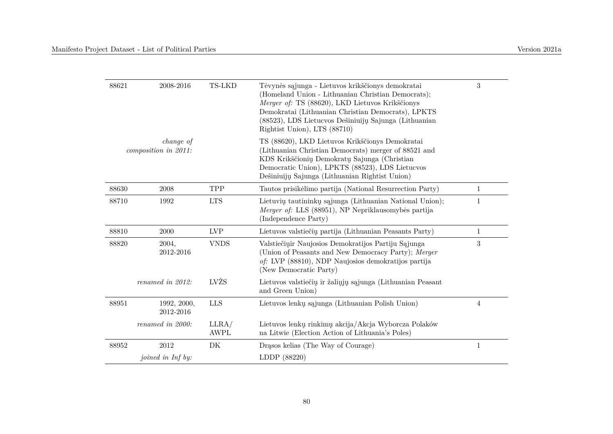| 88621 | 2008-2016                         | TS-LKD               | Tėvynės sąjunga - Lietuvos krikščionys demokratai<br>(Homeland Union - Lithuanian Christian Democrats);<br>Merger of: TS (88620), LKD Lietuvos Krikščionys<br>Demokratai (Lithuanian Christian Democrats), LPKTS<br>(88523), LDS Lietucvos Dešiniuijų Sajunga (Lithuanian<br>Rightist Union), LTS (88710) | 3              |
|-------|-----------------------------------|----------------------|-----------------------------------------------------------------------------------------------------------------------------------------------------------------------------------------------------------------------------------------------------------------------------------------------------------|----------------|
|       | change of<br>composition in 2011: |                      | TS (88620), LKD Lietuvos Krikščionys Demokratai<br>(Lithuanian Christian Democrats) merger of 88521 and<br>KDS Krikščionių Demokratų Sajunga (Christian<br>Democratic Union), LPKTS (88523), LDS Lietucvos<br>Dešiniuiju Sajunga (Lithuanian Rightist Union)                                              |                |
| 88630 | 2008                              | TPP                  | Tautos prisikėlimo partija (National Resurrection Party)                                                                                                                                                                                                                                                  | $\mathbf{1}$   |
| 88710 | 1992                              | <b>LTS</b>           | Lietuvių tautininkų sąjunga (Lithuanian National Union);<br>Merger of: LLS (88951), NP Nepriklausomybės partija<br>(Independence Party)                                                                                                                                                                   | 1              |
| 88810 | 2000                              | <b>LVP</b>           | Lietuvos valstiečių partija (Lithuanian Peasants Party)                                                                                                                                                                                                                                                   | $\mathbf{1}$   |
| 88820 | 2004,<br>2012-2016                | <b>VNDS</b>          | Valstiečių ir Naujosios Demokratijos Partiju Sąjunga<br>(Union of Peasants and New Democracy Party); Merger<br>of: LVP (88810), NDP Naujosios demokratijos partija<br>(New Democratic Party)                                                                                                              | 3              |
|       | renamed in 2012:                  | LVŽS                 | Lietuvos valstiečių ir žaliųjų sąjunga (Lithuanian Peasant<br>and Green Union)                                                                                                                                                                                                                            |                |
| 88951 | 1992, 2000,<br>2012-2016          | <b>LLS</b>           | Lietuvos lenkų sąjunga (Lithuanian Polish Union)                                                                                                                                                                                                                                                          | $\overline{4}$ |
|       | renamed in 2000:                  | LLRA/<br><b>AWPL</b> | Lietuvos lenkų rinkimų akcija/Akcja Wyborcza Polaków<br>na Litwie (Election Action of Lithuania's Poles)                                                                                                                                                                                                  |                |
| 88952 | 2012                              | DK                   | Drasos kelias (The Way of Courage)                                                                                                                                                                                                                                                                        | $\mathbf{1}$   |
|       | <i>joined in Inf by:</i>          |                      | LDDP (88220)                                                                                                                                                                                                                                                                                              |                |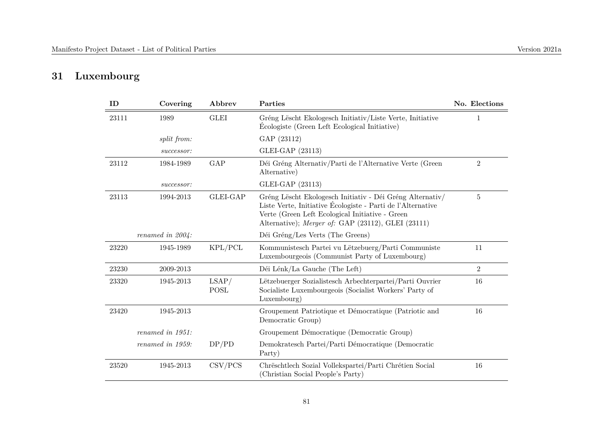# **31 Luxembourg**

| ID    | Covering            | Abbrev               | Parties                                                                                                                                                                                                                           | No. Elections  |
|-------|---------------------|----------------------|-----------------------------------------------------------------------------------------------------------------------------------------------------------------------------------------------------------------------------------|----------------|
| 23111 | 1989                | <b>GLEI</b>          | Gréng Lëscht Ekologesch Initiativ/Liste Verte, Initiative<br>Écologiste (Green Left Ecological Initiative)                                                                                                                        | 1              |
|       | split from:         |                      | GAP (23112)                                                                                                                                                                                                                       |                |
|       | successor:          |                      | GLEI-GAP (23113)                                                                                                                                                                                                                  |                |
| 23112 | 1984-1989           | GAP                  | Déi Gréng Alternativ/Parti de l'Alternative Verte (Green<br>Alternative)                                                                                                                                                          | $\overline{2}$ |
|       | successor:          |                      | GLEI-GAP (23113)                                                                                                                                                                                                                  |                |
| 23113 | 1994-2013           | <b>GLEI-GAP</b>      | Gréng Lëscht Ekologesch Initiativ - Déi Gréng Alternativ/<br>Liste Verte, Initiative Écologiste - Parti de l'Alternative<br>Verte (Green Left Ecological Initiative - Green<br>Alternative); Merger of: GAP (23112), GLEI (23111) | $\bf 5$        |
|       | renamed in $2004$ : |                      | Déi Gréng/Les Verts (The Greens)                                                                                                                                                                                                  |                |
| 23220 | 1945-1989           | KPL/PCL              | Kommunistesch Partei vu Lëtzebuerg/Parti Communiste<br>Luxembourgeois (Communist Party of Luxembourg)                                                                                                                             | 11             |
| 23230 | 2009-2013           |                      | Déi Lénk/La Gauche (The Left)                                                                                                                                                                                                     | $\overline{2}$ |
| 23320 | 1945-2013           | LSAP/<br><b>POSL</b> | Lëtzebuerger Sozialistesch Arbechterpartei/Parti Ouvrier<br>Socialiste Luxembourgeois (Socialist Workers' Party of<br>Luxembourg)                                                                                                 | 16             |
| 23420 | 1945-2013           |                      | Groupement Patriotique et Démocratique (Patriotic and<br>Democratic Group)                                                                                                                                                        | 16             |
|       | renamed in 1951:    |                      | Groupement Démocratique (Democratic Group)                                                                                                                                                                                        |                |
|       | renamed in 1959:    | DP/PD                | Demokratesch Partei/Parti Démocratique (Democratic<br>Party)                                                                                                                                                                      |                |
| 23520 | 1945-2013           | $\text{CSV/PCS}$     | Chrëschtlech Sozial Vollekspartei/Parti Chrétien Social<br>(Christian Social People's Party)                                                                                                                                      | 16             |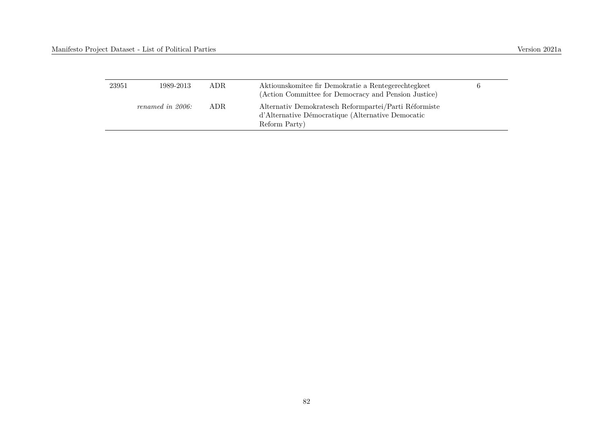| 23951 | 1989-2013        | ADR. | Aktiounskomitee fir Demokratie a Rentegerechtegkeet<br>(Action Committee for Democracy and Pension Justice)                 |  |
|-------|------------------|------|-----------------------------------------------------------------------------------------------------------------------------|--|
|       | renamed in 2006: | ADR. | Alternativ Demokratesch Reformpartei/Parti Réformiste<br>d'Alternative Démocratique (Alternative Democatic<br>Reform Party) |  |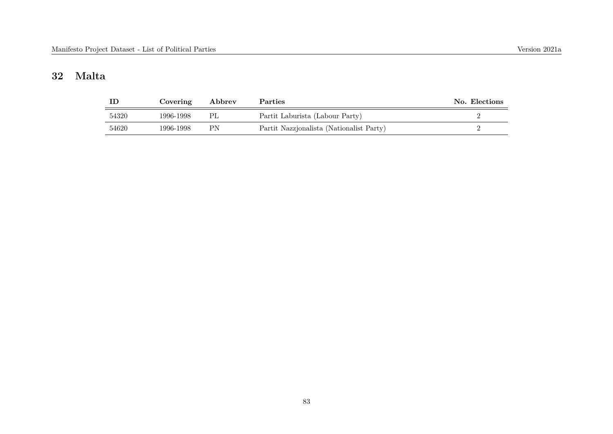## **32 Malta**

|       | Covering  | Abbrev | <b>Parties</b>                           | No. Elections |
|-------|-----------|--------|------------------------------------------|---------------|
| 54320 | 1996-1998 | PL     | Partit Laburista (Labour Party)          |               |
| 54620 | 1996-1998 | РN     | Partit Nazzjonalista (Nationalist Party) |               |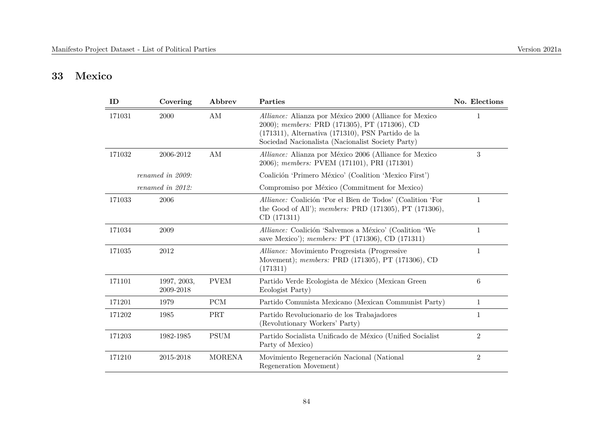## **33 Mexico**

| ID     | Covering                 | Abbrev         | Parties                                                                                                                                                                                                           | No. Elections   |
|--------|--------------------------|----------------|-------------------------------------------------------------------------------------------------------------------------------------------------------------------------------------------------------------------|-----------------|
| 171031 | 2000                     | AM             | Alliance: Alianza por México 2000 (Alliance for Mexico<br>2000); members: PRD (171305), PT (171306), CD<br>(171311), Alternativa (171310), PSN Partido de la<br>Sociedad Nacionalista (Nacionalist Society Party) | 1               |
| 171032 | 2006-2012                | AM             | <i>Alliance:</i> Alianza por México 2006 (Alliance for Mexico)<br>2006); members: PVEM (171101), PRI (171301)                                                                                                     | 3               |
|        | renamed in 2009:         |                | Coalición 'Primero México' (Coalition 'Mexico First')                                                                                                                                                             |                 |
|        | renamed in 2012:         |                | Compromiso por México (Commitment for Mexico)                                                                                                                                                                     |                 |
| 171033 | 2006                     |                | Alliance: Coalición 'Por el Bien de Todos' (Coalition 'For<br>the Good of All'); members: PRD (171305), PT (171306),<br>CD (171311)                                                                               | $\mathbf{1}$    |
| 171034 | 2009                     |                | Alliance: Coalición 'Salvemos a México' (Coalition 'We<br>save Mexico'); <i>members:</i> PT (171306), CD (171311)                                                                                                 | $\mathbf{1}$    |
| 171035 | 2012                     |                | <i>Alliance:</i> Movimiento Progressita (Progressive<br>Movement); members: PRD (171305), PT (171306), CD<br>(171311)                                                                                             | $\mathbf{1}$    |
| 171101 | 1997, 2003,<br>2009-2018 | <b>PVEM</b>    | Partido Verde Ecologista de México (Mexican Green<br>Ecologist Party)                                                                                                                                             | $6\phantom{.}6$ |
| 171201 | 1979                     | ${\mbox{PCM}}$ | Partido Comunista Mexicano (Mexican Communist Party)                                                                                                                                                              | $\mathbf{1}$    |
| 171202 | 1985                     | PRT            | Partido Revolucionario de los Trabajadores<br>(Revolutionary Workers' Party)                                                                                                                                      | 1               |
| 171203 | 1982-1985                | <b>PSUM</b>    | Partido Socialista Unificado de México (Unified Socialist<br>Party of Mexico)                                                                                                                                     | $\overline{2}$  |
| 171210 | 2015-2018                | <b>MORENA</b>  | Movimiento Regeneración Nacional (National<br>Regeneration Movement)                                                                                                                                              | $\overline{2}$  |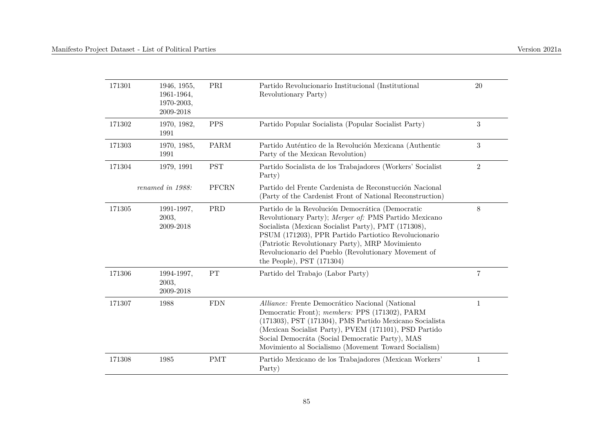| 171301 | 1946, 1955,<br>1961-1964,<br>1970-2003,<br>2009-2018 | PRI         | Partido Revolucionario Institucional (Institutional<br>Revolutionary Party)                                                                                                                                                                                                                                                                                        | 20             |
|--------|------------------------------------------------------|-------------|--------------------------------------------------------------------------------------------------------------------------------------------------------------------------------------------------------------------------------------------------------------------------------------------------------------------------------------------------------------------|----------------|
| 171302 | 1970, 1982,<br>1991                                  | <b>PPS</b>  | Partido Popular Socialista (Popular Socialist Party)                                                                                                                                                                                                                                                                                                               | $\sqrt{3}$     |
| 171303 | 1970, 1985,<br>1991                                  | <b>PARM</b> | Partido Auténtico de la Revolución Mexicana (Authentic<br>Party of the Mexican Revolution)                                                                                                                                                                                                                                                                         | 3              |
| 171304 | 1979, 1991                                           | <b>PST</b>  | Partido Socialista de los Trabajadores (Workers' Socialist<br>Party)                                                                                                                                                                                                                                                                                               | $\overline{2}$ |
|        | renamed in 1988:                                     | PFCRN       | Partido del Frente Cardenista de Reconstucción Nacional<br>(Party of the Cardenist Front of National Reconstruction)                                                                                                                                                                                                                                               |                |
| 171305 | 1991-1997,<br>2003,<br>2009-2018                     | PRD         | Partido de la Revolución Democrática (Democratic<br>Revolutionary Party); Merger of: PMS Partido Mexicano<br>Socialista (Mexican Socialist Party), PMT (171308),<br>PSUM (171203), PPR Partido Partiotico Revolucionario<br>(Patriotic Revolutionary Party), MRP Movimiento<br>Revolucionario del Pueblo (Revolutionary Movement of<br>the People), PST $(171304)$ | 8              |
| 171306 | 1994-1997,<br>2003,<br>2009-2018                     | PT          | Partido del Trabajo (Labor Party)                                                                                                                                                                                                                                                                                                                                  | $\overline{7}$ |
| 171307 | 1988                                                 | <b>FDN</b>  | Alliance: Frente Democrático Nacional (National<br>Democratic Front); members: PPS (171302), PARM<br>(171303), PST (171304), PMS Partido Mexicano Socialista<br>(Mexican Socialist Party), PVEM (171101), PSD Partido<br>Social Democráta (Social Democratic Party), MAS<br>Movimiento al Socialismo (Movement Toward Socialism)                                   | $\mathbf{1}$   |
| 171308 | 1985                                                 | <b>PMT</b>  | Partido Mexicano de los Trabajadores (Mexican Workers'<br>Party)                                                                                                                                                                                                                                                                                                   | 1              |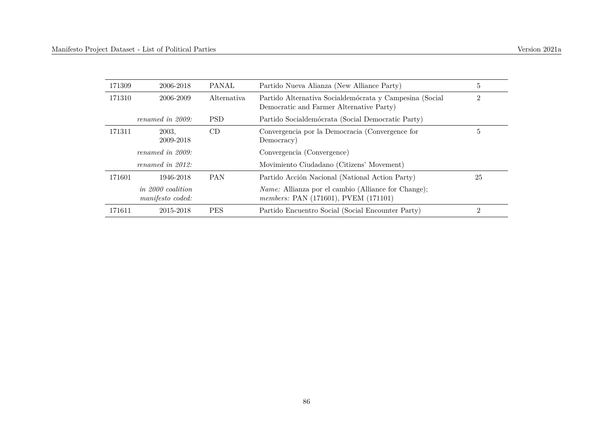| 171309 | 2006-2018                                    | <b>PANAL</b>       | Partido Nueva Alianza (New Alliance Party)                                                          | 5              |
|--------|----------------------------------------------|--------------------|-----------------------------------------------------------------------------------------------------|----------------|
| 171310 | 2006-2009                                    | <i>Alternativa</i> | Partido Alternativa Socialdemócrata y Campesina (Social<br>Democratic and Farmer Alternative Party) | $\overline{2}$ |
|        | renamed in $2009$ :                          | <b>PSD</b>         | Partido Socialdemócrata (Social Democratic Party)                                                   |                |
| 171311 | 2003.<br>2009-2018                           | CD                 | Convergencia por la Democracia (Convergence for<br>Democracy)                                       | 5              |
|        | renamed in 2009:                             |                    | Convergencia (Convergence)                                                                          |                |
|        | renamed in $2012$ :                          |                    | Movimiento Ciudadano (Citizens' Movement)                                                           |                |
| 171601 | 1946-2018                                    | <b>PAN</b>         | Partido Acción Nacional (National Action Party)                                                     | 25             |
|        | <i>in 2000 coalition</i><br>manifesto coded: |                    | <i>Name:</i> Allianza por el cambio (Alliance for Change);<br>members: PAN (171601), PVEM (171101)  |                |
| 171611 | 2015-2018                                    | <b>PES</b>         | Partido Encuentro Social (Social Encounter Party)                                                   | $\overline{2}$ |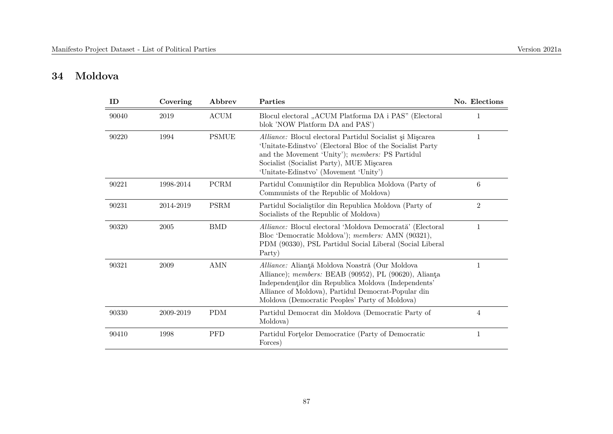## **34 Moldova**

| ID    | Covering  | Abbrev       | Parties                                                                                                                                                                                                                                                                  | No. Elections  |
|-------|-----------|--------------|--------------------------------------------------------------------------------------------------------------------------------------------------------------------------------------------------------------------------------------------------------------------------|----------------|
| 90040 | 2019      | <b>ACUM</b>  | Blocul electoral "ACUM Platforma DA i PAS" (Electoral<br>blok 'NOW Platform DA and PAS')                                                                                                                                                                                 | 1              |
| 90220 | 1994      | <b>PSMUE</b> | Alliance: Blocul electoral Partidul Socialist și Mișcarea<br>'Unitate-Edinstvo' (Electoral Bloc of the Socialist Party<br>and the Movement 'Unity'); members: PS Partidul<br>Socialist (Socialist Party), MUE Miscarea<br>'Unitate-Edinstvo' (Movement 'Unity')          | 1              |
| 90221 | 1998-2014 | <b>PCRM</b>  | Partidul Comunistilor din Republica Moldova (Party of<br>Communists of the Republic of Moldova)                                                                                                                                                                          | 6              |
| 90231 | 2014-2019 | <b>PSRM</b>  | Partidul Socialistilor din Republica Moldova (Party of<br>Socialists of the Republic of Moldova)                                                                                                                                                                         | $\overline{2}$ |
| 90320 | 2005      | <b>BMD</b>   | Alliance: Blocul electoral 'Moldova Democrată' (Electoral<br>Bloc 'Democratic Moldova'); members: AMN (90321),<br>PDM (90330), PSL Partidul Social Liberal (Social Liberal<br>Party)                                                                                     | $\mathbf{1}$   |
| 90321 | 2009      | <b>AMN</b>   | Alliance: Alianță Moldova Noastră (Our Moldova<br>Alliance); members: BEAB (90952), PL (90620), Alianta<br>Independentilor din Republica Moldova (Independents'<br>Alliance of Moldova), Partidul Democrat-Popular din<br>Moldova (Democratic Peoples' Party of Moldova) | $\mathbf{1}$   |
| 90330 | 2009-2019 | <b>PDM</b>   | Partidul Democrat din Moldova (Democratic Party of<br>Moldova)                                                                                                                                                                                                           | 4              |
| 90410 | 1998      | <b>PFD</b>   | Partidul Fortelor Democratice (Party of Democratic<br>Forces)                                                                                                                                                                                                            | 1              |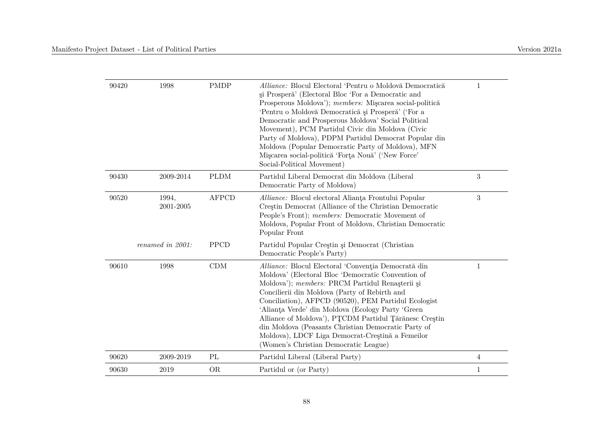| 90420 | 1998               | <b>PMDP</b>  | Alliance: Blocul Electoral 'Pentru o Moldovă Democratică<br>și Prosperă <sup>,</sup> (Electoral Bloc 'For a Democratic and<br>Prosperous Moldova'); members: Miscarea social-politică<br>'Pentru o Moldovă Democratică și Prosperă' ('For a<br>Democratic and Prosperous Moldova' Social Political<br>Movement), PCM Partidul Civic din Moldova (Civic<br>Party of Moldova), PDPM Partidul Democrat Popular din<br>Moldova (Popular Democratic Party of Moldova), MFN<br>Miscarea social-politică 'Forța Nouă' ('New Force'<br>Social-Political Movement) | 1                |
|-------|--------------------|--------------|-----------------------------------------------------------------------------------------------------------------------------------------------------------------------------------------------------------------------------------------------------------------------------------------------------------------------------------------------------------------------------------------------------------------------------------------------------------------------------------------------------------------------------------------------------------|------------------|
| 90430 | 2009-2014          | <b>PLDM</b>  | Partidul Liberal Democrat din Moldova (Liberal<br>Democratic Party of Moldova)                                                                                                                                                                                                                                                                                                                                                                                                                                                                            | $\sqrt{3}$       |
| 90520 | 1994,<br>2001-2005 | <b>AFPCD</b> | Alliance: Blocul electoral Alianta Frontului Popular<br>Creștin Democrat (Alliance of the Christian Democratic<br>People's Front); members: Democratic Movement of<br>Moldova, Popular Front of Moldova, Christian Democratic<br>Popular Front                                                                                                                                                                                                                                                                                                            | $\boldsymbol{3}$ |
|       | renamed in 2001:   | <b>PPCD</b>  | Partidul Popular Creștin și Democrat (Christian<br>Democratic People's Party)                                                                                                                                                                                                                                                                                                                                                                                                                                                                             |                  |
| 90610 | 1998               | CDM          | Alliance: Blocul Electoral 'Conventia Democrată din<br>Moldova' (Electoral Bloc 'Democratic Convention of<br>Moldova'); members: PRCM Partidul Renașterii și<br>Concilierii din Moldova (Party of Rebirth and<br>Conciliation), AFPCD (90520), PEM Partidul Ecologist<br>'Alianta Verde' din Moldova (Ecology Party 'Green<br>Alliance of Moldova'), PTCDM Partidul Tărănesc Creștin<br>din Moldova (Peasants Christian Democratic Party of<br>Moldova), LDCF Liga Democrat-Creștină a Femeilor<br>(Women's Christian Democratic League)                  | $\mathbf{1}$     |
| 90620 | 2009-2019          | PL           | Partidul Liberal (Liberal Party)                                                                                                                                                                                                                                                                                                                                                                                                                                                                                                                          | 4                |
| 90630 | 2019               | <b>OR</b>    | Partidul or (or Party)                                                                                                                                                                                                                                                                                                                                                                                                                                                                                                                                    | $\mathbf{1}$     |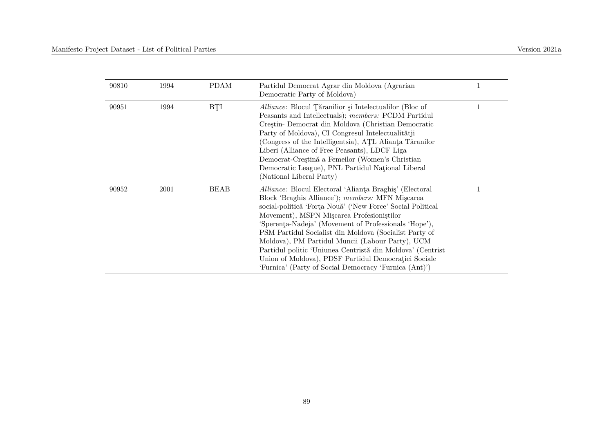| 90810 | 1994 | <b>PDAM</b> | Partidul Democrat Agrar din Moldova (Agrarian<br>Democratic Party of Moldova)                                                                                                                                                                                                                                                                                                                                                                                                                                                                                                       |  |
|-------|------|-------------|-------------------------------------------------------------------------------------------------------------------------------------------------------------------------------------------------------------------------------------------------------------------------------------------------------------------------------------------------------------------------------------------------------------------------------------------------------------------------------------------------------------------------------------------------------------------------------------|--|
| 90951 | 1994 | BŢI         | Alliance: Blocul Tăranilior și Intelectualilor (Bloc of<br>Peasants and Intellectuals); members: PCDM Partidul<br>Creștin- Democrat din Moldova (Christian Democratic<br>Party of Moldova), CI Congresul Intelectualității<br>(Congress of the Intelligentsia), ATL Alianta Tăranilor<br>Liberi (Alliance of Free Peasants), LDCF Liga<br>Democrat-Creștină a Femeilor (Women's Christian<br>Democratic League), PNL Partidul National Liberal<br>(National Liberal Party)                                                                                                          |  |
| 90952 | 2001 | <b>BEAB</b> | <i>Alliance:</i> Blocul Electoral 'Alianta Braghis' (Electoral<br>Block 'Braghis Alliance'); members: MFN Miscarea<br>social-politică 'Forța Nouă' ('New Force' Social Political<br>Movement), MSPN Miscarea Profesionistilor<br>'Sperenta-Nadeja' (Movement of Professionals 'Hope'),<br>PSM Partidul Socialist din Moldova (Socialist Party of<br>Moldova), PM Partidul Muncii (Labour Party), UCM<br>Partidul politic 'Uniunea Centristă din Moldova' (Centrist<br>Union of Moldova), PDSF Partidul Democratiei Sociale<br>'Furnica' (Party of Social Democracy 'Furnica (Ant)') |  |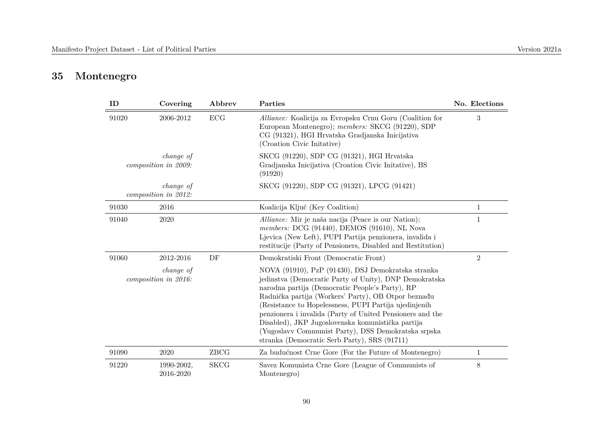# **35 Montenegro**

| ID    | Covering                                 | Abbrev      | Parties                                                                                                                                                                                                                                                                                                                                                                                                                                                                                                  | No. Elections  |
|-------|------------------------------------------|-------------|----------------------------------------------------------------------------------------------------------------------------------------------------------------------------------------------------------------------------------------------------------------------------------------------------------------------------------------------------------------------------------------------------------------------------------------------------------------------------------------------------------|----------------|
| 91020 | 2006-2012                                | ECG         | Alliance: Koalicija za Evropsku Crnu Goru (Coalition for<br>European Montenegro); members: SKCG (91220), SDP<br>CG (91321), HGI Hrvatska Gradjanska Inicijativa<br>(Croation Civic Initative)                                                                                                                                                                                                                                                                                                            | 3              |
|       | change of<br>composition in 2009:        |             | SKCG (91220), SDP CG (91321), HGI Hrvatska<br>Gradjanska Inicijativa (Croation Civic Initative), BS<br>(91920)                                                                                                                                                                                                                                                                                                                                                                                           |                |
|       | <i>change of</i><br>composition in 2012: |             | SKCG (91220), SDP CG (91321), LPCG (91421)                                                                                                                                                                                                                                                                                                                                                                                                                                                               |                |
| 91030 | 2016                                     |             | Koalicija Ključ (Key Coalition)                                                                                                                                                                                                                                                                                                                                                                                                                                                                          | $\mathbf{1}$   |
| 91040 | 2020                                     |             | <i>Alliance:</i> Mir je naša nacija (Peace is our Nation);<br>members: DCG (91440), DEMOS (91610), NL Nova<br>Ljevica (New Left), PUPI Partija penzionera, invalida i<br>restitucije (Party of Pensioners, Disabled and Restitution)                                                                                                                                                                                                                                                                     | 1              |
| 91060 | 2012-2016                                | DF          | Demokratiski Front (Democratic Front)                                                                                                                                                                                                                                                                                                                                                                                                                                                                    | $\overline{2}$ |
|       | change of<br>composition in 2016:        |             | NOVA (91910), PzP (91430), DSJ Demokratska stranka<br>jedinstva (Democratic Party of Unity), DNP Demokratska<br>narodna partija (Democratic People's Party), RP<br>Radnička partija (Workers' Party), OB Otpor beznađu<br>(Resistance to Hopelessness, PUPI Partija ujedinjenih<br>penzionera i invalida (Party of United Pensioners and the<br>Disabled), JKP Jugoslovenska komunistička partija<br>(Yugoslavy Communist Party), DSS Demokratska srpska<br>stranka (Democratic Serb Party), SRS (91711) |                |
| 91090 | 2020                                     | ZBCG        | Za budućnost Crne Gore (For the Future of Montenegro)                                                                                                                                                                                                                                                                                                                                                                                                                                                    | $\mathbf{1}$   |
| 91220 | 1990-2002,<br>2016-2020                  | <b>SKCG</b> | Savez Komunista Crne Gore (League of Communists of<br>Montenegro)                                                                                                                                                                                                                                                                                                                                                                                                                                        | 8              |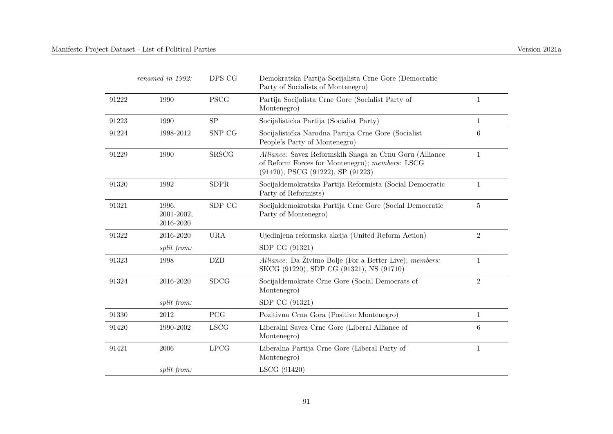|       | renamed in 1992:                 | DPS CG       | Demokratska Partija Socijalista Crne Gore (Democratic<br>Party of Socialists of Montenegro)                                                             |                 |
|-------|----------------------------------|--------------|---------------------------------------------------------------------------------------------------------------------------------------------------------|-----------------|
| 91222 | 1990                             | <b>PSCG</b>  | Partija Socijalista Crne Gore (Socialist Party of<br>Montenegro)                                                                                        | $\mathbf{1}$    |
| 91223 | 1990                             | ${\rm SP}$   | Socijalisticka Partija (Socialist Party)                                                                                                                | $\mathbf{1}$    |
| 91224 | 1998-2012                        | SNP CG       | Socijalistička Narodna Partija Crne Gore (Socialist<br>People's Party of Montenegro)                                                                    | 6               |
| 91229 | 1990                             | <b>SRSCG</b> | Alliance: Savez Reformskih Snaga za Crnu Goru (Alliance<br>of Reform Forces for Montenegro); members: LSCG<br>$(91420)$ , PSCG $(91222)$ , SP $(91223)$ | $\mathbf{1}$    |
| 91320 | 1992                             | <b>SDPR</b>  | Socijaldemokratska Partija Reformista (Social Democratic<br>Party of Reformists)                                                                        | 1               |
| 91321 | 1996,<br>2001-2002,<br>2016-2020 | SDP CG       | Socijaldemokratska Partija Crne Gore (Social Democratic<br>Party of Montenegro)                                                                         | $\overline{5}$  |
| 91322 | 2016-2020                        | $\rm URA$    | Ujedinjena reformska akcija (United Reform Action)                                                                                                      | $\overline{2}$  |
|       | split from:                      |              | SDP CG (91321)                                                                                                                                          |                 |
| 91323 | 1998                             | <b>DZB</b>   | <i>Alliance:</i> Da Živimo Bolje (For a Better Live); <i>members:</i><br>SKCG (91220), SDP CG (91321), NS (91710)                                       | $\mathbf{1}$    |
| 91324 | 2016-2020                        | <b>SDCG</b>  | Socijaldemokrate Crne Gore (Social Democrats of<br>Montenegro)                                                                                          | $\overline{2}$  |
|       | split from:                      |              | SDP CG (91321)                                                                                                                                          |                 |
| 91330 | 2012                             | PCG          | Pozitivna Crna Gora (Positive Montenegro)                                                                                                               | $\mathbf{1}$    |
| 91420 | 1990-2002                        | <b>LSCG</b>  | Liberalni Savez Crne Gore (Liberal Alliance of<br>Montenegro)                                                                                           | $6\phantom{.}6$ |
| 91421 | 2006                             | <b>LPCG</b>  | Liberalna Partija Crne Gore (Liberal Party of<br>Montenegro)                                                                                            | $\mathbf 1$     |
|       | split from:                      |              | LSCG (91420)                                                                                                                                            |                 |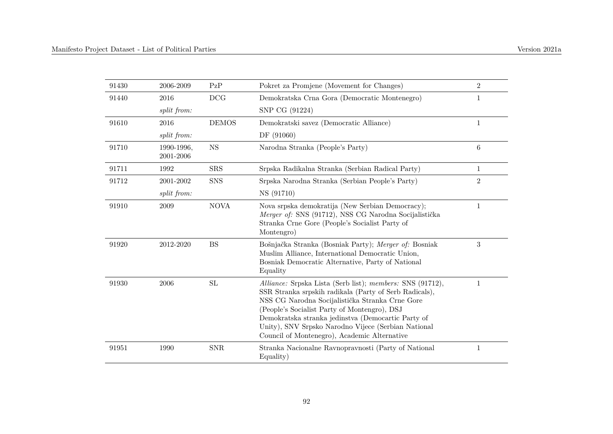| 91430 | 2006-2009               | PzP          | Pokret za Promjene (Movement for Changes)                                                                                                                                                                                                                                                                                                                                           | $\overline{2}$   |
|-------|-------------------------|--------------|-------------------------------------------------------------------------------------------------------------------------------------------------------------------------------------------------------------------------------------------------------------------------------------------------------------------------------------------------------------------------------------|------------------|
| 91440 | 2016                    | DCG          | Demokratska Crna Gora (Democratic Montenegro)                                                                                                                                                                                                                                                                                                                                       | 1                |
|       | split from:             |              | SNP CG (91224)                                                                                                                                                                                                                                                                                                                                                                      |                  |
| 91610 | 2016                    | <b>DEMOS</b> | Demokratski savez (Democratic Alliance)                                                                                                                                                                                                                                                                                                                                             | $\mathbf{1}$     |
|       | split from:             |              | DF (91060)                                                                                                                                                                                                                                                                                                                                                                          |                  |
| 91710 | 1990-1996,<br>2001-2006 | <b>NS</b>    | Narodna Stranka (People's Party)                                                                                                                                                                                                                                                                                                                                                    | $\,6$            |
| 91711 | 1992                    | <b>SRS</b>   | Srpska Radikalna Stranka (Serbian Radical Party)                                                                                                                                                                                                                                                                                                                                    | 1                |
| 91712 | 2001-2002               | <b>SNS</b>   | Srpska Narodna Stranka (Serbian People's Party)                                                                                                                                                                                                                                                                                                                                     | $\sqrt{2}$       |
|       | split from:             |              | NS (91710)                                                                                                                                                                                                                                                                                                                                                                          |                  |
| 91910 | 2009                    | <b>NOVA</b>  | Nova srpska demokratija (New Serbian Democracy);<br>Merger of: SNS (91712), NSS CG Narodna Socijalistička<br>Stranka Crne Gore (People's Socialist Party of<br>Montengro)                                                                                                                                                                                                           | $\mathbf{1}$     |
| 91920 | 2012-2020               | <b>BS</b>    | Bošnjačka Stranka (Bosniak Party); Merger of: Bosniak<br>Muslim Alliance, International Democratic Union,<br>Bosniak Democratic Alternative, Party of National<br>Equality                                                                                                                                                                                                          | $\boldsymbol{3}$ |
| 91930 | 2006                    | ${\rm SL}$   | Alliance: Srpska Lista (Serb list); members: SNS (91712),<br>SSR Stranka srpskih radikala (Party of Serb Radicals),<br>NSS CG Narodna Socijalistička Stranka Crne Gore<br>(People's Socialist Party of Montengro), DSJ<br>Demokratska stranka jedinstva (Democartic Party of<br>Unity), SNV Srpsko Narodno Vijece (Serbian National<br>Council of Montenegro), Academic Alternative | 1                |
| 91951 | 1990                    | <b>SNR</b>   | Stranka Nacionalne Ravnopravnosti (Party of National<br>Equality)                                                                                                                                                                                                                                                                                                                   | 1                |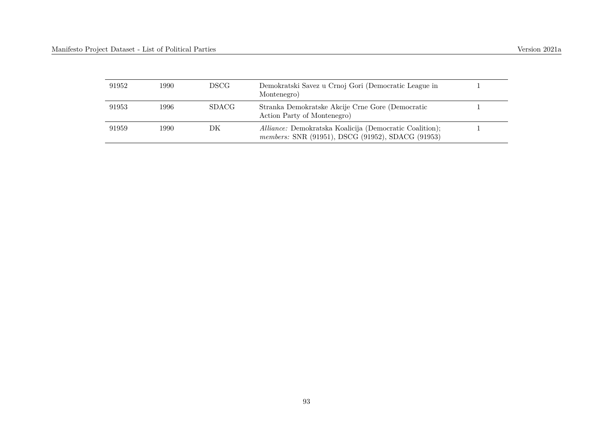| 91952 | 1990- | DSCG-        | Demokratski Savez u Crnoj Gori (Democratic League in<br>Montenegro)                                          |  |
|-------|-------|--------------|--------------------------------------------------------------------------------------------------------------|--|
| 91953 | 1996. | <b>SDACG</b> | Stranka Demokratske Akcije Crne Gore (Democratic<br>Action Party of Montenegro)                              |  |
| 91959 | 1990- | DК           | Alliance: Demokratska Koalicija (Democratic Coalition);<br>members: SNR (91951), DSCG (91952), SDACG (91953) |  |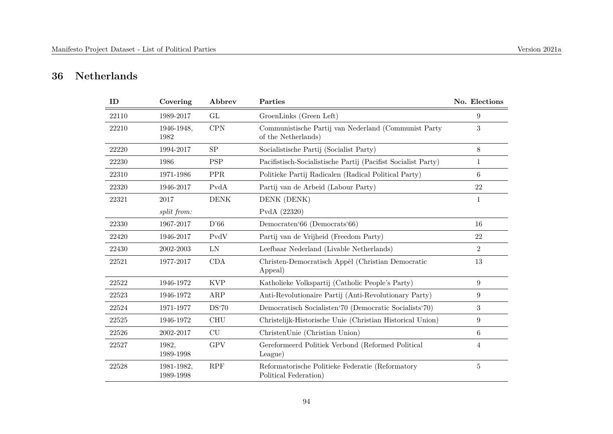## **36 Netherlands**

| ID    | Covering                | Abbrev      | Parties                                                                     | No. Elections    |
|-------|-------------------------|-------------|-----------------------------------------------------------------------------|------------------|
| 22110 | 1989-2017               | GL          | GroenLinks (Green Left)                                                     | 9                |
| 22210 | 1946-1948,<br>1982      | CPN         | Communistische Partij van Nederland (Communist Party<br>of the Netherlands) | 3                |
| 22220 | 1994-2017               | SP          | Socialistische Partij (Socialist Party)                                     | 8                |
| 22230 | 1986                    | <b>PSP</b>  | Pacifistisch-Socialistische Partij (Pacifist Socialist Party)               | $\mathbf{1}$     |
| 22310 | 1971-1986               | <b>PPR</b>  | Politieke Partij Radicalen (Radical Political Party)                        | 6                |
| 22320 | 1946-2017               | PvdA        | Partij van de Arbeid (Labour Party)                                         | 22               |
| 22321 | 2017                    | <b>DENK</b> | DENK (DENK)                                                                 | $\mathbf{1}$     |
|       | split from:             |             | PvdA (22320)                                                                |                  |
| 22330 | 1967-2017               | D'66        | Democraten'66 (Democrats'66)                                                | 16               |
| 22420 | 1946-2017               | PvdV        | Partij van de Vrijheid (Freedom Party)                                      | $22\,$           |
| 22430 | 2002-2003               | LN          | Leefbaar Nederland (Livable Netherlands)                                    | $\overline{2}$   |
| 22521 | 1977-2017               | CDA         | Christen-Democratisch Appèl (Christian Democratic<br>Appeal)                | 13               |
| 22522 | 1946-1972               | <b>KVP</b>  | Katholieke Volkspartij (Catholic People's Party)                            | $\boldsymbol{9}$ |
| 22523 | 1946-1972               | ${\rm ARP}$ | Anti-Revolutionaire Partij (Anti-Revolutionary Party)                       | $\boldsymbol{9}$ |
| 22524 | 1971-1977               | DS'70       | Democratisch Socialisten'70 (Democratic Socialists'70)                      | 3                |
| 22525 | 1946-1972               | <b>CHU</b>  | Christelijk-Historische Unie (Christian Historical Union)                   | $\boldsymbol{9}$ |
| 22526 | 2002-2017               | CU          | ChristenUnie (Christian Union)                                              | $6\phantom{.}6$  |
| 22527 | 1982,<br>1989-1998      | <b>GPV</b>  | Gereformeerd Politiek Verbond (Reformed Political<br>League)                | 4                |
| 22528 | 1981-1982,<br>1989-1998 | RPF         | Reformatorische Politieke Federatie (Reformatory<br>Political Federation)   | $\bf 5$          |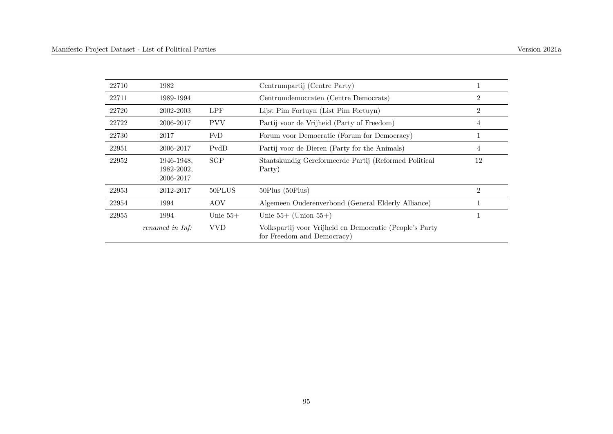| 22710 | 1982                     |            | Centrumpartij (Centre Party)                                                          |                |
|-------|--------------------------|------------|---------------------------------------------------------------------------------------|----------------|
| 22711 | 1989-1994                |            | Centrumdemocraten (Centre Democrats)                                                  | 2              |
| 22720 | 2002-2003                | <b>LPF</b> | Lijst Pim Fortuyn (List Pim Fortuyn)                                                  | $\overline{2}$ |
| 22722 | 2006-2017                | <b>PVV</b> | Partij voor de Vrijheid (Party of Freedom)                                            | 4              |
| 22730 | 2017                     | FvD        | Forum voor Democratie (Forum for Democracy)                                           |                |
| 22951 | 2006-2017                | PvdD       | Partij voor de Dieren (Party for the Animals)                                         | 4              |
| 22952 | 1946-1948.<br>1982-2002. | SGP        | Staatskundig Gereformeerde Partij (Reformed Political<br>Party)                       | 12             |
|       | 2006-2017                |            |                                                                                       |                |
| 22953 | 2012-2017                | 50PLUS     | $50$ Plus $(50$ Plus $)$                                                              | $\overline{2}$ |
| 22954 | 1994                     | AOV        | Algemeen Ouderenverbond (General Elderly Alliance)                                    |                |
| 22955 | 1994                     | Unie $55+$ | Unie $55+$ (Union $55+$ )                                                             |                |
|       | renamed in Inf:          | <b>VVD</b> | Volkspartij voor Vrijheid en Democratie (People's Party<br>for Freedom and Democracy) |                |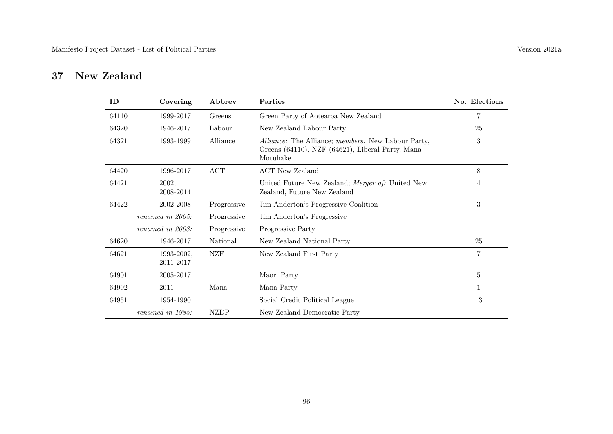## **37 New Zealand**

| ID    | Covering                | Abbrev      | Parties                                                                                                                          | No. Elections  |
|-------|-------------------------|-------------|----------------------------------------------------------------------------------------------------------------------------------|----------------|
| 64110 | 1999-2017               | Greens      | Green Party of Aotearoa New Zealand                                                                                              | 7              |
| 64320 | 1946-2017               | Labour      | New Zealand Labour Party                                                                                                         | 25             |
| 64321 | 1993-1999               | Alliance    | <i>Alliance:</i> The Alliance; <i>members:</i> New Labour Party,<br>Greens (64110), NZF (64621), Liberal Party, Mana<br>Motuhake | 3              |
| 64420 | 1996-2017               | ACT         | ACT New Zealand                                                                                                                  | 8              |
| 64421 | 2002,<br>2008-2014      |             | United Future New Zealand; Merger of: United New<br>Zealand, Future New Zealand                                                  | 4              |
| 64422 | 2002-2008               | Progressive | Jim Anderton's Progressive Coalition                                                                                             | 3              |
|       | renamed in 2005:        | Progressive | Jim Anderton's Progressive                                                                                                       |                |
|       | renamed in 2008:        | Progressive | Progressive Party                                                                                                                |                |
| 64620 | 1946-2017               | National    | New Zealand National Party                                                                                                       | 25             |
| 64621 | 1993-2002,<br>2011-2017 | NZF         | New Zealand First Party                                                                                                          | $\overline{7}$ |
| 64901 | 2005-2017               |             | Māori Party                                                                                                                      | 5              |
| 64902 | 2011                    | Mana        | Mana Party                                                                                                                       | 1              |
| 64951 | 1954-1990               |             | Social Credit Political League                                                                                                   | 13             |
|       | renamed in 1985:        | <b>NZDP</b> | New Zealand Democratic Party                                                                                                     |                |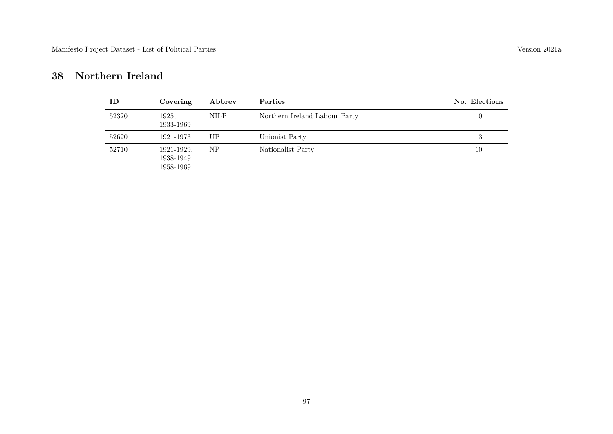## **38 Northern Ireland**

| ID    | Covering                              | Abbrev      | Parties                       | No. Elections |
|-------|---------------------------------------|-------------|-------------------------------|---------------|
| 52320 | 1925,<br>1933-1969                    | <b>NILP</b> | Northern Ireland Labour Party | 10            |
| 52620 | 1921-1973                             | UP          | Unionist Party                | 13            |
| 52710 | 1921-1929,<br>1938-1949,<br>1958-1969 | NP          | Nationalist Party             | 10            |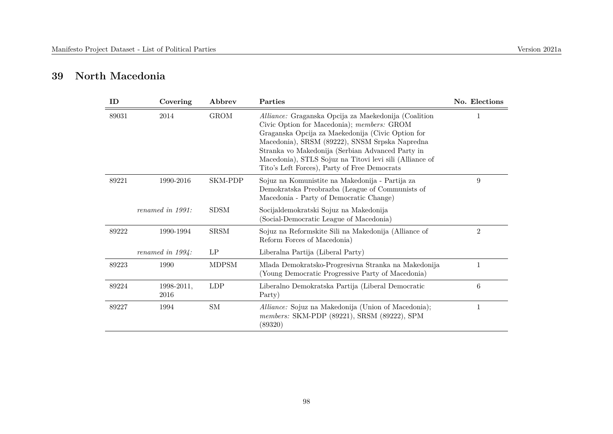### **39 North Macedonia**

| ID    | Covering            | Abbrev       | Parties                                                                                                                                                                                                                                                                                                                                                                  | No. Elections  |
|-------|---------------------|--------------|--------------------------------------------------------------------------------------------------------------------------------------------------------------------------------------------------------------------------------------------------------------------------------------------------------------------------------------------------------------------------|----------------|
| 89031 | 2014                | <b>GROM</b>  | Alliance: Graganska Opcija za Maekedonija (Coalition<br>Civic Option for Macedonia); members: GROM<br>Graganska Opcija za Maekedonija (Civic Option for<br>Macedonia), SRSM (89222), SNSM Srpska Napredna<br>Stranka vo Makedonija (Serbian Advanced Party in<br>Macedonia), STLS Sojuz na Titovi levi sili (Alliance of<br>Tito's Left Forces), Party of Free Democrats |                |
| 89221 | 1990-2016           | SKM-PDP      | Sojuz na Komunistite na Makedonija - Partija za<br>Demokratska Preobrazba (League of Communists of<br>Macedonia - Party of Democratic Change)                                                                                                                                                                                                                            | 9              |
|       | renamed in $1991$ : | <b>SDSM</b>  | Socijaldemokratski Sojuz na Makedonija<br>(Social-Democratic League of Macedonia)                                                                                                                                                                                                                                                                                        |                |
| 89222 | 1990-1994           | <b>SRSM</b>  | Sojuz na Reformskite Sili na Makedonija (Alliance of<br>Reform Forces of Macedonia)                                                                                                                                                                                                                                                                                      | $\overline{2}$ |
|       | renamed in $1994$ : | LP           | Liberalna Partija (Liberal Party)                                                                                                                                                                                                                                                                                                                                        |                |
| 89223 | 1990                | <b>MDPSM</b> | Mlada Demokratsko-Progresivna Stranka na Makedonija<br>(Young Democratic Progressive Party of Macedonia)                                                                                                                                                                                                                                                                 | 1              |
| 89224 | 1998-2011.<br>2016  | LDP          | Liberalno Demokratska Partija (Liberal Democratic<br>Party)                                                                                                                                                                                                                                                                                                              | 6              |
| 89227 | 1994                | SM           | <i>Alliance:</i> Sojuz na Makedonija (Union of Macedonia);<br>members: SKM-PDP (89221), SRSM (89222), SPM<br>(89320)                                                                                                                                                                                                                                                     | 1              |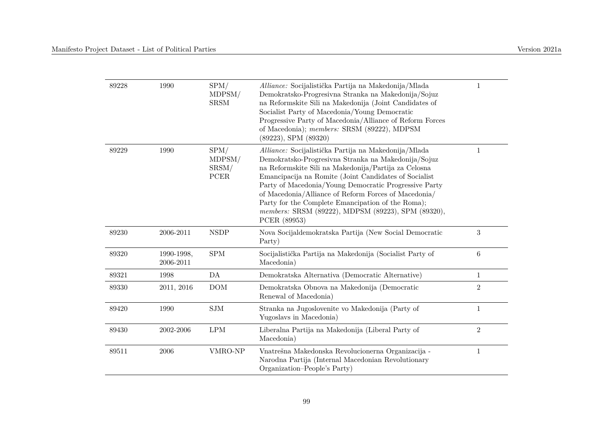| 89228 | 1990                    | SPM/<br>MDPSM/<br><b>SRSM</b>   | Alliance: Socijalistička Partija na Makedonija/Mlada<br>Demokratsko-Progresivna Stranka na Makedonija/Sojuz<br>na Reformskite Sili na Makedonija (Joint Candidates of<br>Socialist Party of Macedonia/Young Democratic<br>Progressive Party of Macedonia/Alliance of Reform Forces<br>of Macedonia); members: SRSM (89222), MDPSM<br>$(89223),$ SPM $(89320)$                                                                                                            | 1               |
|-------|-------------------------|---------------------------------|--------------------------------------------------------------------------------------------------------------------------------------------------------------------------------------------------------------------------------------------------------------------------------------------------------------------------------------------------------------------------------------------------------------------------------------------------------------------------|-----------------|
| 89229 | 1990                    | SPM/<br>MDPSM/<br>SRSM/<br>PCER | Alliance: Socijalistička Partija na Makedonija/Mlada<br>Demokratsko-Progresivna Stranka na Makedonija/Sojuz<br>na Reformskite Sili na Makedonija/Partija za Celosna<br>Emancipacija na Romite (Joint Candidates of Socialist<br>Party of Macedonia/Young Democratic Progressive Party<br>of Macedonia/Alliance of Reform Forces of Macedonia/<br>Party for the Complete Emancipation of the Roma);<br>members: SRSM (89222), MDPSM (89223), SPM (89320),<br>PCER (89953) | $\mathbf{1}$    |
| 89230 | 2006-2011               | <b>NSDP</b>                     | Nova Socijaldemokratska Partija (New Social Democratic<br>Party)                                                                                                                                                                                                                                                                                                                                                                                                         | 3               |
| 89320 | 1990-1998,<br>2006-2011 | ${\rm SPM}$                     | Socijalistička Partija na Makedonija (Socialist Party of<br>Macedonia)                                                                                                                                                                                                                                                                                                                                                                                                   | $6\phantom{.}6$ |
| 89321 | 1998                    | DA                              | Demokratska Alternativa (Democratic Alternative)                                                                                                                                                                                                                                                                                                                                                                                                                         | 1               |
| 89330 | 2011, 2016              | <b>DOM</b>                      | Demokratska Obnova na Makedonija (Democratic<br>Renewal of Macedonia)                                                                                                                                                                                                                                                                                                                                                                                                    | $\overline{2}$  |
| 89420 | 1990                    | SIM                             | Stranka na Jugoslovenite vo Makedonija (Party of<br>Yugoslavs in Macedonia)                                                                                                                                                                                                                                                                                                                                                                                              | $\mathbf{1}$    |
| 89430 | 2002-2006               | $\operatorname{LPM}$            | Liberalna Partija na Makedonija (Liberal Party of<br>Macedonia)                                                                                                                                                                                                                                                                                                                                                                                                          | $\overline{2}$  |
| 89511 | 2006                    | VMRO-NP                         | Vnatrešna Makedonska Revolucionerna Organizacija -<br>Narodna Partija (Internal Macedonian Revolutionary<br>Organization–People's Party)                                                                                                                                                                                                                                                                                                                                 | 1               |
|       |                         |                                 |                                                                                                                                                                                                                                                                                                                                                                                                                                                                          |                 |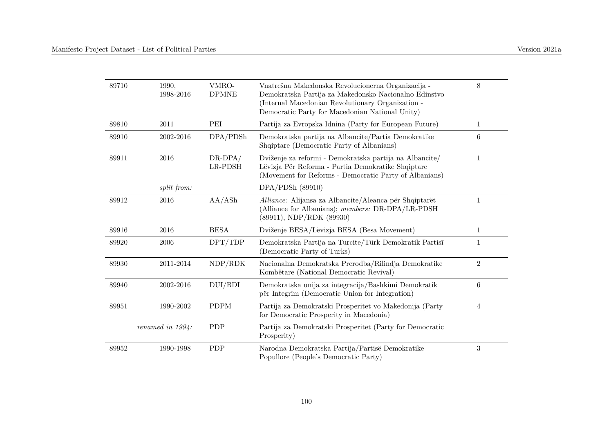| 89710 | 1990,<br>1998-2016  | VMRO-<br><b>DPMNE</b> | Vnatrešna Makedonska Revolucionerna Organizacija -<br>Demokratska Partija za Makedonsko Nacionalno Edinstvo<br>(Internal Macedonian Revolutionary Organization -<br>Democratic Party for Macedonian National Unity) | 8              |
|-------|---------------------|-----------------------|---------------------------------------------------------------------------------------------------------------------------------------------------------------------------------------------------------------------|----------------|
| 89810 | $2011\,$            | PEI                   | Partija za Evropska Idnina (Party for European Future)                                                                                                                                                              | 1              |
| 89910 | 2002-2016           | DPA/PDSh              | Demokratska partija na Albancite/Partia Demokratike<br>Shqiptare (Democratic Party of Albanians)                                                                                                                    | 6              |
| 89911 | 2016                | $DR-DPA/$<br>LR-PDSH  | Dviženje za reformi - Demokratska partija na Albancite/<br>Lëvizja Për Reforma - Partia Demokratike Shqiptare<br>(Movement for Reforms - Democratic Party of Albanians)                                             | $\mathbf{1}$   |
|       | split from:         |                       | DPA/PDSh(89910)                                                                                                                                                                                                     |                |
| 89912 | 2016                | AA/ASH                | Alliance: Alijansa za Albancite/Aleanca për Shqiptarët<br>(Alliance for Albanians); members: DR-DPA/LR-PDSH<br>$(89911)$ , NDP/RDK $(89930)$                                                                        | $\mathbf{1}$   |
| 89916 | 2016                | <b>BESA</b>           | Dviženje BESA/Lëvizja BESA (Besa Movement)                                                                                                                                                                          | $\mathbf{1}$   |
| 89920 | 2006                | DPT/TDP               | Demokratska Partija na Turcite/Türk Demokratik Partisī<br>(Democratic Party of Turks)                                                                                                                               | $\mathbf{1}$   |
| 89930 | 2011-2014           | NDP/RDK               | Nacionalna Demokratska Prerodba/Rilindja Demokratike<br>Kombëtare (National Democratic Revival)                                                                                                                     | $\overline{2}$ |
| 89940 | 2002-2016           | DUI/BDI               | Demokratska unija za integracija/Bashkimi Demokratik<br>për Integrim (Democratic Union for Integration)                                                                                                             | 6              |
| 89951 | 1990-2002           | <b>PDPM</b>           | Partija za Demokratski Prosperitet vo Makedonija (Party<br>for Democratic Prosperity in Macedonia)                                                                                                                  | $\overline{4}$ |
|       | renamed in $1994$ : | PDP                   | Partija za Demokratski Prosperitet (Party for Democratic<br>Prosperity)                                                                                                                                             |                |
| 89952 | 1990-1998           | <b>PDP</b>            | Narodna Demokratska Partija/Partisë Demokratike<br>Popullore (People's Democratic Party)                                                                                                                            | 3              |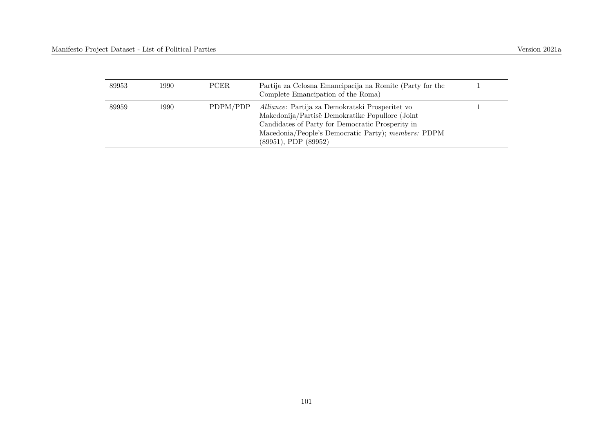| 89953 | 1990- | PCER.    | Partija za Celosna Emancipacija na Romite (Party for the<br>Complete Emancipation of the Roma)                                                                                                                                            |  |
|-------|-------|----------|-------------------------------------------------------------------------------------------------------------------------------------------------------------------------------------------------------------------------------------------|--|
| 89959 | 1990- | PDPM/PDP | Alliance: Partija za Demokratski Prosperitet vo<br>Makedonija/Partisë Demokratike Popullore (Joint<br>Candidates of Party for Democratic Prosperity in<br>Macedonia/People's Democratic Party); members: PDPM<br>$(89951),$ PDP $(89952)$ |  |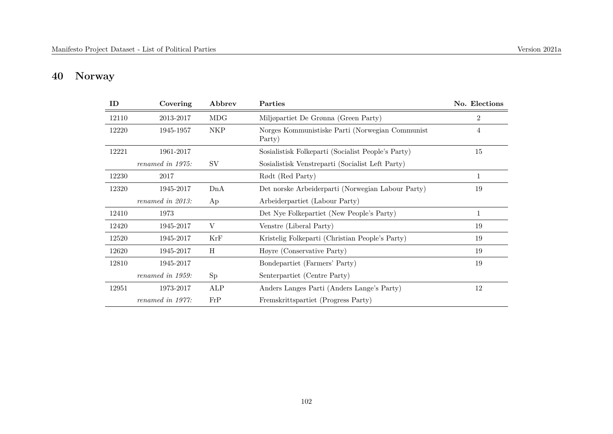# **40 Norway**

| ID    | Covering         | Abbrev     | Parties                                                   | No. Elections  |
|-------|------------------|------------|-----------------------------------------------------------|----------------|
| 12110 | 2013-2017        | <b>MDG</b> | Miljøpartiet De Grønna (Green Party)                      | $\overline{2}$ |
| 12220 | 1945-1957        | <b>NKP</b> | Norges Kommunistiske Parti (Norwegian Communist<br>Party) | 4              |
| 12221 | 1961-2017        |            | Sosialistisk Folkeparti (Socialist People's Party)        | 15             |
|       | renamed in 1975: | SV         | Sosialistisk Venstreparti (Socialist Left Party)          |                |
| 12230 | 2017             |            | Rødt (Red Party)                                          | 1              |
| 12320 | 1945-2017        | DnA        | Det norske Arbeiderparti (Norwegian Labour Party)         | 19             |
|       | renamed in 2013: | Ap         | Arbeiderpartiet (Labour Party)                            |                |
| 12410 | 1973             |            | Det Nye Folkepartiet (New People's Party)                 | $\mathbf{1}$   |
| 12420 | 1945-2017        | V          | Venstre (Liberal Party)                                   | 19             |
| 12520 | 1945-2017        | KrF        | Kristelig Folkeparti (Christian People's Party)           | 19             |
| 12620 | 1945-2017        | H          | Høyre (Conservative Party)                                | 19             |
| 12810 | 1945-2017        |            | Bondepartiet (Farmers' Party)                             | 19             |
|       | renamed in 1959: | Sp         | Senterpartiet (Centre Party)                              |                |
| 12951 | 1973-2017        | ALP        | Anders Langes Parti (Anders Lange's Party)                | 12             |
|       | renamed in 1977: | FrP        | Fremskrittspartiet (Progress Party)                       |                |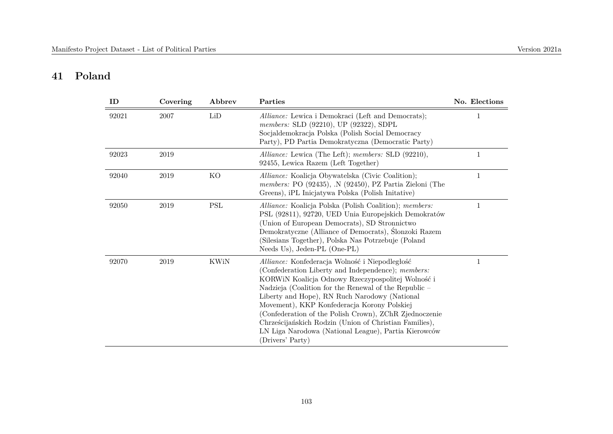# **41 Poland**

| ID    | Covering | Abbrev               | Parties                                                                                                                                                                                                                                                                                                                                                                                                                                                                                                            | No. Elections |
|-------|----------|----------------------|--------------------------------------------------------------------------------------------------------------------------------------------------------------------------------------------------------------------------------------------------------------------------------------------------------------------------------------------------------------------------------------------------------------------------------------------------------------------------------------------------------------------|---------------|
| 92021 | 2007     | LiD                  | Alliance: Lewica i Demokraci (Left and Democrats);<br>members: SLD (92210), UP (92322), SDPL<br>Socjaldemokracja Polska (Polish Social Democracy<br>Party), PD Partia Demokratyczna (Democratic Party)                                                                                                                                                                                                                                                                                                             |               |
| 92023 | 2019     |                      | Alliance: Lewica (The Left); members: SLD (92210),<br>92455, Lewica Razem (Left Together)                                                                                                                                                                                                                                                                                                                                                                                                                          | 1             |
| 92040 | 2019     | KO                   | Alliance: Koalicja Obywatelska (Civic Coalition);<br>members: PO $(92435)$ , N $(92450)$ , PZ Partia Zieloni (The<br>Greens), iPL Iniciatywa Polska (Polish Initative)                                                                                                                                                                                                                                                                                                                                             | 1             |
| 92050 | 2019     | $\operatorname{PSL}$ | Alliance: Koalicja Polska (Polish Coalition); members:<br>PSL (92811), 92720, UED Unia Europejskich Demokratów<br>(Union of European Democrats), SD Stronnictwo<br>Demokratyczne (Alliance of Democrats), Ślonzoki Razem<br>(Silesians Together), Polska Nas Potrzebuje (Poland<br>Needs Us), Jeden-PL (One-PL)                                                                                                                                                                                                    | 1             |
| 92070 | 2019     | KWiN                 | Alliance: Konfederacja Wolność i Niepodległość<br>(Confederation Liberty and Independence); members:<br>KORWIN Koalicja Odnowy Rzeczypospolitej Wolność i<br>Nadzieja (Coalition for the Renewal of the Republic -<br>Liberty and Hope), RN Ruch Narodowy (National<br>Movement), KKP Konfederacja Korony Polskiej<br>(Confederation of the Polish Crown), ZChR Zjednoczenie<br>Chrześcijańskich Rodzin (Union of Christian Families),<br>LN Liga Narodowa (National League), Partia Kierowców<br>(Drivers' Party) | 1             |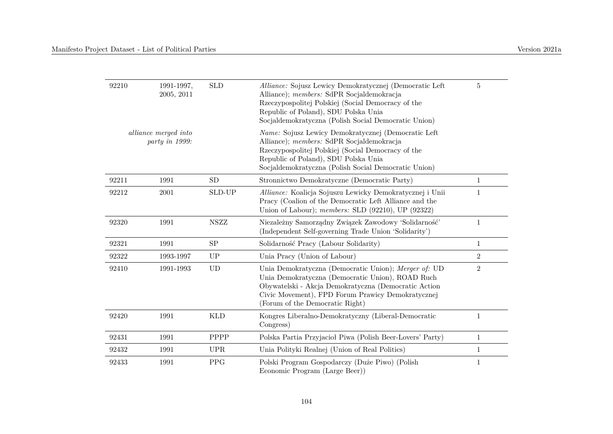| 92210 | 1991-1997,<br>2005, 2011               | <b>SLD</b>  | Alliance: Sojusz Lewicy Demokratycznej (Democratic Left<br>Alliance); members: SdPR Socjaldemokracja<br>Rzeczypospolitej Polskiej (Social Democracy of the<br>Republic of Poland), SDU Polska Unia<br>Socjaldemokratyczna (Polish Social Democratic Union) | $\overline{5}$ |
|-------|----------------------------------------|-------------|------------------------------------------------------------------------------------------------------------------------------------------------------------------------------------------------------------------------------------------------------------|----------------|
|       | alliance merged into<br>party in 1999: |             | Name: Sojusz Lewicy Demokratycznej (Democratic Left<br>Alliance); members: SdPR Socjaldemokracja<br>Rzeczypospolitej Polskiej (Social Democracy of the<br>Republic of Poland), SDU Polska Unia<br>Socjaldemokratyczna (Polish Social Democratic Union)     |                |
| 92211 | 1991                                   | ${\rm SD}$  | Stronnictwo Demokratyczne (Democratic Party)                                                                                                                                                                                                               | $\mathbf{1}$   |
| 92212 | 2001                                   | SLD-UP      | Alliance: Koalicja Sojuszu Lewicky Demokratycznej i Unii<br>Pracy (Coalion of the Democratic Left Alliance and the<br>Union of Labour); members: SLD $(92210)$ , UP $(92322)$                                                                              | $\mathbf{1}$   |
| 92320 | 1991                                   | <b>NSZZ</b> | Niezależny Samorządny Związek Zawodowy 'Solidarność'<br>(Independent Self-governing Trade Union 'Solidarity')                                                                                                                                              | $1\,$          |
| 92321 | 1991                                   | <b>SP</b>   | Solidarność Pracy (Labour Solidarity)                                                                                                                                                                                                                      | $\mathbf{1}$   |
| 92322 | 1993-1997                              | UP          | Unia Pracy (Union of Labour)                                                                                                                                                                                                                               | $\overline{2}$ |
| 92410 | 1991-1993                              | <b>UD</b>   | Unia Demokratyczna (Democratic Union); Merger of: UD<br>Unia Demokratyczna (Democratic Union), ROAD Ruch<br>Obywatelski - Akcja Demokratyczna (Democratic Action<br>Civic Movement), FPD Forum Prawicy Demokratycznej<br>(Forum of the Democratic Right)   | $\sqrt{2}$     |
| 92420 | 1991                                   | <b>KLD</b>  | Kongres Liberalno-Demokratyczny (Liberal-Democratic<br>Congress)                                                                                                                                                                                           | $\mathbf{1}$   |
| 92431 | 1991                                   | PPPP        | Polska Partia Przyjacioł Piwa (Polish Beer-Lovers' Party)                                                                                                                                                                                                  | $\mathbf{1}$   |
| 92432 | 1991                                   | <b>UPR</b>  | Unia Polityki Realnej (Union of Real Politics)                                                                                                                                                                                                             | $\mathbf{1}$   |
| 92433 | 1991                                   | <b>PPG</b>  | Polski Program Gospodarczy (Duże Piwo) (Polish<br>Economic Program (Large Beer))                                                                                                                                                                           | $\mathbf{1}$   |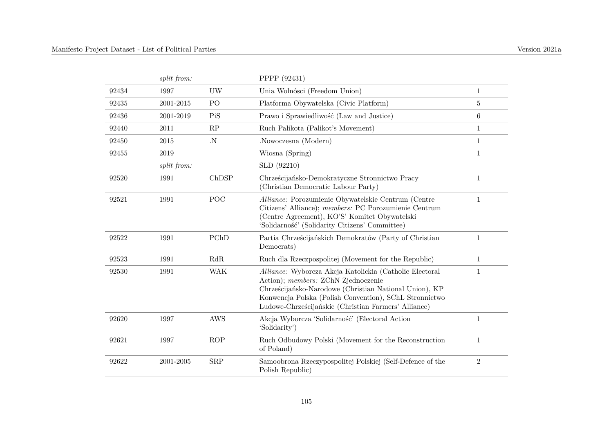| split from: |                | PPPP (92431)                                                                                                                                                                                                                                                               |                |
|-------------|----------------|----------------------------------------------------------------------------------------------------------------------------------------------------------------------------------------------------------------------------------------------------------------------------|----------------|
| 1997        | UW             | Unia Wolnósci (Freedom Union)                                                                                                                                                                                                                                              | $\mathbf{1}$   |
| 2001-2015   | P <sub>O</sub> | Platforma Obywatelska (Civic Platform)                                                                                                                                                                                                                                     | 5              |
| 2001-2019   | PiS            | Prawo i Sprawiedliwość (Law and Justice)                                                                                                                                                                                                                                   | $\,6$          |
| 2011        | RP             | Ruch Palikota (Palikot's Movement)                                                                                                                                                                                                                                         | $\mathbf{1}$   |
| 2015        | $\cdot$ N      | .Nowoczesna (Modern)                                                                                                                                                                                                                                                       | $\mathbf{1}$   |
| 2019        |                | Wiosna (Spring)                                                                                                                                                                                                                                                            | 1              |
| split from: |                | SLD (92210)                                                                                                                                                                                                                                                                |                |
| 1991        | ChDSP          | Chrześcijańsko-Demokratyczne Stronnictwo Pracy<br>(Christian Democratic Labour Party)                                                                                                                                                                                      | 1              |
| 1991        | POC            | Alliance: Porozumienie Obywatelskie Centrum (Centre<br>Citizens' Alliance); members: PC Porozumienie Centrum<br>(Centre Agreement), KO'S' Komitet Obywatelski<br>'Solidarność' (Solidarity Citizens' Committee)                                                            | $\mathbf{1}$   |
| 1991        | PChD           | Partia Chrześcijańskich Demokratów (Party of Christian<br>Democrats)                                                                                                                                                                                                       | $\mathbf{1}$   |
| 1991        | RdR            | Ruch dla Rzeczpospolitej (Movement for the Republic)                                                                                                                                                                                                                       | 1              |
| 1991        | <b>WAK</b>     | Alliance: Wyborcza Akcja Katolickia (Catholic Electoral<br>Action); members: ZChN Zjednoczenie<br>Chrześcijańsko-Narodowe (Christian National Union), KP<br>Konwencja Polska (Polish Convention), SChL Stronnictwo<br>Ludowe-Chrześcijańskie (Christian Farmers' Alliance) | $\mathbf{1}$   |
| 1997        | <b>AWS</b>     | Akcja Wyborcza 'Solidarność' (Electoral Action<br>'Solidarity')                                                                                                                                                                                                            | $\mathbf{1}$   |
| 1997        | ROP            | Ruch Odbudowy Polski (Movement for the Reconstruction<br>of Poland)                                                                                                                                                                                                        | $\mathbf{1}$   |
| 2001-2005   | ${\rm SRP}$    | Samoobrona Rzeczypospolitej Polskiej (Self-Defence of the<br>Polish Republic)                                                                                                                                                                                              | $\overline{2}$ |
|             |                |                                                                                                                                                                                                                                                                            |                |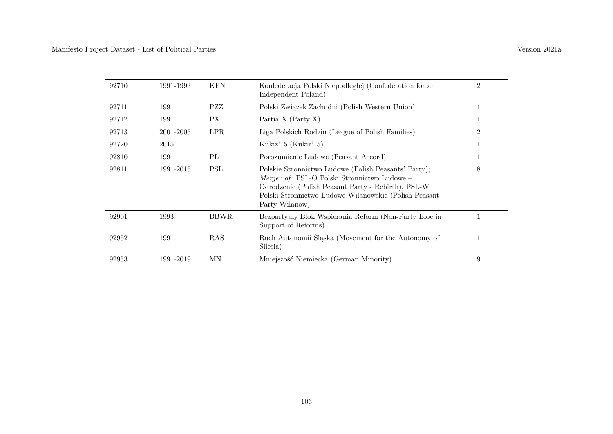| 92710 | 1991-1993 | <b>KPN</b>  | Konfederacja Polski Niepodległej (Confederation for an<br>Independent Poland)                                                                                                                                                         | $\overline{2}$ |
|-------|-----------|-------------|---------------------------------------------------------------------------------------------------------------------------------------------------------------------------------------------------------------------------------------|----------------|
| 92711 | 1991      | PZZ         | Polski Związek Zachodni (Polish Western Union)                                                                                                                                                                                        |                |
| 92712 | 1991      | PХ          | Partia $X$ (Party $X$ )                                                                                                                                                                                                               |                |
| 92713 | 2001-2005 | <b>LPR</b>  | Liga Polskich Rodzin (League of Polish Families)                                                                                                                                                                                      | $\overline{2}$ |
| 92720 | 2015      |             | Kukiz'15 (Kukiz'15)                                                                                                                                                                                                                   |                |
| 92810 | 1991      | PL          | Porozumienie Ludowe (Peasant Accord)                                                                                                                                                                                                  |                |
| 92811 | 1991-2015 | <b>PSL</b>  | Polskie Stronnictwo Ludowe (Polish Peasants' Party);<br>Merger of: PSL-O Polski Stronnictwo Ludowe -<br>Odrodzenie (Polish Peasant Party - Rebirth), PSL-W<br>Polski Stronnictwo Ludowe-Wilanowskie (Polish Peasant<br>Party-Wilanów) | 8              |
| 92901 | 1993      | <b>BBWR</b> | Bezpartyjny Blok Wspierania Reform (Non-Party Bloc in<br>Support of Reforms)                                                                                                                                                          |                |
| 92952 | 1991      | RAŚ         | Ruch Autonomii Śląska (Movement for the Autonomy of<br>Silesia)                                                                                                                                                                       | 1              |
| 92953 | 1991-2019 | ΜN          | Mniejszość Niemiecka (German Minority)                                                                                                                                                                                                | 9              |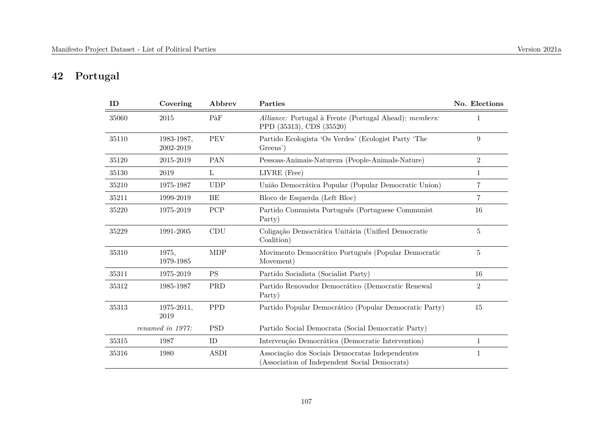## **42 Portugal**

| ID    | Covering                | Abbrev      | Parties                                                                                          | No. Elections  |
|-------|-------------------------|-------------|--------------------------------------------------------------------------------------------------|----------------|
| 35060 | 2015                    | PàF         | Alliance: Portugal à Frente (Portugal Ahead); members:<br>PPD (35313), CDS (35520)               | 1              |
| 35110 | 1983-1987.<br>2002-2019 | PEV         | Partido Ecologista 'Os Verdes' (Ecologist Party 'The<br>Greens')                                 | $9\phantom{.}$ |
| 35120 | 2015-2019               | PAN         | Pessoas-Animais-Natureza (People-Animals-Nature)                                                 | $\overline{2}$ |
| 35130 | 2019                    | L           | LIVRE (Free)                                                                                     | 1              |
| 35210 | 1975-1987               | <b>UDP</b>  | União Democrática Popular (Popular Democratic Union)                                             | $\overline{7}$ |
| 35211 | 1999-2019               | BE          | Bloco de Esquerda (Left Bloc)                                                                    | $\overline{7}$ |
| 35220 | 1975-2019               | PCP         | Partido Comunista Português (Portuguese Communist<br>Party)                                      | 16             |
| 35229 | 1991-2005               | CDU         | Coligação Democrática Unitária (Unified Democratic<br>Coalition)                                 | $\overline{5}$ |
| 35310 | 1975,<br>1979-1985      | <b>MDP</b>  | Movimento Democrático Português (Popular Democratic<br>Movement)                                 | 5              |
| 35311 | 1975-2019               | <b>PS</b>   | Partido Socialista (Socialist Party)                                                             | 16             |
| 35312 | 1985-1987               | PRD         | Partido Renovador Democrático (Democratic Renewal<br>Party)                                      | $\overline{2}$ |
| 35313 | 1975-2011,<br>2019      | <b>PPD</b>  | Partido Popular Democrático (Popular Democratic Party)                                           | 15             |
|       | renamed in 1977:        | <b>PSD</b>  | Partido Social Democrata (Social Democratic Party)                                               |                |
| 35315 | 1987                    | ID          | Intervenção Democrática (Democratic Intervention)                                                | 1              |
| 35316 | 1980                    | <b>ASDI</b> | Associação dos Sociais Democratas Independentes<br>(Association of Independent Social Democrats) | 1              |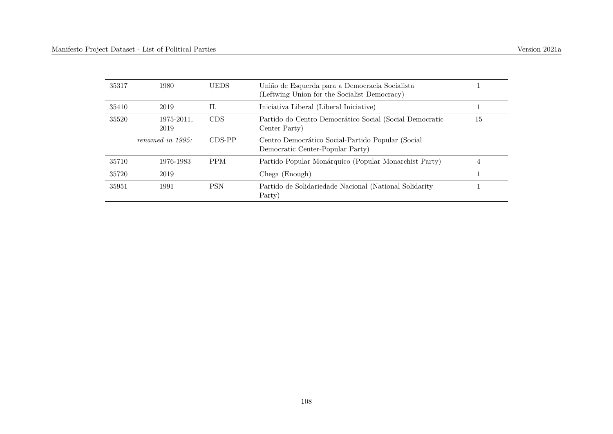| 35317 | 1980                | <b>UEDS</b> | União de Esquerda para a Democracia Socialista<br>(Leftwing Union for the Socialist Democracy) |    |
|-------|---------------------|-------------|------------------------------------------------------------------------------------------------|----|
| 35410 | 2019                | IL          | Iniciativa Liberal (Liberal Iniciative)                                                        |    |
| 35520 | 1975-2011.<br>2019  | <b>CDS</b>  | Partido do Centro Democrático Social (Social Democratic<br>Center Party)                       | 15 |
|       | renamed in $1995$ : | CDS-PP      | Centro Democrático Social-Partido Popular (Social<br>Democratic Center-Popular Party)          |    |
| 35710 | 1976-1983           | <b>PPM</b>  | Partido Popular Monárquico (Popular Monarchist Party)                                          |    |
| 35720 | 2019                |             | Chega (Enough)                                                                                 |    |
| 35951 | 1991                | <b>PSN</b>  | Partido de Solidariedade Nacional (National Solidarity<br>Party)                               |    |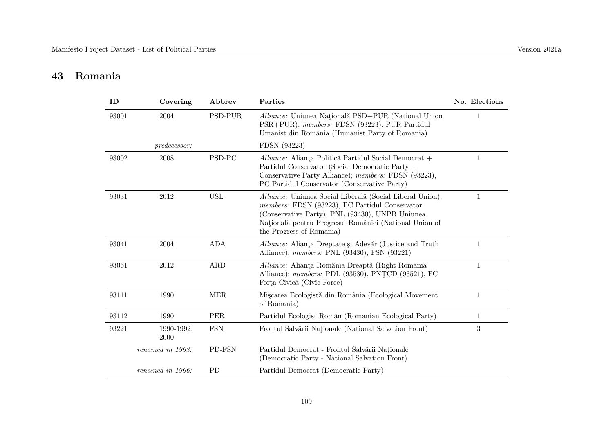# **43 Romania**

| ID    | Covering           | Abbrev     | Parties                                                                                                                                                                                                                                              | No. Elections |
|-------|--------------------|------------|------------------------------------------------------------------------------------------------------------------------------------------------------------------------------------------------------------------------------------------------------|---------------|
| 93001 | 2004               | PSD-PUR    | Alliance: Uniunea Națională PSD+PUR (National Union<br>PSR+PUR); members: FDSN (93223), PUR Partidul<br>Umanist din România (Humanist Party of Romania)                                                                                              | 1             |
|       | predecessor:       |            | FDSN (93223)                                                                                                                                                                                                                                         |               |
| 93002 | 2008               | PSD-PC     | Alliance: Alianța Politică Partidul Social Democrat +<br>Partidul Conservator (Social Democratic Party +<br>Conservative Party Alliance); members: FDSN (93223),<br>PC Partidul Conservator (Conservative Party)                                     | $\mathbf{1}$  |
| 93031 | 2012               | <b>USL</b> | Alliance: Uniunea Social Liberală (Social Liberal Union);<br>members: FDSN (93223), PC Partidul Conservator<br>(Conservative Party), PNL (93430), UNPR Uniunea<br>Națională pentru Progresul României (National Union of<br>the Progress of Romania) | 1             |
| 93041 | 2004               | <b>ADA</b> | Alliance: Alianta Dreptate și Adevăr (Justice and Truth<br>Alliance); <i>members:</i> PNL (93430), FSN (93221)                                                                                                                                       | $\mathbf{1}$  |
| 93061 | 2012               | ARD        | Alliance: Alianța România Dreaptă (Right Romania<br>Alliance); <i>members:</i> PDL (93530), PNTCD (93521), FC<br>Forta Civică (Civic Force)                                                                                                          | $\mathbf{1}$  |
| 93111 | 1990               | <b>MER</b> | Miscarea Ecologistă din România (Ecological Movement<br>of Romania)                                                                                                                                                                                  | $\mathbf{1}$  |
| 93112 | 1990               | <b>PER</b> | Partidul Ecologist Român (Romanian Ecological Party)                                                                                                                                                                                                 | $\mathbf{1}$  |
| 93221 | 1990-1992,<br>2000 | <b>FSN</b> | Frontul Salvării Naționale (National Salvation Front)                                                                                                                                                                                                | 3             |
|       | renamed in 1993:   | PD-FSN     | Partidul Democrat - Frontul Salvării Naționale<br>(Democratic Party - National Salvation Front)                                                                                                                                                      |               |
|       | renamed in 1996:   | <b>PD</b>  | Partidul Democrat (Democratic Party)                                                                                                                                                                                                                 |               |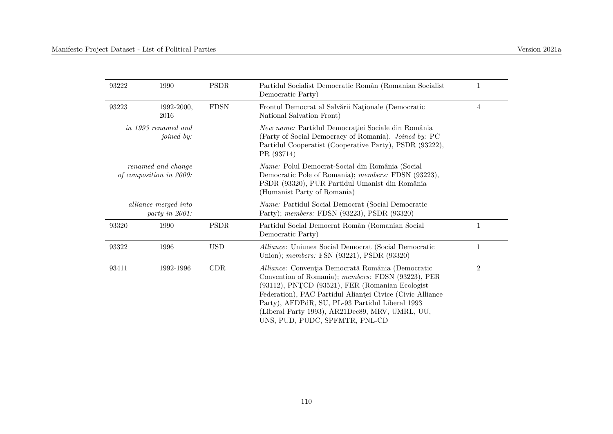| Version 2021a |  |
|---------------|--|
|               |  |

| 93222 | 1990                                          | <b>PSDR</b> | Partidul Socialist Democratic Român (Romanian Socialist<br>Democratic Party)                                                                                                                                                                                                                                                                                    | 1              |
|-------|-----------------------------------------------|-------------|-----------------------------------------------------------------------------------------------------------------------------------------------------------------------------------------------------------------------------------------------------------------------------------------------------------------------------------------------------------------|----------------|
| 93223 | 1992-2000,<br>2016                            | <b>FDSN</b> | Frontul Democrat al Salvării Naționale (Democratic<br>National Salvation Front)                                                                                                                                                                                                                                                                                 | 4              |
|       | <i>in 1993 renamed and</i><br>joined by:      |             | New name: Partidul Democrației Sociale din România<br>(Party of Social Democracy of Romania). Joined by: PC<br>Partidul Cooperatist (Cooperative Party), PSDR (93222),<br>PR (93714)                                                                                                                                                                            |                |
|       | renamed and change<br>of composition in 2000: |             | <i>Name:</i> Polul Democrat-Social din România (Social<br>Democratic Pole of Romania); members: FDSN (93223),<br>PSDR (93320), PUR Partidul Umanist din România<br>(Humanist Party of Romania)                                                                                                                                                                  |                |
|       | alliance merged into<br>party in 2001:        |             | Name: Partidul Social Democrat (Social Democratic<br>Party); members: FDSN (93223), PSDR (93320)                                                                                                                                                                                                                                                                |                |
| 93320 | 1990                                          | PSDR        | Partidul Social Democrat Român (Romanian Social<br>Democratic Party)                                                                                                                                                                                                                                                                                            | 1              |
| 93322 | 1996                                          | <b>USD</b>  | Alliance: Uniunea Social Democrat (Social Democratic<br>Union); <i>members:</i> FSN (93221), PSDR (93320)                                                                                                                                                                                                                                                       | 1              |
| 93411 | 1992-1996                                     | CDR         | Alliance: Convenția Democrată România (Democratic<br>Convention of Romania); members: FDSN (93223), PER<br>(93112), PNTCD (93521), FER (Romanian Ecologist<br>Federation), PAC Partidul Alianței Civice (Civic Alliance<br>Party), AFDPdR, SU, PL-93 Partidul Liberal 1993<br>(Liberal Party 1993), AR21Dec89, MRV, UMRL, UU,<br>UNS, PUD, PUDC, SPFMTR, PNL-CD | $\overline{2}$ |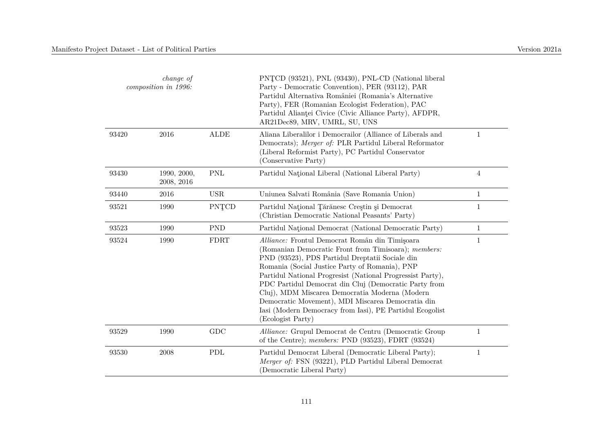|       | <i>change of</i><br>composition in 1996: |             | PNTCD (93521), PNL (93430), PNL-CD (National liberal<br>Party - Democratic Convention), PER (93112), PAR<br>Partidul Alternativa României (Romania's Alternative<br>Party), FER (Romanian Ecologist Federation), PAC<br>Partidul Alianței Civice (Civic Alliance Party), AFDPR,<br>AR21Dec89, MRV, UMRL, SU, UNS                                                                                                                                                                                                            |                |
|-------|------------------------------------------|-------------|-----------------------------------------------------------------------------------------------------------------------------------------------------------------------------------------------------------------------------------------------------------------------------------------------------------------------------------------------------------------------------------------------------------------------------------------------------------------------------------------------------------------------------|----------------|
| 93420 | 2016                                     | <b>ALDE</b> | Aliana Liberalilor i Democrailor (Alliance of Liberals and<br>Democrats); Merger of: PLR Partidul Liberal Reformator<br>(Liberal Reformist Party), PC Partidul Conservator<br>(Conservative Party)                                                                                                                                                                                                                                                                                                                          | $\mathbf{1}$   |
| 93430 | 1990, 2000,<br>2008, 2016                | <b>PNL</b>  | Partidul National Liberal (National Liberal Party)                                                                                                                                                                                                                                                                                                                                                                                                                                                                          | $\overline{4}$ |
| 93440 | 2016                                     | <b>USR</b>  | Uniunea Salvati România (Save Romania Union)                                                                                                                                                                                                                                                                                                                                                                                                                                                                                | $\mathbf{1}$   |
| 93521 | 1990                                     | PNTCD       | Partidul Național Tărănesc Creștin și Democrat<br>(Christian Democratic National Peasants' Party)                                                                                                                                                                                                                                                                                                                                                                                                                           | $\mathbf{1}$   |
| 93523 | 1990                                     | <b>PND</b>  | Partidul National Democrat (National Democratic Party)                                                                                                                                                                                                                                                                                                                                                                                                                                                                      | $\mathbf{1}$   |
| 93524 | 1990                                     | <b>FDRT</b> | Alliance: Frontul Democrat Român din Timișoara<br>(Romanian Democratic Front from Timisoara); members:<br>PND (93523), PDS Partidul Dreptatii Sociale din<br>Romania (Social Justice Party of Romania), PNP<br>Partidul National Progressist (National Progressist Party),<br>PDC Partidul Democrat din Cluj (Democratic Party from<br>Cluj), MDM Miscarea Democratia Moderna (Modern<br>Democratic Movement), MDI Miscarea Democratia din<br>Iasi (Modern Democracy from Iasi), PE Partidul Ecogolist<br>(Ecologist Party) | $\mathbf{1}$   |
| 93529 | 1990                                     | GDC         | Alliance: Grupul Democrat de Centru (Democratic Group<br>of the Centre); members: PND $(93523)$ , FDRT $(93524)$                                                                                                                                                                                                                                                                                                                                                                                                            | $\mathbf{1}$   |
| 93530 | 2008                                     | PDL         | Partidul Democrat Liberal (Democratic Liberal Party);<br>Merger of: FSN (93221), PLD Partidul Liberal Democrat<br>(Democratic Liberal Party)                                                                                                                                                                                                                                                                                                                                                                                | $\mathbf{1}$   |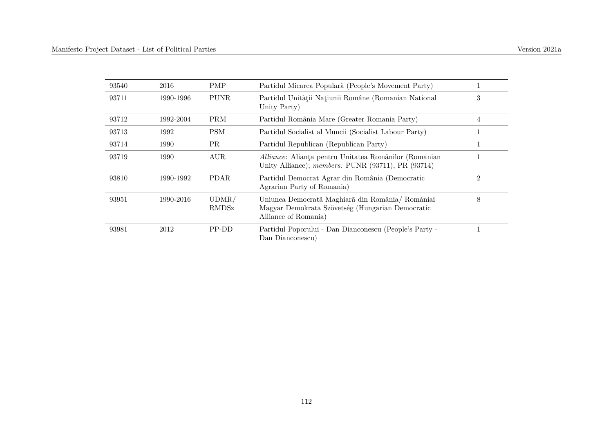| 93540 | 2016      | <b>PMP</b>            | Partidul Micarea Populară (People's Movement Party)                                                                          |   |
|-------|-----------|-----------------------|------------------------------------------------------------------------------------------------------------------------------|---|
| 93711 | 1990-1996 | <b>PUNR</b>           | Partidul Unității Națiunii Române (Romanian National<br>Unity Party)                                                         | 3 |
| 93712 | 1992-2004 | <b>PRM</b>            | Partidul România Mare (Greater Romania Party)                                                                                | 4 |
| 93713 | 1992      | <b>PSM</b>            | Partidul Socialist al Muncii (Socialist Labour Party)                                                                        | 1 |
| 93714 | 1990      | PR.                   | Partidul Republican (Republican Party)                                                                                       | 1 |
| 93719 | 1990      | AUR.                  | Alliance: Alianța pentru Unitatea Românilor (Romanian<br>Unity Alliance); members: PUNR (93711), PR (93714)                  |   |
| 93810 | 1990-1992 | PDAR.                 | Partidul Democrat Agrar din România (Democratic<br>Agrarian Party of Romania)                                                | 2 |
| 93951 | 1990-2016 | UDMR/<br><b>RMDSz</b> | Uniunea Democratã Maghiarã din România/ Romániai<br>Magyar Demokrata Szövetség (Hungarian Democratic<br>Alliance of Romania) | 8 |
| 93981 | 2012      | PP-DD                 | Partidul Poporului - Dan Dianconescu (People's Party -<br>Dan Dianconescu                                                    |   |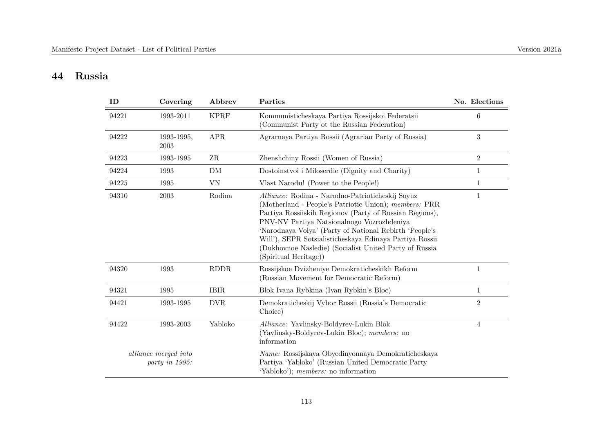# **44 Russia**

| ID    | Covering                               | Abbrev      | Parties                                                                                                                                                                                                                                                                                                                                                                                                                    | No. Elections    |
|-------|----------------------------------------|-------------|----------------------------------------------------------------------------------------------------------------------------------------------------------------------------------------------------------------------------------------------------------------------------------------------------------------------------------------------------------------------------------------------------------------------------|------------------|
| 94221 | 1993-2011                              | <b>KPRF</b> | Kommunisticheskaya Partiya Rossijskoi Federatsii<br>(Communist Party ot the Russian Federation)                                                                                                                                                                                                                                                                                                                            | $6\phantom{.}6$  |
| 94222 | 1993-1995,<br>2003                     | <b>APR</b>  | Agramaya Partiya Rossii (Agraman Party of Russia)                                                                                                                                                                                                                                                                                                                                                                          | $\boldsymbol{3}$ |
| 94223 | 1993-1995                              | $\rm ZR$    | Zhenshchiny Rossii (Women of Russia)                                                                                                                                                                                                                                                                                                                                                                                       | $\sqrt{2}$       |
| 94224 | 1993                                   | DM          | Dostoinstvoi i Miloserdie (Dignity and Charity)                                                                                                                                                                                                                                                                                                                                                                            | $\mathbf{1}$     |
| 94225 | 1995                                   | VN          | Vlast Narodu! (Power to the People!)                                                                                                                                                                                                                                                                                                                                                                                       | $\mathbf 1$      |
| 94310 | 2003                                   | Rodina      | Alliance: Rodina - Narodno-Patrioticheskij Soyuz<br>(Motherland - People's Patriotic Union); members: PRR<br>Partiya Rossiiskih Regionov (Party of Russian Regions),<br>PNV-NV Partiya Natsionalnogo Vozrozhdeniya<br>'Narodnaya Volya' (Party of National Rebirth 'People's<br>Will'), SEPR Sotsialisticheskaya Edinaya Partiya Rossii<br>(Dukhovnoe Nasledie) (Socialist United Party of Russia<br>(Spiritual Heritage)) | $\mathbf{1}$     |
| 94320 | 1993                                   | <b>RDDR</b> | Rossijskoe Dvizheniye Demokraticheskikh Reform<br>(Russian Movement for Democratic Reform)                                                                                                                                                                                                                                                                                                                                 | $\mathbf{1}$     |
| 94321 | 1995                                   | <b>IBIR</b> | Blok Ivana Rybkina (Ivan Rybkin's Bloc)                                                                                                                                                                                                                                                                                                                                                                                    | 1                |
| 94421 | 1993-1995                              | <b>DVR</b>  | Demokraticheskij Vybor Rossii (Russia's Democratic<br>Choice)                                                                                                                                                                                                                                                                                                                                                              | $\overline{2}$   |
| 94422 | 1993-2003                              | Yabloko     | Alliance: Yavlinsky-Boldyrev-Lukin Blok<br>(Yavlinsky-Boldyrev-Lukin Bloc); members: no<br>information                                                                                                                                                                                                                                                                                                                     | $\overline{4}$   |
|       | alliance merged into<br>party in 1995: |             | Name: Rossijskaya Obyedinyonnaya Demokraticheskaya<br>Partiya 'Yabloko' (Russian United Democratic Party<br>'Yabloko'); members: no information                                                                                                                                                                                                                                                                            |                  |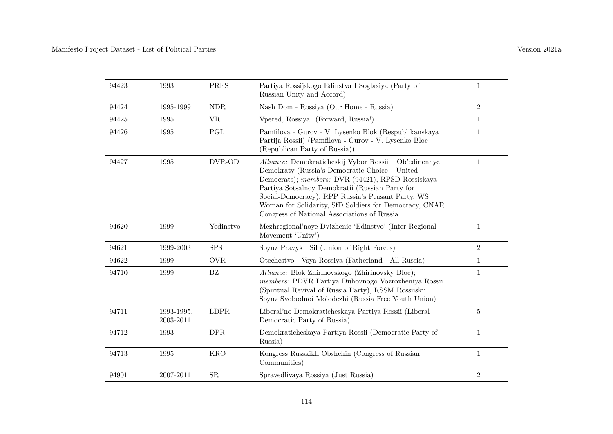| 94423 | 1993                    | PRES                 | Partiya Rossijskogo Edinstva I Soglasiya (Party of<br>Russian Unity and Accord)                                                                                                                                                                                                                                                                                                | 1              |
|-------|-------------------------|----------------------|--------------------------------------------------------------------------------------------------------------------------------------------------------------------------------------------------------------------------------------------------------------------------------------------------------------------------------------------------------------------------------|----------------|
| 94424 | 1995-1999               | <b>NDR</b>           | Nash Dom - Rossiya (Our Home - Russia)                                                                                                                                                                                                                                                                                                                                         | $\sqrt{2}$     |
| 94425 | 1995                    | <b>VR</b>            | Vpered, Rossiya! (Forward, Russia!)                                                                                                                                                                                                                                                                                                                                            | $\mathbf{1}$   |
| 94426 | 1995                    | $\operatorname{PGL}$ | Pamfilova - Gurov - V. Lysenko Blok (Respublikanskaya<br>Partija Rossii) (Pamfilova - Gurov - V. Lysenko Bloc<br>(Republican Party of Russia))                                                                                                                                                                                                                                 | $\mathbf 1$    |
| 94427 | 1995                    | DVR-OD               | Alliance: Demokraticheskij Vybor Rossii – Ob'edinennye<br>Demokraty (Russia's Democratic Choice – United<br>Democrats); members: DVR (94421), RPSD Rossiskaya<br>Partiya Sotsalnoy Demokratii (Russian Party for<br>Social-Democracy), RPP Russia's Peasant Party, WS<br>Woman for Solidarity, SfD Soldiers for Democracy, CNAR<br>Congress of National Associations of Russia | $\mathbf{1}$   |
| 94620 | 1999                    | Yedinstvo            | Mezhregional'noye Dvizhenie 'Edinstvo' (Inter-Regional<br>Movement 'Unity')                                                                                                                                                                                                                                                                                                    | $\mathbf{1}$   |
| 94621 | 1999-2003               | <b>SPS</b>           | Soyuz Pravykh Sil (Union of Right Forces)                                                                                                                                                                                                                                                                                                                                      | $\overline{2}$ |
| 94622 | 1999                    | OVR                  | Otechestvo - Vsya Rossiya (Fatherland - All Russia)                                                                                                                                                                                                                                                                                                                            | $\mathbf{1}$   |
| 94710 | 1999                    | BZ                   | Alliance: Blok Zhirinovskogo (Zhirinovsky Bloc);<br>members: PDVR Partiya Duhovnogo Vozrozheniya Rossii<br>(Spiritual Revival of Russia Party), RSSM Rossiiskii<br>Soyuz Svobodnoi Molodezhi (Russia Free Youth Union)                                                                                                                                                         | 1              |
| 94711 | 1993-1995,<br>2003-2011 | LDPR                 | Liberal'no Demokraticheskaya Partiya Rossii (Liberal<br>Democratic Party of Russia)                                                                                                                                                                                                                                                                                            | $\sqrt{5}$     |
| 94712 | 1993                    | <b>DPR</b>           | Demokraticheskaya Partiya Rossii (Democratic Party of<br>Russia)                                                                                                                                                                                                                                                                                                               | $\mathbf{1}$   |
| 94713 | 1995                    | <b>KRO</b>           | Kongress Russkikh Obshchin (Congress of Russian<br>Communities)                                                                                                                                                                                                                                                                                                                | 1              |
| 94901 | 2007-2011               | ${\rm SR}$           | Spravedlivaya Rossiya (Just Russia)                                                                                                                                                                                                                                                                                                                                            | $\overline{2}$ |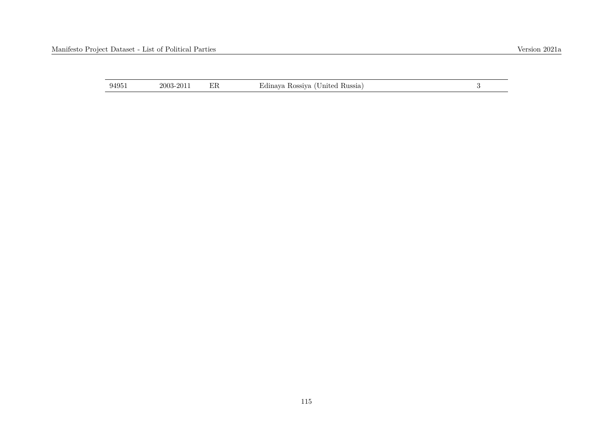| 94951 | 2003-2011 |  | Edinaya Rossiya (United Russia) |  |
|-------|-----------|--|---------------------------------|--|
|-------|-----------|--|---------------------------------|--|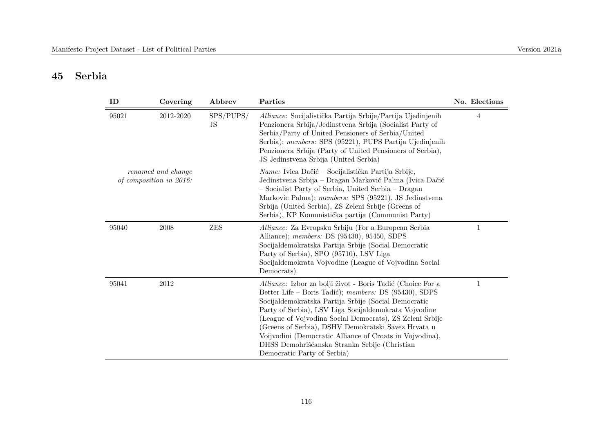# **45 Serbia**

| ID    | Covering                                      | Abbrev          | Parties                                                                                                                                                                                                                                                                                                                                                                                                                                                                                             | No. Elections |
|-------|-----------------------------------------------|-----------------|-----------------------------------------------------------------------------------------------------------------------------------------------------------------------------------------------------------------------------------------------------------------------------------------------------------------------------------------------------------------------------------------------------------------------------------------------------------------------------------------------------|---------------|
| 95021 | 2012-2020                                     | SPS/PUPS/<br>JS | Alliance: Socijalistička Partija Srbije/Partija Ujedinjenih<br>Penzionera Srbija/Jedinstvena Srbija (Socialist Party of<br>Serbia/Party of United Pensioners of Serbia/United<br>Serbia); members: SPS (95221), PUPS Partija Ujedinjenih<br>Penzionera Srbija (Party of United Pensioners of Serbia),<br>JS Jedinstvena Srbija (United Serbia)                                                                                                                                                      | 4             |
|       | renamed and change<br>of composition in 2016: |                 | <i>Name:</i> Ivica Dačić – Socijalistička Partija Srbije,<br>Jedinstvena Srbija – Dragan Marković Palma (Ivica Dačić<br>- Socialist Party of Serbia, United Serbia - Dragan<br>Markovic Palma); members: SPS (95221), JS Jedinstvena<br>Srbija (United Serbia), ZS Zeleni Srbije (Greens of<br>Serbia), KP Komunistička partija (Communist Party)                                                                                                                                                   |               |
| 95040 | 2008                                          | <b>ZES</b>      | <i>Alliance:</i> Za Evropsku Srbiju (For a European Serbia<br>Alliance); members: DS (95430), 95450, SDPS<br>Socijaldemokratska Partija Srbije (Social Democratic<br>Party of Serbia), SPO (95710), LSV Liga<br>Socijaldemokrata Vojvodine (League of Vojvodina Social<br>Democrats)                                                                                                                                                                                                                | 1             |
| 95041 | 2012                                          |                 | Alliance: Izbor za bolji život - Boris Tadić (Choice For a<br>Better Life – Boris Tadić); members: DS (95430), SDPS<br>Socijaldemokratska Partija Srbije (Social Democratic<br>Party of Serbia), LSV Liga Socijaldemokrata Vojvodine<br>(League of Vojvodina Social Democrats), ZS Zeleni Srbije<br>(Greens of Serbia), DSHV Demokratski Savez Hrvata u<br>Voijvodini (Democratic Alliance of Croats in Vojvodina),<br>DHSS Demohrišćanska Stranka Srbije (Christian<br>Democratic Party of Serbia) | 1             |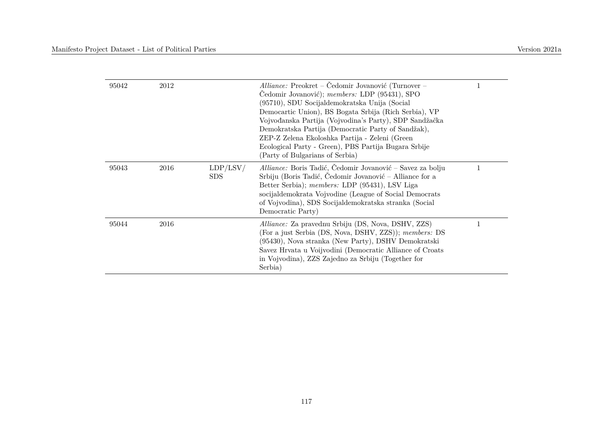| 95042 | 2012 |                        | Alliance: Preokret – Čedomir Jovanović (Turnover –<br>Čedomir Jovanović); members: LDP (95431), SPO<br>(95710), SDU Socijaldemokratska Unija (Social<br>Democartic Union), BS Bogata Srbija (Rich Serbia), VP<br>Vojvođanska Partija (Vojvodina's Party), SDP Sandžačka<br>Demokratska Partija (Democratic Party of Sandžak),<br>ZEP-Z Zelena Ekoloshka Partija - Zeleni (Green<br>Ecological Party - Green), PBS Partija Bugara Srbije<br>(Party of Bulgarians of Serbia) |   |
|-------|------|------------------------|----------------------------------------------------------------------------------------------------------------------------------------------------------------------------------------------------------------------------------------------------------------------------------------------------------------------------------------------------------------------------------------------------------------------------------------------------------------------------|---|
| 95043 | 2016 | LDP/LSV/<br><b>SDS</b> | Alliance: Boris Tadić, Čedomir Jovanović – Savez za bolju<br>Srbiju (Boris Tadić, Čedomir Jovanović – Alliance for a<br>Better Serbia); members: LDP (95431), LSV Liga<br>socijaldemokrata Vojvodine (League of Social Democrats<br>of Vojvodina), SDS Socijaldemokratska stranka (Social<br>Democratic Party)                                                                                                                                                             | 1 |
| 95044 | 2016 |                        | <i>Alliance:</i> Za pravednu Srbiju (DS, Nova, DSHV, ZZS)<br>(For a just Serbia (DS, Nova, DSHV, ZZS)); members: DS<br>(95430), Nova stranka (New Party), DSHV Demokratski<br>Savez Hrvata u Voijvodini (Democratic Alliance of Croats<br>in Vojvodina), ZZS Zajedno za Srbiju (Together for<br>Serbia)                                                                                                                                                                    |   |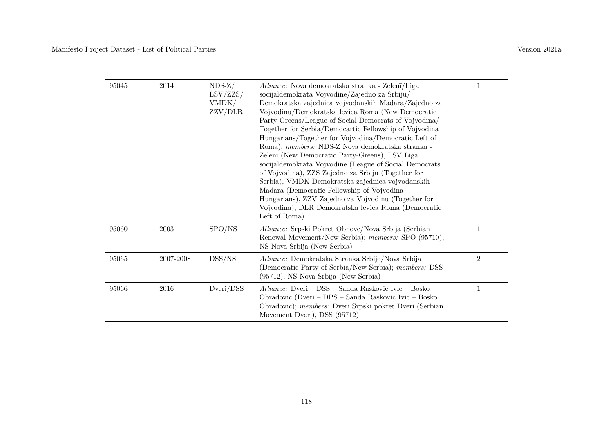| 95045 | 2014      | $NDS-Z/$<br>LSV/ZZS/<br>VMDK/<br>ZZV/DLR | Alliance: Nova demokratska stranka - Zelenī/Liga<br>socijaldemokrata Vojvodine/Zajedno za Srbiju/<br>Demokratska zajednica vojvođanskih Mađara/Zajedno za<br>Vojvodinu/Demokratska levica Roma (New Democratic<br>Party-Greens/League of Social Democrats of Vojvodina/<br>Together for Serbia/Democartic Fellowship of Vojvodina<br>Hungarians/Together for Vojvodina/Democratic Left of<br>Roma); members: NDS-Z Nova demokratska stranka -<br>Zelenī (New Democratic Party-Greens), LSV Liga<br>socijaldemokrata Vojvodine (League of Social Democrats<br>of Vojvodina), ZZS Zajedno za Srbiju (Together for<br>Serbia), VMDK Demokratska zajednica vojvođanskih<br>Mađara (Democratic Fellowship of Vojvodina<br>Hungarians), ZZV Zajedno za Vojvodinu (Together for<br>Vojvodina), DLR Demokratska levica Roma (Democratic<br>Left of Roma) |                |
|-------|-----------|------------------------------------------|--------------------------------------------------------------------------------------------------------------------------------------------------------------------------------------------------------------------------------------------------------------------------------------------------------------------------------------------------------------------------------------------------------------------------------------------------------------------------------------------------------------------------------------------------------------------------------------------------------------------------------------------------------------------------------------------------------------------------------------------------------------------------------------------------------------------------------------------------|----------------|
| 95060 | 2003      | SPO/NS                                   | Alliance: Srpski Pokret Obnove/Nova Srbija (Serbian<br>Renewal Movement/New Serbia); members: SPO (95710),<br>NS Nova Srbija (New Serbia)                                                                                                                                                                                                                                                                                                                                                                                                                                                                                                                                                                                                                                                                                                        | 1              |
| 95065 | 2007-2008 | DSS/NS                                   | Alliance: Demokratska Stranka Srbije/Nova Srbija<br>(Democratic Party of Serbia/New Serbia); members: DSS<br>(95712), NS Nova Srbija (New Serbia)                                                                                                                                                                                                                                                                                                                                                                                                                                                                                                                                                                                                                                                                                                | $\overline{2}$ |
| 95066 | 2016      | Dveri/DSS                                | Alliance: Dveri – DSS – Sanda Raskovic Ivic – Bosko<br>Obradovic (Dveri – DPS – Sanda Raskovic Ivic – Bosko<br>Obradovic); members: Dveri Srpski pokret Dveri (Serbian<br>Movement Dveri), DSS (95712)                                                                                                                                                                                                                                                                                                                                                                                                                                                                                                                                                                                                                                           |                |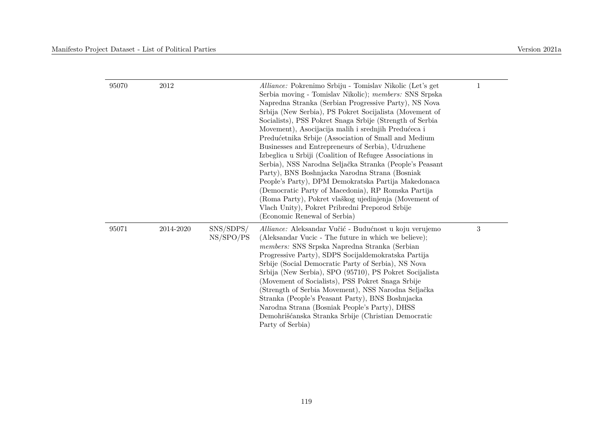| 95070 | 2012      |                        | <i>Alliance:</i> Pokrenimo Srbiju - Tomislav Nikolic (Let's get<br>Serbia moving - Tomislav Nikolic); members: SNS Srpska<br>Napredna Stranka (Serbian Progressive Party), NS Nova<br>Srbija (New Serbia), PS Pokret Socijalista (Movement of<br>Socialists), PSS Pokret Snaga Srbije (Strength of Serbia<br>Movement), Asocijacija malih i srednjih Predućeca i<br>Predućetnika Srbije (Association of Small and Medium<br>Businesses and Entrepreneurs of Serbia), Udruzhene<br>Izbeglica u Srbiji (Coalition of Refugee Associations in<br>Serbia), NSS Narodna Seljačka Stranka (People's Peasant<br>Party), BNS Boshnjacka Narodna Strana (Bosniak<br>People's Party), DPM Demokratska Partija Makedonaca<br>(Democratic Party of Macedonia), RP Romska Partija<br>(Roma Party), Pokret vlaškog ujedinjenja (Movement of<br>Vlach Unity), Pokret Pribredni Preporod Srbije<br>(Economic Renewal of Serbia) | 1          |
|-------|-----------|------------------------|-----------------------------------------------------------------------------------------------------------------------------------------------------------------------------------------------------------------------------------------------------------------------------------------------------------------------------------------------------------------------------------------------------------------------------------------------------------------------------------------------------------------------------------------------------------------------------------------------------------------------------------------------------------------------------------------------------------------------------------------------------------------------------------------------------------------------------------------------------------------------------------------------------------------|------------|
| 95071 | 2014-2020 | SNS/SDPS/<br>NS/SPO/PS | Alliance: Aleksandar Vučić - Budućnost u koju verujemo<br>(Aleksandar Vucic - The future in which we believe);<br>members: SNS Srpska Napredna Stranka (Serbian<br>Progressive Party), SDPS Socijaldemokratska Partija<br>Srbije (Social Democratic Party of Serbia), NS Nova<br>Srbija (New Serbia), SPO (95710), PS Pokret Socijalista<br>(Movement of Socialists), PSS Pokret Snaga Srbije<br>(Strength of Serbia Movement), NSS Narodna Seljačka<br>Stranka (People's Peasant Party), BNS Boshnjacka<br>Narodna Strana (Bosniak People's Party), DHSS<br>Demohrišćanska Stranka Srbije (Christian Democratic<br>Party of Serbia)                                                                                                                                                                                                                                                                            | $\sqrt{3}$ |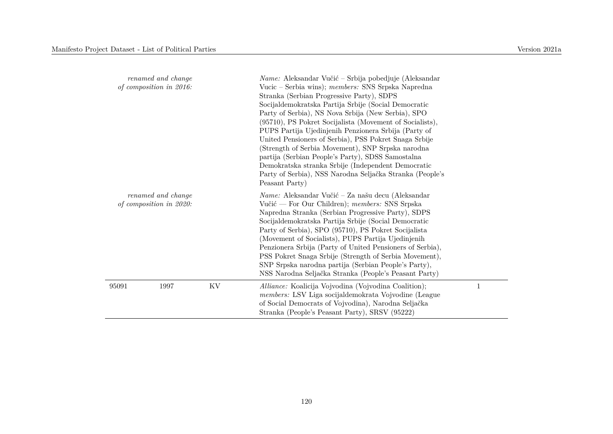| renamed and change<br>of composition in 2016: |                                               |    | <i>Name:</i> Aleksandar Vučić – Srbija pobedjuje (Aleksandar<br>Vucic – Serbia wins); members: SNS Srpska Napredna<br>Stranka (Serbian Progressive Party), SDPS<br>Socijaldemokratska Partija Srbije (Social Democratic<br>Party of Serbia), NS Nova Srbija (New Serbia), SPO<br>(95710), PS Pokret Socijalista (Movement of Socialists),<br>PUPS Partija Ujedinjenih Penzionera Srbija (Party of<br>United Pensioners of Serbia), PSS Pokret Snaga Srbije<br>(Strength of Serbia Movement), SNP Srpska narodna<br>partija (Serbian People's Party), SDSS Samostalna<br>Demokratska stranka Srbije (Independent Democratic<br>Party of Serbia), NSS Narodna Seljačka Stranka (People's<br>Peasant Party) |   |
|-----------------------------------------------|-----------------------------------------------|----|----------------------------------------------------------------------------------------------------------------------------------------------------------------------------------------------------------------------------------------------------------------------------------------------------------------------------------------------------------------------------------------------------------------------------------------------------------------------------------------------------------------------------------------------------------------------------------------------------------------------------------------------------------------------------------------------------------|---|
|                                               | renamed and change<br>of composition in 2020: |    | Name: Aleksandar Vučić - Za našu decu (Aleksandar<br>Vučić — For Our Children); members: SNS Srpska<br>Napredna Stranka (Serbian Progressive Party), SDPS<br>Socijaldemokratska Partija Srbije (Social Democratic<br>Party of Serbia), SPO (95710), PS Pokret Socijalista<br>(Movement of Socialists), PUPS Partija Ujedinjenih<br>Penzionera Srbija (Party of United Pensioners of Serbia),<br>PSS Pokret Snaga Srbije (Strength of Serbia Movement),<br>SNP Srpska narodna partija (Serbian People's Party),<br>NSS Narodna Seljačka Stranka (People's Peasant Party)                                                                                                                                  |   |
| 95091                                         | 1997                                          | KV | Alliance: Koalicija Vojvodina (Vojvodina Coalition);<br>members: LSV Liga socijaldemokrata Vojvodine (League<br>of Social Democrats of Vojvodina), Narodna Seljačka<br>Stranka (People's Peasant Party), SRSV (95222)                                                                                                                                                                                                                                                                                                                                                                                                                                                                                    | 1 |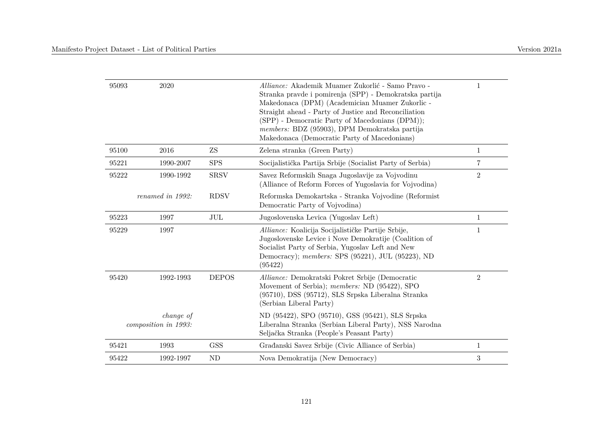| 95093                             | 2020             |              | <i>Alliance:</i> Akademik Muamer Zukorlić - Samo Pravo -<br>Stranka pravde i pomirenja (SPP) - Demokratska partija<br>Makedonaca (DPM) (Academician Muamer Zukorlic -<br>Straight ahead - Party of Justice and Reconciliation<br>(SPP) - Democratic Party of Macedonians (DPM));<br>members: BDZ (95903), DPM Demokratska partija<br>Makedonaca (Democratic Party of Macedonians) | $\mathbf 1$    |
|-----------------------------------|------------------|--------------|-----------------------------------------------------------------------------------------------------------------------------------------------------------------------------------------------------------------------------------------------------------------------------------------------------------------------------------------------------------------------------------|----------------|
| 95100                             | 2016             | ZS           | Zelena stranka (Green Party)                                                                                                                                                                                                                                                                                                                                                      | $\mathbf{1}$   |
| 95221                             | 1990-2007        | <b>SPS</b>   | Socijalistička Partija Srbije (Socialist Party of Serbia)                                                                                                                                                                                                                                                                                                                         | $\overline{7}$ |
| 95222                             | 1990-1992        | <b>SRSV</b>  | Savez Reformskih Snaga Jugoslavije za Vojvodinu<br>(Alliance of Reform Forces of Yugoslavia for Vojvodina)                                                                                                                                                                                                                                                                        | $\overline{2}$ |
|                                   | renamed in 1992: | <b>RDSV</b>  | Reformska Demokartska - Stranka Vojvodine (Reformist<br>Democratic Party of Vojvodina)                                                                                                                                                                                                                                                                                            |                |
| 95223                             | 1997             | JUL          | Jugoslovenska Levica (Yugoslav Left)                                                                                                                                                                                                                                                                                                                                              | $\mathbf{1}$   |
| 95229                             | 1997             |              | Alliance: Koalicija Socijalističke Partije Srbije,<br>Jugoslovenske Levice i Nove Demokratije (Coalition of<br>Socialist Party of Serbia, Yugoslav Left and New<br>Democracy); members: SPS (95221), JUL (95223), ND<br>(95422)                                                                                                                                                   | $\mathbf{1}$   |
| 95420                             | 1992-1993        | <b>DEPOS</b> | Alliance: Demokratski Pokret Srbije (Democratic<br>Movement of Serbia); members: ND (95422), SPO<br>(95710), DSS (95712), SLS Srpska Liberalna Stranka<br>(Serbian Liberal Party)                                                                                                                                                                                                 | $\overline{2}$ |
| change of<br>composition in 1993: |                  |              | ND (95422), SPO (95710), GSS (95421), SLS Srpska<br>Liberalna Stranka (Serbian Liberal Party), NSS Narodna<br>Seljačka Stranka (People's Peasant Party)                                                                                                                                                                                                                           |                |
| 95421                             | 1993             | <b>GSS</b>   | Građanski Savez Srbije (Civic Alliance of Serbia)                                                                                                                                                                                                                                                                                                                                 | $\mathbf{1}$   |
| 95422                             | 1992-1997        | ND           | Nova Demokratija (New Democracy)                                                                                                                                                                                                                                                                                                                                                  | $\sqrt{3}$     |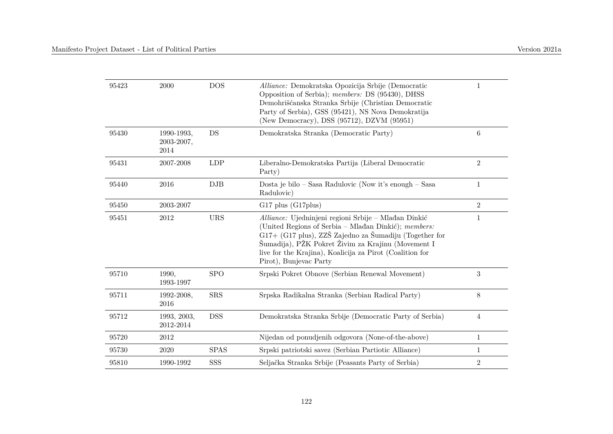| 95423 | 2000                             | <b>DOS</b>  | Alliance: Demokratska Opozicija Srbije (Democratic<br>Opposition of Serbia); members: DS (95430), DHSS<br>Demohrišćanska Stranka Srbije (Christian Democratic<br>Party of Serbia), GSS (95421), NS Nova Demokratija<br>(New Democracy), DSS (95712), DZVM (95951)                                                  | 1              |
|-------|----------------------------------|-------------|--------------------------------------------------------------------------------------------------------------------------------------------------------------------------------------------------------------------------------------------------------------------------------------------------------------------|----------------|
| 95430 | 1990-1993,<br>2003-2007,<br>2014 | DS          | Demokratska Stranka (Democratic Party)                                                                                                                                                                                                                                                                             | $\,6$          |
| 95431 | 2007-2008                        | <b>LDP</b>  | Liberalno-Demokratska Partija (Liberal Democratic<br>Party)                                                                                                                                                                                                                                                        | $\overline{2}$ |
| 95440 | 2016                             | DJB         | Dosta je bilo – Sasa Radulovic (Now it's enough – Sasa<br>Radulovic)                                                                                                                                                                                                                                               | $\mathbf{1}$   |
| 95450 | 2003-2007                        |             | G17 plus (G17 plus)                                                                                                                                                                                                                                                                                                | $\overline{2}$ |
| 95451 | 2012                             | <b>URS</b>  | Alliance: Ujedninjeni regioni Srbije - Mlađan Dinkić<br>(United Regions of Serbia - Mlađan Dinkić); members:<br>G17+ (G17 plus), ZZŠ Zajedno za Šumadiju (Together for<br>Šumadija), PŽK Pokret Živim za Krajinu (Movement I<br>live for the Krajina), Koalicija za Pirot (Coalition for<br>Pirot), Bunjevac Party | $\mathbf{1}$   |
| 95710 | 1990,<br>1993-1997               | <b>SPO</b>  | Srpski Pokret Obnove (Serbian Renewal Movement)                                                                                                                                                                                                                                                                    | 3              |
| 95711 | 1992-2008,<br>2016               | <b>SRS</b>  | Srpska Radikalna Stranka (Serbian Radical Party)                                                                                                                                                                                                                                                                   | 8              |
| 95712 | 1993, 2003,<br>2012-2014         | <b>DSS</b>  | Demokratska Stranka Srbije (Democratic Party of Serbia)                                                                                                                                                                                                                                                            | $\overline{4}$ |
| 95720 | 2012                             |             | Nijedan od ponudjenih odgovora (None-of-the-above)                                                                                                                                                                                                                                                                 | $\mathbf{1}$   |
| 95730 | 2020                             | <b>SPAS</b> | Srpski patriotski savez (Serbian Partiotic Alliance)                                                                                                                                                                                                                                                               | 1              |
| 95810 | 1990-1992                        | SSS         | Seljačka Stranka Srbije (Peasants Party of Serbia)                                                                                                                                                                                                                                                                 | $\overline{2}$ |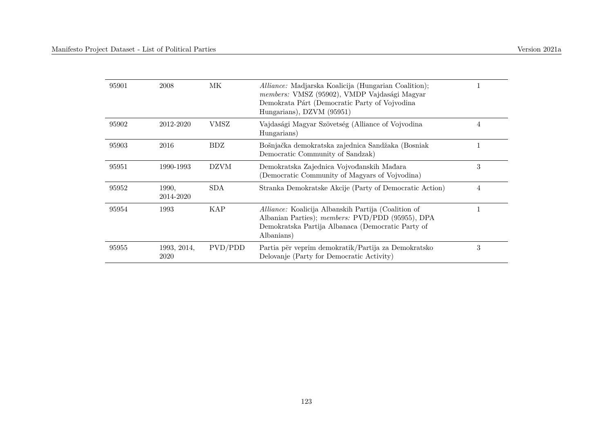| 95901 | 2008                | МK          | <i>Alliance:</i> Madjarska Koalicija (Hungarian Coalition);<br>members: VMSZ (95902), VMDP Vajdasági Magyar<br>Demokrata Párt (Democratic Party of Vojvodina<br>Hungarians), DZVM (95951) |   |
|-------|---------------------|-------------|-------------------------------------------------------------------------------------------------------------------------------------------------------------------------------------------|---|
| 95902 | 2012-2020           | VMSZ        | Vajdasági Magyar Szövetség (Alliance of Vojvodina<br>Hungarians)                                                                                                                          | 4 |
| 95903 | 2016                | BDZ         | Bošnjačka demokratska zajednica Sandžaka (Bosniak<br>Democratic Community of Sandzak)                                                                                                     |   |
| 95951 | 1990-1993           | <b>DZVM</b> | Demokratska Zajednica Vojvođanskih Mađara<br>(Democratic Community of Magyars of Vojvodina)                                                                                               | 3 |
| 95952 | 1990.<br>2014-2020  | <b>SDA</b>  | Stranka Demokratske Akcije (Party of Democratic Action)                                                                                                                                   | 4 |
| 95954 | 1993                | KAP         | <i>Alliance:</i> Koalicija Albanskih Partija (Coalition of<br>Albanian Parties); members: PVD/PDD (95955), DPA<br>Demokratska Partija Albanaca (Democratic Party of<br>Albanians)         |   |
| 95955 | 1993, 2014,<br>2020 | PVD/PDD     | Partia për veprim demokratik/Partija za Demokratsko<br>Delovanje (Party for Democratic Activity)                                                                                          | 3 |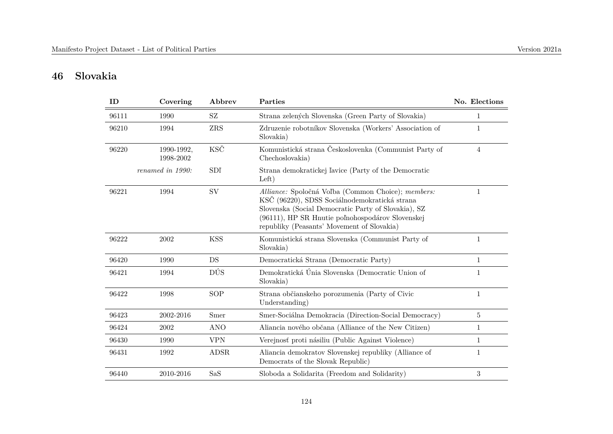# **46 Slovakia**

| ID    | Covering                | Abbrev      | Parties                                                                                                                                                                                                                                                      | No. Elections |
|-------|-------------------------|-------------|--------------------------------------------------------------------------------------------------------------------------------------------------------------------------------------------------------------------------------------------------------------|---------------|
| 96111 | 1990                    | SZ          | Strana zelených Slovenska (Green Party of Slovakia)                                                                                                                                                                                                          | 1             |
| 96210 | 1994                    | ZRS         | Zdruzenie robotníkov Slovenska (Workers' Association of<br>Slovakia)                                                                                                                                                                                         | 1             |
| 96220 | 1990-1992,<br>1998-2002 | KSČ         | Komunistická strana Českoslovenka (Communist Party of<br>Chechoslovakia)                                                                                                                                                                                     | 4             |
|       | renamed in 1990:        | SDI         | Strana demokratickej ľavice (Party of the Democratic<br>Left)                                                                                                                                                                                                |               |
| 96221 | 1994                    | SV          | Alliance: Spoločná Voľba (Common Choice); members:<br>KSČ (96220), SDSS Sociálnodemokratická strana<br>Slovenska (Social Democratic Party of Slovakia), SZ<br>(96111), HP SR Hnutie poľnohospodárov Slovenskej<br>republiky (Peasants' Movement of Slovakia) | 1             |
| 96222 | 2002                    | <b>KSS</b>  | Komunistická strana Slovenska (Communist Party of<br>Slovakia)                                                                                                                                                                                               | 1             |
| 96420 | 1990                    | DS          | Democratická Strana (Democratic Party)                                                                                                                                                                                                                       | $\mathbf{1}$  |
| 96421 | 1994                    | DÚS         | Demokratická Únia Slovenska (Democratic Union of<br>Slovakia)                                                                                                                                                                                                | 1             |
| 96422 | 1998                    | <b>SOP</b>  | Strana občianskeho porozumenia (Party of Civic<br>Understanding)                                                                                                                                                                                             | $\mathbf{1}$  |
| 96423 | 2002-2016               | Smer        | Smer-Sociálna Demokracia (Direction-Social Democracy)                                                                                                                                                                                                        | 5             |
| 96424 | 2002                    | <b>ANO</b>  | Aliancia nového občana (Alliance of the New Citizen)                                                                                                                                                                                                         | $\mathbf{1}$  |
| 96430 | 1990                    | <b>VPN</b>  | Verejnosť proti násiliu (Public Against Violence)                                                                                                                                                                                                            | $\mathbf{1}$  |
| 96431 | 1992                    | <b>ADSR</b> | Aliancia demokratov Slovenskej republiky (Alliance of<br>Democrats of the Slovak Republic)                                                                                                                                                                   | 1             |
| 96440 | 2010-2016               | SaS         | Sloboda a Solidarita (Freedom and Solidarity)                                                                                                                                                                                                                | 3             |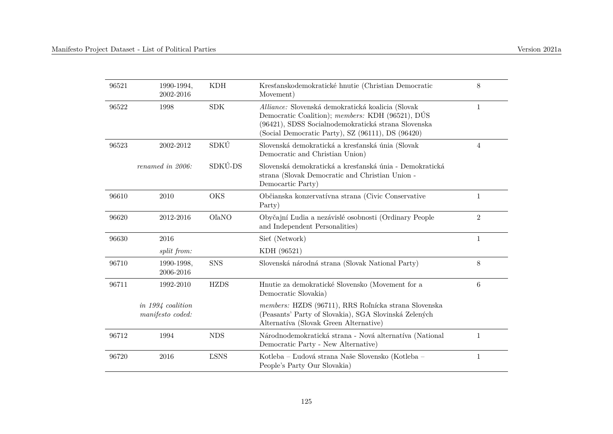| 96521 | 1990-1994,<br>2002-2016               | <b>KDH</b>   | Kresťanskodemokratické hnutie (Christian Democratic<br>Movement)                                                                                                                                                  | 8              |
|-------|---------------------------------------|--------------|-------------------------------------------------------------------------------------------------------------------------------------------------------------------------------------------------------------------|----------------|
| 96522 | 1998                                  | <b>SDK</b>   | Alliance: Slovenská demokratická koalicia (Slovak<br>Democratic Coalition); members: KDH (96521), DÚS<br>(96421), SDSS Socialnodemokratická strana Slovenska<br>(Social Democratic Party), SZ (96111), DS (96420) | $\mathbf{1}$   |
| 96523 | 2002-2012                             | SDKÚ         | Slovenská demokratická a kresťanská únia (Slovak<br>Democratic and Christian Union)                                                                                                                               | $\overline{4}$ |
|       | renamed in 2006:                      | SDKÚ-DS      | Slovenská demokratická a kresťanská únia - Demokratická<br>strana (Slovak Democratic and Christian Union -<br>Democartic Party)                                                                                   |                |
| 96610 | 2010                                  | <b>OKS</b>   | Občianska konzervatívna strana (Civic Conservative<br>Party)                                                                                                                                                      | $\mathbf{1}$   |
| 96620 | 2012-2016                             | <b>O</b> aNO | Obyčajní Ľudia a nezávislé osobnosti (Ordinary People<br>and Independent Personalities)                                                                                                                           | $\overline{2}$ |
| 96630 | 2016                                  |              | Siet (Network)                                                                                                                                                                                                    | $\mathbf{1}$   |
|       | split from:                           |              | KDH (96521)                                                                                                                                                                                                       |                |
| 96710 | 1990-1998,<br>2006-2016               | <b>SNS</b>   | Slovenská národná strana (Slovak National Party)                                                                                                                                                                  | 8              |
| 96711 | 1992-2010                             | <b>HZDS</b>  | Hnutie za demokratické Slovensko (Movement for a<br>Democratic Slovakia)                                                                                                                                          | 6              |
|       | in 1994 coalition<br>manifesto coded: |              | members: HZDS (96711), RRS Roľnícka strana Slovenska<br>(Peasants' Party of Slovakia), SGA Slovinská Zelených<br>Alternativa (Slovak Green Alternative)                                                           |                |
| 96712 | 1994                                  | <b>NDS</b>   | Národnodemokratická strana - Nová alternatíva (National<br>Democratic Party - New Alternative)                                                                                                                    | $\mathbf{1}$   |
| 96720 | 2016                                  | <b>LSNS</b>  | Kotleba – Ľudová strana Naše Slovensko (Kotleba –<br>People's Party Our Slovakia)                                                                                                                                 | $\mathbf{1}$   |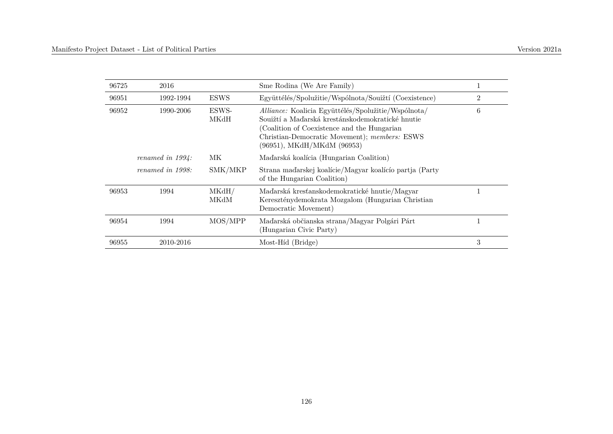| 96725 | 2016                |               | Sme Rodina (We Are Family)                                                                                                                                                                                                             |                |
|-------|---------------------|---------------|----------------------------------------------------------------------------------------------------------------------------------------------------------------------------------------------------------------------------------------|----------------|
| 96951 | 1992-1994           | <b>ESWS</b>   | Együttélés/Spolužitie/Wspólnota/Souižtí (Coexistence)                                                                                                                                                                                  | $\overline{2}$ |
| 96952 | 1990-2006           | ESWS-<br>MKdH | Alliance: Koalicia Együttélés/Spolužitie/Wspólnota/<br>Soujžtí a Maďarská krestánskodemokratické hnutie<br>(Coalition of Coexistence and the Hungarian)<br>Christian-Democratic Movement); members: ESWS<br>(96951), MKdH/MKdM (96953) | 6              |
|       | renamed in $1994$ : | МK            | Maďarská koalícia (Hungarian Coalition)                                                                                                                                                                                                |                |
|       | renamed in $1998$ : | SMK/MKP       | Strana maďarskej koalície/Magyar koalício partja (Party<br>of the Hungarian Coalition)                                                                                                                                                 |                |
| 96953 | 1994                | MKdH/<br>MKdM | Maďarská kresťanskodemokratické hnutie/Magyar<br>Kereszténydemokrata Mozgalom (Hungarian Christian<br>Democratic Movement)                                                                                                             |                |
| 96954 | 1994                | MOS/MPP       | Maďarská občianska strana/Magyar Polgári Párt<br>(Hungarian Civic Party)                                                                                                                                                               |                |
| 96955 | 2010-2016           |               | Most-Híd (Bridge)                                                                                                                                                                                                                      | 3              |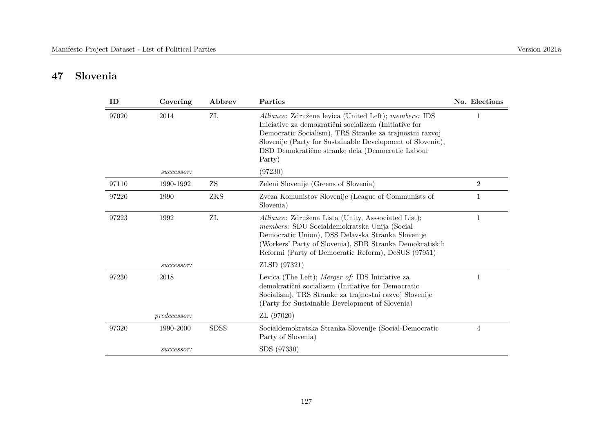# **47 Slovenia**

| ID    | Covering            | Abbrev      | Parties                                                                                                                                                                                                                                                                                               | No. Elections  |
|-------|---------------------|-------------|-------------------------------------------------------------------------------------------------------------------------------------------------------------------------------------------------------------------------------------------------------------------------------------------------------|----------------|
| 97020 | 2014                | ZL          | Alliance: Združena levica (United Left); members: IDS<br>Iniciative za demokratični socializem (Initiative for<br>Democratic Socialism), TRS Stranke za trajnostni razvoj<br>Slovenije (Party for Sustainable Development of Slovenia),<br>DSD Demokratične stranke dela (Democratic Labour<br>Party) |                |
|       | successor:          |             | (97230)                                                                                                                                                                                                                                                                                               |                |
| 97110 | 1990-1992           | ZS          | Zeleni Slovenije (Greens of Slovenia)                                                                                                                                                                                                                                                                 | $\overline{2}$ |
| 97220 | 1990                | <b>ZKS</b>  | Zveza Komunistov Slovenije (League of Communists of<br>Slovenia)                                                                                                                                                                                                                                      | 1              |
| 97223 | 1992                | ZL          | Alliance: Združena Lista (Unity, Asssociated List);<br>members: SDU Socialdemokratska Unija (Social<br>Democratic Union), DSS Delavska Stranka Slovenije<br>(Workers' Party of Slovenia), SDR Stranka Demokratiskih<br>Reformi (Party of Democratic Reform), DeSUS (97951)                            | 1              |
|       | successor:          |             | ZLSD (97321)                                                                                                                                                                                                                                                                                          |                |
| 97230 | 2018                |             | Levica (The Left); Merger of: IDS Iniciative za<br>demokratični socializem (Initiative for Democratic<br>Socialism), TRS Stranke za trajnostni razvoj Slovenije<br>(Party for Sustainable Development of Slovenia)                                                                                    | 1              |
|       | <i>predecessor:</i> |             | ZL (97020)                                                                                                                                                                                                                                                                                            |                |
| 97320 | 1990-2000           | <b>SDSS</b> | Socialdemokratska Stranka Slovenije (Social-Democratic<br>Party of Slovenia)                                                                                                                                                                                                                          | 4              |
|       | successor:          |             | SDS (97330)                                                                                                                                                                                                                                                                                           |                |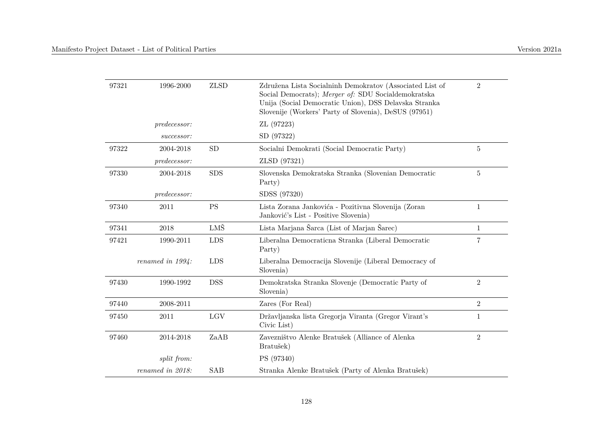| 97321 | 1996-2000           | <b>ZLSD</b>              | Združena Lista Socialninh Demokratov (Associated List of<br>Social Democrats); Merger of: SDU Socialdemokratska<br>Unija (Social Democratic Union), DSS Delavska Stranka<br>Slovenije (Workers' Party of Slovenia), DeSUS (97951) | $\overline{2}$ |
|-------|---------------------|--------------------------|-----------------------------------------------------------------------------------------------------------------------------------------------------------------------------------------------------------------------------------|----------------|
|       | <i>predecessor:</i> |                          | ZL (97223)                                                                                                                                                                                                                        |                |
|       | successor:          |                          | SD (97322)                                                                                                                                                                                                                        |                |
| 97322 | 2004-2018           | ${\rm SD}$               | Socialni Demokrati (Social Democratic Party)                                                                                                                                                                                      | 5              |
|       | predecessor:        |                          | ZLSD (97321)                                                                                                                                                                                                                      |                |
| 97330 | 2004-2018           | <b>SDS</b>               | Slovenska Demokratska Stranka (Slovenian Democratic<br>Party)                                                                                                                                                                     | 5              |
|       | predecessor:        |                          | SDSS (97320)                                                                                                                                                                                                                      |                |
| 97340 | 2011                | $\mathcal{P}\mathcal{S}$ | Lista Zorana Jankovića - Pozitivna Slovenija (Zoran<br>Janković's List - Positive Slovenia)                                                                                                                                       | $\mathbf{1}$   |
| 97341 | 2018                | LMŠ                      | Lista Marjana Šarca (List of Marjan Šarec)                                                                                                                                                                                        | $\mathbf{1}$   |
| 97421 | 1990-2011           | <b>LDS</b>               | Liberalna Democraticna Stranka (Liberal Democratic<br>Party)                                                                                                                                                                      | 7              |
|       | renamed in $1994$ : | <b>LDS</b>               | Liberalna Democracija Slovenije (Liberal Democracy of<br>Slovenia)                                                                                                                                                                |                |
| 97430 | 1990-1992           | <b>DSS</b>               | Demokratska Stranka Slovenje (Democratic Party of<br>Slovenia)                                                                                                                                                                    | $\overline{2}$ |
| 97440 | 2008-2011           |                          | Zares (For Real)                                                                                                                                                                                                                  | $\overline{2}$ |
| 97450 | 2011                | LGV                      | Državljanska lista Gregorja Viranta (Gregor Virant's<br>Civic List)                                                                                                                                                               | $\mathbf{1}$   |
| 97460 | 2014-2018           | ZaAB                     | Zavezništvo Alenke Bratušek (Alliance of Alenka<br>Bratušek)                                                                                                                                                                      | $\overline{2}$ |
|       | split from:         |                          | PS (97340)                                                                                                                                                                                                                        |                |
|       | renamed in 2018:    | <b>SAB</b>               | Stranka Alenke Bratušek (Party of Alenka Bratušek)                                                                                                                                                                                |                |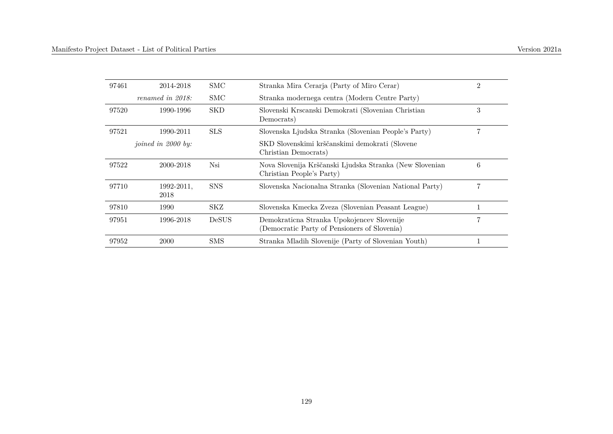| 97461 | 2014-2018                 | <b>SMC</b>   | Stranka Mira Cerarja (Party of Miro Cerar)                                                 | $\overline{2}$ |
|-------|---------------------------|--------------|--------------------------------------------------------------------------------------------|----------------|
|       | renamed in 2018:          | <b>SMC</b>   | Stranka modernega centra (Modern Centre Party)                                             |                |
| 97520 | 1990-1996                 | <b>SKD</b>   | Slovenski Krscanski Demokrati (Slovenian Christian<br>Democrats)                           | 3              |
| 97521 | 1990-2011                 | <b>SLS</b>   | Slovenska Ljudska Stranka (Slovenian People's Party)                                       |                |
|       | <i>ioined in 2000 by:</i> |              | SKD Slovenskimi krščanskimi demokrati (Slovene<br>Christian Democrats)                     |                |
| 97522 | 2000-2018                 | Nsi          | Nova Slovenija Krščanski Ljudska Stranka (New Slovenian<br>Christian People's Party)       | 6              |
| 97710 | 1992-2011,<br>2018        | <b>SNS</b>   | Slovenska Nacionalna Stranka (Slovenian National Party)                                    |                |
| 97810 | 1990                      | SKZ          | Slovenska Kmecka Zveza (Slovenian Peasant League)                                          |                |
| 97951 | 1996-2018                 | <b>DeSUS</b> | Demokraticna Stranka Upokojencev Slovenije<br>(Democratic Party of Pensioners of Slovenia) | $\overline{7}$ |
| 97952 | <b>2000</b>               | SMS          | Stranka Mladih Slovenije (Party of Slovenian Youth)                                        |                |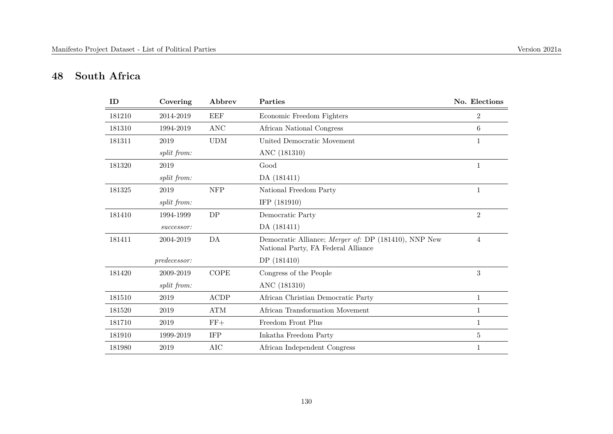# **48 South Africa**

| ID     | Covering     | Abbrev                      | Parties                                                                                     | No. Elections  |
|--------|--------------|-----------------------------|---------------------------------------------------------------------------------------------|----------------|
| 181210 | 2014-2019    | <b>EEF</b>                  | Economic Freedom Fighters                                                                   | $\overline{2}$ |
| 181310 | 1994-2019    | $\rm{ANC}$                  | African National Congress                                                                   | 6              |
| 181311 | 2019         | $\ensuremath{\mathrm{UDM}}$ | United Democratic Movement                                                                  | $\mathbf{1}$   |
|        | split from:  |                             | ANC (181310)                                                                                |                |
| 181320 | 2019         |                             | Good                                                                                        | 1              |
|        | split from:  |                             | DA (181411)                                                                                 |                |
| 181325 | 2019         | <b>NFP</b>                  | National Freedom Party                                                                      | $\mathbf{1}$   |
|        | split from:  |                             | IFP (181910)                                                                                |                |
| 181410 | 1994-1999    | $\mathrm{D}\mathrm{P}$      | Democratic Party                                                                            | $\overline{2}$ |
|        | successor:   |                             | DA (181411)                                                                                 |                |
| 181411 | 2004-2019    | DA                          | Democratic Alliance; Merger of: DP (181410), NNP New<br>National Party, FA Federal Alliance | $\overline{4}$ |
|        | predecessor: |                             | DP (181410)                                                                                 |                |
| 181420 | 2009-2019    | <b>COPE</b>                 | Congress of the People                                                                      | $\sqrt{3}$     |
|        | split from:  |                             | ANC (181310)                                                                                |                |
| 181510 | 2019         | ACDP                        | African Christian Democratic Party                                                          | $\mathbf{1}$   |
| 181520 | 2019         | $\mathop{\rm ATM}\nolimits$ | African Transformation Movement                                                             | $\mathbf{1}$   |
| 181710 | 2019         | $FF+$                       | Freedom Front Plus                                                                          | 1              |
| 181910 | 1999-2019    | <b>IFP</b>                  | Inkatha Freedom Party                                                                       | $\overline{5}$ |
| 181980 | 2019         | <b>AIC</b>                  | African Independent Congress                                                                | 1              |
|        |              |                             |                                                                                             |                |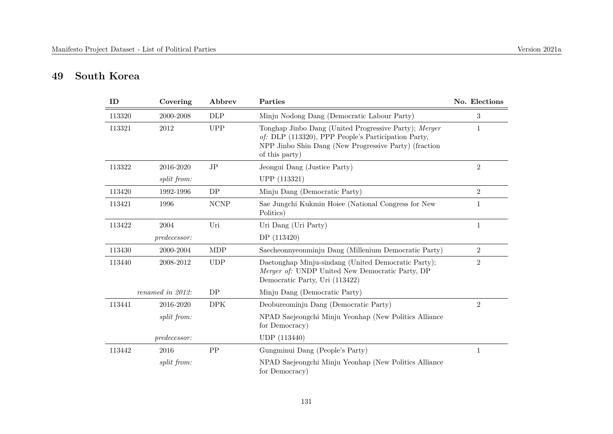# **49 South Korea**

| ID     | Covering         | Abbrev      | Parties                                                                                                                                                                                 | No. Elections  |
|--------|------------------|-------------|-----------------------------------------------------------------------------------------------------------------------------------------------------------------------------------------|----------------|
| 113320 | 2000-2008        | <b>DLP</b>  | Minju Nodong Dang (Democratic Labour Party)                                                                                                                                             | 3              |
| 113321 | 2012             | <b>UPP</b>  | Tonghap Jinbo Dang (United Progressive Party); Merger<br>of: DLP (113320), PPP People's Participation Party,<br>NPP Jinbo Shin Dang (New Progressive Party) (fraction<br>of this party) | 1              |
| 113322 | 2016-2020        | JP          | Jeongui Dang (Justice Party)                                                                                                                                                            | $\overline{2}$ |
|        | split from:      |             | UPP (113321)                                                                                                                                                                            |                |
| 113420 | 1992-1996        | DP          | Minju Dang (Democratic Party)                                                                                                                                                           | $\overline{2}$ |
| 113421 | 1996             | <b>NCNP</b> | Sae Jungchi Kukmin Hoiee (National Congress for New<br>Politics)                                                                                                                        | 1              |
| 113422 | 2004             | Uri         | Uri Dang (Uri Party)                                                                                                                                                                    | $\mathbf{1}$   |
|        | predecessor:     |             | DP (113420)                                                                                                                                                                             |                |
| 113430 | 2000-2004        | <b>MDP</b>  | Saecheonnyeonminju Dang (Millenium Democratic Party)                                                                                                                                    | $\overline{2}$ |
| 113440 | 2008-2012        | <b>UDP</b>  | Daetonghap Minju-sindang (United Democratic Party);<br>Merger of: UNDP United New Democratic Party, DP<br>Democratic Party, Uri (113422)                                                | $\overline{2}$ |
|        | renamed in 2012: | DP          | Minju Dang (Democratic Party)                                                                                                                                                           |                |
| 113441 | 2016-2020        | <b>DPK</b>  | Deobureominju Dang (Democratic Party)                                                                                                                                                   | $\overline{2}$ |
|        | split from:      |             | NPAD Saejeongchi Minju Yeonhap (New Politics Alliance<br>for Democracy)                                                                                                                 |                |
|        | predecessor:     |             | UDP (113440)                                                                                                                                                                            |                |
| 113442 | 2016             | PP          | Gungminui Dang (People's Party)                                                                                                                                                         | $\mathbf{1}$   |
|        | split from:      |             | NPAD Saejeongchi Minju Yeonhap (New Politics Alliance<br>for Democracy)                                                                                                                 |                |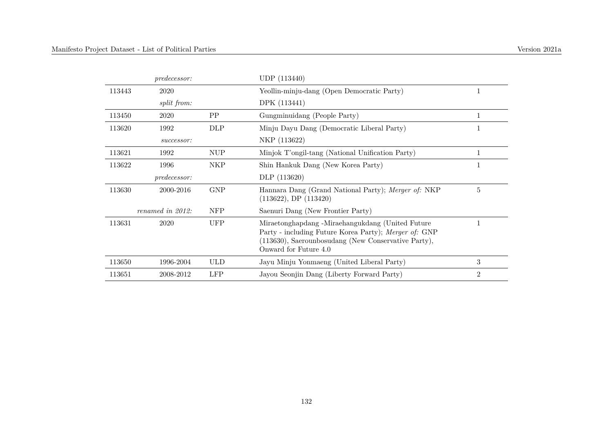|        | <i>predecessor:</i> |            | UDP (113440)                                                                                                                                                                              |                |
|--------|---------------------|------------|-------------------------------------------------------------------------------------------------------------------------------------------------------------------------------------------|----------------|
| 113443 | 2020                |            | Yeollin-minju-dang (Open Democratic Party)                                                                                                                                                | 1              |
|        | split from:         |            | DPK (113441)                                                                                                                                                                              |                |
| 113450 | 2020                | PP         | Gungminuidang (People Party)                                                                                                                                                              |                |
| 113620 | 1992                | DLP        | Minju Dayu Dang (Democratic Liberal Party)                                                                                                                                                |                |
|        | successor:          |            | NKP (113622)                                                                                                                                                                              |                |
| 113621 | 1992                | <b>NUP</b> | Minjok T'ongil-tang (National Unification Party)                                                                                                                                          | 1              |
| 113622 | 1996                | NKP        | Shin Hankuk Dang (New Korea Party)                                                                                                                                                        |                |
|        | predecessor:        |            | DLP (113620)                                                                                                                                                                              |                |
| 113630 | 2000-2016           | <b>GNP</b> | Hannara Dang (Grand National Party); Merger of: NKP<br>$(113622)$ , DP $(113420)$                                                                                                         | 5              |
|        | renamed in 2012:    | <b>NFP</b> | Saenuri Dang (New Frontier Party)                                                                                                                                                         |                |
| 113631 | 2020                | <b>UFP</b> | Miraetonghapdang -Miraehangukdang (United Future<br>Party - including Future Korea Party); Merger of: GNP<br>(113630), Saerounbosudang (New Conservative Party),<br>Onward for Future 4.0 | 1              |
| 113650 | 1996-2004           | <b>ULD</b> | Jayu Minju Yonmaeng (United Liberal Party)                                                                                                                                                | 3              |
| 113651 | 2008-2012           | <b>LFP</b> | Jayou Seonjin Dang (Liberty Forward Party)                                                                                                                                                | $\overline{2}$ |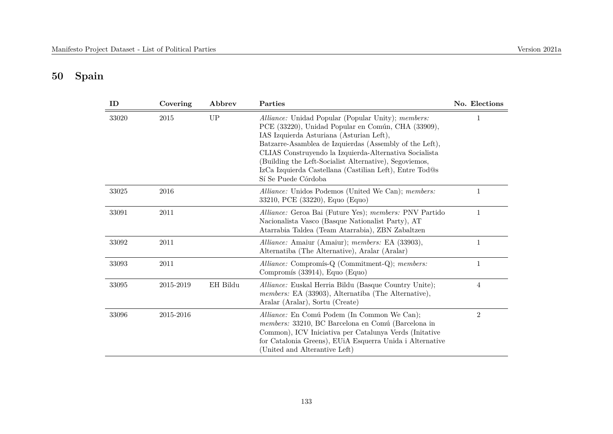# **50 Spain**

| ID    | Covering  | Abbrev    | Parties                                                                                                                                                                                                                                                                                                                                                                                                               | No. Elections  |
|-------|-----------|-----------|-----------------------------------------------------------------------------------------------------------------------------------------------------------------------------------------------------------------------------------------------------------------------------------------------------------------------------------------------------------------------------------------------------------------------|----------------|
| 33020 | 2015      | <b>UP</b> | Alliance: Unidad Popular (Popular Unity); members:<br>PCE (33220), Unidad Popular en Común, CHA (33909),<br>IAS Izquierda Asturiana (Asturian Left),<br>Batzarre-Asamblea de Izquierdas (Assembly of the Left),<br>CLIAS Construyendo la Izquierda-Alternativa Socialista<br>(Building the Left-Socialist Alternative), Segoviemos,<br>IzCa Izquierda Castellana (Castilian Left), Entre Tod@s<br>Sí Se Puede Córdoba | 1              |
| 33025 | 2016      |           | Alliance: Unidos Podemos (United We Can); members:<br>33210, PCE (33220), Equo (Equo)                                                                                                                                                                                                                                                                                                                                 | 1              |
| 33091 | $2011\,$  |           | Alliance: Geroa Bai (Future Yes); members: PNV Partido<br>Nacionalista Vasco (Basque Nationalist Party), AT<br>Atarrabia Taldea (Team Atarrabia), ZBN Zabaltzen                                                                                                                                                                                                                                                       | $\mathbf{1}$   |
| 33092 | 2011      |           | Alliance: Amaiur (Amaiur); members: EA (33903),<br>Alternatiba (The Alternative), Aralar (Aralar)                                                                                                                                                                                                                                                                                                                     | 1              |
| 33093 | 2011      |           | Alliance: Compromís-Q (Commitment-Q); members:<br>Compromís (33914), Equo (Equo)                                                                                                                                                                                                                                                                                                                                      | 1              |
| 33095 | 2015-2019 | EH Bildu  | <i>Alliance:</i> Euskal Herria Bildu (Basque Country Unite);<br>members: EA (33903), Alternatiba (The Alternative),<br>Aralar (Aralar), Sortu (Create)                                                                                                                                                                                                                                                                | 4              |
| 33096 | 2015-2016 |           | Alliance: En Comú Podem (In Common We Can);<br>members: 33210, BC Barcelona en Comú (Barcelona in<br>Common), ICV Iniciativa per Catalunya Verds (Initative<br>for Catalonia Greens), EUiA Esquerra Unida i Alternative<br>(United and Alterantive Left)                                                                                                                                                              | $\overline{2}$ |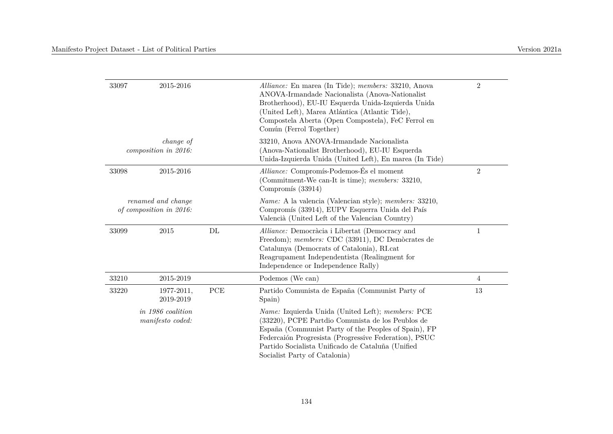| 33097 | 2015-2016                                     |     | Alliance: En marea (In Tide); members: 33210, Anova<br>ANOVA-Irmandade Nacionalista (Anova-Nationalist<br>Brotherhood), EU-IU Esquerda Unida-Izquierda Unida<br>(United Left), Marea Atlántica (Atlantic Tide),<br>Compostela Aberta (Open Compostela), FeC Ferrol en<br>Común (Ferrol Together)                            | $\overline{2}$ |
|-------|-----------------------------------------------|-----|-----------------------------------------------------------------------------------------------------------------------------------------------------------------------------------------------------------------------------------------------------------------------------------------------------------------------------|----------------|
|       | <i>change of</i><br>composition in 2016:      |     | 33210, Anova ANOVA-Irmandade Nacionalista<br>(Anova-Nationalist Brotherhood), EU-IU Esquerda<br>Unida-Izquierda Unida (United Left), En marea (In Tide)                                                                                                                                                                     |                |
| 33098 | 2015-2016                                     |     | <i>Alliance:</i> Compromís-Podemos-És el moment<br>(Commitment-We can-It is time); members: 33210,<br>Compromís (33914)                                                                                                                                                                                                     | $\sqrt{2}$     |
|       | renamed and change<br>of composition in 2016: |     | <i>Name:</i> A la valencia (Valencian style); <i>members:</i> 33210,<br>Compromís (33914), EUPV Esquerra Unida del País<br>Valencià (United Left of the Valencian Country)                                                                                                                                                  |                |
| 33099 | 2015                                          | DL  | Alliance: Democràcia i Libertat (Democracy and<br>Freedom); members: CDC (33911), DC Demòcrates de<br>Catalunya (Democrats of Catalonia), RI.cat<br>Reagrupament Independentista (Realingment for<br>Independence or Independence Rally)                                                                                    | $\mathbf{1}$   |
| 33210 | 2015-2019                                     |     | Podemos (We can)                                                                                                                                                                                                                                                                                                            | $\overline{4}$ |
| 33220 | 1977-2011,<br>2019-2019                       | PCE | Partido Comunista de España (Communist Party of<br>Spain)                                                                                                                                                                                                                                                                   | 13             |
|       | in 1986 coalition<br>manifesto coded:         |     | <i>Name:</i> Izquierda Unida (United Left); <i>members:</i> PCE<br>(33220), PCPE Partdio Comunista de los Peublos de<br>España (Communist Party of the Peoples of Spain), FP<br>Federcaión Progresista (Progressive Federation), PSUC<br>Partido Socialista Unificado de Cataluña (Unified<br>Socialist Party of Catalonia) |                |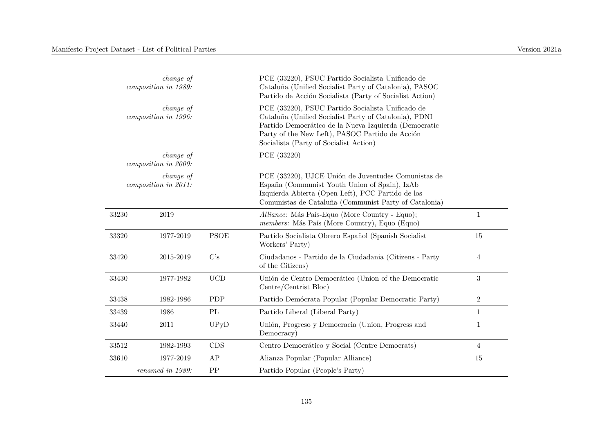|       | change of<br>composition in 1989: |                          | PCE (33220), PSUC Partido Socialista Unificado de<br>Cataluña (Unified Socialist Party of Catalonia), PASOC<br>Partido de Acción Socialista (Party of Socialist Action)                                                                                          |                |
|-------|-----------------------------------|--------------------------|------------------------------------------------------------------------------------------------------------------------------------------------------------------------------------------------------------------------------------------------------------------|----------------|
|       | change of<br>composition in 1996: |                          | PCE (33220), PSUC Partido Socialista Unificado de<br>Cataluña (Unified Socialist Party of Catalonia), PDNI<br>Partido Democrático de la Nueva Izquierda (Democratic<br>Party of the New Left), PASOC Partido de Acción<br>Socialista (Party of Socialist Action) |                |
|       | change of<br>composition in 2000: |                          | PCE (33220)                                                                                                                                                                                                                                                      |                |
|       | change of<br>composition in 2011: |                          | PCE (33220), UJCE Unión de Juventudes Comunistas de<br>España (Communist Youth Union of Spain), IzAb<br>Izquierda Abierta (Open Left), PCC Partido de los<br>Comunistas de Cataluña (Communist Party of Catalonia)                                               |                |
| 33230 | $2019\,$                          |                          | Alliance: Más País-Equo (More Country - Equo);<br>members: Más País (More Country), Equo (Equo)                                                                                                                                                                  | $\mathbf{1}$   |
| 33320 | 1977-2019                         | <b>PSOE</b>              | Partido Socialista Obrero Español (Spanish Socialist<br>Workers' Party)                                                                                                                                                                                          | 15             |
| 33420 | 2015-2019                         | C's                      | Ciudadanos - Partido de la Ciudadania (Citizens - Party<br>of the Citizens)                                                                                                                                                                                      | $\overline{4}$ |
| 33430 | 1977-1982                         | <b>UCD</b>               | Unión de Centro Democrático (Union of the Democratic<br>Centre/Centrist Bloc)                                                                                                                                                                                    | 3              |
| 33438 | 1982-1986                         | PDP                      | Partido Demócrata Popular (Popular Democratic Party)                                                                                                                                                                                                             | $\overline{2}$ |
| 33439 | 1986                              | $\mathcal{P}\mathcal{L}$ | Partido Liberal (Liberal Party)                                                                                                                                                                                                                                  | $\mathbf{1}$   |
| 33440 | 2011                              | UPyD                     | Unión, Progreso y Democracia (Union, Progress and<br>Democracy)                                                                                                                                                                                                  | $\mathbf{1}$   |
| 33512 | 1982-1993                         | CDS                      | Centro Democrático y Social (Centre Democrats)                                                                                                                                                                                                                   | $\overline{4}$ |
| 33610 | 1977-2019                         | AP                       | Alianza Popular (Popular Alliance)                                                                                                                                                                                                                               | 15             |
|       | renamed in 1989:                  | PP                       | Partido Popular (People's Party)                                                                                                                                                                                                                                 |                |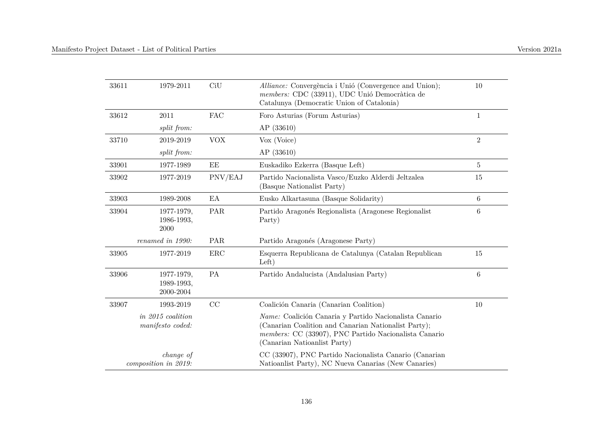| 33611 | 1979-2011                             | CiU        | Alliance: Convergència i Unió (Convergence and Union);<br>members: CDC (33911), UDC Unió Democràtica de<br>Catalunya (Democratic Union of Catalonia)                                                    | 10             |
|-------|---------------------------------------|------------|---------------------------------------------------------------------------------------------------------------------------------------------------------------------------------------------------------|----------------|
| 33612 | 2011                                  | <b>FAC</b> | Foro Asturias (Forum Asturias)                                                                                                                                                                          | 1              |
|       | split from:                           |            | AP(33610)                                                                                                                                                                                               |                |
| 33710 | 2019-2019                             | <b>VOX</b> | Vox (Voice)                                                                                                                                                                                             | $\overline{2}$ |
|       | split from:                           |            | AP(33610)                                                                                                                                                                                               |                |
| 33901 | 1977-1989                             | EE         | Euskadiko Ezkerra (Basque Left)                                                                                                                                                                         | 5              |
| 33902 | 1977-2019                             | PNV/EAJ    | Partido Nacionalista Vasco/Euzko Alderdi Jeltzalea<br>(Basque Nationalist Party)                                                                                                                        | 15             |
| 33903 | 1989-2008                             | EA         | Eusko Alkartasuna (Basque Solidarity)                                                                                                                                                                   | $\,6\,$        |
| 33904 | 1977-1979,<br>1986-1993,<br>2000      | PAR        | Partido Aragonés Regionalista (Aragonese Regionalist<br>Party)                                                                                                                                          | 6              |
|       | renamed in 1990:                      | PAR        | Partido Aragonés (Aragonese Party)                                                                                                                                                                      |                |
| 33905 | 1977-2019                             | ERC        | Esquerra Republicana de Catalunya (Catalan Republican<br>Left)                                                                                                                                          | 15             |
| 33906 | 1977-1979,<br>1989-1993,<br>2000-2004 | <b>PA</b>  | Partido Andalucista (Andalusian Party)                                                                                                                                                                  | 6              |
| 33907 | 1993-2019                             | CC         | Coalición Canaria (Canarian Coalition)                                                                                                                                                                  | 10             |
|       | in 2015 coalition<br>manifesto coded: |            | Name: Coalición Canaria y Partido Nacionalista Canario<br>(Canarian Coalition and Canarian Nationalist Party);<br>members: CC (33907), PNC Partido Nacionalista Canario<br>(Canarian Nationalist Party) |                |
|       | change of<br>composition in 2019:     |            | CC (33907), PNC Partido Nacionalista Canario (Canarian<br>Nationalist Party), NC Nueva Canarias (New Canaries)                                                                                          |                |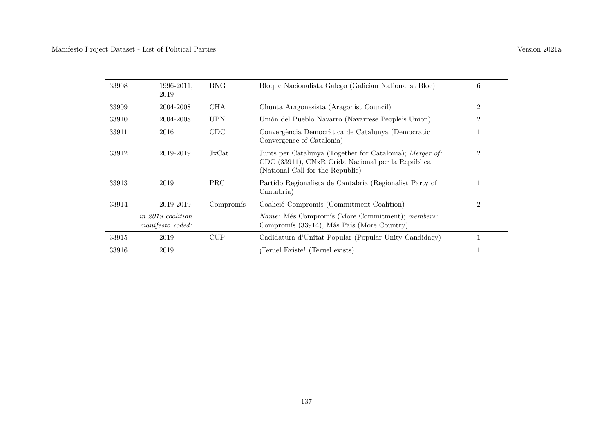| 33908 | 1996-2011.<br>2019                    | <b>BNG</b> | Bloque Nacionalista Galego (Galician Nationalist Bloc)                                                                                            | 6              |
|-------|---------------------------------------|------------|---------------------------------------------------------------------------------------------------------------------------------------------------|----------------|
| 33909 | 2004-2008                             | CHA        | Chunta Aragonesista (Aragonist Council)                                                                                                           | $\overline{2}$ |
| 33910 | 2004-2008                             | <b>UPN</b> | Unión del Pueblo Navarro (Navarrese People's Union)                                                                                               | $\overline{2}$ |
| 33911 | 2016                                  | CDC        | Convergència Democràtica de Catalunya (Democratic<br>Convergence of Catalonia)                                                                    | 1              |
| 33912 | 2019-2019                             | JxCat      | Junts per Catalunya (Together for Catalonia); Merger of:<br>CDC (33911), CNxR Crida Nacional per la República<br>(National Call for the Republic) | $\overline{2}$ |
| 33913 | 2019                                  | <b>PRC</b> | Partido Regionalista de Cantabria (Regionalist Party of<br>Cantabria)                                                                             | 1              |
| 33914 | 2019-2019                             | Compromís  | Coalició Compromís (Commitment Coalition)                                                                                                         | $\overline{2}$ |
|       | in 2019 coalition<br>manifesto coded: |            | <i>Name:</i> Més Compromís (More Commitment); <i>members:</i><br>Compromís (33914), Más País (More Country)                                       |                |
| 33915 | 2019                                  | CUP        | Cadidatura d'Unitat Popular (Popular Unity Candidacy)                                                                                             |                |
| 33916 | 2019                                  |            | Teruel Existe! (Teruel exists)                                                                                                                    | 1              |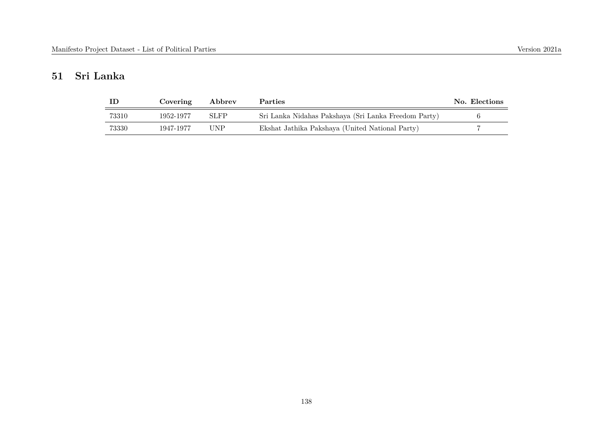# **51 Sri Lanka**

|       | Covering  | Abbrev      | <b>Parties</b>                                       | No. Elections |
|-------|-----------|-------------|------------------------------------------------------|---------------|
| 73310 | 1952-1977 | <b>SLFP</b> | Sri Lanka Nidahas Pakshaya (Sri Lanka Freedom Party) |               |
| 73330 | 1947-1977 | UNP         | Ekshat Jathika Pakshaya (United National Party)      |               |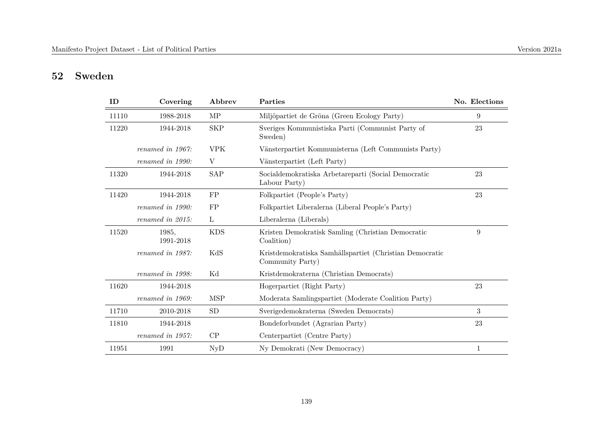# **52 Sweden**

| ID    | Covering           | Abbrev     | Parties                                                                     | No. Elections    |
|-------|--------------------|------------|-----------------------------------------------------------------------------|------------------|
| 11110 | 1988-2018          | MP         | Miljöpartiet de Gröna (Green Ecology Party)                                 | 9                |
| 11220 | 1944-2018          | <b>SKP</b> | Sveriges Kommunistiska Parti (Communist Party of<br>Sweden)                 | 23               |
|       | renamed in 1967:   | <b>VPK</b> | Vänsterpartiet Kommunisterna (Left Communists Party)                        |                  |
|       | renamed in 1990:   | V          | Vänsterpartiet (Left Party)                                                 |                  |
| 11320 | 1944-2018          | <b>SAP</b> | Socialdemokratiska Arbetareparti (Social Democratic<br>Labour Party)        | 23               |
| 11420 | 1944-2018          | FP         | Folkpartiet (People's Party)                                                | 23               |
|       | renamed in 1990:   | FP         | Folkpartiet Liberalerna (Liberal People's Party)                            |                  |
|       | renamed in 2015:   | L          | Liberalerna (Liberals)                                                      |                  |
| 11520 | 1985,<br>1991-2018 | <b>KDS</b> | Kristen Demokratisk Samling (Christian Democratic<br>Coalition)             | $\boldsymbol{9}$ |
|       | renamed in 1987:   | KdS        | Kristdemokratiska Samhällspartiet (Christian Democratic<br>Community Party) |                  |
|       | renamed in 1998:   | Κd         | Kristdemokraterna (Christian Democrats)                                     |                  |
| 11620 | 1944-2018          |            | Hogerpartiet (Right Party)                                                  | 23               |
|       | renamed in 1969:   | <b>MSP</b> | Moderata Samlingspartiet (Moderate Coalition Party)                         |                  |
| 11710 | 2010-2018          | SD         | Sverigedemokraterna (Sweden Democrats)                                      | 3                |
| 11810 | 1944-2018          |            | Bondeforbundet (Agrarian Party)                                             | 23               |
|       | renamed in 1957:   | CP         | Centerpartiet (Centre Party)                                                |                  |
| 11951 | 1991               | <b>NyD</b> | Ny Demokrati (New Democracy)                                                | $\mathbf{1}$     |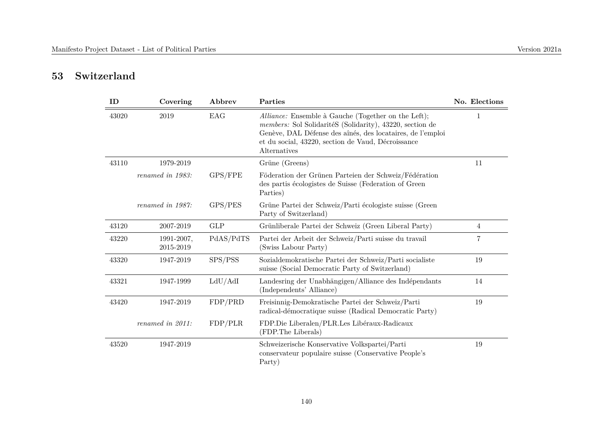# **53 Switzerland**

| ID    | Covering                | Abbrev     | Parties                                                                                                                                                                                                                                             | No. Elections |
|-------|-------------------------|------------|-----------------------------------------------------------------------------------------------------------------------------------------------------------------------------------------------------------------------------------------------------|---------------|
| 43020 | 2019                    | EAG        | Alliance: Ensemble à Gauche (Together on the Left);<br>members: Sol SolidaritéS (Solidarity), 43220, section de<br>Genève, DAL Défense des aînés, des locataires, de l'emploi<br>et du social, 43220, section de Vaud, Décroissance<br>Alternatives |               |
| 43110 | 1979-2019               |            | Grüne (Greens)                                                                                                                                                                                                                                      | 11            |
|       | renamed in 1983:        | GPS/FPE    | Föderation der Grünen Parteien der Schweiz/Fédération<br>des partis écologistes de Suisse (Federation of Green<br>Parties)                                                                                                                          |               |
|       | renamed in 1987:        | GPS/PES    | Grüne Partei der Schweiz/Parti écologiste suisse (Green<br>Party of Switzerland)                                                                                                                                                                    |               |
| 43120 | 2007-2019               | <b>GLP</b> | Grünliberale Partei der Schweiz (Green Liberal Party)                                                                                                                                                                                               | 4             |
| 43220 | 1991-2007,<br>2015-2019 | PdAS/PdTS  | Partei der Arbeit der Schweiz/Parti suisse du travail<br>(Swiss Labour Party)                                                                                                                                                                       | 7             |
| 43320 | 1947-2019               | SPS/PSS    | Sozialdemokratische Partei der Schweiz/Parti socialiste<br>suisse (Social Democratic Party of Switzerland)                                                                                                                                          | 19            |
| 43321 | 1947-1999               | LdU/AdI    | Landesring der Unabhängigen/Alliance des Indépendants<br>(Independents' Alliance)                                                                                                                                                                   | 14            |
| 43420 | 1947-2019               | FDP/PRD    | Freisinnig-Demokratische Partei der Schweiz/Parti<br>radical-démocratique suisse (Radical Democratic Party)                                                                                                                                         | 19            |
|       | $renamed$ in $2011$ :   | FDP/PLR    | FDP.Die Liberalen/PLR.Les Libéraux-Radicaux<br>(FDP. The Liberals)                                                                                                                                                                                  |               |
| 43520 | 1947-2019               |            | Schweizerische Konservative Volkspartei/Parti<br>conservateur populaire suisse (Conservative People's<br>Party)                                                                                                                                     | 19            |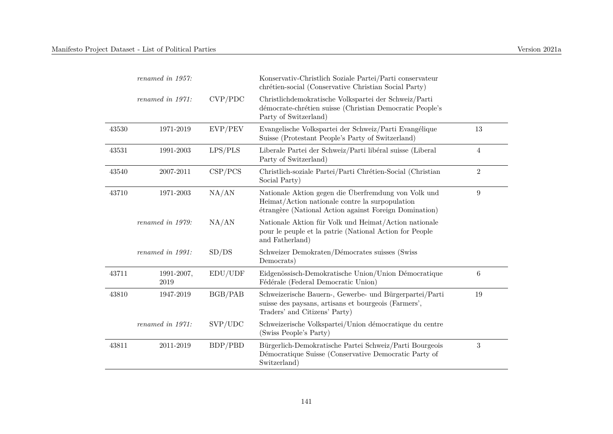|       | renamed in 1957:   |         | Konservativ-Christlich Soziale Partei/Parti conservateur<br>chrétien-social (Conservative Christian Social Party)                                                 |                  |
|-------|--------------------|---------|-------------------------------------------------------------------------------------------------------------------------------------------------------------------|------------------|
|       | renamed in 1971:   | CVP/PDC | Christlichdemokratische Volkspartei der Schweiz/Parti<br>démocrate-chrétien suisse (Christian Democratic People's<br>Party of Switzerland)                        |                  |
| 43530 | 1971-2019          | EVP/PEV | Evangelische Volkspartei der Schweiz/Parti Evangélique<br>Suisse (Protestant People's Party of Switzerland)                                                       | 13               |
| 43531 | 1991-2003          | LPS/PLS | Liberale Partei der Schweiz/Parti libéral suisse (Liberal<br>Party of Switzerland)                                                                                | 4                |
| 43540 | 2007-2011          | CSP/PCS | Christlich-soziale Partei/Parti Chrétien-Social (Christian<br>Social Party)                                                                                       | $\overline{2}$   |
| 43710 | 1971-2003          | NA/AN   | Nationale Aktion gegen die Überfremdung von Volk und<br>Heimat/Action nationale contre la surpopulation<br>étrangère (National Action against Foreign Domination) | $\boldsymbol{9}$ |
|       | renamed in 1979:   | NA/AN   | Nationale Aktion für Volk und Heimat/Action nationale<br>pour le peuple et la patrie (National Action for People<br>and Fatherland)                               |                  |
|       | renamed in 1991:   | SD/DS   | Schweizer Demokraten/Démocrates suisses (Swiss<br>Democrats)                                                                                                      |                  |
| 43711 | 1991-2007,<br>2019 | EDU/UDF | Eidgenössisch-Demokratische Union/Union Démocratique<br>Fédérale (Federal Democratic Union)                                                                       | 6                |
| 43810 | 1947-2019          | BGB/PAB | Schweizerische Bauern-, Gewerbe- und Bürgerpartei/Parti<br>suisse des paysans, artisans et bourgeois (Farmers',<br>Traders' and Citizens' Party)                  | 19               |
|       | renamed in 1971:   | SVP/UDC | Schweizerische Volkspartei/Union démocratique du centre<br>(Swiss People's Party)                                                                                 |                  |
| 43811 | 2011-2019          | BDP/PBD | Bürgerlich-Demokratische Partei Schweiz/Parti Bourgeois<br>Démocratique Suisse (Conservative Democratic Party of<br>Switzerland)                                  | $\sqrt{3}$       |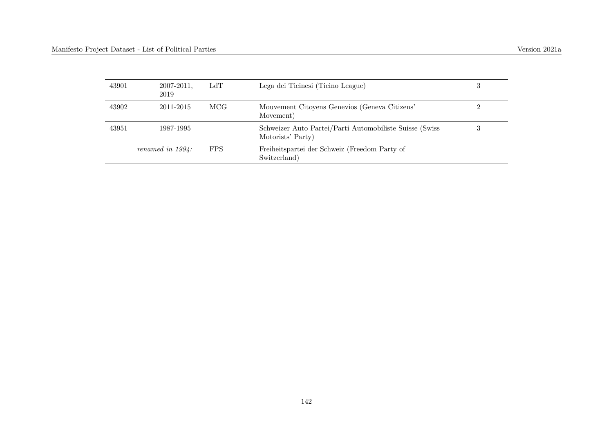| 43901 | $2007 - 2011$ ,<br>2019 | LdT        | Lega dei Ticinesi (Ticino League)                                            | 3 |
|-------|-------------------------|------------|------------------------------------------------------------------------------|---|
| 43902 | 2011-2015               | MCG        | Mouvement Citoyens Genevios (Geneva Citizens'<br>Movement)                   |   |
| 43951 | 1987-1995               |            | Schweizer Auto Partei/Parti Automobiliste Suisse (Swiss<br>Motorists' Party) | 3 |
|       | renamed in $1994$ :     | <b>FPS</b> | Freiheitspartei der Schweiz (Freedom Party of<br>Switzerland)                |   |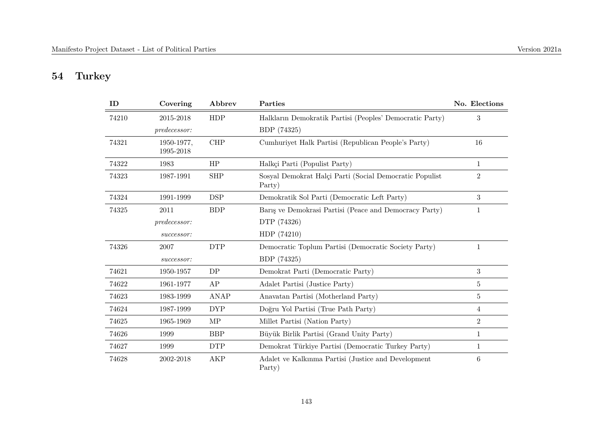# **54 Turkey**

| ID    | Covering                | Abbrev      | Parties                                                           | No. Elections  |
|-------|-------------------------|-------------|-------------------------------------------------------------------|----------------|
| 74210 | 2015-2018               | HDP         | Halkların Demokratik Partisi (Peoples' Democratic Party)          | 3              |
|       | predecessor:            |             | BDP (74325)                                                       |                |
| 74321 | 1950-1977,<br>1995-2018 | CHP         | Cumhuriyet Halk Partisi (Republican People's Party)               | 16             |
| 74322 | 1983                    | HP          | Halkçi Parti (Populist Party)                                     | $\mathbf{1}$   |
| 74323 | 1987-1991               | <b>SHP</b>  | Sosyal Demokrat Halçi Parti (Social Democratic Populist<br>Party) | $\overline{2}$ |
| 74324 | 1991-1999               | <b>DSP</b>  | Demokratik Sol Parti (Democratic Left Party)                      | 3              |
| 74325 | 2011                    | <b>BDP</b>  | Baris ve Demokrasi Partisi (Peace and Democracy Party)            | 1              |
|       | predecessor:            |             | DTP (74326)                                                       |                |
|       | successor:              |             | HDP (74210)                                                       |                |
| 74326 | 2007                    | <b>DTP</b>  | Democratic Toplum Partisi (Democratic Society Party)              | 1              |
|       | successor:              |             | BDP (74325)                                                       |                |
| 74621 | 1950-1957               | DP          | Demokrat Parti (Democratic Party)                                 | 3              |
| 74622 | 1961-1977               | AP          | Adalet Partisi (Justice Party)                                    | 5              |
| 74623 | 1983-1999               | <b>ANAP</b> | Anavatan Partisi (Motherland Party)                               | 5              |
| 74624 | 1987-1999               | <b>DYP</b>  | Doğru Yol Partisi (True Path Party)                               | 4              |
| 74625 | 1965-1969               | MP          | Millet Partisi (Nation Party)                                     | $\overline{2}$ |
| 74626 | 1999                    | <b>BBP</b>  | Büyük Birlik Partisi (Grand Unity Party)                          | 1              |
| 74627 | 1999                    | <b>DTP</b>  | Demokrat Türkiye Partisi (Democratic Turkey Party)                | $\mathbf 1$    |
| 74628 | 2002-2018               | <b>AKP</b>  | Adalet ve Kalkınma Partisi (Justice and Development<br>Party)     | 6              |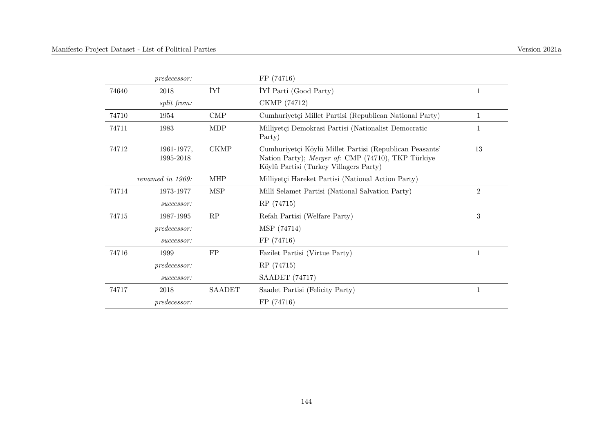|       | <i>predecessor:</i>     |               | FP (74716)                                                                                                                                              |                |
|-------|-------------------------|---------------|---------------------------------------------------------------------------------------------------------------------------------------------------------|----------------|
| 74640 | 2018                    | İYİ           | IYI Parti (Good Party)                                                                                                                                  | 1              |
|       | split from:             |               | CKMP (74712)                                                                                                                                            |                |
| 74710 | 1954                    | <b>CMP</b>    | Cumhuriyetçi Millet Partisi (Republican National Party)                                                                                                 | 1              |
| 74711 | 1983                    | MDP           | Milliyetçi Demokrasi Partisi (Nationalist Democratic<br>Party)                                                                                          | 1              |
| 74712 | 1961-1977,<br>1995-2018 | CKMP          | Cumhuriyetçi Köylü Millet Partisi (Republican Peasants'<br>Nation Party); Merger of: CMP (74710), TKP Türkiye<br>Köylü Partisi (Turkey Villagers Party) | 13             |
|       | renamed in 1969:        | <b>MHP</b>    | Milliyetçi Hareket Partisi (National Action Party)                                                                                                      |                |
| 74714 | 1973-1977               | <b>MSP</b>    | Millî Selamet Partisi (National Salvation Party)                                                                                                        | $\overline{2}$ |
|       | successor:              |               | RP (74715)                                                                                                                                              |                |
| 74715 | 1987-1995               | RP            | Refah Partisi (Welfare Party)                                                                                                                           | 3              |
|       | predecessor:            |               | MSP (74714)                                                                                                                                             |                |
|       | successor:              |               | FP (74716)                                                                                                                                              |                |
| 74716 | 1999                    | ${\rm FP}$    | Fazilet Partisi (Virtue Party)                                                                                                                          | 1              |
|       | <i>predecessor:</i>     |               | RP (74715)                                                                                                                                              |                |
|       | successor:              |               | <b>SAADET</b> (74717)                                                                                                                                   |                |
| 74717 | 2018                    | <b>SAADET</b> | Saadet Partisi (Felicity Party)                                                                                                                         | 1              |
|       | <i>predecessor:</i>     |               | FP (74716)                                                                                                                                              |                |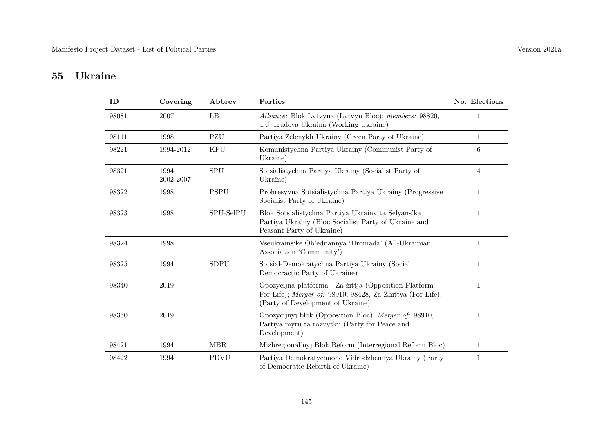## **55 Ukraine**

| ID    | Covering           | Abbrev      | Parties                                                                                                                                                    | No. Elections  |
|-------|--------------------|-------------|------------------------------------------------------------------------------------------------------------------------------------------------------------|----------------|
| 98081 | 2007               | LB          | Alliance: Blok Lytvyna (Lytvyn Bloc); members: 98820,<br>TU Trudova Ukraina (Working Ukraine)                                                              | $\mathbf{1}$   |
| 98111 | 1998               | PZU         | Partiya Zelenykh Ukrainy (Green Party of Ukraine)                                                                                                          | $\mathbf{1}$   |
| 98221 | 1994-2012          | <b>KPU</b>  | Komunistychna Partiya Ukrainy (Communist Party of<br>Ukraine)                                                                                              | 6              |
| 98321 | 1994.<br>2002-2007 | <b>SPU</b>  | Sotsialistychna Partiya Ukrainy (Socialist Party of<br>Ukraine)                                                                                            | $\overline{4}$ |
| 98322 | 1998               | <b>PSPU</b> | Prohresyvna Sotsialistychna Partiya Ukrainy (Progressive<br>Socialist Party of Ukraine)                                                                    | 1              |
| 98323 | 1998               | SPU-SelPU   | Blok Sotsialistychna Partiya Ukrainy ta Selyans'ka<br>Partiya Ukrainy (Bloc Socialist Party of Ukraine and<br>Peasant Party of Ukraine)                    | 1              |
| 98324 | 1998               |             | Vseukrains' ke Ob'ednannya 'Hromada' (All-Ukrainian<br>Association 'Community')                                                                            | 1              |
| 98325 | 1994               | <b>SDPU</b> | Sotsial-Demokratychna Partiya Ukrainy (Social<br>Democractic Party of Ukraine)                                                                             | 1              |
| 98340 | 2019               |             | Opozycijna platforma - Za žittja (Opposition Platform -<br>For Life); Merger of: 98910, 98428, Za Zhittya (For Life),<br>(Party of Development of Ukraine) | 1              |
| 98350 | 2019               |             | Opozycijnyj blok (Opposition Bloc); Merger of: 98910,<br>Partiya myru ta rozvytku (Party for Peace and<br>Development)                                     | 1              |
| 98421 | 1994               | MBR         | Mizhregional'nyj Blok Reform (Interregional Reform Bloc)                                                                                                   | 1              |
| 98422 | 1994               | <b>PDVU</b> | Partiya Demokratychnoho Vidrodzhennya Ukrainy (Party<br>of Democratic Rebirth of Ukraine)                                                                  | 1              |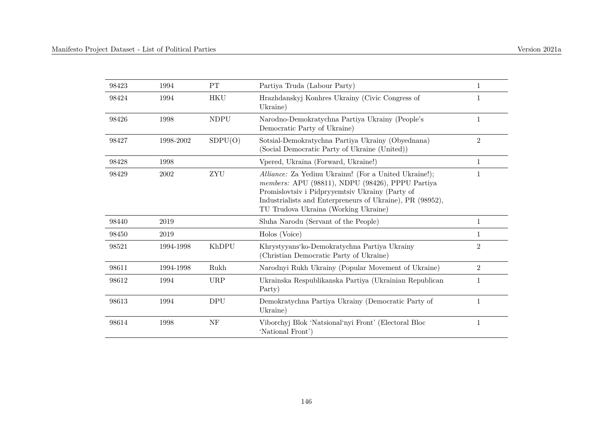| 98423 | 1994      | PT          | Partiya Truda (Labour Party)                                                                                                                                                                                                                                      | $\mathbf{1}$   |
|-------|-----------|-------------|-------------------------------------------------------------------------------------------------------------------------------------------------------------------------------------------------------------------------------------------------------------------|----------------|
| 98424 | 1994      | <b>HKU</b>  | Hrazhdanskyj Konhres Ukrainy (Civic Congress of<br>Ukraine)                                                                                                                                                                                                       | $\mathbf{1}$   |
| 98426 | 1998      | <b>NDPU</b> | Narodno-Demokratychna Partiya Ukrainy (People's<br>Democratic Party of Ukraine)                                                                                                                                                                                   | $\mathbf{1}$   |
| 98427 | 1998-2002 | SDPU(O)     | Sotsial-Demokratychna Partiya Ukrainy (Obyednana)<br>(Social Democratic Party of Ukraine (United))                                                                                                                                                                | $\sqrt{2}$     |
| 98428 | 1998      |             | Vpered, Ukraina (Forward, Ukraine!)                                                                                                                                                                                                                               | $\mathbf{1}$   |
| 98429 | 2002      | ZYU         | Alliance: Za Yedinu Ukrainu! (For a United Ukraine!);<br>members: APU (98811), NDPU (98426), PPPU Partiya<br>Promislovtsiv i Pidpryyemtsiv Ukrainy (Party of<br>Industrialists and Enterpreneurs of Ukraine), PR (98952),<br>TU Trudova Ukraina (Working Ukraine) | 1              |
| 98440 | 2019      |             | Sluha Narodu (Servant of the People)                                                                                                                                                                                                                              | $\mathbf{1}$   |
| 98450 | 2019      |             | Holos (Voice)                                                                                                                                                                                                                                                     | 1              |
| 98521 | 1994-1998 | KhDPU       | Khrystyyans'ko-Demokratychna Partiya Ukrainy<br>(Christian Democratic Party of Ukraine)                                                                                                                                                                           | $\overline{2}$ |
| 98611 | 1994-1998 | Rukh        | Narodnyi Rukh Ukrainy (Popular Movement of Ukraine)                                                                                                                                                                                                               | $\overline{2}$ |
| 98612 | 1994      | <b>URP</b>  | Ukrainska Respublikanska Partiya (Ukrainian Republican<br>Party)                                                                                                                                                                                                  | 1              |
| 98613 | 1994      | <b>DPU</b>  | Demokratychna Partiya Ukrainy (Democratic Party of<br>Ukraine)                                                                                                                                                                                                    | $\mathbf{1}$   |
| 98614 | 1998      | NF          | Viborchyj Blok 'Natsional'nyi Front' (Electoral Bloc<br>'National Front')                                                                                                                                                                                         | $\mathbf{1}$   |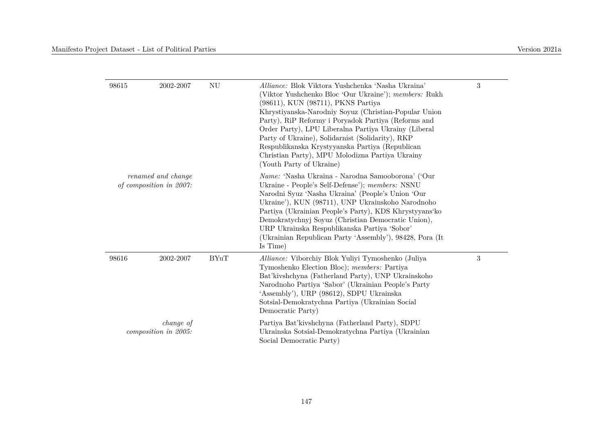| ${\rm NU}$<br>98615<br>2002-2007<br>renamed and change<br>of composition in 2007: |           |             | <i>Alliance:</i> Blok Viktora Yushchenka 'Nasha Ukraina'<br>(Viktor Yushchenko Bloc 'Our Ukraine'); members: Rukh<br>(98611), KUN (98711), PKNS Partiya<br>Khrystiyanska-Narodniy Soyuz (Christian-Popular Union<br>Party), RiP Reformy i Poryadok Partiya (Reforms and<br>Order Party), LPU Liberalna Partiya Ukrainy (Liberal<br>Party of Ukraine), Solidarnist (Solidarity), RKP<br>Respublikanska Krystyyanska Partiya (Republican<br>Christian Party), MPU Molodizna Partiya Ukrainy<br>(Youth Party of Ukraine) | 3 |
|-----------------------------------------------------------------------------------|-----------|-------------|-----------------------------------------------------------------------------------------------------------------------------------------------------------------------------------------------------------------------------------------------------------------------------------------------------------------------------------------------------------------------------------------------------------------------------------------------------------------------------------------------------------------------|---|
|                                                                                   |           |             | <i>Name:</i> 'Nasha Ukraina - Narodna Samooborona' ('Our<br>Ukraine - People's Self-Defense'); members: NSNU<br>Narodni Syuz 'Nasha Ukraina' (People's Union 'Our<br>Ukraine'), KUN (98711), UNP Ukrainskoho Narodnoho<br>Partiya (Ukrainian People's Party), KDS Khrystyyans'ko<br>Demokratychnyj Soyuz (Christian Democratic Union),<br>URP Ukrainska Respublikanska Partiya 'Sobor'<br>(Ukrainian Republican Party 'Assembly'), 98428, Pora (It<br>Is Time)                                                        |   |
| 98616                                                                             | 2002-2007 | <b>BYuT</b> | Alliance: Viborchiy Blok Yuliyi Tymoshenko (Juliya<br>Tymoshenko Election Bloc); members: Partiya<br>Bat'kivshchyna (Fatherland Party), UNP Ukrainskoho<br>Narodnoho Partiya 'Sabor' (Ukrainian People's Party<br>'Assembly'), URP (98612), SDPU Ukrainska<br>Sotsial-Demokratychna Partiya (Ukrainian Social<br>Democratic Party)                                                                                                                                                                                    | 3 |
| <i>change of</i><br>composition in 2005:                                          |           |             | Partiya Bat'kivshchyna (Fatherland Party), SDPU<br>Ukrainska Sotsial-Demokratychna Partiya (Ukrainian<br>Social Democratic Party)                                                                                                                                                                                                                                                                                                                                                                                     |   |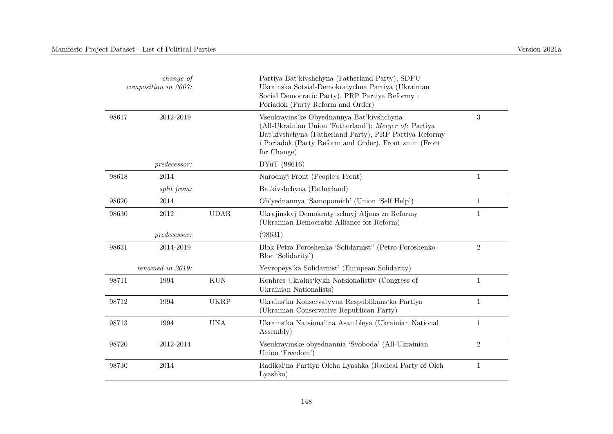| change of<br>composition in 2007: |                  |             | Partiya Bat'kivshchyna (Fatherland Party), SDPU<br>Ukrainska Sotsial-Demokratychna Partiya (Ukrainian<br>Social Democratic Party), PRP Partiya Reformy i<br>Poriadok (Party Reform and Order)                                          |                  |
|-----------------------------------|------------------|-------------|----------------------------------------------------------------------------------------------------------------------------------------------------------------------------------------------------------------------------------------|------------------|
| 98617                             | 2012-2019        |             | Vseukrayins'ke Obyednannya Bat'kivshchyna<br>(All-Ukrainian Union 'Fatherland'); Merger of: Partiya<br>Bat'kivshchyna (Fatherland Party), PRP Partiya Reformy<br>i Poriadok (Party Reform and Order), Front zmin (Front<br>for Change) | $\boldsymbol{3}$ |
|                                   | predecessor:     |             | BYuT (98616)                                                                                                                                                                                                                           |                  |
| 98618                             | 2014             |             | Narodnyj Front (People's Front)                                                                                                                                                                                                        | $\mathbf{1}$     |
|                                   | split from:      |             | Batkivshchyna (Fatherland)                                                                                                                                                                                                             |                  |
| 98620                             | 2014             |             | Ob'yednannya 'Samopomich' (Union 'Self Help')                                                                                                                                                                                          | $\mathbf{1}$     |
| 98630                             | 2012             | <b>UDAR</b> | Ukrajinskyj Demokratytschnyj Aljans za Reformy<br>(Ukrainian Democratic Alliance for Reform)                                                                                                                                           | $\mathbf{1}$     |
|                                   | predecessor:     |             | (98631)                                                                                                                                                                                                                                |                  |
| 98631                             | 2014-2019        |             | Blok Petra Poroshenka 'Solidarnist" (Petro Poroshenko<br>Bloc 'Solidarity')                                                                                                                                                            | $\overline{2}$   |
|                                   | renamed in 2019: |             | Yevropeys'ka Solidarnist' (European Solidarity)                                                                                                                                                                                        |                  |
| 98711                             | 1994             | <b>KUN</b>  | Konhres Ukrains' kykh Natsionalistiv (Congress of<br>Ukrainian Nationalists)                                                                                                                                                           | $\mathbf{1}$     |
| 98712                             | 1994             | <b>UKRP</b> | Ukrains'ka Konservatyvna Respublikans'ka Partiya<br>(Ukrainian Conservative Republican Party)                                                                                                                                          | $\mathbf{1}$     |
| 98713                             | 1994             | <b>UNA</b>  | Ukrains'ka Natsional'na Asambleya (Ukrainian National<br>Assembly)                                                                                                                                                                     | $\mathbf{1}$     |
| 98720                             | 2012-2014        |             | Vseukrayinske obyednannia 'Svoboda' (All-Ukrainian<br>Union 'Freedom')                                                                                                                                                                 | $\overline{2}$   |
| 98730                             | 2014             |             | Radikal'na Partiya Oleha Lyashka (Radical Party of Oleh<br>Lyashko)                                                                                                                                                                    | $\mathbf{1}$     |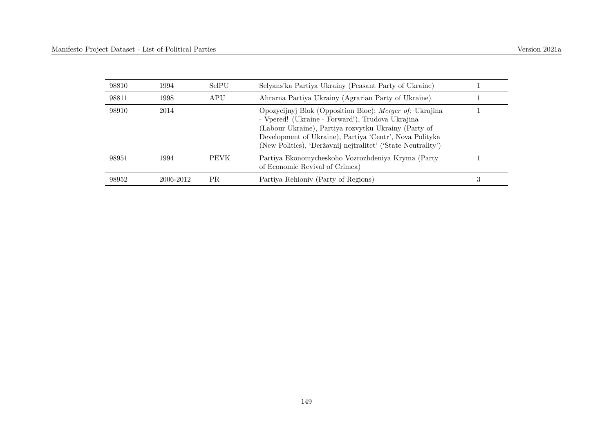| 98810 | 1994      | SelPU       | Selyans'ka Partiya Ukrainy (Peasant Party of Ukraine)                                                                                                                                                                                                                                          |   |
|-------|-----------|-------------|------------------------------------------------------------------------------------------------------------------------------------------------------------------------------------------------------------------------------------------------------------------------------------------------|---|
| 98811 | 1998      | APU         | Ahrarna Partiya Ukrainy (Agrarian Party of Ukraine)                                                                                                                                                                                                                                            |   |
| 98910 | 2014      |             | Opozycijnyj Blok (Opposition Bloc); Merger of: Ukrajina<br>- Vpered! (Ukraine - Forward!), Trudova Ukrajina<br>(Labour Ukraine), Partiya rozvytku Ukrainy (Party of<br>Development of Ukraine), Partiya 'Centr', Nova Polityka<br>(New Politics), 'Deržavnij nejtralitet' ('State Neutrality') |   |
| 98951 | 1994      | <b>PEVK</b> | Partiya Ekonomycheskoho Vozrozhdeniya Kryma (Party<br>of Economic Revival of Crimea)                                                                                                                                                                                                           |   |
| 98952 | 2006-2012 | PR.         | Partiya Rehioniy (Party of Regions)                                                                                                                                                                                                                                                            | 3 |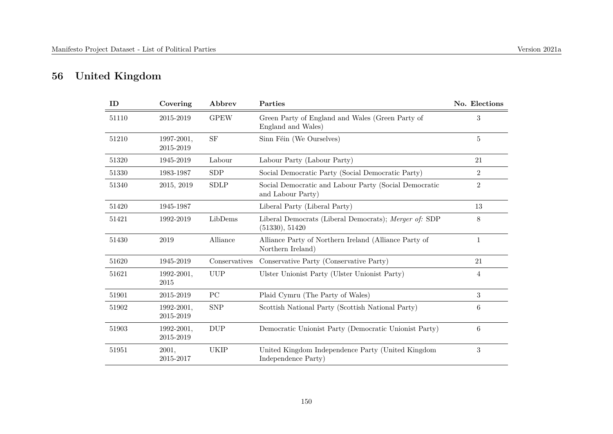## **56 United Kingdom**

| ID    | Covering                | Abbrev          | Parties                                                                    | No. Elections  |
|-------|-------------------------|-----------------|----------------------------------------------------------------------------|----------------|
| 51110 | 2015-2019               | <b>GPEW</b>     | Green Party of England and Wales (Green Party of<br>England and Wales)     | 3              |
| 51210 | 1997-2001,<br>2015-2019 | SF              | Sinn Féin (We Ourselves)                                                   | $\overline{5}$ |
| 51320 | 1945-2019               | Labour          | Labour Party (Labour Party)                                                | 21             |
| 51330 | 1983-1987               | <b>SDP</b>      | Social Democratic Party (Social Democratic Party)                          | $\overline{2}$ |
| 51340 | 2015, 2019              | <b>SDLP</b>     | Social Democratic and Labour Party (Social Democratic<br>and Labour Party) | $\overline{2}$ |
| 51420 | 1945-1987               |                 | Liberal Party (Liberal Party)                                              | 13             |
| 51421 | 1992-2019               | LibDems         | Liberal Democrats (Liberal Democrats); Merger of: SDP<br>(51330), 51420    | 8              |
| 51430 | 2019                    | Alliance        | Alliance Party of Northern Ireland (Alliance Party of<br>Northern Ireland) | $\mathbf{1}$   |
| 51620 | 1945-2019               | Conservatives   | Conservative Party (Conservative Party)                                    | 21             |
| 51621 | 1992-2001,<br>$2015\,$  | <b>UUP</b>      | Ulster Unionist Party (Ulster Unionist Party)                              | 4              |
| 51901 | 2015-2019               | $\overline{PC}$ | Plaid Cymru (The Party of Wales)                                           | 3              |
| 51902 | 1992-2001,<br>2015-2019 | <b>SNP</b>      | Scottish National Party (Scottish National Party)                          | 6              |
| 51903 | 1992-2001,<br>2015-2019 | <b>DUP</b>      | Democratic Unionist Party (Democratic Unionist Party)                      | 6              |
| 51951 | 2001,<br>2015-2017      | UKIP            | United Kingdom Independence Party (United Kingdom<br>Independence Party)   | 3              |